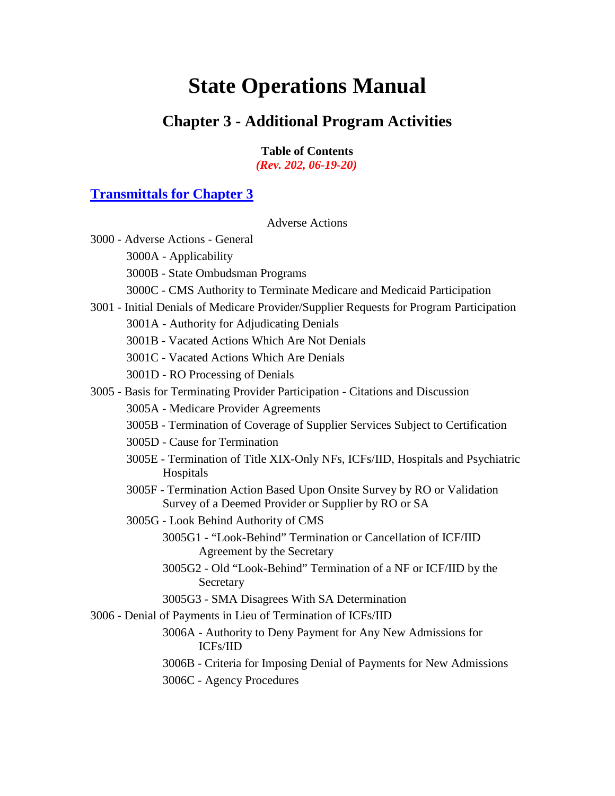# **State Operations Manual**

# **Chapter 3 - Additional Program Activities**

**Table of Contents** *(Rev. 202, 06-19-20)*

# **[Transmittals for Chapter 3](#page-144-0)**

[Adverse Actions](#page-9-0)

| 3000 - Adverse Actions - General                                                                                               |
|--------------------------------------------------------------------------------------------------------------------------------|
| 3000A - Applicability                                                                                                          |
| 3000B - State Ombudsman Programs                                                                                               |
| 3000C - CMS Authority to Terminate Medicare and Medicaid Participation                                                         |
| 3001 - Initial Denials of Medicare Provider/Supplier Requests for Program Participation                                        |
| 3001A - Authority for Adjudicating Denials                                                                                     |
| 3001B - Vacated Actions Which Are Not Denials                                                                                  |
| 3001C - Vacated Actions Which Are Denials                                                                                      |
| 3001D - RO Processing of Denials                                                                                               |
| 3005 - Basis for Terminating Provider Participation - Citations and Discussion                                                 |
| 3005A - Medicare Provider Agreements                                                                                           |
| 3005B - Termination of Coverage of Supplier Services Subject to Certification                                                  |
| 3005D - Cause for Termination                                                                                                  |
| 3005E - Termination of Title XIX-Only NFs, ICFs/IID, Hospitals and Psychiatric<br>Hospitals                                    |
| 3005F - Termination Action Based Upon Onsite Survey by RO or Validation<br>Survey of a Deemed Provider or Supplier by RO or SA |
| 3005G - Look Behind Authority of CMS                                                                                           |
| 3005G1 - "Look-Behind" Termination or Cancellation of ICF/IID<br>Agreement by the Secretary                                    |
| 3005G2 - Old "Look-Behind" Termination of a NF or ICF/IID by the<br>Secretary                                                  |
| 3005G3 - SMA Disagrees With SA Determination                                                                                   |
| 3006 - Denial of Payments in Lieu of Termination of ICFs/IID                                                                   |
| 3006A - Authority to Deny Payment for Any New Admissions for<br><b>ICFs/IID</b>                                                |
| 3006B - Criteria for Imposing Denial of Payments for New Admissions                                                            |
| 3006C - Agency Procedures                                                                                                      |
|                                                                                                                                |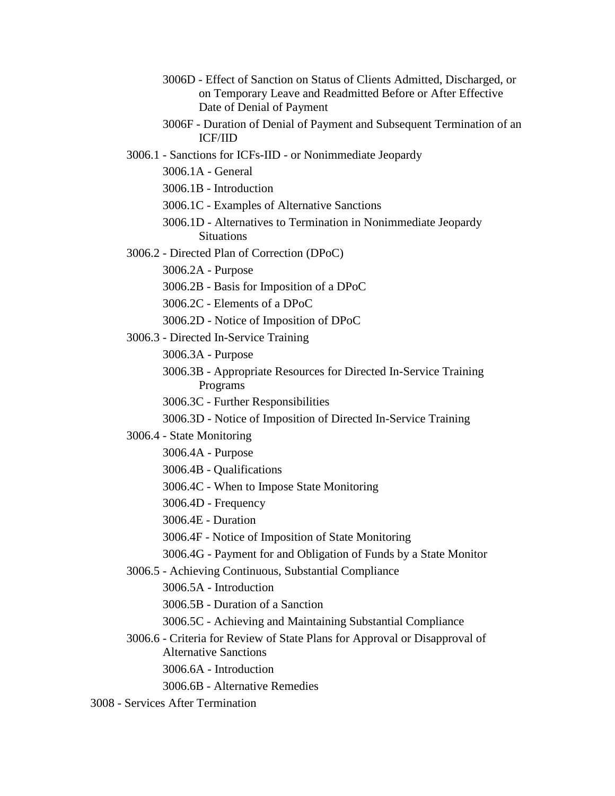- 3006D [Effect of Sanction on Status of Clients Admitted, Discharged, or](#page-19-1)  [on Temporary Leave and Readmitted Before or After Effective](#page-19-1)  [Date of Denial of Payment](#page-19-1)
- 3006F [Duration of Denial of Payment and Subsequent Termination of an](#page-20-0)  [ICF/IID](#page-20-0)
- 3006.1 Sanctions for ICFs-IID [or Nonimmediate Jeopardy](#page-20-1)
	- [3006.1A -](#page-21-0) General
	- 3006.1B [Introduction](#page-21-1)
	- 3006.1C [Examples of Alternative Sanctions](#page-21-2)
	- 3006.1D [Alternatives to Termination in Nonimmediate Jeopardy](#page-22-0)  [Situations](#page-22-0)
- 3006.2 [Directed Plan of Correction \(DPoC\)](#page-22-1)

[3006.2A -](#page-22-2) Purpose

- 3006.2B [Basis for Imposition of a DPoC](#page-22-3)
- 3006.2C [Elements of a DPoC](#page-23-0)
- 3006.2D [Notice of Imposition of DPoC](#page-23-1)
- 3006.3 [Directed In-Service Training](#page-23-2)

[3006.3A -](#page-23-3) Purpose

- 3006.3B [Appropriate Resources for Directed In-Service Training](#page-23-4)  [Programs](#page-23-4)
- 3006.3C [Further Responsibilities](#page-24-0)
- 3006.3D [Notice of Imposition of Directed In-Service Training](#page-24-1)
- 3006.4 [State Monitoring](#page-24-2)
	- [3006.4A -](#page-24-3) Purpose
	- 3006.4B [Qualifications](#page-24-4)
	- 3006.4C [When to Impose State Monitoring](#page-25-0)
	- 3006.4D [Frequency](#page-25-1)
	- [3006.4E -](#page-25-2) Duration
	- 3006.4F [Notice of Imposition of State Monitoring](#page-25-3)
	- 3006.4G [Payment for and Obligation of Funds by a State Monitor](#page-26-0)
- 3006.5 [Achieving Continuous, Substantial Compliance](#page-26-1)
	- 3006.5A [Introduction](#page-26-2)
	- 3006.5B [Duration of a Sanction](#page-26-3)
	- 3006.5C [Achieving and Maintaining Substantial Compliance](#page-26-4)
- 3006.6 [Criteria for Review of State Plans for Approval or Disapproval of](#page-27-0)  [Alternative Sanctions](#page-27-0)
	- 3006.6A [Introduction](#page-27-1)
	- 3006.6B [Alternative Remedies](#page-27-2)
- 3008 [Services After Termination](#page-27-3)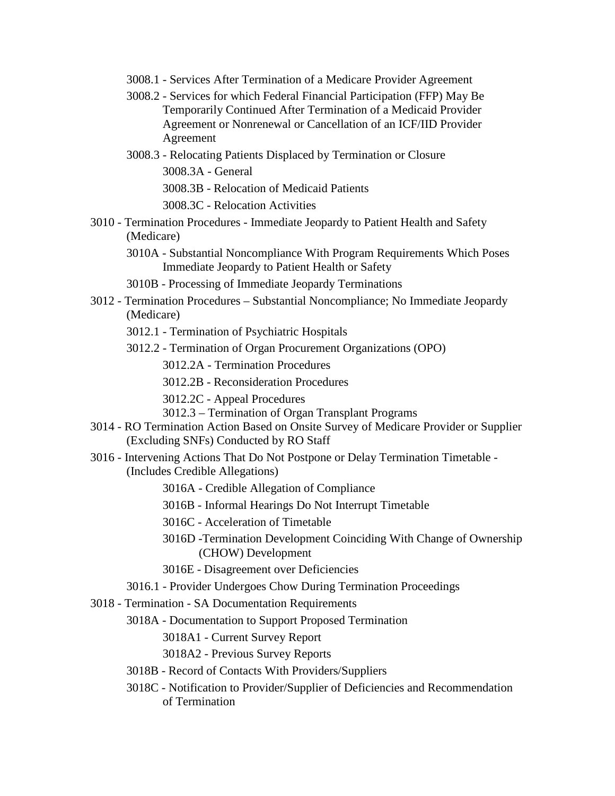- 3008.1 [Services After Termination of a Medicare Provider Agreement](#page-27-4)
- 3008.2 [Services for which Federal Financial Participation \(FFP\) May Be](#page-28-0)  [Temporarily Continued After Termination of a Medicaid Provider](#page-28-0)  [Agreement or Nonrenewal or Cancellation of an ICF/IID Provider](#page-28-0)  [Agreement](#page-28-0)
- 3008.3 [Relocating Patients Displaced by Termination or Closure](#page-29-0) [3008.3A -](#page-29-1) General 3008.3B - [Relocation of Medicaid Patients](#page-29-2) 3008.3C - [Relocation](#page-30-0) Activities
- 3010 Termination Procedures [Immediate Jeopardy to Patient Health and Safety](#page-30-1)  [\(Medicare\)](#page-30-1)
	- 3010A [Substantial Noncompliance With Program Requirements Which Poses](#page-30-2)  [Immediate Jeopardy to Patient Health or Safety](#page-30-2)
	- 3010B [Processing of Immediate Jeopardy Terminations](#page-31-0)
- 3012 Termination Procedures [Substantial Noncompliance; No Immediate Jeopardy](#page-33-0)  [\(Medicare\)](#page-33-0)
	- 3012.1 [Termination of Psychiatric Hospitals](#page-35-0)
	- 3012.2 [Termination of Organ Procurement Organizations \(OPO\)](#page-37-0)
		- 3012.2A [Termination Procedures](#page-37-1)
		- 3012.2B [Reconsideration Procedures](#page-38-0)
		- 3012.2C [Appeal Procedures](#page-39-0)
		- 3012.3 [Termination of Organ Transplant Programs](#page-40-0)
- 3014 [RO Termination Action Based on Onsite Survey of Medicare Provider or Supplier](#page-40-1)  [\(Excluding SNFs\) Conducted by RO Staff](#page-40-1)
- 3016 [Intervening Actions That Do Not Postpone or Delay Termination Timetable -](#page-41-0) [\(Includes Credible Allegations\)](#page-41-0)
	- 3016A [Credible Allegation of Compliance](#page-41-1)
	- 3016B [Informal Hearings Do Not Interrupt Timetable](#page-41-2)
	- 3016C [Acceleration of Timetable](#page-41-3)
	- [3016D -Termination Development Coinciding With Change of Ownership](#page-42-0)  [\(CHOW\) Development](#page-42-0)
	- 3016E [Disagreement over Deficiencies](#page-42-1)
	- 3016.1 [Provider Undergoes Chow During Termination Proceedings](#page-42-2)
- 3018 Termination [SA Documentation Requirements](#page-42-3)
	- 3018A [Documentation to Support Proposed Termination](#page-42-4)
		- 3018A1 [Current Survey Report](#page-43-0)
		- 3018A2 [Previous Survey Reports](#page-43-1)
	- 3018B [Record of Contacts With Providers/Suppliers](#page-43-2)
	- 3018C [Notification to Provider/Supplier of Deficiencies and Recommendation](#page-44-0)  [of Termination](#page-44-0)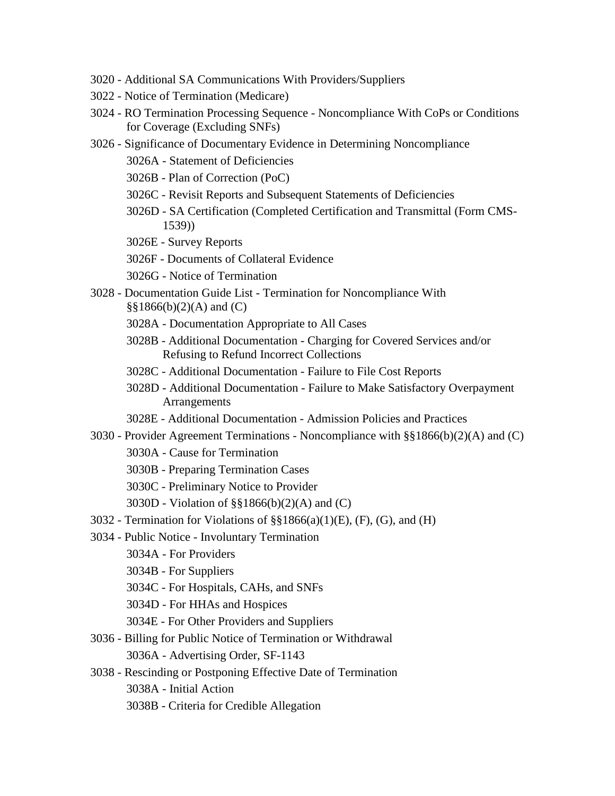- 3020 [Additional SA Communications With Providers/Suppliers](#page-44-1)
- 3022 [Notice of Termination \(Medicare\)](#page-44-2)
- 3024 RO Termination Processing Sequence [Noncompliance With CoPs or Conditions](#page-44-3)  [for Coverage \(Excluding](#page-44-3) SNFs)
- 3026 [Significance of Documentary Evidence in Determining Noncompliance](#page-46-0)
	- 3026A [Statement of Deficiencies](#page-46-1)
	- 3026B [Plan of Correction \(PoC\)](#page-46-2)
	- 3026C [Revisit Reports and Subsequent Statements of Deficiencies](#page-47-0)
	- 3026D [SA Certification \(Completed Certification and Transmittal \(Form CMS-](#page-47-1)[1539\)\)](#page-47-1)
	- 3026E [Survey Reports](#page-47-2)
	- 3026F [Documents of Collateral Evidence](#page-47-3)
	- 3026G [Notice of Termination](#page-48-0)
- 3028 Documentation Guide List [Termination for Noncompliance With](#page-48-1)   $\S$ §1866(b)(2)(A) and (C)
	- 3028A [Documentation Appropriate to All Cases](#page-48-2)
	- 3028B Additional Documentation [Charging for Covered Services and/or](#page-49-0)  [Refusing to Refund Incorrect Collections](#page-49-0)
	- 3028C [Additional Documentation -](#page-50-0) Failure to File Cost Reports
	- 3028D Additional Documentation [Failure to Make Satisfactory Overpayment](#page-50-1)  [Arrangements](#page-50-1)
	- 3028E Additional Documentation [Admission Policies and Practices](#page-51-0)
- 3030 Provider Agreement Terminations [Noncompliance with §§1866\(b\)\(2\)\(A\) and \(C\)](#page-51-1)
	- 3030A [Cause for Termination](#page-51-2)
	- 3030B [Preparing Termination Cases](#page-52-0)
	- 3030C [Preliminary Notice to Provider](#page-52-1)
	- 3030D [Violation of §§1866\(b\)\(2\)\(A\) and \(C\)](#page-52-2)
- $3032$  Termination for Violations of  $\S$ §1866(a)(1)(E), (F), (G), and (H)
- 3034 Public Notice [Involuntary Termination](#page-53-1)
	- 3034A [For Providers](#page-53-2)
	- 3034B [For Suppliers](#page-54-0)
	- 3034C [For Hospitals, CAHs, and SNFs](#page-54-1)
	- 3034D [For HHAs and Hospices](#page-54-2)
	- 3034E [For Other Providers and Suppliers](#page-54-3)
- 3036 [Billing for Public Notice of Termination or](#page-55-0) Withdrawal 3036A - [Advertising Order, SF-1143](#page-55-1)
- 3038 [Rescinding or Postponing Effective Date of Termination](#page-55-2) 3038A - [Initial Action](#page-55-3)
	- 3038B [Criteria for Credible Allegation](#page-56-0)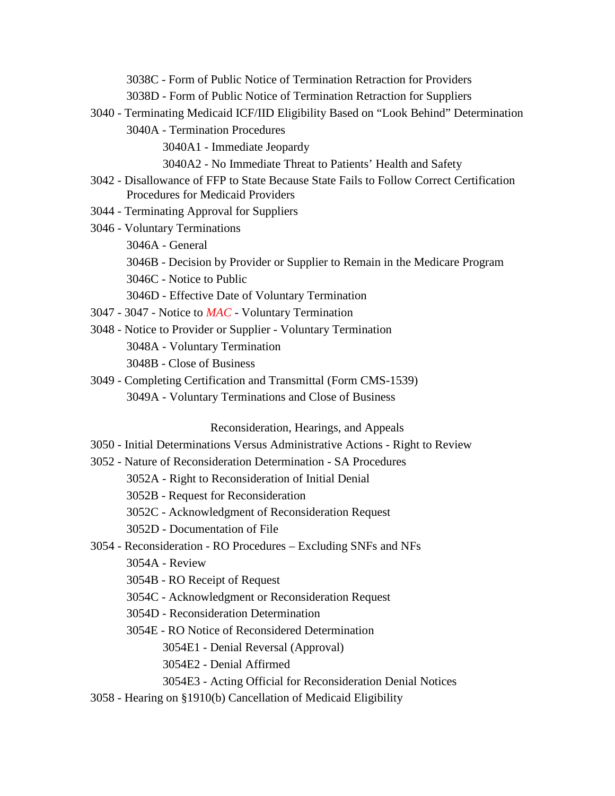3038C - [Form of Public Notice of Termination Retraction for Providers](#page-57-0)

- 3038D [Form of Public Notice of Termination Retraction for Suppliers](#page-57-1)
- 3040 [Terminating Medicaid ICF/IID Eligibility Based on "Look Behind" Determination](#page-57-2)
	- 3040A [Termination Procedures](#page-57-3)
		- 3040A1 [Immediate Jeopardy](#page-57-4)
		- 3040A2 [No Immediate Threat to Patients' Health and Safety](#page-58-0)
- 3042 [Disallowance of FFP to State Because State Fails to Follow Correct Certification](#page-59-0)  [Procedures for Medicaid Providers](#page-59-0)
- 3044 [Terminating Approval for Suppliers](#page-60-0)
- 3046 [Voluntary Terminations](#page-60-1)
	- [3046A -](#page-60-2) General
	- 3046B [Decision by Provider or Supplier to Remain in the Medicare Program](#page-61-0)
	- 3046C [Notice to Public](#page-62-0)
	- 3046D [Effective Date of Voluntary Termination](#page-62-1)
- 3047 3047 Notice to *MAC* [Voluntary Termination](#page-62-2)
- 3048 [Notice to Provider or Supplier -](#page-62-3) Voluntary Termination 3048A - [Voluntary Termination](#page-63-0) 3048B - [Close of Business](#page-63-1)
- 3049 [Completing Certification and Transmittal \(Form CMS-1539\)](#page-63-2) 3049A - [Voluntary Terminations and Close of Business](#page-63-3)

[Reconsideration, Hearings, and Appeals](#page-63-4)

- 3050 [Initial Determinations Versus Administrative Actions -](#page-63-5) Right to Review
- 3052 [Nature of Reconsideration Determination -](#page-64-0) SA Procedures
	- 3052A [Right to Reconsideration of Initial Denial](#page-64-1)
	- 3052B [Request for Reconsideration](#page-64-2)
	- 3052C [Acknowledgment of Reconsideration Request](#page-64-3)
	- 3052D [Documentation of File](#page-65-0)
- 3054 Reconsideration RO Procedures [Excluding SNFs and NFs](#page-65-1)
	- [3054A -](#page-65-2) Review
	- 3054B [RO Receipt of Request](#page-65-3)
	- 3054C [Acknowledgment or Reconsideration Request](#page-66-0)
	- 3054D [Reconsideration Determination](#page-66-1)
	- 3054E [RO Notice of Reconsidered Determination](#page-66-2)
		- 3054E1 [Denial Reversal \(Approval\)](#page-66-3)
		- 3054E2 [Denial Affirmed](#page-67-0)
		- 3054E3 [Acting Official for Reconsideration Denial Notices](#page-67-1)
- 3058 [Hearing on §1910\(b\) Cancellation of Medicaid Eligibility](#page-67-2)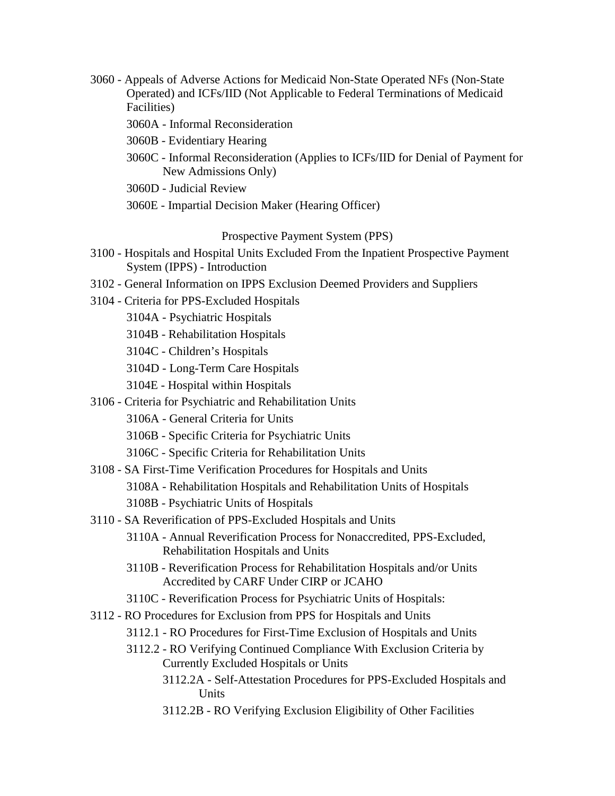- 3060 [Appeals of Adverse Actions for Medicaid Non-State Operated NFs \(Non-State](#page-68-0)  [Operated\) and ICFs/IID \(Not Applicable to Federal Terminations of Medicaid](#page-68-0)  [Facilities\)](#page-68-0)
	- 3060A [Informal Reconsideration](#page-68-1)
	- 3060B [Evidentiary Hearing](#page-69-0)
	- 3060C [Informal Reconsideration \(Applies to ICFs/IID for Denial of Payment for](#page-69-1)  [New Admissions Only\)](#page-69-1)
	- 3060D [Judicial Review](#page-70-0)
	- 3060E [Impartial Decision Maker \(Hearing Officer\)](#page-70-1)

#### [Prospective Payment System \(PPS\)](#page-71-0)

- 3100 Hospitals and Hospital Units Excluded From the Inpatient Prospective Payment System (IPPS) - Introduction
- 3102 [General Information on IPPS Exclusion Deemed Providers and Suppliers](#page-71-1)
- 3104 [Criteria for PPS-Excluded Hospitals](#page-72-0)
	- 3104A [Psychiatric Hospitals](#page-72-1)
	- 3104B [Rehabilitation Hospitals](#page-72-2)
	- 3104C [Children's Hospitals](#page-74-0)
	- 3104D [Long-Term Care](#page-74-1) Hospitals
	- 3104E [Hospital within Hospitals](#page-75-0)
- 3106 [Criteria for Psychiatric and Rehabilitation Units](#page-77-0)
	- 3106A [General Criteria for Units](#page-77-1)
	- 3106B [Specific Criteria for Psychiatric Units](#page-78-0)
	- 3106C [Specific Criteria for Rehabilitation Units](#page-83-0)
- 3108 [SA First-Time Verification Procedures for Hospitals and Units](#page-85-0)
	- 3108A [Rehabilitation Hospitals and Rehabilitation Units of Hospitals](#page-85-1)
	- 3108B [Psychiatric Units of Hospitals](#page-85-2)
- 3110 [SA Reverification of PPS-Excluded Hospitals and Units](#page-86-0)
	- 3110A [Annual Reverification Process for Nonaccredited, PPS-Excluded,](#page-86-1)  [Rehabilitation Hospitals and Units](#page-86-1)
	- 3110B [Reverification Process for Rehabilitation Hospitals and/or Units](#page-87-0)  [Accredited by CARF Under CIRP or JCAHO](#page-87-0)
	- 3110C [Reverification Process for Psychiatric Units of Hospitals:](#page-87-1)
- 3112 [RO Procedures for Exclusion from PPS for Hospitals and Units](#page-87-2)
	- 3112.1 [RO Procedures for First-Time Exclusion of Hospitals and Units](#page-88-0)
	- 3112.2 [RO Verifying Continued Compliance With Exclusion Criteria by](#page-89-0)  [Currently Excluded Hospitals or Units](#page-89-0)
		- 3112.2A [Self-Attestation Procedures for PPS-Excluded Hospitals and](#page-90-0)  [Units](#page-90-0)
		- 3112.2B [RO Verifying Exclusion Eligibility of Other Facilities](#page-90-1)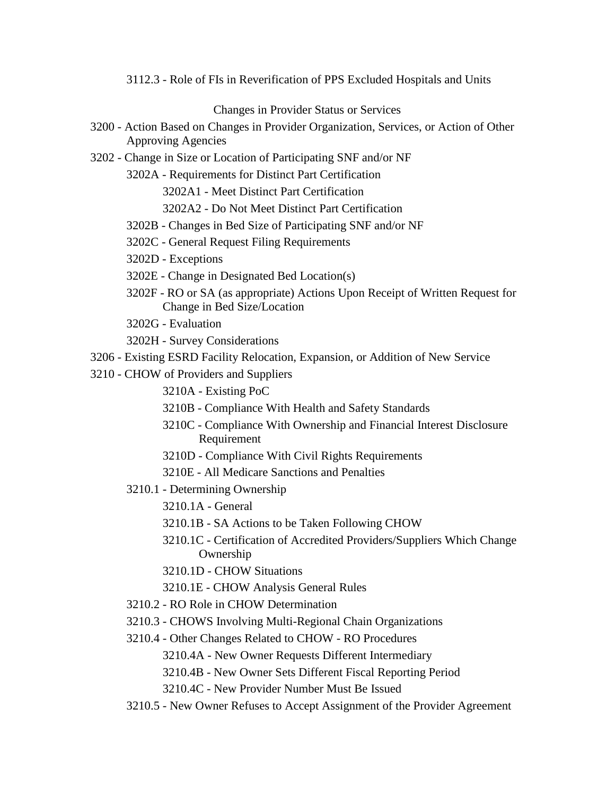3112.3 - [Role of FIs in Reverification of PPS Excluded Hospitals and Units](#page-91-0)

Changes in [Provider Status or Services](#page-91-1)

- 3200 [Action Based on Changes in Provider Organization, Services, or Action of Other](#page-92-0)  [Approving Agencies](#page-92-0)
- 3202 [Change in Size or Location of Participating SNF and/or NF](#page-92-1)
	- 3202A [Requirements for Distinct Part Certification](#page-93-0)

3202A1 - [Meet Distinct Part Certification](#page-94-0)

3202A2 - [Do Not Meet Distinct Part Certification](#page-95-0)

- 3202B [Changes in Bed Size of Participating SNF and/or NF](#page-95-1)
- 3202C [General Request Filing Requirements](#page-96-0)

3202D - [Exceptions](#page-97-0)

- 3202E [Change in Designated Bed Location\(s\)](#page-98-0)
- 3202F [RO or SA \(as appropriate\) Actions Upon Receipt of Written Request for](#page-98-1)  [Change in Bed Size/Location](#page-98-1)
- 3202G [Evaluation](#page-99-0)
- 3202H [Survey Considerations](#page-101-0)
- 3206 [Existing ESRD Facility Relocation, Expansion, or Addition of New Service](#page-101-1)
- 3210 [CHOW of Providers and Suppliers](#page-101-2)
	- 3210A [Existing PoC](#page-102-0)
	- 3210B [Compliance With Health and Safety Standards](#page-102-1)
	- 3210C [Compliance With Ownership and Financial Interest Disclosure](#page-102-2) [Requirement](#page-102-2)
	- 3210D [Compliance With Civil Rights Requirements](#page-102-3)
	- 3210E [All Medicare Sanctions and Penalties](#page-102-4)
	- 3210.1 [Determining Ownership](#page-103-0)
		- [3210.1A -](#page-103-1) General
		- 3210.1B [SA Actions to be Taken Following CHOW](#page-104-0)
		- 3210.1C [Certification of Accredited Providers/Suppliers Which Change](#page-107-0)  [Ownership](#page-107-0)
		- 3210.1D [CHOW Situations](#page-108-0)
		- 3210.1E [CHOW Analysis General Rules](#page-110-0)
	- 3210.2 [RO Role in CHOW Determination](#page-111-0)
	- 3210.3 [CHOWS Involving Multi-Regional Chain Organizations](#page-112-0)
	- 3210.4 [Other Changes Related to CHOW -](#page-112-1) RO Procedures
		- 3210.4A [New Owner Requests Different Intermediary](#page-112-2)
		- 3210.4B [New Owner Sets Different Fiscal Reporting Period](#page-113-0)
		- 3210.4C [New Provider Number Must Be Issued](#page-113-1)
	- 3210.5 [New Owner Refuses to Accept Assignment of the Provider Agreement](#page-114-0)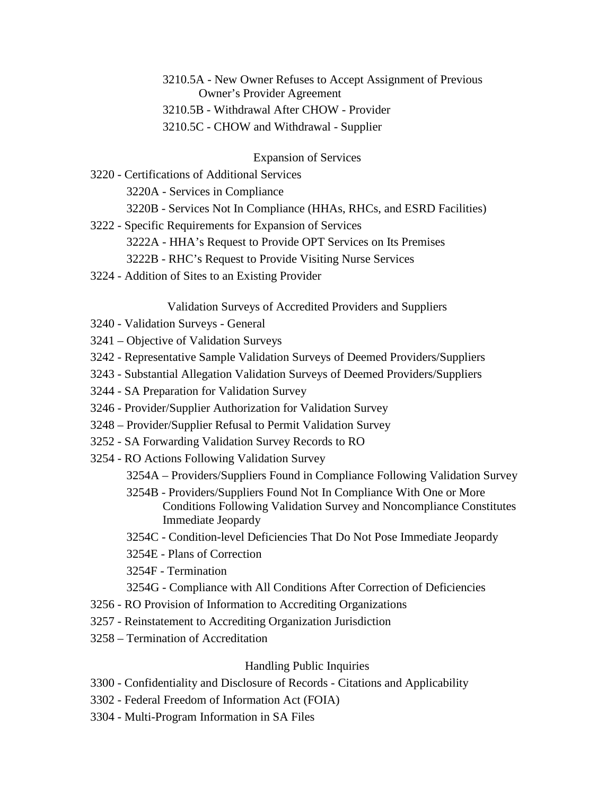### 3210.5A - [New Owner Refuses to Accept Assignment of Previous](#page-114-1) [Owner's Provider Agreement](#page-114-1) 3210.5B - [Withdrawal After CHOW -](#page-117-0) Provider 3210.5C - [CHOW and Withdrawal -](#page-117-1) Supplier

#### [Expansion of Services](#page-118-0)

- 3220 [Certifications of Additional Services](#page-118-1) 3220A - [Services in Compliance](#page-118-2) 3220B - [Services Not In Compliance \(HHAs, RHCs, and ESRD Facilities\)](#page-119-0)
- 3222 [Specific Requirements for Expansion of Services](#page-119-1) 3222A - [HHA's Request to Provide OPT Services on Its Premises](#page-119-2) 3222B - [RHC's Request to Provide Visiting Nurse Services](#page-119-3)
- 3224 [Addition of Sites to an Existing Provider](#page-120-0)

#### [Validation Surveys of Accredited Providers and Suppliers](#page-122-0)

- 3240 [Validation Surveys -](#page-122-1) General
- 3241 [Objective of Validation Surveys](#page-123-0)
- 3242 [Representative Sample Validation Surveys of Deemed Providers/Suppliers](#page-123-1)
- 3243 [Substantial Allegation Validation Surveys of Deemed Providers/Suppliers](#page-124-0)
- 3244 [SA Preparation for Validation Survey](#page-124-1)
- 3246 [Provider/Supplier Authorization for Validation Survey](#page-125-0)
- 3248 [Provider/Supplier Refusal to Permit Validation Survey](#page-125-1)
- 3252 [SA Forwarding Validation Survey Records to RO](#page-125-2)
- 3254 [RO Actions Following Validation Survey](#page-126-0)
	- 3254A [Providers/Suppliers Found in Compliance Following Validation Survey](#page-126-1)
	- 3254B [Providers/Suppliers Found Not In Compliance With One or More](#page-126-2)  [Conditions Following Validation Survey and Noncompliance Constitutes](#page-126-2)  [Immediate Jeopardy](#page-126-2)
	- 3254C [Condition-level Deficiencies That Do Not Pose Immediate Jeopardy](#page-127-0)
	- 3254E [Plans of Correction](#page-127-1)
	- 3254F [Termination](#page-127-2)
	- 3254G [Compliance with All Conditions After Correction of Deficiencies](#page-127-3)
- 3256 [RO Provision of Information to Accrediting Organizations](#page-128-0)
- 3257 [Reinstatement to Accrediting Organization Jurisdiction](#page-128-1)
- 3258 [Termination of Accreditation](#page-129-0)

#### [Handling Public Inquiries](#page-132-0)

- 3300 [Confidentiality and Disclosure of Records -](#page-132-1) Citations and Applicability
- 3302 Federal Freedom of [Information Act \(FOIA\)](#page-132-2)
- 3304 [Multi-Program Information in SA Files](#page-132-3)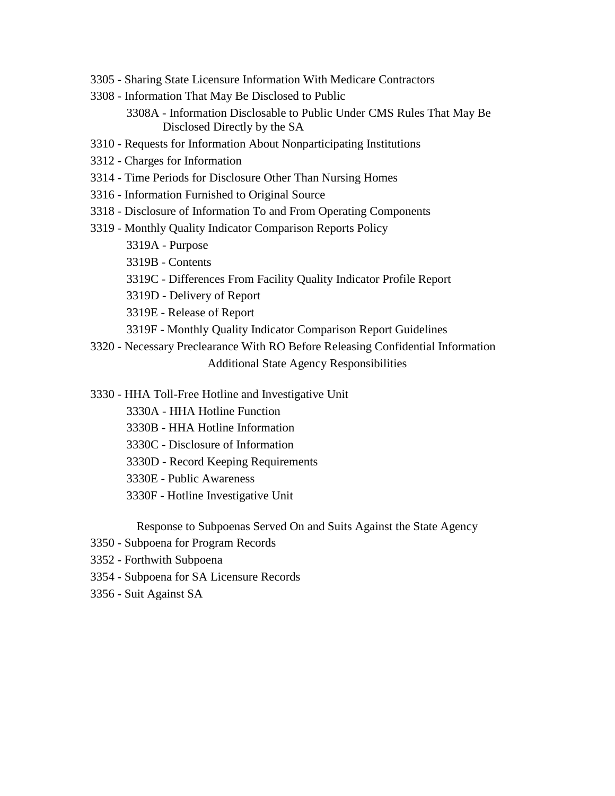- 3305 [Sharing State Licensure Information With Medicare Contractors](#page-133-0)
- 3308 [Information That May Be Disclosed to Public](#page-133-1)
	- 3308A [Information Disclosable to Public Under CMS Rules That May Be](#page-133-2)  [Disclosed Directly by the SA](#page-133-2)
- 3310 [Requests for Information About Nonparticipating Institutions](#page-134-0)
- 3312 [Charges for Information](#page-134-1)
- 3314 [Time Periods for Disclosure Other Than Nursing Homes](#page-135-0)
- 3316 [Information Furnished to Original Source](#page-135-1)
- 3318 [Disclosure of Information To and From Operating Components](#page-136-0)
- 3319 [Monthly Quality Indicator Comparison Reports Policy](#page-136-1)
	- [3319A -](#page-136-2) Purpose
	- 3319B [Contents](#page-137-0)
	- 3319C [Differences From Facility Quality Indicator Profile Report](#page-137-1)
	- 3319D [Delivery of Report](#page-137-2)
	- 3319E [Release of Report](#page-137-3)
	- 3319F [Monthly Quality Indicator Comparison Report Guidelines](#page-138-0)
- 3320 [Necessary Preclearance With RO Before Releasing Confidential Information](#page-139-0) [Additional State Agency Responsibilities](#page-140-0)
- 3330 [HHA Toll-Free Hotline and Investigative Unit](#page-140-1)
	- 3330A [HHA Hotline Function](#page-140-2)
	- 3330B [HHA Hotline Information](#page-141-0)
	- 3330C [Disclosure of Information](#page-141-1)
	- 3330D [Record Keeping Requirements](#page-141-2)
	- 3330E [Public Awareness](#page-141-3)
	- 3330F [Hotline Investigative Unit](#page-141-4)

[Response to Subpoenas Served On and Suits Against the State Agency](#page-142-0)

- 3350 [Subpoena for Program Records](#page-142-1)
- 3352 [Forthwith Subpoena](#page-142-2)
- 3354 [Subpoena for SA Licensure Records](#page-143-0)
- 3356 [Suit Against SA](#page-143-1)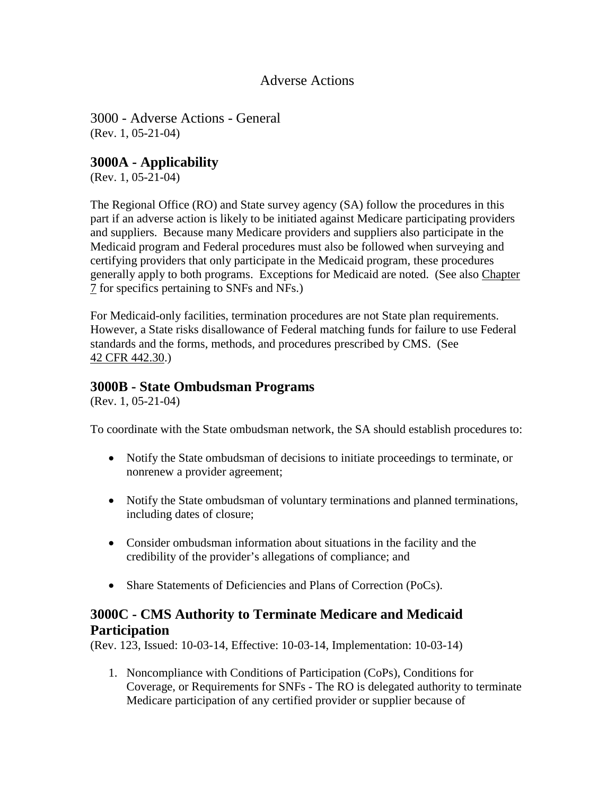#### Adverse Actions

<span id="page-9-1"></span><span id="page-9-0"></span>3000 - Adverse Actions - General (Rev. 1, 05-21-04)

### **3000A - Applicability**

(Rev. 1, 05-21-04)

The Regional Office (RO) and State survey agency (SA) follow the procedures in this part if an adverse action is likely to be initiated against Medicare participating providers and suppliers. Because many Medicare providers and suppliers also participate in the Medicaid program and Federal procedures must also be followed when surveying and certifying providers that only participate in the Medicaid program, these procedures generally apply to both programs. Exceptions for Medicaid are noted. (See also [Chapter](http://www.cms.hhs.gov/manuals/107_som/som107c07.pdf)  [7](http://www.cms.hhs.gov/manuals/107_som/som107c07.pdf) for specifics pertaining to SNFs and NFs.)

For Medicaid-only facilities, termination procedures are not State plan requirements. However, a State risks disallowance of Federal matching funds for failure to use Federal standards and the forms, methods, and procedures prescribed by CMS. (See 42 CFR [442.30.](http://www.cms.hhs.gov/regulations/))

#### <span id="page-9-2"></span>**3000B - State Ombudsman Programs**

(Rev. 1, 05-21-04)

To coordinate with the State ombudsman network, the SA should establish procedures to:

- Notify the State ombudsman of decisions to initiate proceedings to terminate, or nonrenew a provider agreement;
- Notify the State ombudsman of voluntary terminations and planned terminations, including dates of closure;
- Consider ombudsman information about situations in the facility and the credibility of the provider's allegations of compliance; and
- Share Statements of Deficiencies and Plans of Correction (PoCs).

# <span id="page-9-3"></span>**3000C - CMS Authority to Terminate Medicare and Medicaid Participation**

(Rev. 123, Issued: 10-03-14, Effective: 10-03-14, Implementation: 10-03-14)

1. Noncompliance with Conditions of Participation (CoPs), Conditions for Coverage, or Requirements for SNFs - The RO is delegated authority to terminate Medicare participation of any certified provider or supplier because of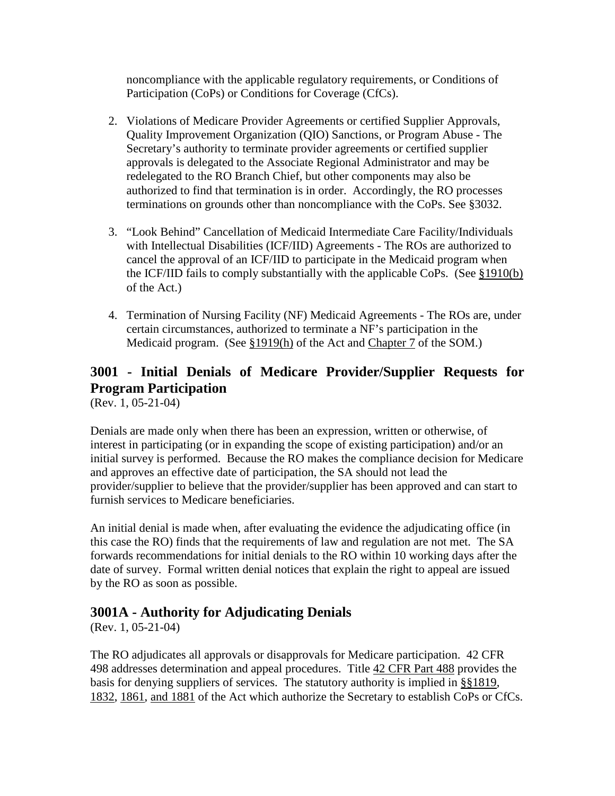noncompliance with the applicable regulatory requirements, or Conditions of Participation (CoPs) or Conditions for Coverage (CfCs).

- 2. Violations of Medicare Provider Agreements or certified Supplier Approvals, Quality Improvement Organization (QIO) Sanctions, or Program Abuse - The Secretary's authority to terminate provider agreements or certified supplier approvals is delegated to the Associate Regional Administrator and may be redelegated to the RO Branch Chief, but other components may also be authorized to find that termination is in order. Accordingly, the RO processes terminations on grounds other than noncompliance with the CoPs. See §3032.
- 3. "Look Behind" Cancellation of Medicaid Intermediate Care Facility/Individuals with Intellectual Disabilities (ICF/IID) Agreements - The ROs are authorized to cancel the approval of an ICF/IID to participate in the Medicaid program when the ICF/IID fails to comply substantially with the applicable CoPs. (See [§1910\(b\)](http://www.cms.hhs.gov/regulations/) of the Act.)
- 4. Termination of Nursing Facility (NF) Medicaid Agreements The ROs are, under certain circumstances, authorized to terminate a NF's participation in the Medicaid program. (See [§1919\(h\)](http://www.cms.hhs.gov/regulations/) of the Act and [Chapter 7](http://www.cms.hhs.gov/manuals/107_som/som107c07.pdf) of the SOM.)

# <span id="page-10-0"></span>**3001 - Initial Denials of Medicare Provider/Supplier Requests for Program Participation**

(Rev. 1, 05-21-04)

Denials are made only when there has been an expression, written or otherwise, of interest in participating (or in expanding the scope of existing participation) and/or an initial survey is performed. Because the RO makes the compliance decision for Medicare and approves an effective date of participation, the SA should not lead the provider/supplier to believe that the provider/supplier has been approved and can start to furnish services to Medicare beneficiaries.

An initial denial is made when, after evaluating the evidence the adjudicating office (in this case the RO) finds that the requirements of law and regulation are not met. The SA forwards recommendations for initial denials to the RO within 10 working days after the date of survey. Formal written denial notices that explain the right to appeal are issued by the RO as soon as possible.

# <span id="page-10-1"></span>**3001A - Authority for Adjudicating Denials**

(Rev. 1, 05-21-04)

The RO adjudicates all approvals or disapprovals for Medicare participation. 42 CFR 498 addresses determination and appeal procedures. Title [42 CFR Part 488](http://www.cms.hhs.gov/regulations/) provides the basis for denying suppliers of services. The statutory authority is implied in [§§1819,](http://www.cms.hhs.gov/regulations/) [1832, 1861, and 1881](http://www.cms.hhs.gov/regulations/) of the Act which authorize the Secretary to establish CoPs or CfCs.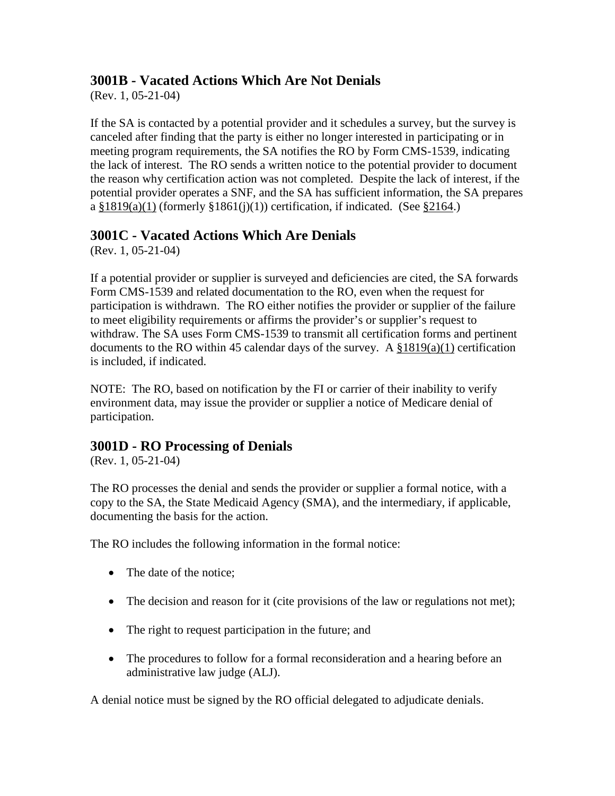# <span id="page-11-0"></span>**3001B - Vacated Actions Which Are Not Denials**

(Rev. 1, 05-21-04)

If the SA is contacted by a potential provider and it schedules a survey, but the survey is canceled after finding that the party is either no longer interested in participating or in meeting program requirements, the SA notifies the RO by Form CMS-1539, indicating the lack of interest. The RO sends a written notice to the potential provider to document the reason why certification action was not completed. Despite the lack of interest, if the potential provider operates a SNF, and the SA has sufficient information, the SA prepares a  $\S 1819(a)(1)$  (formerly  $\S 1861(i)(1)$ ) certification, if indicated. (See  $\S 2164$ .)

# <span id="page-11-1"></span>**3001C - Vacated Actions Which Are Denials**

(Rev. 1, 05-21-04)

If a potential provider or supplier is surveyed and deficiencies are cited, the SA forwards Form CMS-1539 and related documentation to the RO, even when the request for participation is withdrawn. The RO either notifies the provider or supplier of the failure to meet eligibility requirements or affirms the provider's or supplier's request to withdraw. The SA uses Form CMS-1539 to transmit all certification forms and pertinent documents to the RO within 45 calendar days of the survey. A  $\S 1819(a)(1)$  certification is included, if indicated.

NOTE: The RO, based on notification by the FI or carrier of their inability to verify environment data, may issue the provider or supplier a notice of Medicare denial of participation.

# <span id="page-11-2"></span>**3001D - RO Processing of Denials**

(Rev. 1, 05-21-04)

The RO processes the denial and sends the provider or supplier a formal notice, with a copy to the SA, the State Medicaid Agency (SMA), and the intermediary, if applicable, documenting the basis for the action.

The RO includes the following information in the formal notice:

- The date of the notice:
- The decision and reason for it (cite provisions of the law or regulations not met);
- The right to request participation in the future; and
- The procedures to follow for a formal reconsideration and a hearing before an administrative law judge (ALJ).

A denial notice must be signed by the RO official delegated to adjudicate denials.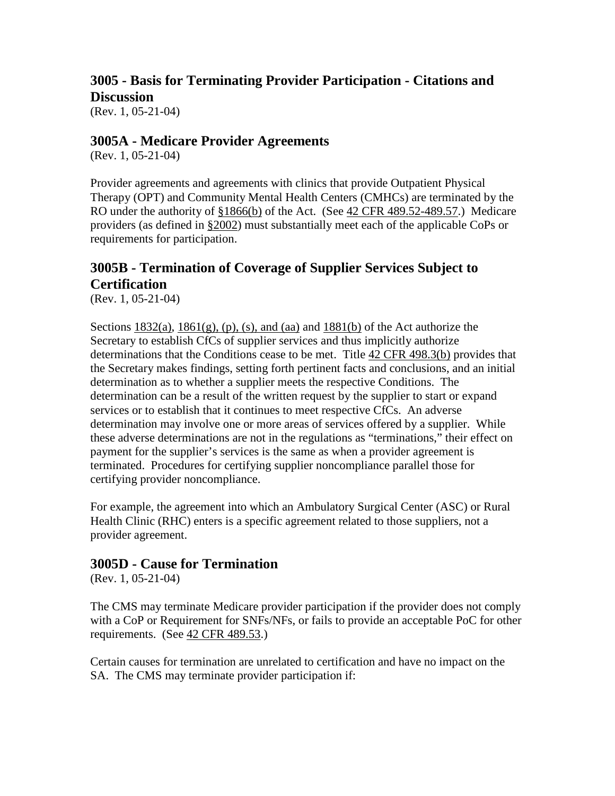# <span id="page-12-0"></span>**3005 - Basis for Terminating Provider Participation - Citations and Discussion**

(Rev. 1, 05-21-04)

# <span id="page-12-1"></span>**3005A - Medicare Provider Agreements**

(Rev. 1, 05-21-04)

Provider agreements and agreements with clinics that provide Outpatient Physical Therapy (OPT) and Community Mental Health Centers (CMHCs) are terminated by the RO under the authority of [§1866\(b\)](http://www.cms.hhs.gov/regulations/) of the Act. (See [42 CFR 489.52-489.57.](http://www.cms.hhs.gov/regulations/)) Medicare providers (as defined in [§2002\)](http://www.cms.hhs.gov/manuals/107_som/som107c02.pdf) must substantially meet each of the applicable CoPs or requirements for participation.

# <span id="page-12-2"></span>**3005B - Termination of Coverage of Supplier Services Subject to Certification**

(Rev. 1, 05-21-04)

Sections  $1832(a)$ ,  $1861(g)$ , (p), (s), and (aa) and  $1881(b)$  of the Act authorize the Secretary to establish CfCs of supplier services and thus implicitly authorize determinations that the Conditions cease to be met. Title [42 CFR 498.3\(b\)](http://www.cms.hhs.gov/regulations/) provides that the Secretary makes findings, setting forth pertinent facts and conclusions, and an initial determination as to whether a supplier meets the respective Conditions. The determination can be a result of the written request by the supplier to start or expand services or to establish that it continues to meet respective CfCs. An adverse determination may involve one or more areas of services offered by a supplier. While these adverse determinations are not in the regulations as "terminations," their effect on payment for the supplier's services is the same as when a provider agreement is terminated. Procedures for certifying supplier noncompliance parallel those for certifying provider noncompliance.

For example, the agreement into which an Ambulatory Surgical Center (ASC) or Rural Health Clinic (RHC) enters is a specific agreement related to those suppliers, not a provider agreement.

### <span id="page-12-3"></span>**3005D - Cause for Termination**

(Rev. 1, 05-21-04)

The CMS may terminate Medicare provider participation if the provider does not comply with a CoP or Requirement for SNFs/NFs, or fails to provide an acceptable PoC for other requirements. (See  $42$  CFR  $489.53$ .)

Certain causes for termination are unrelated to certification and have no impact on the SA. The CMS may terminate provider participation if: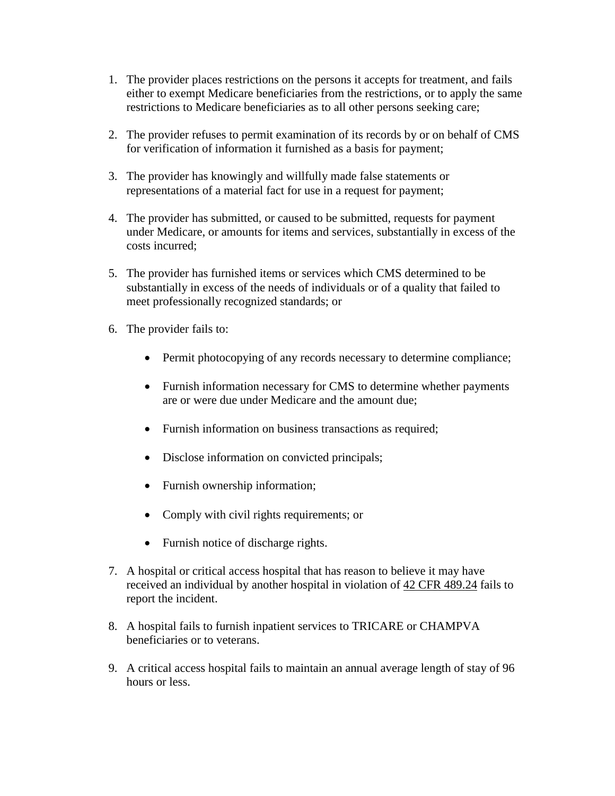- 1. The provider places restrictions on the persons it accepts for treatment, and fails either to exempt Medicare beneficiaries from the restrictions, or to apply the same restrictions to Medicare beneficiaries as to all other persons seeking care;
- 2. The provider refuses to permit examination of its records by or on behalf of CMS for verification of information it furnished as a basis for payment;
- 3. The provider has knowingly and willfully made false statements or representations of a material fact for use in a request for payment;
- 4. The provider has submitted, or caused to be submitted, requests for payment under Medicare, or amounts for items and services, substantially in excess of the costs incurred;
- 5. The provider has furnished items or services which CMS determined to be substantially in excess of the needs of individuals or of a quality that failed to meet professionally recognized standards; or
- 6. The provider fails to:
	- Permit photocopying of any records necessary to determine compliance;
	- Furnish information necessary for CMS to determine whether payments are or were due under Medicare and the amount due;
	- Furnish information on business transactions as required;
	- Disclose information on convicted principals;
	- Furnish ownership information;
	- Comply with civil rights requirements; or
	- Furnish notice of discharge rights.
- 7. A hospital or critical access hospital that has reason to believe it may have received an individual by another hospital in violation of  $42$  CFR 489.24 fails to report the incident.
- 8. A hospital fails to furnish inpatient services to TRICARE or CHAMPVA beneficiaries or to veterans.
- 9. A critical access hospital fails to maintain an annual average length of stay of 96 hours or less.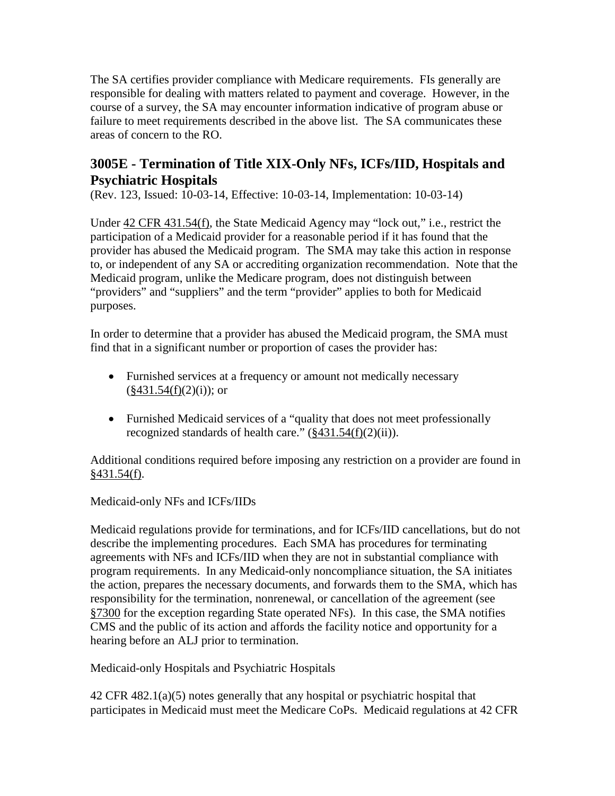The SA certifies provider compliance with Medicare requirements. FIs generally are responsible for dealing with matters related to payment and coverage. However, in the course of a survey, the SA may encounter information indicative of program abuse or failure to meet requirements described in the above list. The SA communicates these areas of concern to the RO.

# <span id="page-14-0"></span>**3005E - Termination of Title XIX-Only NFs, ICFs/IID, Hospitals and Psychiatric Hospitals**

(Rev. 123, Issued: 10-03-14, Effective: 10-03-14, Implementation: 10-03-14)

Under [42 CFR 431.54\(f\),](http://www.cms.hhs.gov/regulations/) the State Medicaid Agency may "lock out," i.e., restrict the participation of a Medicaid provider for a reasonable period if it has found that the provider has abused the Medicaid program. The SMA may take this action in response to, or independent of any SA or accrediting organization recommendation. Note that the Medicaid program, unlike the Medicare program, does not distinguish between "providers" and "suppliers" and the term "provider" applies to both for Medicaid purposes.

In order to determine that a provider has abused the Medicaid program, the SMA must find that in a significant number or proportion of cases the provider has:

- Furnished services at a frequency or amount not medically necessary  $(\frac{8}{3}431.54(f)(2)(i))$ ; or
- Furnished Medicaid services of a "quality that does not meet professionally recognized standards of health care."  $(\frac{8431.54(f)(2)(ii)}{i})$ .

Additional conditions required before imposing any restriction on a provider are found in  $§431.54(f).$ 

Medicaid-only NFs and ICFs/IIDs

Medicaid regulations provide for terminations, and for ICFs/IID cancellations, but do not describe the implementing procedures. Each SMA has procedures for terminating agreements with NFs and ICFs/IID when they are not in substantial compliance with program requirements. In any Medicaid-only noncompliance situation, the SA initiates the action, prepares the necessary documents, and forwards them to the SMA, which has responsibility for the termination, nonrenewal, or cancellation of the agreement (see [§7300](http://www.cms.hhs.gov/manuals/107_som/som107c07.pdf) for the exception regarding State operated NFs). In this case, the SMA notifies CMS and the public of its action and affords the facility notice and opportunity for a hearing before an ALJ prior to termination.

Medicaid-only Hospitals and Psychiatric Hospitals

42 CFR 482.1(a)(5) notes generally that any hospital or psychiatric hospital that participates in Medicaid must meet the Medicare CoPs. Medicaid regulations at 42 CFR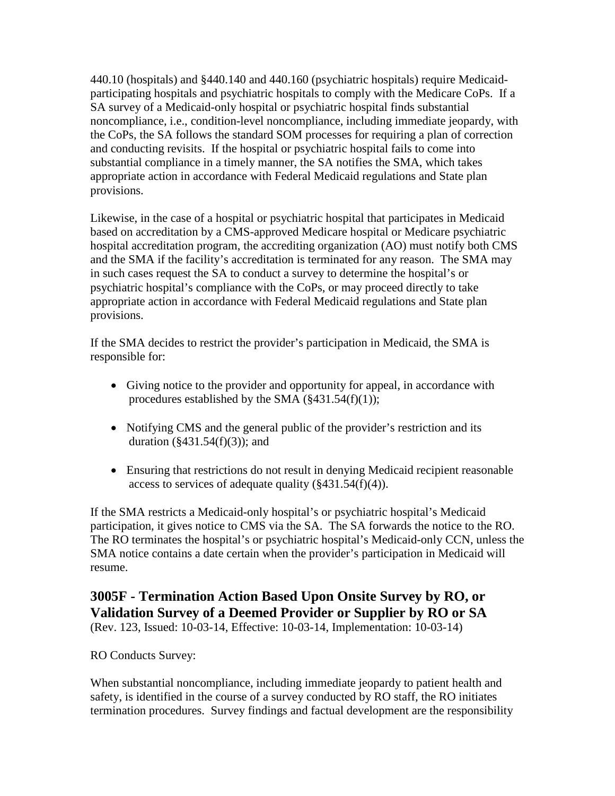440.10 (hospitals) and §440.140 and 440.160 (psychiatric hospitals) require Medicaidparticipating hospitals and psychiatric hospitals to comply with the Medicare CoPs. If a SA survey of a Medicaid-only hospital or psychiatric hospital finds substantial noncompliance, i.e., condition-level noncompliance, including immediate jeopardy, with the CoPs, the SA follows the standard SOM processes for requiring a plan of correction and conducting revisits. If the hospital or psychiatric hospital fails to come into substantial compliance in a timely manner, the SA notifies the SMA, which takes appropriate action in accordance with Federal Medicaid regulations and State plan provisions.

Likewise, in the case of a hospital or psychiatric hospital that participates in Medicaid based on accreditation by a CMS-approved Medicare hospital or Medicare psychiatric hospital accreditation program, the accrediting organization (AO) must notify both CMS and the SMA if the facility's accreditation is terminated for any reason. The SMA may in such cases request the SA to conduct a survey to determine the hospital's or psychiatric hospital's compliance with the CoPs, or may proceed directly to take appropriate action in accordance with Federal Medicaid regulations and State plan provisions.

If the SMA decides to restrict the provider's participation in Medicaid, the SMA is responsible for:

- Giving notice to the provider and opportunity for appeal, in accordance with procedures established by the SMA  $(\frac{2431.54(f)(1)}{f})$ ;
- Notifying CMS and the general public of the provider's restriction and its duration  $(\frac{2431.54(f)(3)}{3})$ ; and
- Ensuring that restrictions do not result in denying Medicaid recipient reasonable access to services of adequate quality  $(\frac{2431.54(f)(4)}{4})$ .

If the SMA restricts a Medicaid-only hospital's or psychiatric hospital's Medicaid participation, it gives notice to CMS via the SA. The SA forwards the notice to the RO. The RO terminates the hospital's or psychiatric hospital's Medicaid-only CCN, unless the SMA notice contains a date certain when the provider's participation in Medicaid will resume.

# <span id="page-15-0"></span>**3005F - Termination Action Based Upon Onsite Survey by RO, or Validation Survey of a Deemed Provider or Supplier by RO or SA**

(Rev. 123, Issued: 10-03-14, Effective: 10-03-14, Implementation: 10-03-14)

#### RO Conducts Survey:

When substantial noncompliance, including immediate jeopardy to patient health and safety, is identified in the course of a survey conducted by RO staff, the RO initiates termination procedures. Survey findings and factual development are the responsibility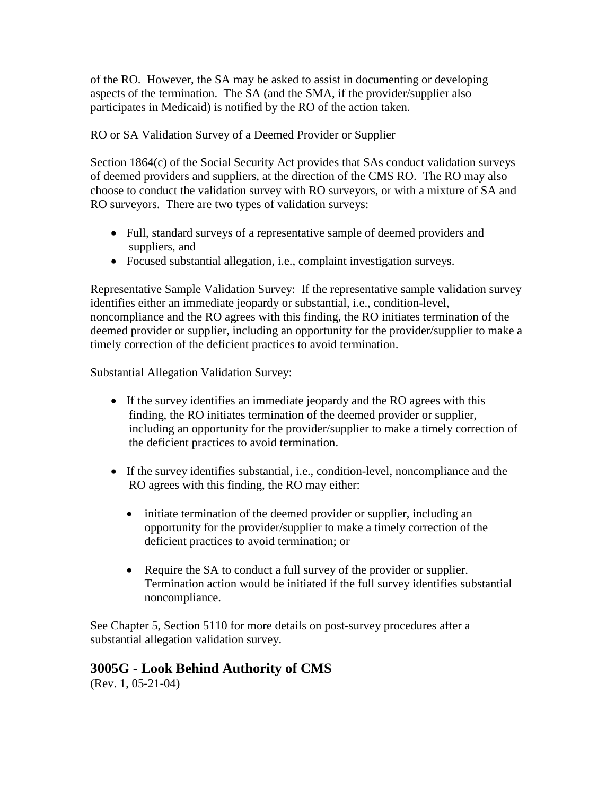of the RO. However, the SA may be asked to assist in documenting or developing aspects of the termination. The SA (and the SMA, if the provider/supplier also participates in Medicaid) is notified by the RO of the action taken.

RO or SA Validation Survey of a Deemed Provider or Supplier

Section 1864(c) of the Social Security Act provides that SAs conduct validation surveys of deemed providers and suppliers, at the direction of the CMS RO. The RO may also choose to conduct the validation survey with RO surveyors, or with a mixture of SA and RO surveyors. There are two types of validation surveys:

- Full, standard surveys of a representative sample of deemed providers and suppliers, and
- Focused substantial allegation, i.e., complaint investigation surveys.

Representative Sample Validation Survey: If the representative sample validation survey identifies either an immediate jeopardy or substantial, i.e., condition-level, noncompliance and the RO agrees with this finding, the RO initiates termination of the deemed provider or supplier, including an opportunity for the provider/supplier to make a timely correction of the deficient practices to avoid termination.

Substantial Allegation Validation Survey:

- If the survey identifies an immediate jeopardy and the RO agrees with this finding, the RO initiates termination of the deemed provider or supplier, including an opportunity for the provider/supplier to make a timely correction of the deficient practices to avoid termination.
- If the survey identifies substantial, i.e., condition-level, noncompliance and the RO agrees with this finding, the RO may either:
	- initiate termination of the deemed provider or supplier, including an opportunity for the provider/supplier to make a timely correction of the deficient practices to avoid termination; or
	- Require the SA to conduct a full survey of the provider or supplier. Termination action would be initiated if the full survey identifies substantial noncompliance.

See Chapter 5, Section 5110 for more details on post-survey procedures after a substantial allegation validation survey.

# <span id="page-16-0"></span>**3005G - Look Behind Authority of CMS**

(Rev. 1, 05-21-04)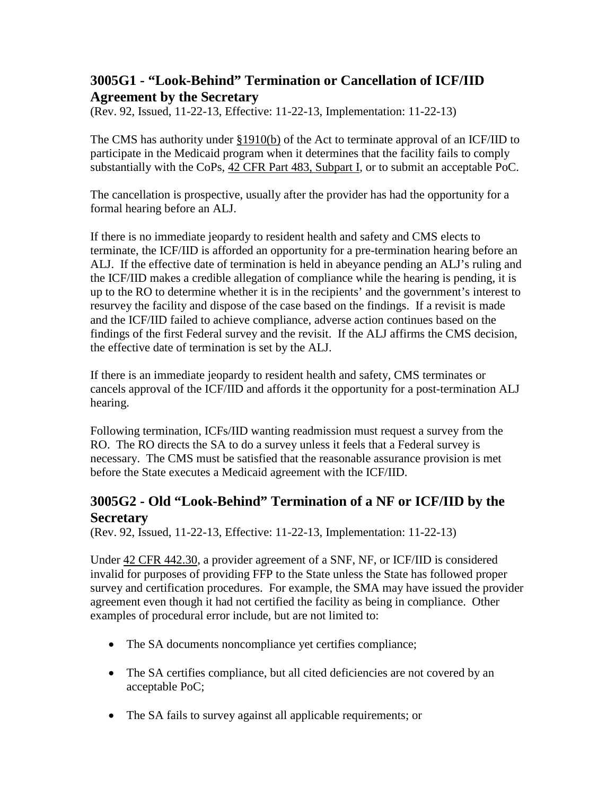# <span id="page-17-0"></span>**3005G1 - "Look-Behind" Termination or Cancellation of ICF/IID Agreement by the Secretary**

(Rev. 92, Issued, 11-22-13, Effective: 11-22-13, Implementation: 11-22-13)

The CMS has authority under [§1910\(b\)](http://www.cms.hhs.gov/regulations/) of the Act to terminate approval of an ICF/IID to participate in the Medicaid program when it determines that the facility fails to comply substantially with the CoPs, [42 CFR Part 483, Subpart I,](http://www.cms.hhs.gov/regulations/) or to submit an acceptable PoC.

The cancellation is prospective, usually after the provider has had the opportunity for a formal hearing before an ALJ.

If there is no immediate jeopardy to resident health and safety and CMS elects to terminate, the ICF/IID is afforded an opportunity for a pre-termination hearing before an ALJ. If the effective date of termination is held in abeyance pending an ALJ's ruling and the ICF/IID makes a credible allegation of compliance while the hearing is pending, it is up to the RO to determine whether it is in the recipients' and the government's interest to resurvey the facility and dispose of the case based on the findings. If a revisit is made and the ICF/IID failed to achieve compliance, adverse action continues based on the findings of the first Federal survey and the revisit. If the ALJ affirms the CMS decision, the effective date of termination is set by the ALJ.

If there is an immediate jeopardy to resident health and safety, CMS terminates or cancels approval of the ICF/IID and affords it the opportunity for a post-termination ALJ hearing.

Following termination, ICFs/IID wanting readmission must request a survey from the RO. The RO directs the SA to do a survey unless it feels that a Federal survey is necessary. The CMS must be satisfied that the reasonable assurance provision is met before the State executes a Medicaid agreement with the ICF/IID.

# <span id="page-17-1"></span>**3005G2 - Old "Look-Behind" Termination of a NF or ICF/IID by the Secretary**

(Rev. 92, Issued, 11-22-13, Effective: 11-22-13, Implementation: 11-22-13)

Under [42 CFR 442.30,](http://www.cms.hhs.gov/regulations/) a provider agreement of a SNF, NF, or ICF/IID is considered invalid for purposes of providing FFP to the State unless the State has followed proper survey and certification procedures. For example, the SMA may have issued the provider agreement even though it had not certified the facility as being in compliance. Other examples of procedural error include, but are not limited to:

- The SA documents noncompliance yet certifies compliance;
- The SA certifies compliance, but all cited deficiencies are not covered by an acceptable PoC;
- The SA fails to survey against all applicable requirements; or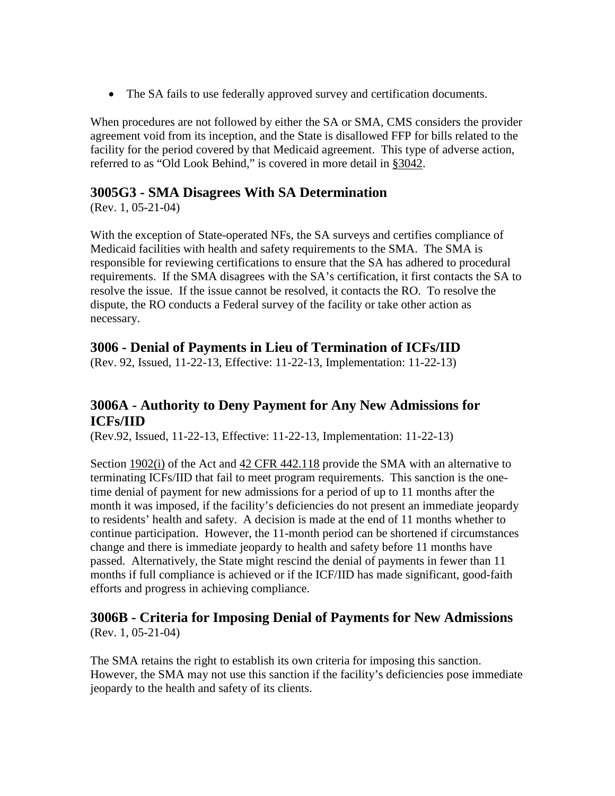• The SA fails to use federally approved survey and certification documents.

When procedures are not followed by either the SA or SMA, CMS considers the provider agreement void from its inception, and the State is disallowed FFP for bills related to the facility for the period covered by that Medicaid agreement. This type of adverse action, referred to as "Old Look Behind," is covered in more detail in [§3042.](http://www.cms.hhs.gov/manuals/107_som/som107c03.pdf)

# <span id="page-18-0"></span>**3005G3 - SMA Disagrees With SA Determination**

(Rev. 1, 05-21-04)

With the exception of State-operated NFs, the SA surveys and certifies compliance of Medicaid facilities with health and safety requirements to the SMA. The SMA is responsible for reviewing certifications to ensure that the SA has adhered to procedural requirements. If the SMA disagrees with the SA's certification, it first contacts the SA to resolve the issue. If the issue cannot be resolved, it contacts the RO. To resolve the dispute, the RO conducts a Federal survey of the facility or take other action as necessary.

# <span id="page-18-1"></span>**3006 - Denial of Payments in Lieu of Termination of ICFs/IID**

(Rev. 92, Issued, 11-22-13, Effective: 11-22-13, Implementation: 11-22-13)

# <span id="page-18-2"></span>**3006A - Authority to Deny Payment for Any New Admissions for ICFs/IID**

(Rev.92, Issued, 11-22-13, Effective: 11-22-13, Implementation: 11-22-13)

Section [1902\(i\)](http://www.cms.hhs.gov/regulations/) of the Act and [42 CFR 442.118](http://www.cms.hhs.gov/regulations/) provide the SMA with an alternative to terminating ICFs/IID that fail to meet program requirements. This sanction is the onetime denial of payment for new admissions for a period of up to 11 months after the month it was imposed, if the facility's deficiencies do not present an immediate jeopardy to residents' health and safety. A decision is made at the end of 11 months whether to continue participation. However, the 11-month period can be shortened if circumstances change and there is immediate jeopardy to health and safety before 11 months have passed. Alternatively, the State might rescind the denial of payments in fewer than 11 months if full compliance is achieved or if the ICF/IID has made significant, good-faith efforts and progress in achieving compliance.

#### <span id="page-18-3"></span>**3006B - Criteria for Imposing Denial of Payments for New Admissions** (Rev. 1, 05-21-04)

The SMA retains the right to establish its own criteria for imposing this sanction. However, the SMA may not use this sanction if the facility's deficiencies pose immediate jeopardy to the health and safety of its clients.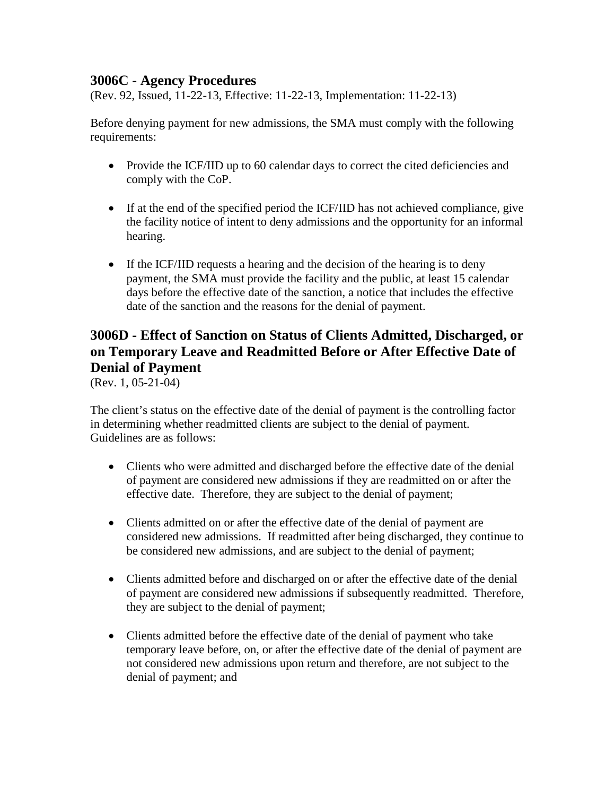### <span id="page-19-0"></span>**3006C - Agency Procedures**

(Rev. 92, Issued, 11-22-13, Effective: 11-22-13, Implementation: 11-22-13)

Before denying payment for new admissions, the SMA must comply with the following requirements:

- Provide the ICF/IID up to 60 calendar days to correct the cited deficiencies and comply with the CoP.
- If at the end of the specified period the ICF/IID has not achieved compliance, give the facility notice of intent to deny admissions and the opportunity for an informal hearing.
- If the ICF/IID requests a hearing and the decision of the hearing is to deny payment, the SMA must provide the facility and the public, at least 15 calendar days before the effective date of the sanction, a notice that includes the effective date of the sanction and the reasons for the denial of payment.

# <span id="page-19-1"></span>**3006D - Effect of Sanction on Status of Clients Admitted, Discharged, or on Temporary Leave and Readmitted Before or After Effective Date of Denial of Payment**

(Rev. 1, 05-21-04)

The client's status on the effective date of the denial of payment is the controlling factor in determining whether readmitted clients are subject to the denial of payment. Guidelines are as follows:

- Clients who were admitted and discharged before the effective date of the denial of payment are considered new admissions if they are readmitted on or after the effective date. Therefore, they are subject to the denial of payment;
- Clients admitted on or after the effective date of the denial of payment are considered new admissions. If readmitted after being discharged, they continue to be considered new admissions, and are subject to the denial of payment;
- Clients admitted before and discharged on or after the effective date of the denial of payment are considered new admissions if subsequently readmitted. Therefore, they are subject to the denial of payment;
- Clients admitted before the effective date of the denial of payment who take temporary leave before, on, or after the effective date of the denial of payment are not considered new admissions upon return and therefore, are not subject to the denial of payment; and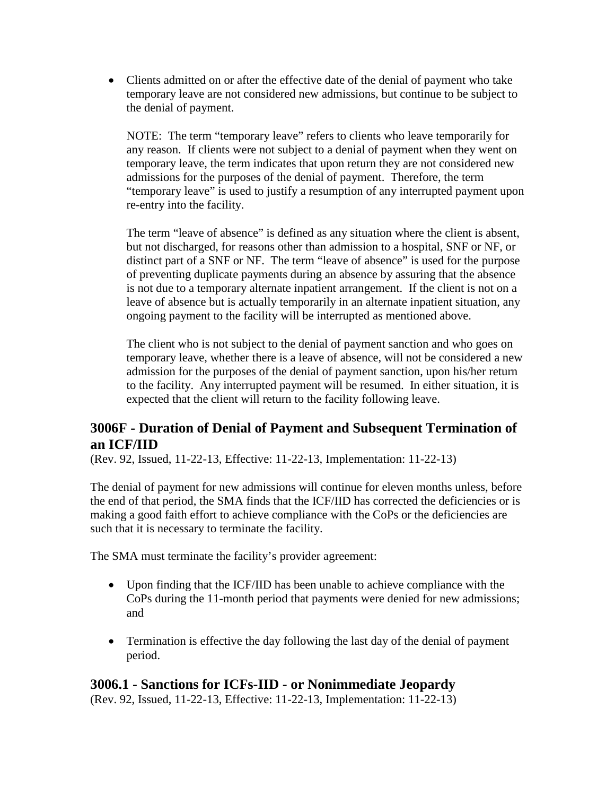• Clients admitted on or after the effective date of the denial of payment who take temporary leave are not considered new admissions, but continue to be subject to the denial of payment.

NOTE: The term "temporary leave" refers to clients who leave temporarily for any reason. If clients were not subject to a denial of payment when they went on temporary leave, the term indicates that upon return they are not considered new admissions for the purposes of the denial of payment. Therefore, the term "temporary leave" is used to justify a resumption of any interrupted payment upon re-entry into the facility.

The term "leave of absence" is defined as any situation where the client is absent, but not discharged, for reasons other than admission to a hospital, SNF or NF, or distinct part of a SNF or NF. The term "leave of absence" is used for the purpose of preventing duplicate payments during an absence by assuring that the absence is not due to a temporary alternate inpatient arrangement. If the client is not on a leave of absence but is actually temporarily in an alternate inpatient situation, any ongoing payment to the facility will be interrupted as mentioned above.

The client who is not subject to the denial of payment sanction and who goes on temporary leave, whether there is a leave of absence, will not be considered a new admission for the purposes of the denial of payment sanction, upon his/her return to the facility. Any interrupted payment will be resumed. In either situation, it is expected that the client will return to the facility following leave.

# <span id="page-20-0"></span>**3006F - Duration of Denial of Payment and Subsequent Termination of an ICF/IID**

(Rev. 92, Issued, 11-22-13, Effective: 11-22-13, Implementation: 11-22-13)

The denial of payment for new admissions will continue for eleven months unless, before the end of that period, the SMA finds that the ICF/IID has corrected the deficiencies or is making a good faith effort to achieve compliance with the CoPs or the deficiencies are such that it is necessary to terminate the facility.

The SMA must terminate the facility's provider agreement:

- Upon finding that the ICF/IID has been unable to achieve compliance with the CoPs during the 11-month period that payments were denied for new admissions; and
- Termination is effective the day following the last day of the denial of payment period.

# <span id="page-20-1"></span>**3006.1 - Sanctions for ICFs-IID - or Nonimmediate Jeopardy**

(Rev. 92, Issued, 11-22-13, Effective: 11-22-13, Implementation: 11-22-13)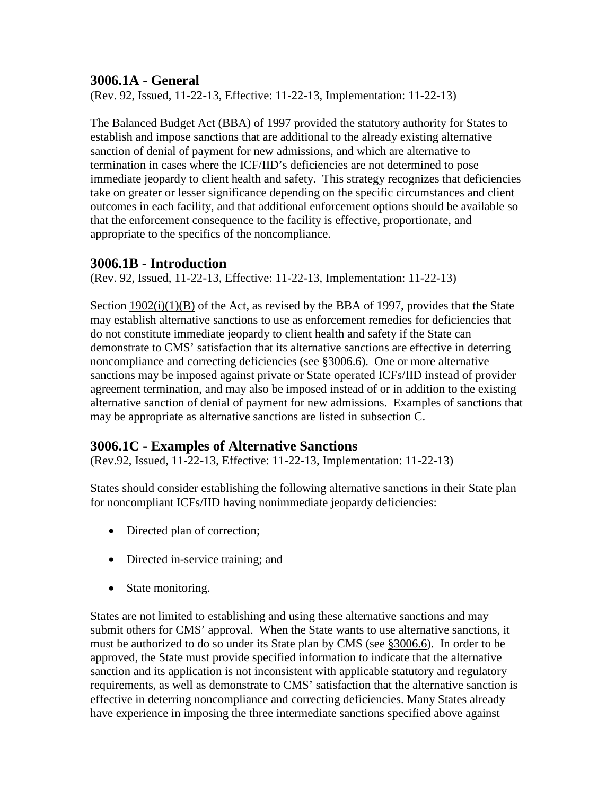# <span id="page-21-0"></span>**3006.1A - General**

(Rev. 92, Issued, 11-22-13, Effective: 11-22-13, Implementation: 11-22-13)

The Balanced Budget Act (BBA) of 1997 provided the statutory authority for States to establish and impose sanctions that are additional to the already existing alternative sanction of denial of payment for new admissions, and which are alternative to termination in cases where the ICF/IID's deficiencies are not determined to pose immediate jeopardy to client health and safety. This strategy recognizes that deficiencies take on greater or lesser significance depending on the specific circumstances and client outcomes in each facility, and that additional enforcement options should be available so that the enforcement consequence to the facility is effective, proportionate, and appropriate to the specifics of the noncompliance.

#### <span id="page-21-1"></span>**3006.1B - Introduction**

(Rev. 92, Issued, 11-22-13, Effective: 11-22-13, Implementation: 11-22-13)

Section  $1902(i)(1)(B)$  of the Act, as revised by the BBA of 1997, provides that the State may establish alternative sanctions to use as enforcement remedies for deficiencies that do not constitute immediate jeopardy to client health and safety if the State can demonstrate to CMS' satisfaction that its alternative sanctions are effective in deterring noncompliance and correcting deficiencies (see [§3006.6\)](#page-27-0). One or more alternative sanctions may be imposed against private or State operated ICFs/IID instead of provider agreement termination, and may also be imposed instead of or in addition to the existing alternative sanction of denial of payment for new admissions. Examples of sanctions that may be appropriate as alternative sanctions are listed in subsection C.

### <span id="page-21-2"></span>**3006.1C - Examples of Alternative Sanctions**

(Rev.92, Issued, 11-22-13, Effective: 11-22-13, Implementation: 11-22-13)

States should consider establishing the following alternative sanctions in their State plan for noncompliant ICFs/IID having nonimmediate jeopardy deficiencies:

- Directed plan of correction;
- Directed in-service training; and
- State monitoring.

States are not limited to establishing and using these alternative sanctions and may submit others for CMS' approval. When the State wants to use alternative sanctions, it must be authorized to do so under its State plan by CMS (see [§3006.6\)](#page-27-0). In order to be approved, the State must provide specified information to indicate that the alternative sanction and its application is not inconsistent with applicable statutory and regulatory requirements, as well as demonstrate to CMS' satisfaction that the alternative sanction is effective in deterring noncompliance and correcting deficiencies. Many States already have experience in imposing the three intermediate sanctions specified above against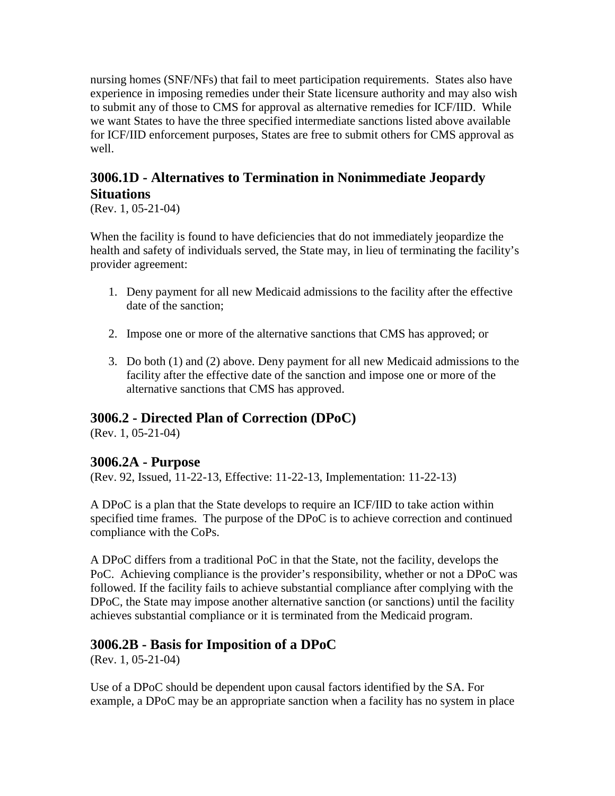nursing homes (SNF/NFs) that fail to meet participation requirements. States also have experience in imposing remedies under their State licensure authority and may also wish to submit any of those to CMS for approval as alternative remedies for ICF/IID. While we want States to have the three specified intermediate sanctions listed above available for ICF/IID enforcement purposes, States are free to submit others for CMS approval as well.

# <span id="page-22-0"></span>**3006.1D - Alternatives to Termination in Nonimmediate Jeopardy Situations**

(Rev. 1, 05-21-04)

When the facility is found to have deficiencies that do not immediately jeopardize the health and safety of individuals served, the State may, in lieu of terminating the facility's provider agreement:

- 1. Deny payment for all new Medicaid admissions to the facility after the effective date of the sanction;
- 2. Impose one or more of the alternative sanctions that CMS has approved; or
- 3. Do both (1) and (2) above. Deny payment for all new Medicaid admissions to the facility after the effective date of the sanction and impose one or more of the alternative sanctions that CMS has approved.

# <span id="page-22-1"></span>**3006.2 - Directed Plan of Correction (DPoC)**

(Rev. 1, 05-21-04)

# <span id="page-22-2"></span>**3006.2A - Purpose**

(Rev. 92, Issued, 11-22-13, Effective: 11-22-13, Implementation: 11-22-13)

A DPoC is a plan that the State develops to require an ICF/IID to take action within specified time frames. The purpose of the DPoC is to achieve correction and continued compliance with the CoPs.

A DPoC differs from a traditional PoC in that the State, not the facility, develops the PoC. Achieving compliance is the provider's responsibility, whether or not a DPoC was followed. If the facility fails to achieve substantial compliance after complying with the DPoC, the State may impose another alternative sanction (or sanctions) until the facility achieves substantial compliance or it is terminated from the Medicaid program.

# <span id="page-22-3"></span>**3006.2B - Basis for Imposition of a DPoC**

(Rev. 1, 05-21-04)

Use of a DPoC should be dependent upon causal factors identified by the SA. For example, a DPoC may be an appropriate sanction when a facility has no system in place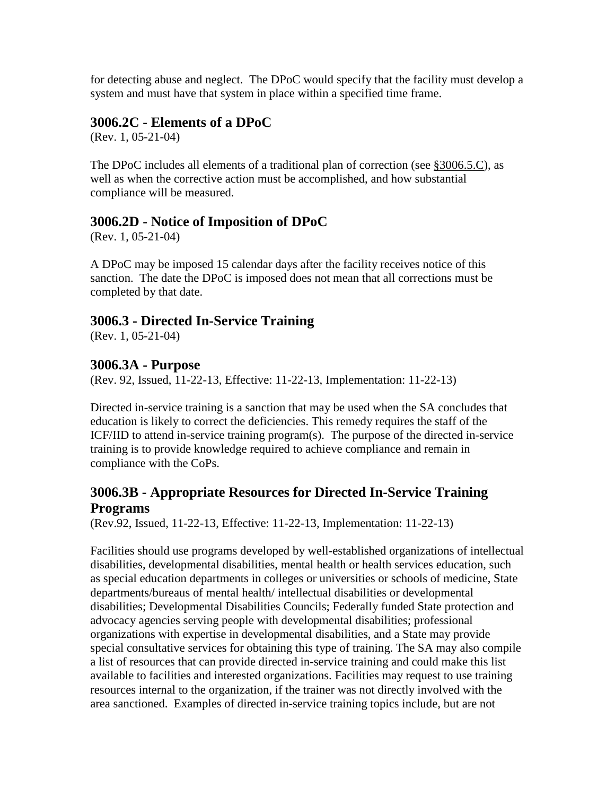for detecting abuse and neglect. The DPoC would specify that the facility must develop a system and must have that system in place within a specified time frame.

### <span id="page-23-0"></span>**3006.2C - Elements of a DPoC**

(Rev. 1, 05-21-04)

The DPoC includes all elements of a traditional plan of correction (see [§3006.5.C\)](#page-26-4), as well as when the corrective action must be accomplished, and how substantial compliance will be measured.

# <span id="page-23-1"></span>**3006.2D - Notice of Imposition of DPoC**

(Rev. 1, 05-21-04)

A DPoC may be imposed 15 calendar days after the facility receives notice of this sanction. The date the DPoC is imposed does not mean that all corrections must be completed by that date.

# <span id="page-23-2"></span>**3006.3 - Directed In-Service Training**

(Rev. 1, 05-21-04)

#### <span id="page-23-3"></span>**3006.3A - Purpose**

(Rev. 92, Issued, 11-22-13, Effective: 11-22-13, Implementation: 11-22-13)

Directed in-service training is a sanction that may be used when the SA concludes that education is likely to correct the deficiencies. This remedy requires the staff of the ICF/IID to attend in-service training program(s). The purpose of the directed in-service training is to provide knowledge required to achieve compliance and remain in compliance with the CoPs.

# <span id="page-23-4"></span>**3006.3B - Appropriate Resources for Directed In-Service Training Programs**

(Rev.92, Issued, 11-22-13, Effective: 11-22-13, Implementation: 11-22-13)

Facilities should use programs developed by well-established organizations of intellectual disabilities, developmental disabilities, mental health or health services education, such as special education departments in colleges or universities or schools of medicine, State departments/bureaus of mental health/ intellectual disabilities or developmental disabilities; Developmental Disabilities Councils; Federally funded State protection and advocacy agencies serving people with developmental disabilities; professional organizations with expertise in developmental disabilities, and a State may provide special consultative services for obtaining this type of training. The SA may also compile a list of resources that can provide directed in-service training and could make this list available to facilities and interested organizations. Facilities may request to use training resources internal to the organization, if the trainer was not directly involved with the area sanctioned. Examples of directed in-service training topics include, but are not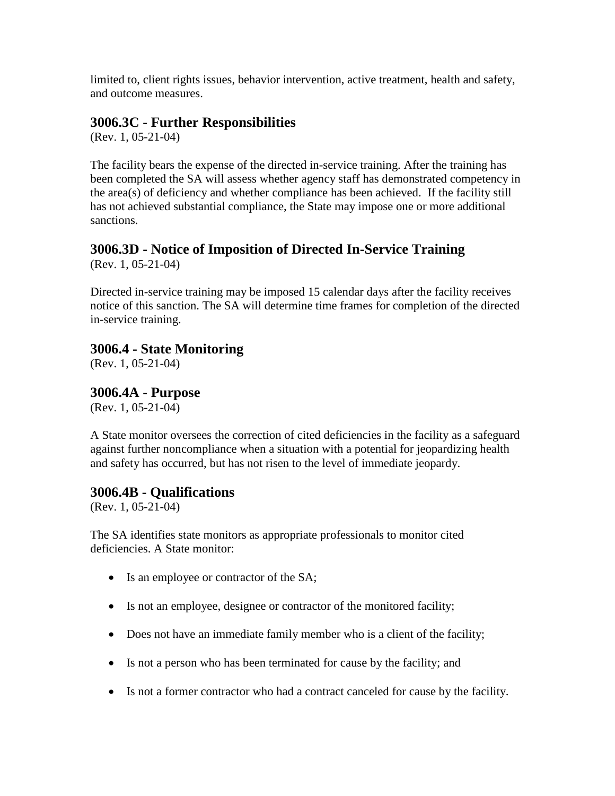limited to, client rights issues, behavior intervention, active treatment, health and safety, and outcome measures.

# <span id="page-24-0"></span>**3006.3C - Further Responsibilities**

(Rev. 1, 05-21-04)

The facility bears the expense of the directed in-service training. After the training has been completed the SA will assess whether agency staff has demonstrated competency in the area(s) of deficiency and whether compliance has been achieved. If the facility still has not achieved substantial compliance, the State may impose one or more additional sanctions.

# <span id="page-24-1"></span>**3006.3D - Notice of Imposition of Directed In-Service Training**

(Rev. 1, 05-21-04)

Directed in-service training may be imposed 15 calendar days after the facility receives notice of this sanction. The SA will determine time frames for completion of the directed in-service training.

# <span id="page-24-2"></span>**3006.4 - State Monitoring**

(Rev. 1, 05-21-04)

<span id="page-24-3"></span>**3006.4A - Purpose**

(Rev. 1, 05-21-04)

A State monitor oversees the correction of cited deficiencies in the facility as a safeguard against further noncompliance when a situation with a potential for jeopardizing health and safety has occurred, but has not risen to the level of immediate jeopardy.

### <span id="page-24-4"></span>**3006.4B - Qualifications**

(Rev. 1, 05-21-04)

The SA identifies state monitors as appropriate professionals to monitor cited deficiencies. A State monitor:

- Is an employee or contractor of the SA;
- Is not an employee, designee or contractor of the monitored facility;
- Does not have an immediate family member who is a client of the facility;
- Is not a person who has been terminated for cause by the facility; and
- Is not a former contractor who had a contract canceled for cause by the facility.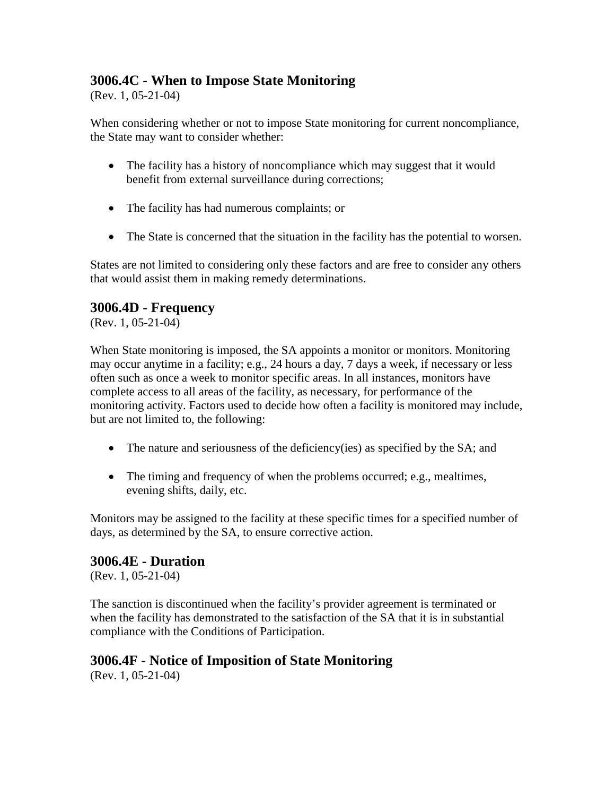# <span id="page-25-0"></span>**3006.4C - When to Impose State Monitoring**

(Rev. 1, 05-21-04)

When considering whether or not to impose State monitoring for current noncompliance, the State may want to consider whether:

- The facility has a history of noncompliance which may suggest that it would benefit from external surveillance during corrections;
- The facility has had numerous complaints; or
- The State is concerned that the situation in the facility has the potential to worsen.

States are not limited to considering only these factors and are free to consider any others that would assist them in making remedy determinations.

### <span id="page-25-1"></span>**3006.4D - Frequency**

(Rev. 1, 05-21-04)

When State monitoring is imposed, the SA appoints a monitor or monitors. Monitoring may occur anytime in a facility; e.g., 24 hours a day, 7 days a week, if necessary or less often such as once a week to monitor specific areas. In all instances, monitors have complete access to all areas of the facility, as necessary, for performance of the monitoring activity. Factors used to decide how often a facility is monitored may include, but are not limited to, the following:

- The nature and seriousness of the deficiency(ies) as specified by the SA; and
- The timing and frequency of when the problems occurred; e.g., mealtimes, evening shifts, daily, etc.

Monitors may be assigned to the facility at these specific times for a specified number of days, as determined by the SA, to ensure corrective action.

### <span id="page-25-2"></span>**3006.4E - Duration**

(Rev. 1, 05-21-04)

The sanction is discontinued when the facility's provider agreement is terminated or when the facility has demonstrated to the satisfaction of the SA that it is in substantial compliance with the Conditions of Participation.

# <span id="page-25-3"></span>**3006.4F - Notice of Imposition of State Monitoring**

(Rev. 1, 05-21-04)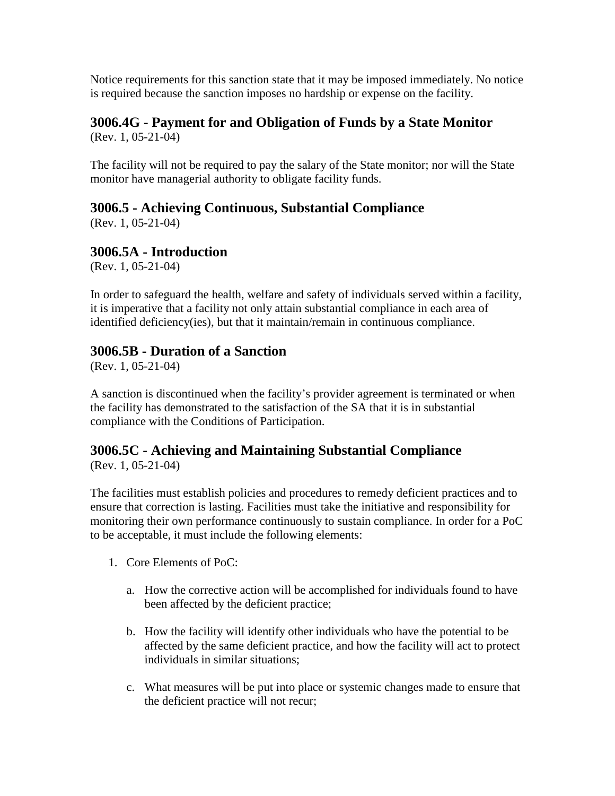Notice requirements for this sanction state that it may be imposed immediately. No notice is required because the sanction imposes no hardship or expense on the facility.

#### <span id="page-26-0"></span>**3006.4G - Payment for and Obligation of Funds by a State Monitor** (Rev. 1, 05-21-04)

The facility will not be required to pay the salary of the State monitor; nor will the State monitor have managerial authority to obligate facility funds.

# <span id="page-26-1"></span>**3006.5 - Achieving Continuous, Substantial Compliance**

(Rev. 1, 05-21-04)

# <span id="page-26-2"></span>**3006.5A - Introduction**

(Rev. 1, 05-21-04)

In order to safeguard the health, welfare and safety of individuals served within a facility, it is imperative that a facility not only attain substantial compliance in each area of identified deficiency(ies), but that it maintain/remain in continuous compliance.

# <span id="page-26-3"></span>**3006.5B - Duration of a Sanction**

(Rev. 1, 05-21-04)

A sanction is discontinued when the facility's provider agreement is terminated or when the facility has demonstrated to the satisfaction of the SA that it is in substantial compliance with the Conditions of Participation.

# <span id="page-26-4"></span>**3006.5C - Achieving and Maintaining Substantial Compliance**

(Rev. 1, 05-21-04)

The facilities must establish policies and procedures to remedy deficient practices and to ensure that correction is lasting. Facilities must take the initiative and responsibility for monitoring their own performance continuously to sustain compliance. In order for a PoC to be acceptable, it must include the following elements:

- 1. Core Elements of PoC:
	- a. How the corrective action will be accomplished for individuals found to have been affected by the deficient practice;
	- b. How the facility will identify other individuals who have the potential to be affected by the same deficient practice, and how the facility will act to protect individuals in similar situations;
	- c. What measures will be put into place or systemic changes made to ensure that the deficient practice will not recur;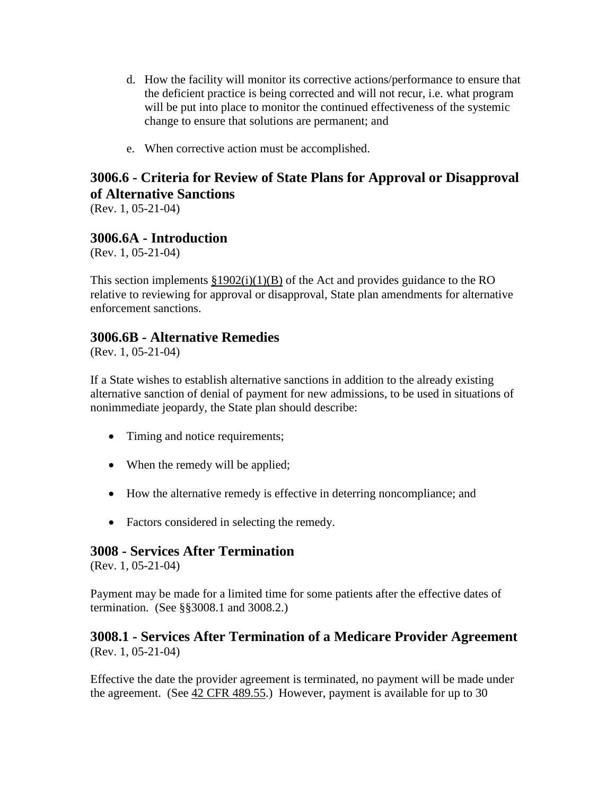- d. How the facility will monitor its corrective actions/performance to ensure that the deficient practice is being corrected and will not recur, i.e. what program will be put into place to monitor the continued effectiveness of the systemic change to ensure that solutions are permanent; and
- e. When corrective action must be accomplished.

# <span id="page-27-0"></span>**3006.6 - Criteria for Review of State Plans for Approval or Disapproval of Alternative Sanctions**

(Rev. 1, 05-21-04)

# <span id="page-27-1"></span>**3006.6A - Introduction**

(Rev. 1, 05-21-04)

This section implements  $\S 1902(i)(1)(B)$  of the Act and provides guidance to the RO relative to reviewing for approval or disapproval, State plan amendments for alternative enforcement sanctions.

# <span id="page-27-2"></span>**3006.6B - Alternative Remedies**

(Rev. 1, 05-21-04)

If a State wishes to establish alternative sanctions in addition to the already existing alternative sanction of denial of payment for new admissions, to be used in situations of nonimmediate jeopardy, the State plan should describe:

- Timing and notice requirements;
- When the remedy will be applied;
- How the alternative remedy is effective in deterring noncompliance; and
- Factors considered in selecting the remedy.

### <span id="page-27-3"></span>**3008 - Services After Termination**

(Rev. 1, 05-21-04)

Payment may be made for a limited time for some patients after the effective dates of termination. (See §§3008.1 and 3008.2.)

#### <span id="page-27-4"></span>**3008.1 - Services After Termination of a Medicare Provider Agreement** (Rev. 1, 05-21-04)

Effective the date the provider agreement is terminated, no payment will be made under the agreement. (See [42 CFR 489.55.](http://www.cms.hhs.gov/regulations/)) However, payment is available for up to 30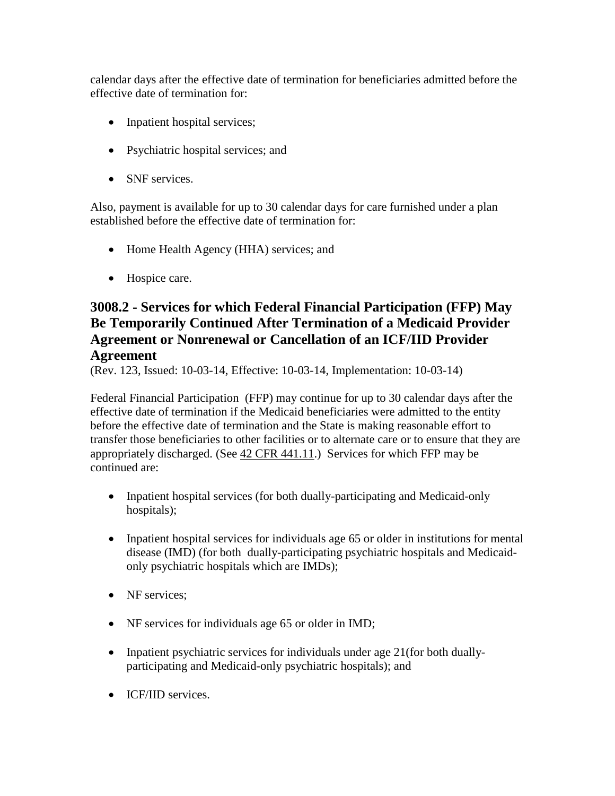calendar days after the effective date of termination for beneficiaries admitted before the effective date of termination for:

- Inpatient hospital services;
- Psychiatric hospital services; and
- SNF services.

Also, payment is available for up to 30 calendar days for care furnished under a plan established before the effective date of termination for:

- Home Health Agency (HHA) services; and
- Hospice care.

# <span id="page-28-0"></span>**3008.2 - Services for which Federal Financial Participation (FFP) May Be Temporarily Continued After Termination of a Medicaid Provider Agreement or Nonrenewal or Cancellation of an ICF/IID Provider Agreement**

(Rev. 123, Issued: 10-03-14, Effective: 10-03-14, Implementation: 10-03-14)

Federal Financial Participation (FFP) may continue for up to 30 calendar days after the effective date of termination if the Medicaid beneficiaries were admitted to the entity before the effective date of termination and the State is making reasonable effort to transfer those beneficiaries to other facilities or to alternate care or to ensure that they are appropriately discharged. (See [42 CFR 441.11.](http://www.cms.hhs.gov/regulations/)) Services for which FFP may be continued are:

- Inpatient hospital services (for both dually-participating and Medicaid-only hospitals);
- Inpatient hospital services for individuals age 65 or older in institutions for mental disease (IMD) (for both dually-participating psychiatric hospitals and Medicaidonly psychiatric hospitals which are IMDs);
- NF services:
- NF services for individuals age 65 or older in IMD;
- Inpatient psychiatric services for individuals under age 21(for both duallyparticipating and Medicaid-only psychiatric hospitals); and
- **ICF/IID** services.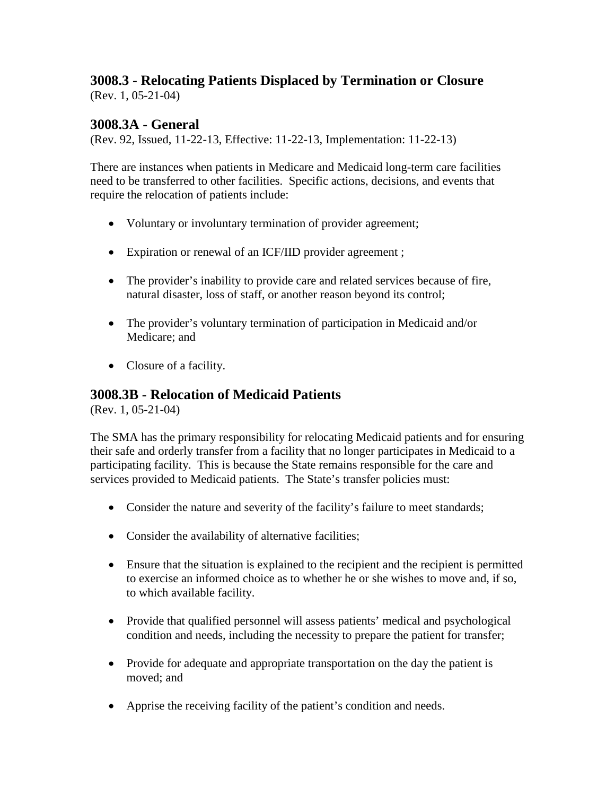#### <span id="page-29-0"></span>**3008.3 - Relocating Patients Displaced by Termination or Closure** (Rev. 1, 05-21-04)

# <span id="page-29-1"></span>**3008.3A - General**

(Rev. 92, Issued, 11-22-13, Effective: 11-22-13, Implementation: 11-22-13)

There are instances when patients in Medicare and Medicaid long-term care facilities need to be transferred to other facilities. Specific actions, decisions, and events that require the relocation of patients include:

- Voluntary or involuntary termination of provider agreement;
- Expiration or renewal of an ICF/IID provider agreement ;
- The provider's inability to provide care and related services because of fire, natural disaster, loss of staff, or another reason beyond its control;
- The provider's voluntary termination of participation in Medicaid and/or Medicare; and
- Closure of a facility.

# <span id="page-29-2"></span>**3008.3B - Relocation of Medicaid Patients**

(Rev. 1, 05-21-04)

The SMA has the primary responsibility for relocating Medicaid patients and for ensuring their safe and orderly transfer from a facility that no longer participates in Medicaid to a participating facility. This is because the State remains responsible for the care and services provided to Medicaid patients. The State's transfer policies must:

- Consider the nature and severity of the facility's failure to meet standards;
- Consider the availability of alternative facilities;
- Ensure that the situation is explained to the recipient and the recipient is permitted to exercise an informed choice as to whether he or she wishes to move and, if so, to which available facility.
- Provide that qualified personnel will assess patients' medical and psychological condition and needs, including the necessity to prepare the patient for transfer;
- Provide for adequate and appropriate transportation on the day the patient is moved; and
- Apprise the receiving facility of the patient's condition and needs.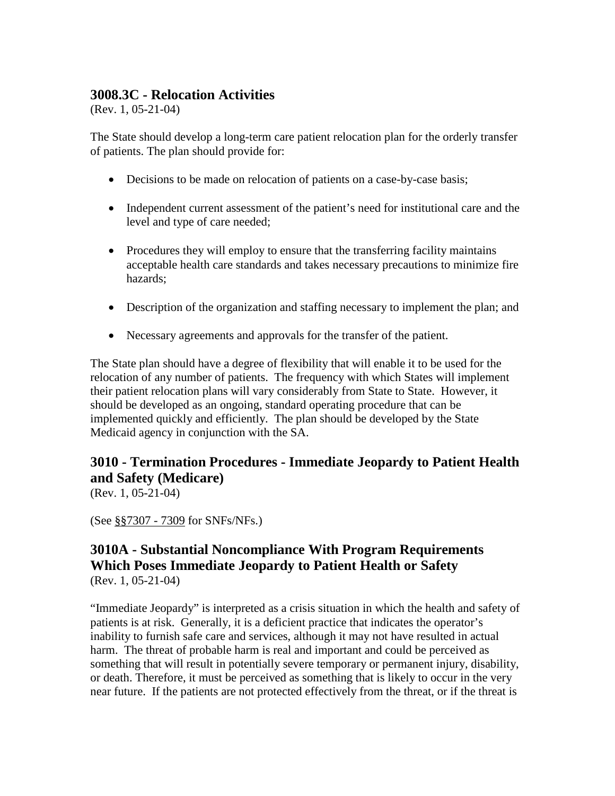# <span id="page-30-0"></span>**3008.3C - Relocation Activities**

(Rev. 1, 05-21-04)

The State should develop a long-term care patient relocation plan for the orderly transfer of patients. The plan should provide for:

- Decisions to be made on relocation of patients on a case-by-case basis;
- Independent current assessment of the patient's need for institutional care and the level and type of care needed;
- Procedures they will employ to ensure that the transferring facility maintains acceptable health care standards and takes necessary precautions to minimize fire hazards;
- Description of the organization and staffing necessary to implement the plan; and
- Necessary agreements and approvals for the transfer of the patient.

The State plan should have a degree of flexibility that will enable it to be used for the relocation of any number of patients. The frequency with which States will implement their patient relocation plans will vary considerably from State to State. However, it should be developed as an ongoing, standard operating procedure that can be implemented quickly and efficiently. The plan should be developed by the State Medicaid agency in conjunction with the SA.

# <span id="page-30-1"></span>**3010 - Termination Procedures - Immediate Jeopardy to Patient Health and Safety (Medicare)**

(Rev. 1, 05-21-04)

(See [§§7307 -](http://www.cms.hhs.gov/manuals/107_som/som107c07.pdf) 7309 for SNFs/NFs.)

### <span id="page-30-2"></span>**3010A - Substantial Noncompliance With Program Requirements Which Poses Immediate Jeopardy to Patient Health or Safety** (Rev. 1, 05-21-04)

"Immediate Jeopardy" is interpreted as a crisis situation in which the health and safety of patients is at risk. Generally, it is a deficient practice that indicates the operator's inability to furnish safe care and services, although it may not have resulted in actual harm. The threat of probable harm is real and important and could be perceived as something that will result in potentially severe temporary or permanent injury, disability, or death. Therefore, it must be perceived as something that is likely to occur in the very near future. If the patients are not protected effectively from the threat, or if the threat is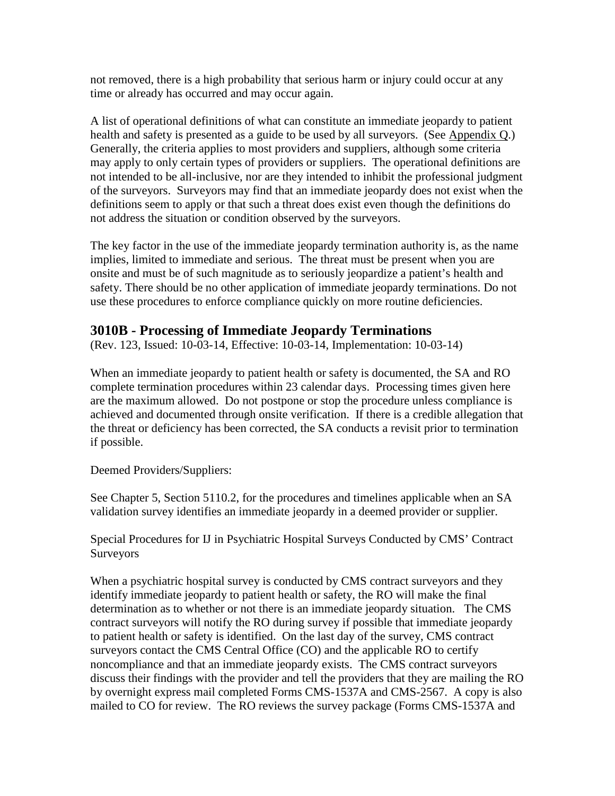not removed, there is a high probability that serious harm or injury could occur at any time or already has occurred and may occur again.

A list of operational definitions of what can constitute an immediate jeopardy to patient health and safety is presented as a guide to be used by all surveyors. (See [Appendix Q.](http://www.cms.hhs.gov/manuals/107_som/som107_appendixtoc.asp)) Generally, the criteria applies to most providers and suppliers, although some criteria may apply to only certain types of providers or suppliers. The operational definitions are not intended to be all-inclusive, nor are they intended to inhibit the professional judgment of the surveyors. Surveyors may find that an immediate jeopardy does not exist when the definitions seem to apply or that such a threat does exist even though the definitions do not address the situation or condition observed by the surveyors.

The key factor in the use of the immediate jeopardy termination authority is, as the name implies, limited to immediate and serious. The threat must be present when you are onsite and must be of such magnitude as to seriously jeopardize a patient's health and safety. There should be no other application of immediate jeopardy terminations. Do not use these procedures to enforce compliance quickly on more routine deficiencies.

#### <span id="page-31-0"></span>**3010B - Processing of Immediate Jeopardy Terminations**

(Rev. 123, Issued: 10-03-14, Effective: 10-03-14, Implementation: 10-03-14)

When an immediate jeopardy to patient health or safety is documented, the SA and RO complete termination procedures within 23 calendar days. Processing times given here are the maximum allowed. Do not postpone or stop the procedure unless compliance is achieved and documented through onsite verification. If there is a credible allegation that the threat or deficiency has been corrected, the SA conducts a revisit prior to termination if possible.

Deemed Providers/Suppliers:

See Chapter 5, Section 5110.2, for the procedures and timelines applicable when an SA validation survey identifies an immediate jeopardy in a deemed provider or supplier.

Special Procedures for IJ in Psychiatric Hospital Surveys Conducted by CMS' Contract Surveyors

When a psychiatric hospital survey is conducted by CMS contract surveyors and they identify immediate jeopardy to patient health or safety, the RO will make the final determination as to whether or not there is an immediate jeopardy situation. The CMS contract surveyors will notify the RO during survey if possible that immediate jeopardy to patient health or safety is identified. On the last day of the survey, CMS contract surveyors contact the CMS Central Office (CO) and the applicable RO to certify noncompliance and that an immediate jeopardy exists. The CMS contract surveyors discuss their findings with the provider and tell the providers that they are mailing the RO by overnight express mail completed Forms CMS-1537A and CMS-2567. A copy is also mailed to CO for review. The RO reviews the survey package (Forms CMS-1537A and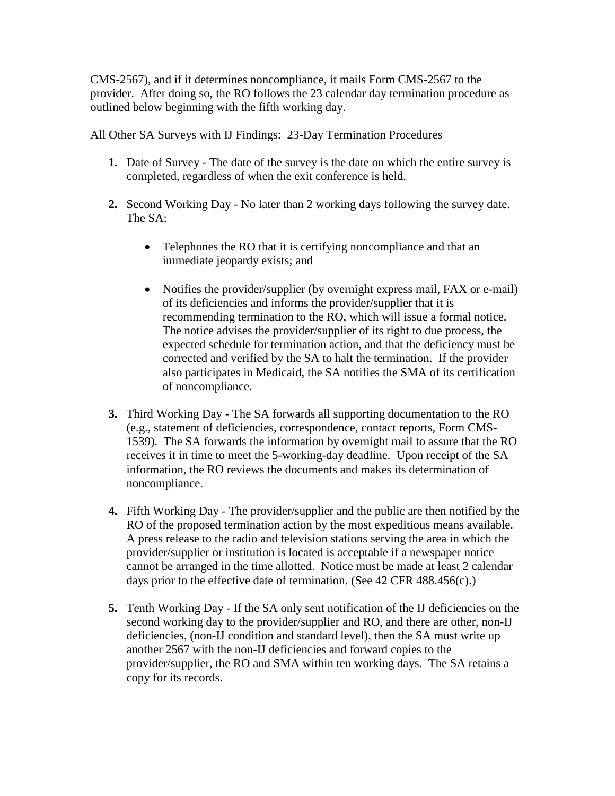CMS-2567), and if it determines noncompliance, it mails Form CMS-2567 to the provider. After doing so, the RO follows the 23 calendar day termination procedure as outlined below beginning with the fifth working day.

All Other SA Surveys with IJ Findings: 23-Day Termination Procedures

- **1.** Date of Survey The date of the survey is the date on which the entire survey is completed, regardless of when the exit conference is held.
- **2.** Second Working Day No later than 2 working days following the survey date. The SA:
	- Telephones the RO that it is certifying noncompliance and that an immediate jeopardy exists; and
	- Notifies the provider/supplier (by overnight express mail, FAX or e-mail) of its deficiencies and informs the provider/supplier that it is recommending termination to the RO, which will issue a formal notice. The notice advises the provider/supplier of its right to due process, the expected schedule for termination action, and that the deficiency must be corrected and verified by the SA to halt the termination. If the provider also participates in Medicaid, the SA notifies the SMA of its certification of noncompliance.
- **3.** Third Working Day The SA forwards all supporting documentation to the RO (e.g., statement of deficiencies, correspondence, contact reports, Form CMS-1539). The SA forwards the information by overnight mail to assure that the RO receives it in time to meet the 5-working-day deadline. Upon receipt of the SA information, the RO reviews the documents and makes its determination of noncompliance.
- **4.** Fifth Working Day The provider/supplier and the public are then notified by the RO of the proposed termination action by the most expeditious means available. A press release to the radio and television stations serving the area in which the provider/supplier or institution is located is acceptable if a newspaper notice cannot be arranged in the time allotted. Notice must be made at least 2 calendar days prior to the effective date of termination. (See [42 CFR 488.456\(c\).](http://www.cms.hhs.gov/regulations/))
- **5.** Tenth Working Day If the SA only sent notification of the IJ deficiencies on the second working day to the provider/supplier and RO, and there are other, non-IJ deficiencies, (non-IJ condition and standard level), then the SA must write up another 2567 with the non-IJ deficiencies and forward copies to the provider/supplier, the RO and SMA within ten working days. The SA retains a copy for its records.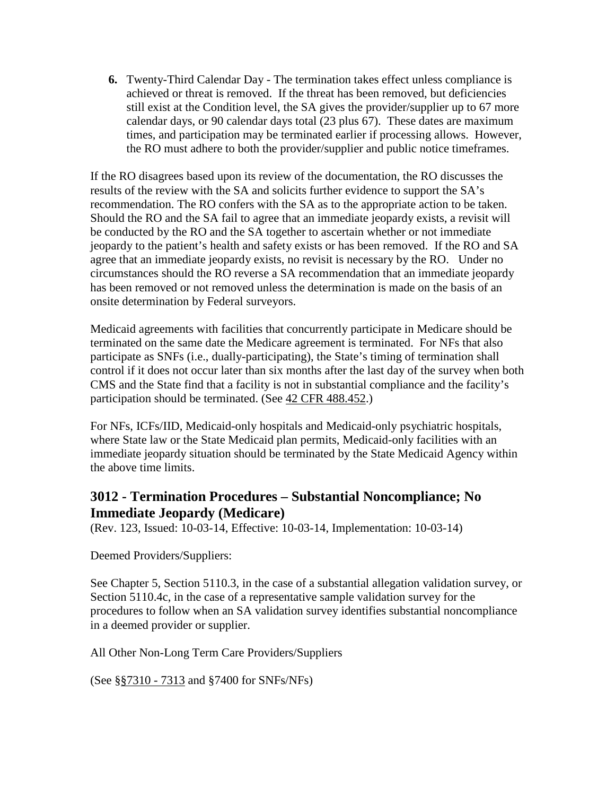**6.** Twenty-Third Calendar Day - The termination takes effect unless compliance is achieved or threat is removed. If the threat has been removed, but deficiencies still exist at the Condition level, the SA gives the provider/supplier up to 67 more calendar days, or 90 calendar days total (23 plus 67). These dates are maximum times, and participation may be terminated earlier if processing allows. However, the RO must adhere to both the provider/supplier and public notice timeframes.

If the RO disagrees based upon its review of the documentation, the RO discusses the results of the review with the SA and solicits further evidence to support the SA's recommendation. The RO confers with the SA as to the appropriate action to be taken. Should the RO and the SA fail to agree that an immediate jeopardy exists, a revisit will be conducted by the RO and the SA together to ascertain whether or not immediate jeopardy to the patient's health and safety exists or has been removed. If the RO and SA agree that an immediate jeopardy exists, no revisit is necessary by the RO. Under no circumstances should the RO reverse a SA recommendation that an immediate jeopardy has been removed or not removed unless the determination is made on the basis of an onsite determination by Federal surveyors.

Medicaid agreements with facilities that concurrently participate in Medicare should be terminated on the same date the Medicare agreement is terminated. For NFs that also participate as SNFs (i.e., dually-participating), the State's timing of termination shall control if it does not occur later than six months after the last day of the survey when both CMS and the State find that a facility is not in substantial compliance and the facility's participation should be terminated. (See 42 CFR [488.452.](http://www.cms.hhs.gov/regulations/))

For NFs, ICFs/IID, Medicaid-only hospitals and Medicaid-only psychiatric hospitals, where State law or the State Medicaid plan permits, Medicaid-only facilities with an immediate jeopardy situation should be terminated by the State Medicaid Agency within the above time limits.

# <span id="page-33-0"></span>**3012 - Termination Procedures – Substantial Noncompliance; No Immediate Jeopardy (Medicare)**

(Rev. 123, Issued: 10-03-14, Effective: 10-03-14, Implementation: 10-03-14)

Deemed Providers/Suppliers:

See Chapter 5, Section 5110.3, in the case of a substantial allegation validation survey, or Section 5110.4c, in the case of a representative sample validation survey for the procedures to follow when an SA validation survey identifies substantial noncompliance in a deemed provider or supplier.

All Other Non-Long Term Care Providers/Suppliers

(See [§§7310 -](http://www.cms.hhs.gov/manuals/107_som/som107c07.pdf) 7313 and §7400 for SNFs/NFs)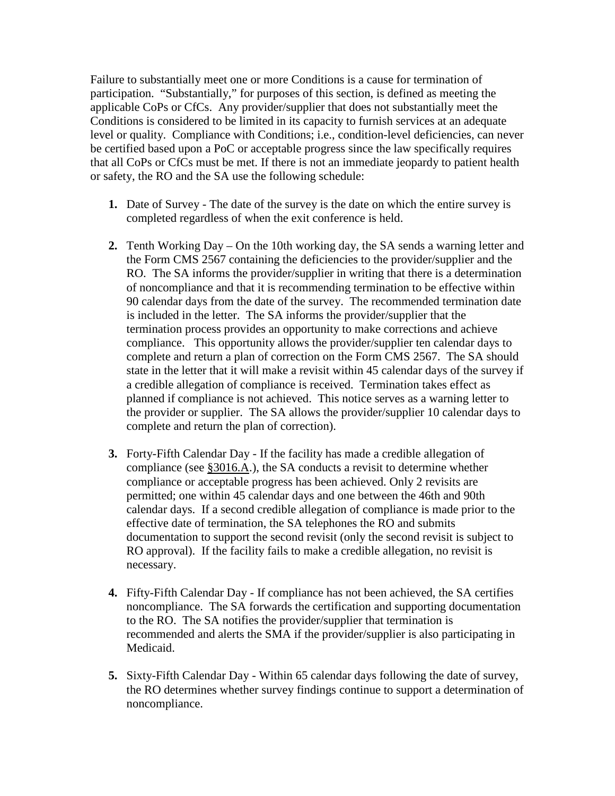Failure to substantially meet one or more Conditions is a cause for termination of participation. "Substantially," for purposes of this section, is defined as meeting the applicable CoPs or CfCs. Any provider/supplier that does not substantially meet the Conditions is considered to be limited in its capacity to furnish services at an adequate level or quality. Compliance with Conditions; i.e., condition-level deficiencies, can never be certified based upon a PoC or acceptable progress since the law specifically requires that all CoPs or CfCs must be met. If there is not an immediate jeopardy to patient health or safety, the RO and the SA use the following schedule:

- **1.** Date of Survey The date of the survey is the date on which the entire survey is completed regardless of when the exit conference is held.
- **2.** Tenth Working Day On the 10th working day, the SA sends a warning letter and the Form CMS 2567 containing the deficiencies to the provider/supplier and the RO. The SA informs the provider/supplier in writing that there is a determination of noncompliance and that it is recommending termination to be effective within 90 calendar days from the date of the survey. The recommended termination date is included in the letter. The SA informs the provider/supplier that the termination process provides an opportunity to make corrections and achieve compliance. This opportunity allows the provider/supplier ten calendar days to complete and return a plan of correction on the Form CMS 2567. The SA should state in the letter that it will make a revisit within 45 calendar days of the survey if a credible allegation of compliance is received. Termination takes effect as planned if compliance is not achieved. This notice serves as a warning letter to the provider or supplier. The SA allows the provider/supplier 10 calendar days to complete and return the plan of correction).
- **3.** Forty-Fifth Calendar Day If the facility has made a credible allegation of compliance (see [§3016.A.](#page-41-4)), the SA conducts a revisit to determine whether compliance or acceptable progress has been achieved. Only 2 revisits are permitted; one within 45 calendar days and one between the 46th and 90th calendar days. If a second credible allegation of compliance is made prior to the effective date of termination, the SA telephones the RO and submits documentation to support the second revisit (only the second revisit is subject to RO approval). If the facility fails to make a credible allegation, no revisit is necessary.
- **4.** Fifty-Fifth Calendar Day If compliance has not been achieved, the SA certifies noncompliance. The SA forwards the certification and supporting documentation to the RO. The SA notifies the provider/supplier that termination is recommended and alerts the SMA if the provider/supplier is also participating in Medicaid.
- **5.** Sixty-Fifth Calendar Day Within 65 calendar days following the date of survey, the RO determines whether survey findings continue to support a determination of noncompliance.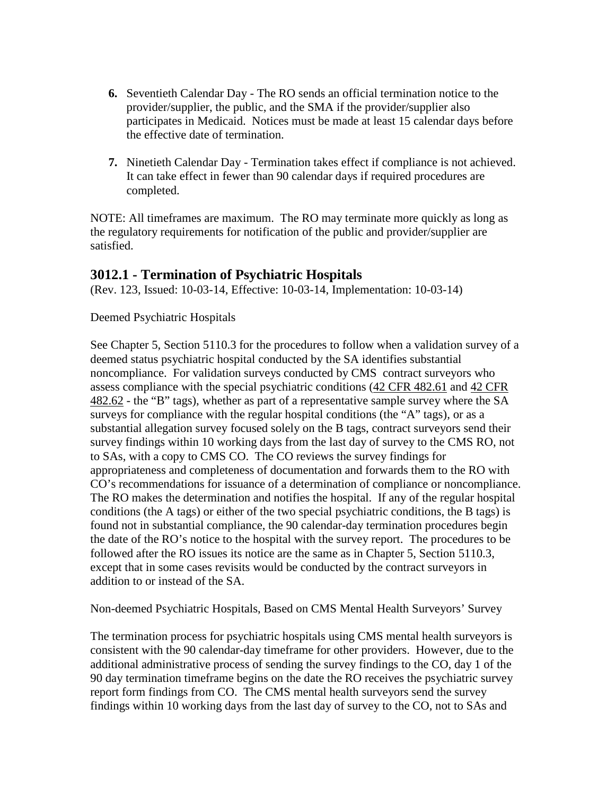- **6.** Seventieth Calendar Day The RO sends an official termination notice to the provider/supplier, the public, and the SMA if the provider/supplier also participates in Medicaid. Notices must be made at least 15 calendar days before the effective date of termination.
- **7.** Ninetieth Calendar Day Termination takes effect if compliance is not achieved. It can take effect in fewer than 90 calendar days if required procedures are completed.

NOTE: All timeframes are maximum. The RO may terminate more quickly as long as the regulatory requirements for notification of the public and provider/supplier are satisfied.

# <span id="page-35-0"></span>**3012.1 - Termination of Psychiatric Hospitals**

(Rev. 123, Issued: 10-03-14, Effective: 10-03-14, Implementation: 10-03-14)

#### Deemed Psychiatric Hospitals

See Chapter 5, Section 5110.3 for the procedures to follow when a validation survey of a deemed status psychiatric hospital conducted by the SA identifies substantial noncompliance. For validation surveys conducted by CMS contract surveyors who assess compliance with the special psychiatric conditions (42 CFR [482.61](http://www.cms.hhs.gov/regulations/) and [42 CFR](http://www.cms.hhs.gov/regulations/)  [482.62](http://www.cms.hhs.gov/regulations/) - the "B" tags), whether as part of a representative sample survey where the SA surveys for compliance with the regular hospital conditions (the "A" tags), or as a substantial allegation survey focused solely on the B tags, contract surveyors send their survey findings within 10 working days from the last day of survey to the CMS RO, not to SAs, with a copy to CMS CO. The CO reviews the survey findings for appropriateness and completeness of documentation and forwards them to the RO with CO's recommendations for issuance of a determination of compliance or noncompliance. The RO makes the determination and notifies the hospital. If any of the regular hospital conditions (the A tags) or either of the two special psychiatric conditions, the B tags) is found not in substantial compliance, the 90 calendar-day termination procedures begin the date of the RO's notice to the hospital with the survey report. The procedures to be followed after the RO issues its notice are the same as in Chapter 5, Section 5110.3, except that in some cases revisits would be conducted by the contract surveyors in addition to or instead of the SA.

Non-deemed Psychiatric Hospitals, Based on CMS Mental Health Surveyors' Survey

The termination process for psychiatric hospitals using CMS mental health surveyors is consistent with the 90 calendar-day timeframe for other providers. However, due to the additional administrative process of sending the survey findings to the CO, day 1 of the 90 day termination timeframe begins on the date the RO receives the psychiatric survey report form findings from CO. The CMS mental health surveyors send the survey findings within 10 working days from the last day of survey to the CO, not to SAs and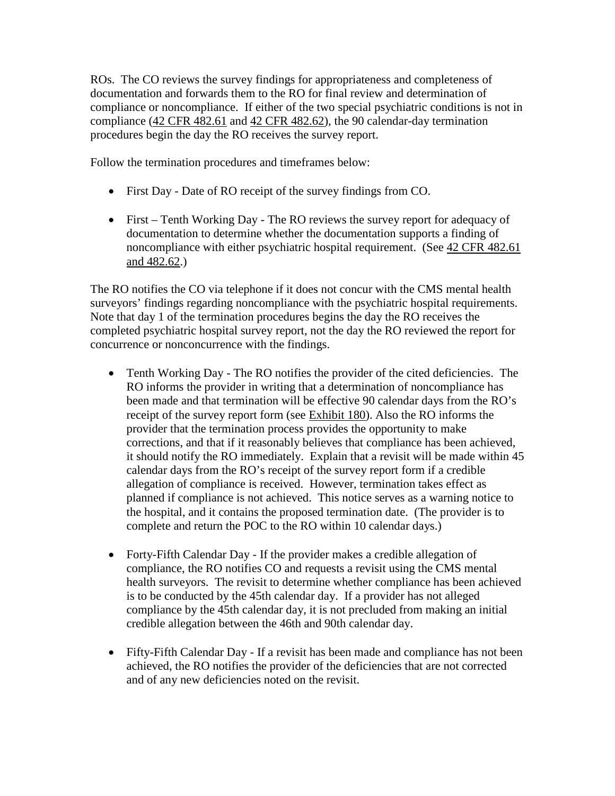ROs. The CO reviews the survey findings for appropriateness and completeness of documentation and forwards them to the RO for final review and determination of compliance or noncompliance. If either of the two special psychiatric conditions is not in compliance (42 CFR [482.61](http://www.cms.hhs.gov/regulations/) and [42 CFR 482.62\)](http://www.cms.hhs.gov/regulations/), the 90 calendar-day termination procedures begin the day the RO receives the survey report.

Follow the termination procedures and timeframes below:

- First Day Date of RO receipt of the survey findings from CO.
- First Tenth Working Day The RO reviews the survey report for adequacy of documentation to determine whether the documentation supports a finding of noncompliance with either psychiatric hospital requirement. (See 42 CFR 482.61) [and 482.62.](http://www.cms.hhs.gov/regulations/))

The RO notifies the CO via telephone if it does not concur with the CMS mental health surveyors' findings regarding noncompliance with the psychiatric hospital requirements. Note that day 1 of the termination procedures begins the day the RO receives the completed psychiatric hospital survey report, not the day the RO reviewed the report for concurrence or nonconcurrence with the findings.

- Tenth Working Day The RO notifies the provider of the cited deficiencies. The RO informs the provider in writing that a determination of noncompliance has been made and that termination will be effective 90 calendar days from the RO's receipt of the survey report form (see [Exhibit 180\)](http://www.cms.hhs.gov/manuals/107_som/som107c09_exhibitstoc.asp). Also the RO informs the provider that the termination process provides the opportunity to make corrections, and that if it reasonably believes that compliance has been achieved, it should notify the RO immediately. Explain that a revisit will be made within 45 calendar days from the RO's receipt of the survey report form if a credible allegation of compliance is received. However, termination takes effect as planned if compliance is not achieved. This notice serves as a warning notice to the hospital, and it contains the proposed termination date. (The provider is to complete and return the POC to the RO within 10 calendar days.)
- Forty-Fifth Calendar Day If the provider makes a credible allegation of compliance, the RO notifies CO and requests a revisit using the CMS mental health surveyors. The revisit to determine whether compliance has been achieved is to be conducted by the 45th calendar day. If a provider has not alleged compliance by the 45th calendar day, it is not precluded from making an initial credible allegation between the 46th and 90th calendar day.
- Fifty-Fifth Calendar Day If a revisit has been made and compliance has not been achieved, the RO notifies the provider of the deficiencies that are not corrected and of any new deficiencies noted on the revisit.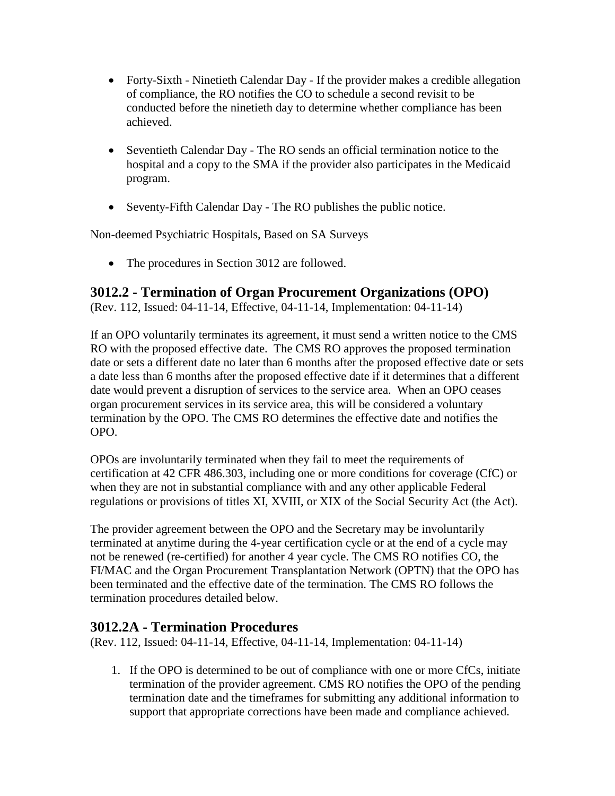- Forty-Sixth Ninetieth Calendar Day If the provider makes a credible allegation of compliance, the RO notifies the CO to schedule a second revisit to be conducted before the ninetieth day to determine whether compliance has been achieved.
- Seventieth Calendar Day The RO sends an official termination notice to the hospital and a copy to the SMA if the provider also participates in the Medicaid program.
- Seventy-Fifth Calendar Day The RO publishes the public notice.

Non-deemed Psychiatric Hospitals, Based on SA Surveys

• The procedures in Section 3012 are followed.

### **3012.2 - Termination of Organ Procurement Organizations (OPO)**

(Rev. 112, Issued: 04-11-14, Effective, 04-11-14, Implementation: 04-11-14)

If an OPO voluntarily terminates its agreement, it must send a written notice to the CMS RO with the proposed effective date. The CMS RO approves the proposed termination date or sets a different date no later than 6 months after the proposed effective date or sets a date less than 6 months after the proposed effective date if it determines that a different date would prevent a disruption of services to the service area. When an OPO ceases organ procurement services in its service area, this will be considered a voluntary termination by the OPO. The CMS RO determines the effective date and notifies the OPO.

OPOs are involuntarily terminated when they fail to meet the requirements of certification at 42 CFR 486.303, including one or more conditions for coverage (CfC) or when they are not in substantial compliance with and any other applicable Federal regulations or provisions of titles XI, XVIII, or XIX of the Social Security Act (the Act).

The provider agreement between the OPO and the Secretary may be involuntarily terminated at anytime during the 4-year certification cycle or at the end of a cycle may not be renewed (re-certified) for another 4 year cycle. The CMS RO notifies CO, the FI/MAC and the Organ Procurement Transplantation Network (OPTN) that the OPO has been terminated and the effective date of the termination. The CMS RO follows the termination procedures detailed below.

### **3012.2A - Termination Procedures**

(Rev. 112, Issued: 04-11-14, Effective, 04-11-14, Implementation: 04-11-14)

1. If the OPO is determined to be out of compliance with one or more CfCs, initiate termination of the provider agreement. CMS RO notifies the OPO of the pending termination date and the timeframes for submitting any additional information to support that appropriate corrections have been made and compliance achieved.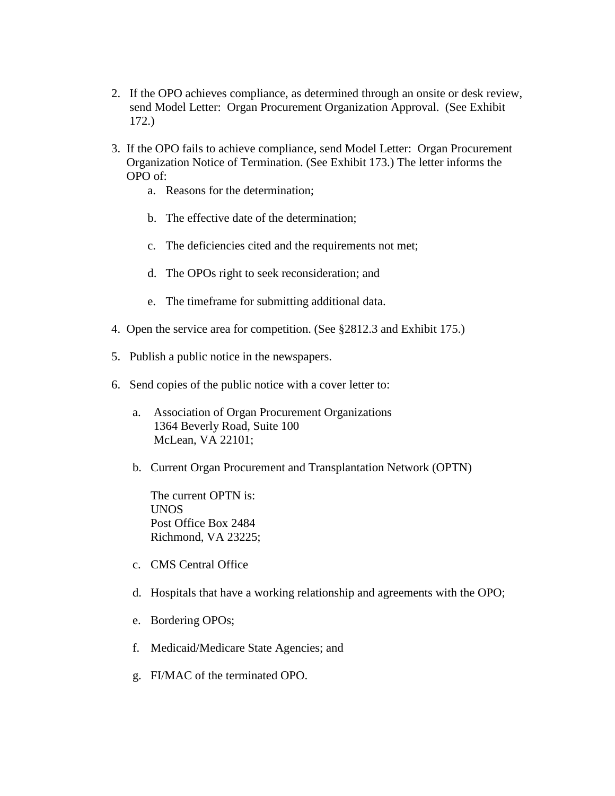- 2. If the OPO achieves compliance, as determined through an onsite or desk review, send Model Letter: Organ Procurement Organization Approval. (See Exhibit 172.)
- 3. If the OPO fails to achieve compliance, send Model Letter: Organ Procurement Organization Notice of Termination. (See Exhibit 173.) The letter informs the OPO of:
	- a. Reasons for the determination;
	- b. The effective date of the determination;
	- c. The deficiencies cited and the requirements not met;
	- d. The OPOs right to seek reconsideration; and
	- e. The timeframe for submitting additional data.
- 4. Open the service area for competition. (See §2812.3 and Exhibit 175.)
- 5. Publish a public notice in the newspapers.
- 6. Send copies of the public notice with a cover letter to:
	- a. Association of Organ Procurement Organizations 1364 Beverly Road, Suite 100 McLean, VA 22101;
	- b. Current Organ Procurement and Transplantation Network (OPTN)

The current OPTN is: UNOS Post Office Box 2484 Richmond, VA 23225;

- c. CMS Central Office
- d. Hospitals that have a working relationship and agreements with the OPO;
- e. Bordering OPOs;
- f. Medicaid/Medicare State Agencies; and
- g. FI/MAC of the terminated OPO.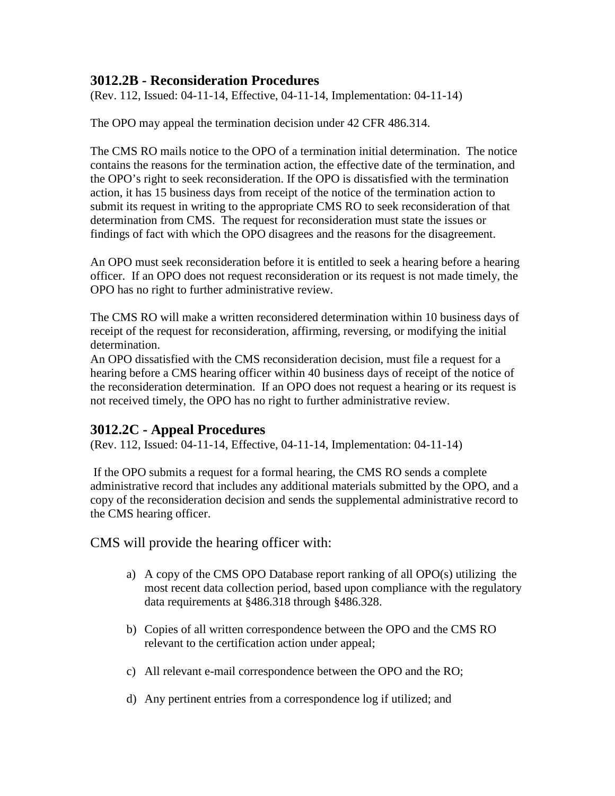### **3012.2B - Reconsideration Procedures**

(Rev. 112, Issued: 04-11-14, Effective, 04-11-14, Implementation: 04-11-14)

The OPO may appeal the termination decision under 42 CFR 486.314.

The CMS RO mails notice to the OPO of a termination initial determination. The notice contains the reasons for the termination action, the effective date of the termination, and the OPO's right to seek reconsideration. If the OPO is dissatisfied with the termination action, it has 15 business days from receipt of the notice of the termination action to submit its request in writing to the appropriate CMS RO to seek reconsideration of that determination from CMS. The request for reconsideration must state the issues or findings of fact with which the OPO disagrees and the reasons for the disagreement.

An OPO must seek reconsideration before it is entitled to seek a hearing before a hearing officer. If an OPO does not request reconsideration or its request is not made timely, the OPO has no right to further administrative review.

The CMS RO will make a written reconsidered determination within 10 business days of receipt of the request for reconsideration, affirming, reversing, or modifying the initial determination.

An OPO dissatisfied with the CMS reconsideration decision, must file a request for a hearing before a CMS hearing officer within 40 business days of receipt of the notice of the reconsideration determination. If an OPO does not request a hearing or its request is not received timely, the OPO has no right to further administrative review.

### **3012.2C - Appeal Procedures**

(Rev. 112, Issued: 04-11-14, Effective, 04-11-14, Implementation: 04-11-14)

If the OPO submits a request for a formal hearing, the CMS RO sends a complete administrative record that includes any additional materials submitted by the OPO, and a copy of the reconsideration decision and sends the supplemental administrative record to the CMS hearing officer.

CMS will provide the hearing officer with:

- a) A copy of the CMS OPO Database report ranking of all OPO(s) utilizing the most recent data collection period, based upon compliance with the regulatory data requirements at §486.318 through §486.328.
- b) Copies of all written correspondence between the OPO and the CMS RO relevant to the certification action under appeal;
- c) All relevant e-mail correspondence between the OPO and the RO;
- d) Any pertinent entries from a correspondence log if utilized; and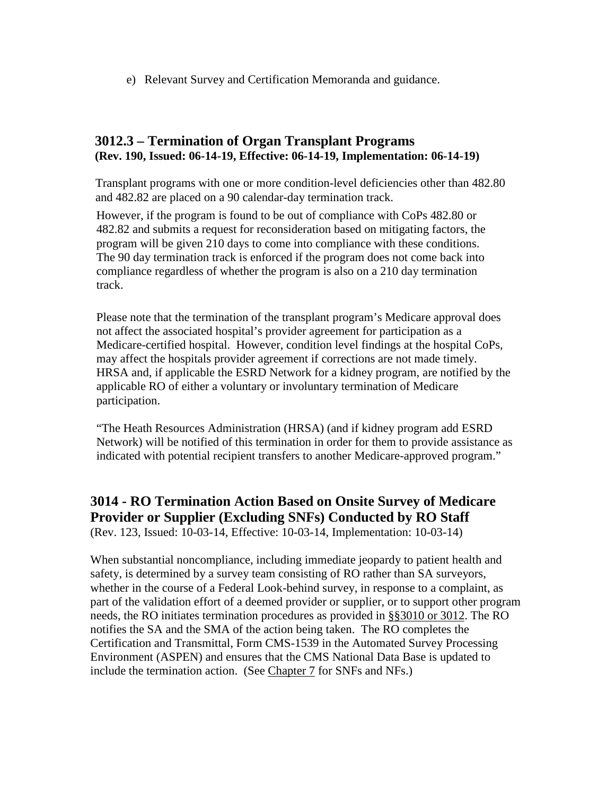e) Relevant Survey and Certification Memoranda and guidance.

### **3012.3 – Termination of Organ Transplant Programs (Rev. 190, Issued: 06-14-19, Effective: 06-14-19, Implementation: 06-14-19)**

Transplant programs with one or more condition-level deficiencies other than 482.80 and 482.82 are placed on a 90 calendar-day termination track.

However, if the program is found to be out of compliance with CoPs 482.80 or 482.82 and submits a request for reconsideration based on mitigating factors, the program will be given 210 days to come into compliance with these conditions. The 90 day termination track is enforced if the program does not come back into compliance regardless of whether the program is also on a 210 day termination track.

Please note that the termination of the transplant program's Medicare approval does not affect the associated hospital's provider agreement for participation as a Medicare-certified hospital. However, condition level findings at the hospital CoPs, may affect the hospitals provider agreement if corrections are not made timely. HRSA and, if applicable the ESRD Network for a kidney program, are notified by the applicable RO of either a voluntary or involuntary termination of Medicare participation.

"The Heath Resources Administration (HRSA) (and if kidney program add ESRD Network) will be notified of this termination in order for them to provide assistance as indicated with potential recipient transfers to another Medicare-approved program."

### **3014 - RO Termination Action Based on Onsite Survey of Medicare Provider or Supplier (Excluding SNFs) Conducted by RO Staff** (Rev. 123, Issued: 10-03-14, Effective: 10-03-14, Implementation: 10-03-14)

When substantial noncompliance, including immediate jeopardy to patient health and safety, is determined by a survey team consisting of RO rather than SA surveyors, whether in the course of a Federal Look-behind survey, in response to a complaint, as part of the validation effort of a deemed provider or supplier, or to support other program needs, the RO initiates termination procedures as provided in [§§3010 or 3012.](http://www.cms.hhs.gov/manuals/107_som/som107c03.pdf) The RO notifies the SA and the SMA of the action being taken. The RO completes the Certification and Transmittal, Form CMS-1539 in the Automated Survey Processing Environment (ASPEN) and ensures that the CMS National Data Base is updated to include the termination action. (See [Chapter 7](http://www.cms.hhs.gov/manuals/107_som/som107c07.pdf) for SNFs and NFs.)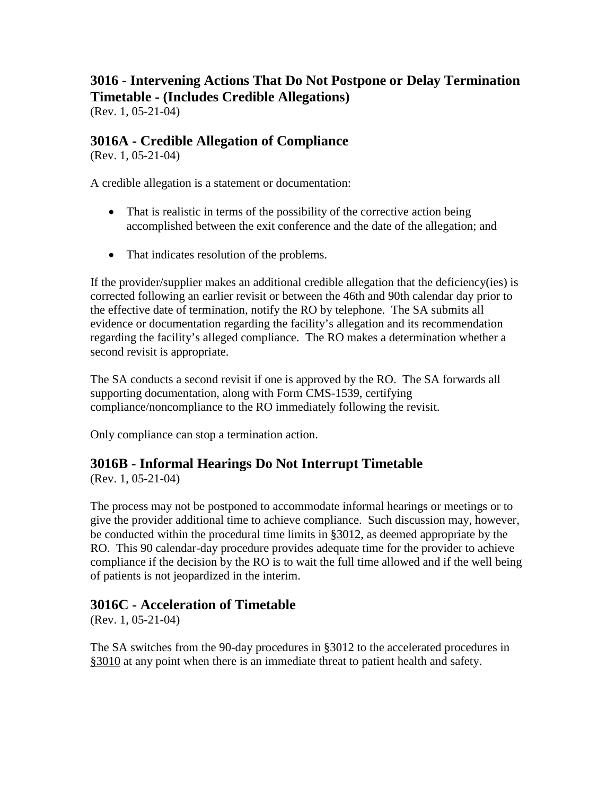### **3016 - Intervening Actions That Do Not Postpone or Delay Termination Timetable - (Includes Credible Allegations)** (Rev. 1, 05-21-04)

### **3016A - Credible Allegation of Compliance**

(Rev. 1, 05-21-04)

A credible allegation is a statement or documentation:

- That is realistic in terms of the possibility of the corrective action being accomplished between the exit conference and the date of the allegation; and
- That indicates resolution of the problems.

If the provider/supplier makes an additional credible allegation that the deficiency(ies) is corrected following an earlier revisit or between the 46th and 90th calendar day prior to the effective date of termination, notify the RO by telephone. The SA submits all evidence or documentation regarding the facility's allegation and its recommendation regarding the facility's alleged compliance. The RO makes a determination whether a second revisit is appropriate.

The SA conducts a second revisit if one is approved by the RO. The SA forwards all supporting documentation, along with Form CMS-1539, certifying compliance/noncompliance to the RO immediately following the revisit.

Only compliance can stop a termination action.

### **3016B - Informal Hearings Do Not Interrupt Timetable**

(Rev. 1, 05-21-04)

The process may not be postponed to accommodate informal hearings or meetings or to give the provider additional time to achieve compliance. Such discussion may, however, be conducted within the procedural time limits in [§3012,](http://www.cms.hhs.gov/manuals/107_som/som107c03.pdf) as deemed appropriate by the RO. This 90 calendar-day procedure provides adequate time for the provider to achieve compliance if the decision by the RO is to wait the full time allowed and if the well being of patients is not jeopardized in the interim.

### **3016C - Acceleration of Timetable**

(Rev. 1, 05-21-04)

The SA switches from the 90-day procedures in §3012 to the accelerated procedures in [§3010](http://www.cms.hhs.gov/manuals/107_som/som107c03.pdf) at any point when there is an immediate threat to patient health and safety.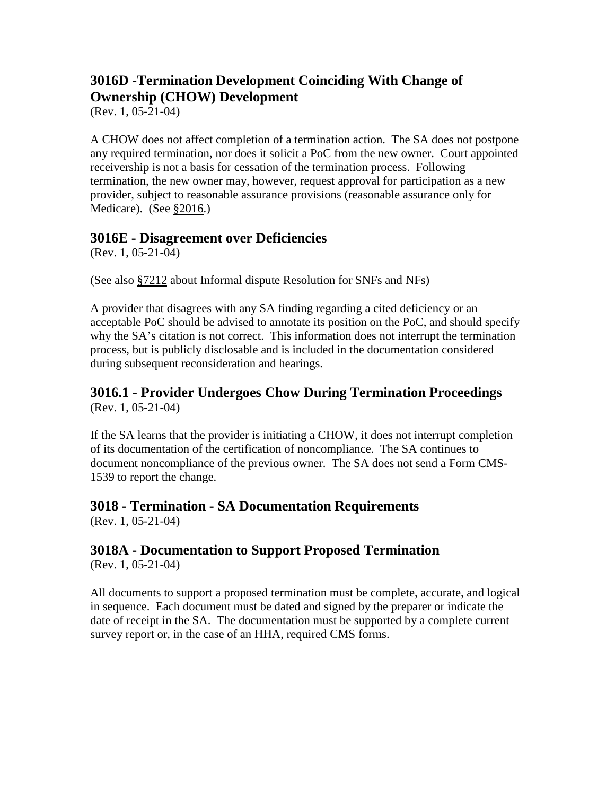# **3016D -Termination Development Coinciding With Change of Ownership (CHOW) Development**

(Rev. 1, 05-21-04)

A CHOW does not affect completion of a termination action. The SA does not postpone any required termination, nor does it solicit a PoC from the new owner. Court appointed receivership is not a basis for cessation of the termination process. Following termination, the new owner may, however, request approval for participation as a new provider, subject to reasonable assurance provisions (reasonable assurance only for Medicare). (See [§2016.](http://www.cms.hhs.gov/manuals/107_som/som107c02.pdf))

### **3016E - Disagreement over Deficiencies**

(Rev. 1, 05-21-04)

(See also [§7212](http://www.cms.hhs.gov/manuals/107_som/som107c07.pdf) about Informal dispute Resolution for SNFs and NFs)

A provider that disagrees with any SA finding regarding a cited deficiency or an acceptable PoC should be advised to annotate its position on the PoC, and should specify why the SA's citation is not correct. This information does not interrupt the termination process, but is publicly disclosable and is included in the documentation considered during subsequent reconsideration and hearings.

### **3016.1 - Provider Undergoes Chow During Termination Proceedings** (Rev. 1, 05-21-04)

If the SA learns that the provider is initiating a CHOW, it does not interrupt completion of its documentation of the certification of noncompliance. The SA continues to document noncompliance of the previous owner. The SA does not send a Form CMS-1539 to report the change.

### **3018 - Termination - SA Documentation Requirements**

(Rev. 1, 05-21-04)

# **3018A - Documentation to Support Proposed Termination**

(Rev. 1, 05-21-04)

All documents to support a proposed termination must be complete, accurate, and logical in sequence. Each document must be dated and signed by the preparer or indicate the date of receipt in the SA. The documentation must be supported by a complete current survey report or, in the case of an HHA, required CMS forms.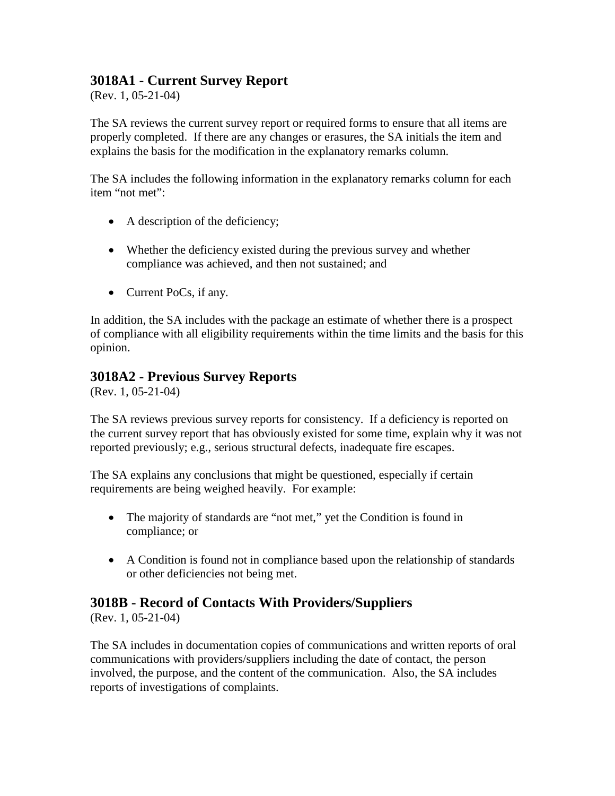### **3018A1 - Current Survey Report**

(Rev. 1, 05-21-04)

The SA reviews the current survey report or required forms to ensure that all items are properly completed. If there are any changes or erasures, the SA initials the item and explains the basis for the modification in the explanatory remarks column.

The SA includes the following information in the explanatory remarks column for each item "not met":

- A description of the deficiency;
- Whether the deficiency existed during the previous survey and whether compliance was achieved, and then not sustained; and
- Current PoCs, if any.

In addition, the SA includes with the package an estimate of whether there is a prospect of compliance with all eligibility requirements within the time limits and the basis for this opinion.

### **3018A2 - Previous Survey Reports**

(Rev. 1, 05-21-04)

The SA reviews previous survey reports for consistency. If a deficiency is reported on the current survey report that has obviously existed for some time, explain why it was not reported previously; e.g., serious structural defects, inadequate fire escapes.

The SA explains any conclusions that might be questioned, especially if certain requirements are being weighed heavily. For example:

- The majority of standards are "not met," yet the Condition is found in compliance; or
- A Condition is found not in compliance based upon the relationship of standards or other deficiencies not being met.

### **3018B - Record of Contacts With Providers/Suppliers**

(Rev. 1, 05-21-04)

The SA includes in documentation copies of communications and written reports of oral communications with providers/suppliers including the date of contact, the person involved, the purpose, and the content of the communication. Also, the SA includes reports of investigations of complaints.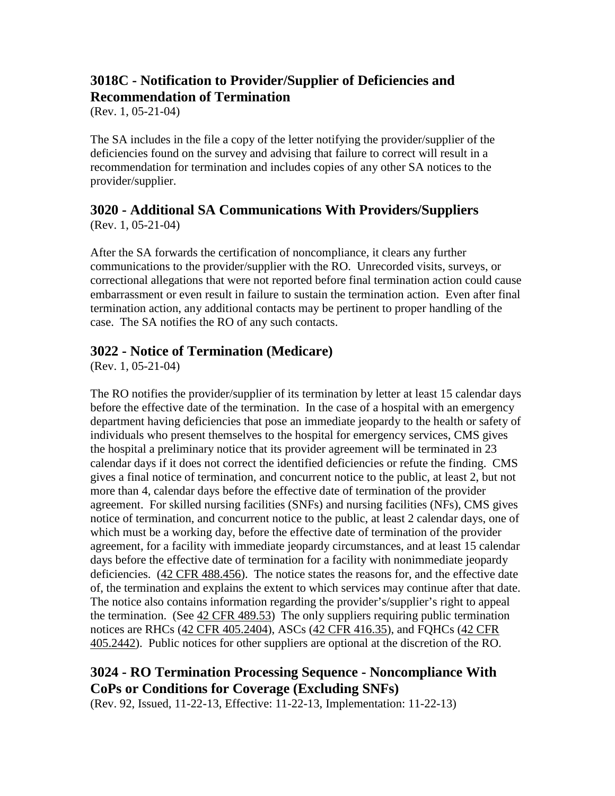# **3018C - Notification to Provider/Supplier of Deficiencies and Recommendation of Termination**

(Rev. 1, 05-21-04)

The SA includes in the file a copy of the letter notifying the provider/supplier of the deficiencies found on the survey and advising that failure to correct will result in a recommendation for termination and includes copies of any other SA notices to the provider/supplier.

# **3020 - Additional SA Communications With Providers/Suppliers**

(Rev. 1, 05-21-04)

After the SA forwards the certification of noncompliance, it clears any further communications to the provider/supplier with the RO. Unrecorded visits, surveys, or correctional allegations that were not reported before final termination action could cause embarrassment or even result in failure to sustain the termination action. Even after final termination action, any additional contacts may be pertinent to proper handling of the case. The SA notifies the RO of any such contacts.

### **3022 - Notice of Termination (Medicare)**

(Rev. 1, 05-21-04)

The RO notifies the provider/supplier of its termination by letter at least 15 calendar days before the effective date of the termination. In the case of a hospital with an emergency department having deficiencies that pose an immediate jeopardy to the health or safety of individuals who present themselves to the hospital for emergency services, CMS gives the hospital a preliminary notice that its provider agreement will be terminated in 23 calendar days if it does not correct the identified deficiencies or refute the finding. CMS gives a final notice of termination, and concurrent notice to the public, at least 2, but not more than 4, calendar days before the effective date of termination of the provider agreement. For skilled nursing facilities (SNFs) and nursing facilities (NFs), CMS gives notice of termination, and concurrent notice to the public, at least 2 calendar days, one of which must be a working day, before the effective date of termination of the provider agreement, for a facility with immediate jeopardy circumstances, and at least 15 calendar days before the effective date of termination for a facility with nonimmediate jeopardy deficiencies. [\(42 CFR 488.456\)](http://www.cms.hhs.gov/regulations/). The notice states the reasons for, and the effective date of, the termination and explains the extent to which services may continue after that date. The notice also contains information regarding the provider's/supplier's right to appeal the termination. (See  $42$  CFR 489.53) The only suppliers requiring public termination notices are RHCs [\(42 CFR 405.2404\)](http://www.cms.hhs.gov/regulations/), ASCs [\(42 CFR 416.35\)](http://www.cms.hhs.gov/regulations/), and FQHCs [\(42 CFR](http://www.cms.hhs.gov/regulations/)  [405.2442\)](http://www.cms.hhs.gov/regulations/). Public notices for other suppliers are optional at the discretion of the RO.

### **3024 - RO Termination Processing Sequence - Noncompliance With CoPs or Conditions for Coverage (Excluding SNFs)**

(Rev. 92, Issued, 11-22-13, Effective: 11-22-13, Implementation: 11-22-13)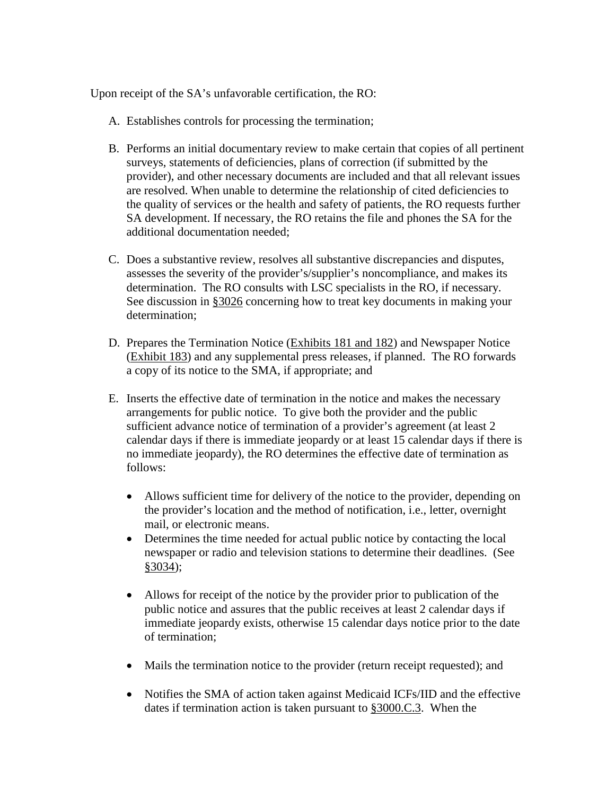Upon receipt of the SA's unfavorable certification, the RO:

- A. Establishes controls for processing the termination;
- B. Performs an initial documentary review to make certain that copies of all pertinent surveys, statements of deficiencies, plans of correction (if submitted by the provider), and other necessary documents are included and that all relevant issues are resolved. When unable to determine the relationship of cited deficiencies to the quality of services or the health and safety of patients, the RO requests further SA development. If necessary, the RO retains the file and phones the SA for the additional documentation needed;
- C. Does a substantive review, resolves all substantive discrepancies and disputes, assesses the severity of the provider's/supplier's noncompliance, and makes its determination. The RO consults with LSC specialists in the RO, if necessary. See discussion in [§3026](#page-46-0) concerning how to treat key documents in making your determination;
- D. Prepares the Termination Notice [\(Exhibits 181 and 182\)](http://www.cms.hhs.gov/manuals/107_som/som107c09_exhibitstoc.asp) and Newspaper Notice [\(Exhibit 183\)](http://www.cms.hhs.gov/manuals/107_som/som107c09_exhibitstoc.asp) and any supplemental press releases, if planned. The RO forwards a copy of its notice to the SMA, if appropriate; and
- E. Inserts the effective date of termination in the notice and makes the necessary arrangements for public notice. To give both the provider and the public sufficient advance notice of termination of a provider's agreement (at least 2 calendar days if there is immediate jeopardy or at least 15 calendar days if there is no immediate jeopardy), the RO determines the effective date of termination as follows:
	- Allows sufficient time for delivery of the notice to the provider, depending on the provider's location and the method of notification, i.e., letter, overnight mail, or electronic means.
	- Determines the time needed for actual public notice by contacting the local newspaper or radio and television stations to determine their deadlines. (See [§3034\)](#page-53-0);
	- Allows for receipt of the notice by the provider prior to publication of the public notice and assures that the public receives at least 2 calendar days if immediate jeopardy exists, otherwise 15 calendar days notice prior to the date of termination;
	- Mails the termination notice to the provider (return receipt requested); and
	- Notifies the SMA of action taken against Medicaid ICFs/IID and the effective dates if termination action is taken pursuant to [§3000.C.3.](#page-9-0) When the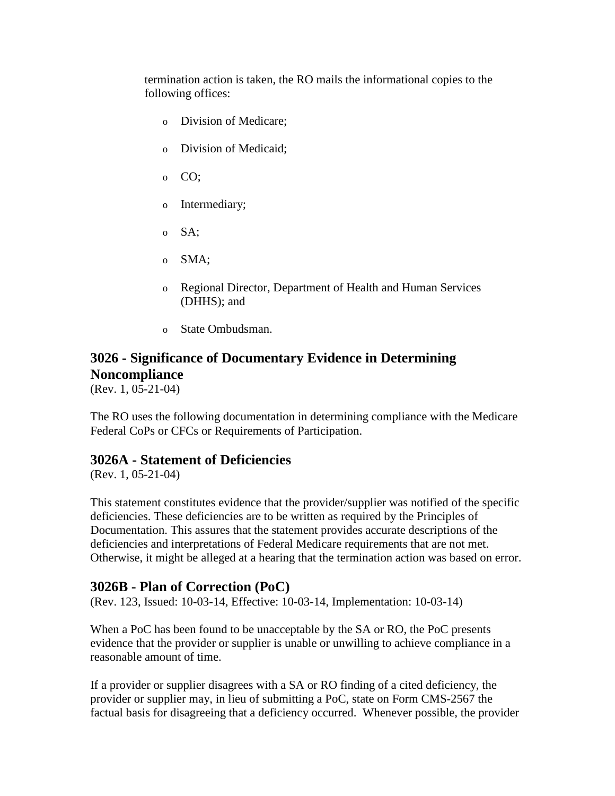termination action is taken, the RO mails the informational copies to the following offices:

- o Division of Medicare;
- o Division of Medicaid;
- o CO;
- o Intermediary;
- o SA;
- o SMA;
- o Regional Director, Department of Health and Human Services (DHHS); and
- o State Ombudsman.

### <span id="page-46-0"></span>**3026 - Significance of Documentary Evidence in Determining Noncompliance**

(Rev. 1, 05-21-04)

The RO uses the following documentation in determining compliance with the Medicare Federal CoPs or CFCs or Requirements of Participation.

### **3026A - Statement of Deficiencies**

(Rev. 1, 05-21-04)

This statement constitutes evidence that the provider/supplier was notified of the specific deficiencies. These deficiencies are to be written as required by the Principles of Documentation. This assures that the statement provides accurate descriptions of the deficiencies and interpretations of Federal Medicare requirements that are not met. Otherwise, it might be alleged at a hearing that the termination action was based on error.

### **3026B - Plan of Correction (PoC)**

(Rev. 123, Issued: 10-03-14, Effective: 10-03-14, Implementation: 10-03-14)

When a PoC has been found to be unacceptable by the SA or RO, the PoC presents evidence that the provider or supplier is unable or unwilling to achieve compliance in a reasonable amount of time.

If a provider or supplier disagrees with a SA or RO finding of a cited deficiency, the provider or supplier may, in lieu of submitting a PoC, state on Form CMS-2567 the factual basis for disagreeing that a deficiency occurred. Whenever possible, the provider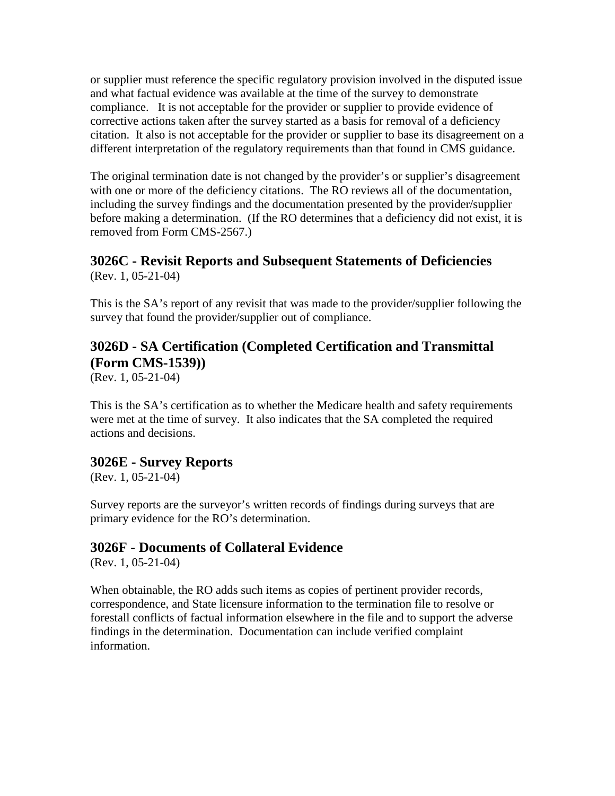or supplier must reference the specific regulatory provision involved in the disputed issue and what factual evidence was available at the time of the survey to demonstrate compliance. It is not acceptable for the provider or supplier to provide evidence of corrective actions taken after the survey started as a basis for removal of a deficiency citation. It also is not acceptable for the provider or supplier to base its disagreement on a different interpretation of the regulatory requirements than that found in CMS guidance.

The original termination date is not changed by the provider's or supplier's disagreement with one or more of the deficiency citations. The RO reviews all of the documentation, including the survey findings and the documentation presented by the provider/supplier before making a determination. (If the RO determines that a deficiency did not exist, it is removed from Form CMS-2567.)

#### **3026C - Revisit Reports and Subsequent Statements of Deficiencies** (Rev. 1, 05-21-04)

This is the SA's report of any revisit that was made to the provider/supplier following the survey that found the provider/supplier out of compliance.

# **3026D - SA Certification (Completed Certification and Transmittal (Form CMS-1539))**

(Rev. 1, 05-21-04)

This is the SA's certification as to whether the Medicare health and safety requirements were met at the time of survey. It also indicates that the SA completed the required actions and decisions.

### **3026E - Survey Reports**

(Rev. 1, 05-21-04)

Survey reports are the surveyor's written records of findings during surveys that are primary evidence for the RO's determination.

### **3026F - Documents of Collateral Evidence**

(Rev. 1, 05-21-04)

When obtainable, the RO adds such items as copies of pertinent provider records, correspondence, and State licensure information to the termination file to resolve or forestall conflicts of factual information elsewhere in the file and to support the adverse findings in the determination. Documentation can include verified complaint information.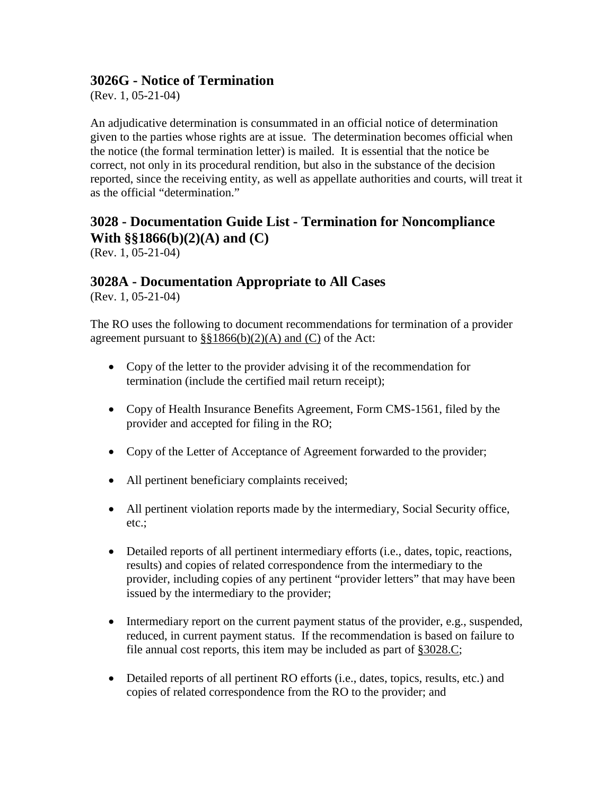### **3026G - Notice of Termination**

(Rev. 1, 05-21-04)

An adjudicative determination is consummated in an official notice of determination given to the parties whose rights are at issue. The determination becomes official when the notice (the formal termination letter) is mailed. It is essential that the notice be correct, not only in its procedural rendition, but also in the substance of the decision reported, since the receiving entity, as well as appellate authorities and courts, will treat it as the official "determination."

# <span id="page-48-0"></span>**3028 - Documentation Guide List - Termination for Noncompliance With §§1866(b)(2)(A) and (C)**

(Rev. 1, 05-21-04)

### **3028A - Documentation Appropriate to All Cases**

(Rev. 1, 05-21-04)

The RO uses the following to document recommendations for termination of a provider agreement pursuant to  $\S$ §1866(b)(2)(A) and (C) of the Act:

- Copy of the letter to the provider advising it of the recommendation for termination (include the certified mail return receipt);
- Copy of Health Insurance Benefits Agreement, Form CMS-1561, filed by the provider and accepted for filing in the RO;
- Copy of the Letter of Acceptance of Agreement forwarded to the provider;
- All pertinent beneficiary complaints received;
- All pertinent violation reports made by the intermediary, Social Security office, etc.;
- Detailed reports of all pertinent intermediary efforts (i.e., dates, topic, reactions, results) and copies of related correspondence from the intermediary to the provider, including copies of any pertinent "provider letters" that may have been issued by the intermediary to the provider;
- Intermediary report on the current payment status of the provider, e.g., suspended, reduced, in current payment status. If the recommendation is based on failure to file annual cost reports, this item may be included as part of [§3028.C;](#page-48-0)
- Detailed reports of all pertinent RO efforts (i.e., dates, topics, results, etc.) and copies of related correspondence from the RO to the provider; and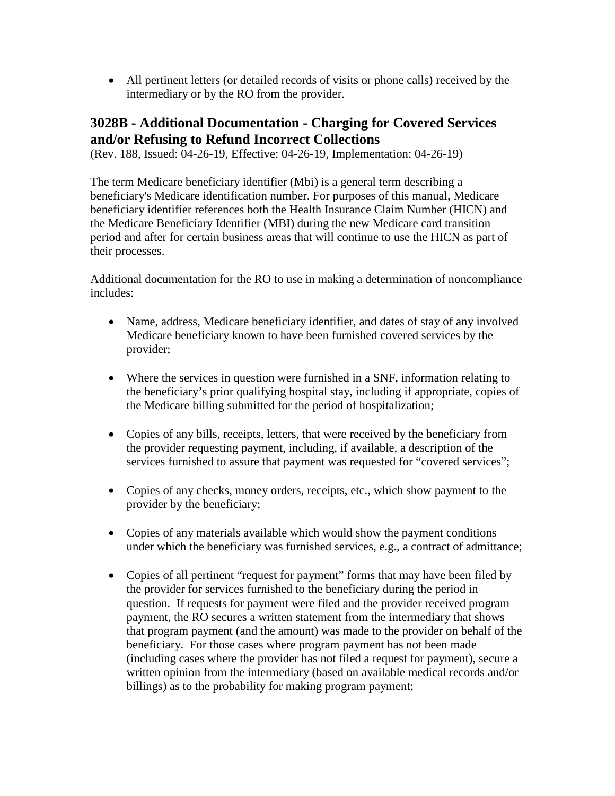• All pertinent letters (or detailed records of visits or phone calls) received by the intermediary or by the RO from the provider.

### **3028B - Additional Documentation - Charging for Covered Services and/or Refusing to Refund Incorrect Collections**

(Rev. 188, Issued: 04-26-19, Effective: 04-26-19, Implementation: 04-26-19)

The term Medicare beneficiary identifier (Mbi) is a general term describing a beneficiary's Medicare identification number. For purposes of this manual, Medicare beneficiary identifier references both the Health Insurance Claim Number (HICN) and the Medicare Beneficiary Identifier (MBI) during the new Medicare card transition period and after for certain business areas that will continue to use the HICN as part of their processes.

Additional documentation for the RO to use in making a determination of noncompliance includes:

- Name, address, Medicare beneficiary identifier, and dates of stay of any involved Medicare beneficiary known to have been furnished covered services by the provider;
- Where the services in question were furnished in a SNF, information relating to the beneficiary's prior qualifying hospital stay, including if appropriate, copies of the Medicare billing submitted for the period of hospitalization;
- Copies of any bills, receipts, letters, that were received by the beneficiary from the provider requesting payment, including, if available, a description of the services furnished to assure that payment was requested for "covered services";
- Copies of any checks, money orders, receipts, etc., which show payment to the provider by the beneficiary;
- Copies of any materials available which would show the payment conditions under which the beneficiary was furnished services, e.g., a contract of admittance;
- Copies of all pertinent "request for payment" forms that may have been filed by the provider for services furnished to the beneficiary during the period in question. If requests for payment were filed and the provider received program payment, the RO secures a written statement from the intermediary that shows that program payment (and the amount) was made to the provider on behalf of the beneficiary. For those cases where program payment has not been made (including cases where the provider has not filed a request for payment), secure a written opinion from the intermediary (based on available medical records and/or billings) as to the probability for making program payment;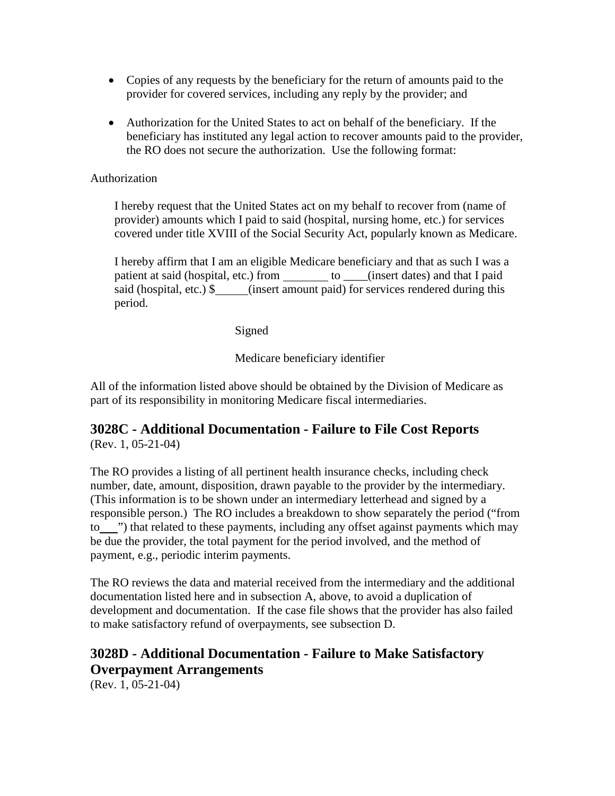- Copies of any requests by the beneficiary for the return of amounts paid to the provider for covered services, including any reply by the provider; and
- Authorization for the United States to act on behalf of the beneficiary. If the beneficiary has instituted any legal action to recover amounts paid to the provider, the RO does not secure the authorization. Use the following format:

#### Authorization

I hereby request that the United States act on my behalf to recover from (name of provider) amounts which I paid to said (hospital, nursing home, etc.) for services covered under title XVIII of the Social Security Act, popularly known as Medicare.

I hereby affirm that I am an eligible Medicare beneficiary and that as such I was a patient at said (hospital, etc.) from to \_\_\_\_(insert dates) and that I paid said (hospital, etc.) \$ (insert amount paid) for services rendered during this period.

Signed

Medicare beneficiary identifier

All of the information listed above should be obtained by the Division of Medicare as part of its responsibility in monitoring Medicare fiscal intermediaries.

#### **3028C - Additional Documentation - Failure to File Cost Reports** (Rev. 1, 05-21-04)

The RO provides a listing of all pertinent health insurance checks, including check number, date, amount, disposition, drawn payable to the provider by the intermediary. (This information is to be shown under an intermediary letterhead and signed by a responsible person.) The RO includes a breakdown to show separately the period ("from to ") that related to these payments, including any offset against payments which may be due the provider, the total payment for the period involved, and the method of payment, e.g., periodic interim payments.

The RO reviews the data and material received from the intermediary and the additional documentation listed here and in subsection A, above, to avoid a duplication of development and documentation. If the case file shows that the provider has also failed to make satisfactory refund of overpayments, see subsection D.

### **3028D - Additional Documentation - Failure to Make Satisfactory Overpayment Arrangements**

(Rev. 1, 05-21-04)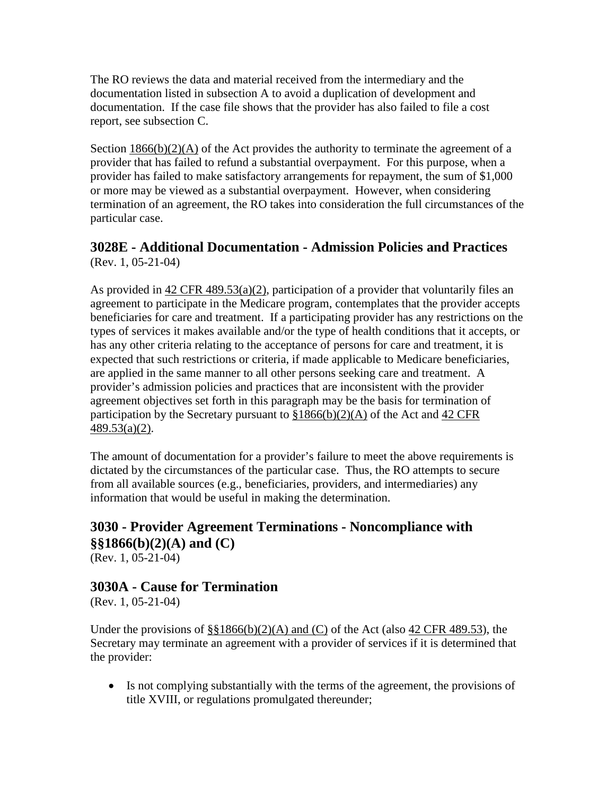The RO reviews the data and material received from the intermediary and the documentation listed in subsection A to avoid a duplication of development and documentation. If the case file shows that the provider has also failed to file a cost report, see subsection C.

Section  $1866(b)(2)(A)$  of the Act provides the authority to terminate the agreement of a provider that has failed to refund a substantial overpayment. For this purpose, when a provider has failed to make satisfactory arrangements for repayment, the sum of \$1,000 or more may be viewed as a substantial overpayment. However, when considering termination of an agreement, the RO takes into consideration the full circumstances of the particular case.

### **3028E - Additional Documentation - Admission Policies and Practices** (Rev. 1, 05-21-04)

As provided in  $42 \text{ CFR } 489.53(a)(2)$ , participation of a provider that voluntarily files an agreement to participate in the Medicare program, contemplates that the provider accepts beneficiaries for care and treatment. If a participating provider has any restrictions on the types of services it makes available and/or the type of health conditions that it accepts, or has any other criteria relating to the acceptance of persons for care and treatment, it is expected that such restrictions or criteria, if made applicable to Medicare beneficiaries, are applied in the same manner to all other persons seeking care and treatment. A provider's admission policies and practices that are inconsistent with the provider agreement objectives set forth in this paragraph may be the basis for termination of participation by the Secretary pursuant to  $$1866(b)(2)(A)$  of the Act and 42 CFR [489.53\(a\)\(2\).](http://www.cms.hhs.gov/regulations/)

The amount of documentation for a provider's failure to meet the above requirements is dictated by the circumstances of the particular case. Thus, the RO attempts to secure from all available sources (e.g., beneficiaries, providers, and intermediaries) any information that would be useful in making the determination.

# **3030 - Provider Agreement Terminations - Noncompliance with §§1866(b)(2)(A) and (C)**

(Rev. 1, 05-21-04)

### **3030A - Cause for Termination**

(Rev. 1, 05-21-04)

Under the provisions of  $\S$ §1866(b)(2)(A) and (C) of the Act (also [42 CFR 489.53\)](http://www.cms.hhs.gov/regulations/), the Secretary may terminate an agreement with a provider of services if it is determined that the provider:

• Is not complying substantially with the terms of the agreement, the provisions of title XVIII, or regulations promulgated thereunder;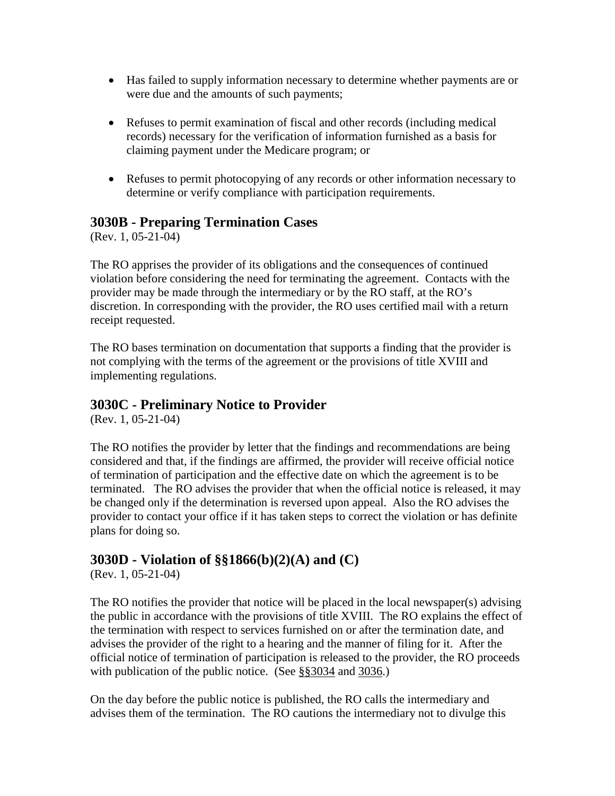- Has failed to supply information necessary to determine whether payments are or were due and the amounts of such payments;
- Refuses to permit examination of fiscal and other records (including medical records) necessary for the verification of information furnished as a basis for claiming payment under the Medicare program; or
- Refuses to permit photocopying of any records or other information necessary to determine or verify compliance with participation requirements.

### **3030B - Preparing Termination Cases**

(Rev. 1, 05-21-04)

The RO apprises the provider of its obligations and the consequences of continued violation before considering the need for terminating the agreement. Contacts with the provider may be made through the intermediary or by the RO staff, at the RO's discretion. In corresponding with the provider, the RO uses certified mail with a return receipt requested.

The RO bases termination on documentation that supports a finding that the provider is not complying with the terms of the agreement or the provisions of title XVIII and implementing regulations.

### **3030C - Preliminary Notice to Provider**

(Rev. 1, 05-21-04)

The RO notifies the provider by letter that the findings and recommendations are being considered and that, if the findings are affirmed, the provider will receive official notice of termination of participation and the effective date on which the agreement is to be terminated. The RO advises the provider that when the official notice is released, it may be changed only if the determination is reversed upon appeal. Also the RO advises the provider to contact your office if it has taken steps to correct the violation or has definite plans for doing so.

### **3030D - Violation of §§1866(b)(2)(A) and (C)**

(Rev. 1, 05-21-04)

The RO notifies the provider that notice will be placed in the local newspaper(s) advising the public in accordance with the provisions of title XVIII. The RO explains the effect of the termination with respect to services furnished on or after the termination date, and advises the provider of the right to a hearing and the manner of filing for it. After the official notice of termination of participation is released to the provider, the RO proceeds with publication of the public notice. (See [§§3034](#page-53-0) and [3036.](#page-55-0))

On the day before the public notice is published, the RO calls the intermediary and advises them of the termination. The RO cautions the intermediary not to divulge this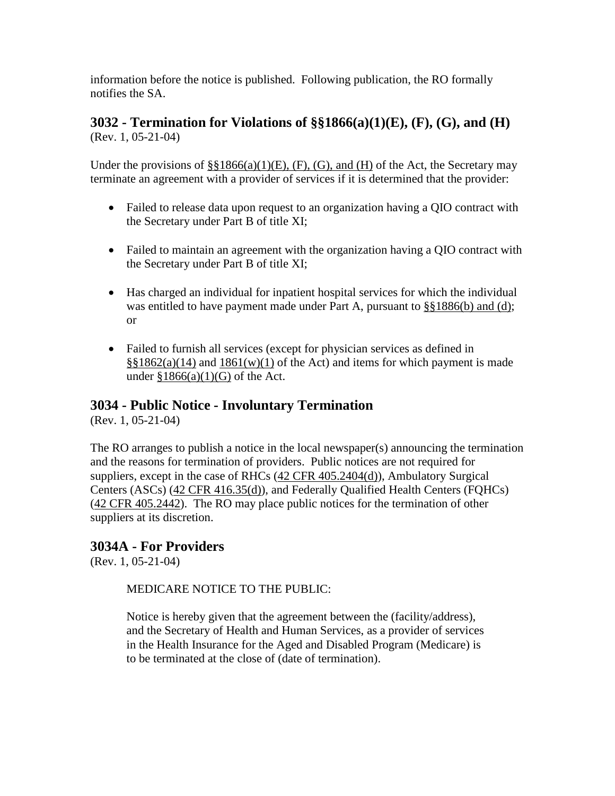information before the notice is published. Following publication, the RO formally notifies the SA.

### **3032 - Termination for Violations of §§1866(a)(1)(E), (F), (G), and (H)** (Rev. 1, 05-21-04)

Under the provisions of  $\S$ §1866(a)(1)(E), (F), (G), and (H) of the Act, the Secretary may terminate an agreement with a provider of services if it is determined that the provider:

- Failed to release data upon request to an organization having a QIO contract with the Secretary under Part B of title XI;
- Failed to maintain an agreement with the organization having a QIO contract with the Secretary under Part B of title XI;
- Has charged an individual for inpatient hospital services for which the individual was entitled to have payment made under Part A, pursuant to [§§1886\(b\) and \(d\);](http://www.cms.hhs.gov/regulations/) or
- Failed to furnish all services (except for physician services as defined in  $\S$ §1862(a)(14) and [1861\(w\)\(1\)](http://www.cms.hhs.gov/regulations/) of the Act) and items for which payment is made under  $$1866(a)(1)(G)$  of the Act.

### <span id="page-53-0"></span>**3034 - Public Notice - Involuntary Termination**

(Rev. 1, 05-21-04)

The RO arranges to publish a notice in the local newspaper(s) announcing the termination and the reasons for termination of providers. Public notices are not required for suppliers, except in the case of RHCs [\(42 CFR 405.2404\(d\)\)](http://www.cms.hhs.gov/regulations/), Ambulatory Surgical Centers (ASCs) [\(42 CFR 416.35\(d\)\)](http://www.cms.hhs.gov/regulations/), and Federally Qualified Health Centers (FQHCs) [\(42 CFR 405.2442\)](http://www.cms.hhs.gov/regulations/). The RO may place public notices for the termination of other suppliers at its discretion.

### **3034A - For Providers**

(Rev. 1, 05-21-04)

#### MEDICARE NOTICE TO THE PUBLIC:

Notice is hereby given that the agreement between the (facility/address), and the Secretary of Health and Human Services, as a provider of services in the Health Insurance for the Aged and Disabled Program (Medicare) is to be terminated at the close of (date of termination).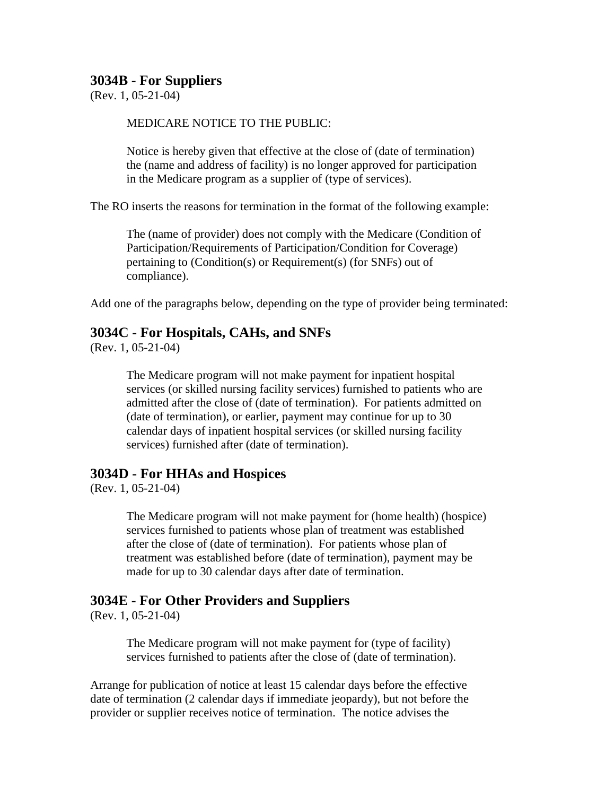#### **3034B - For Suppliers**

 $(Rev. 1, 05-21-04)$ 

#### MEDICARE NOTICE TO THE PUBLIC:

Notice is hereby given that effective at the close of (date of termination) the (name and address of facility) is no longer approved for participation in the Medicare program as a supplier of (type of services).

The RO inserts the reasons for termination in the format of the following example:

The (name of provider) does not comply with the Medicare (Condition of Participation/Requirements of Participation/Condition for Coverage) pertaining to (Condition(s) or Requirement(s) (for SNFs) out of compliance).

Add one of the paragraphs below, depending on the type of provider being terminated:

#### **3034C - For Hospitals, CAHs, and SNFs**

(Rev. 1, 05-21-04)

The Medicare program will not make payment for inpatient hospital services (or skilled nursing facility services) furnished to patients who are admitted after the close of (date of termination). For patients admitted on (date of termination), or earlier, payment may continue for up to 30 calendar days of inpatient hospital services (or skilled nursing facility services) furnished after (date of termination).

#### **3034D - For HHAs and Hospices**

(Rev. 1, 05-21-04)

The Medicare program will not make payment for (home health) (hospice) services furnished to patients whose plan of treatment was established after the close of (date of termination). For patients whose plan of treatment was established before (date of termination), payment may be made for up to 30 calendar days after date of termination.

#### **3034E - For Other Providers and Suppliers**

(Rev. 1, 05-21-04)

The Medicare program will not make payment for (type of facility) services furnished to patients after the close of (date of termination).

Arrange for publication of notice at least 15 calendar days before the effective date of termination (2 calendar days if immediate jeopardy), but not before the provider or supplier receives notice of termination. The notice advises the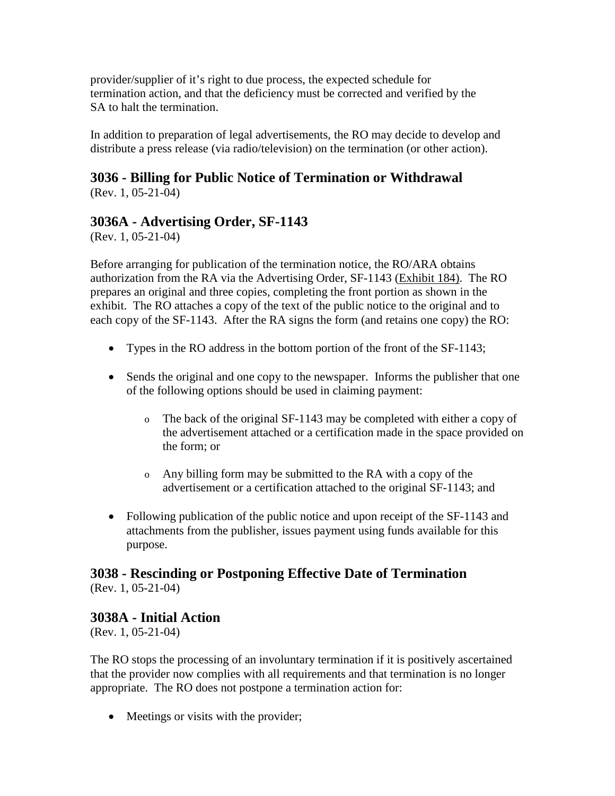provider/supplier of it's right to due process, the expected schedule for termination action, and that the deficiency must be corrected and verified by the SA to halt the termination.

In addition to preparation of legal advertisements, the RO may decide to develop and distribute a press release (via radio/television) on the termination (or other action).

# <span id="page-55-0"></span>**3036 - Billing for Public Notice of Termination or Withdrawal**

(Rev. 1, 05-21-04)

### **3036A - Advertising Order, SF-1143**

(Rev. 1, 05-21-04)

Before arranging for publication of the termination notice, the RO/ARA obtains authorization from the RA via the Advertising Order, SF-1143 [\(Exhibit 184\).](http://www.cms.hhs.gov/manuals/107_som/som107c09_exhibitstoc.asp) The RO prepares an original and three copies, completing the front portion as shown in the exhibit. The RO attaches a copy of the text of the public notice to the original and to each copy of the SF-1143. After the RA signs the form (and retains one copy) the RO:

- Types in the RO address in the bottom portion of the front of the SF-1143;
- Sends the original and one copy to the newspaper. Informs the publisher that one of the following options should be used in claiming payment:
	- o The back of the original SF-1143 may be completed with either a copy of the advertisement attached or a certification made in the space provided on the form; or
	- o Any billing form may be submitted to the RA with a copy of the advertisement or a certification attached to the original SF-1143; and
- Following publication of the public notice and upon receipt of the SF-1143 and attachments from the publisher, issues payment using funds available for this purpose.

# **3038 - Rescinding or Postponing Effective Date of Termination**

(Rev. 1, 05-21-04)

### **3038A - Initial Action**

(Rev. 1, 05-21-04)

The RO stops the processing of an involuntary termination if it is positively ascertained that the provider now complies with all requirements and that termination is no longer appropriate. The RO does not postpone a termination action for:

• Meetings or visits with the provider;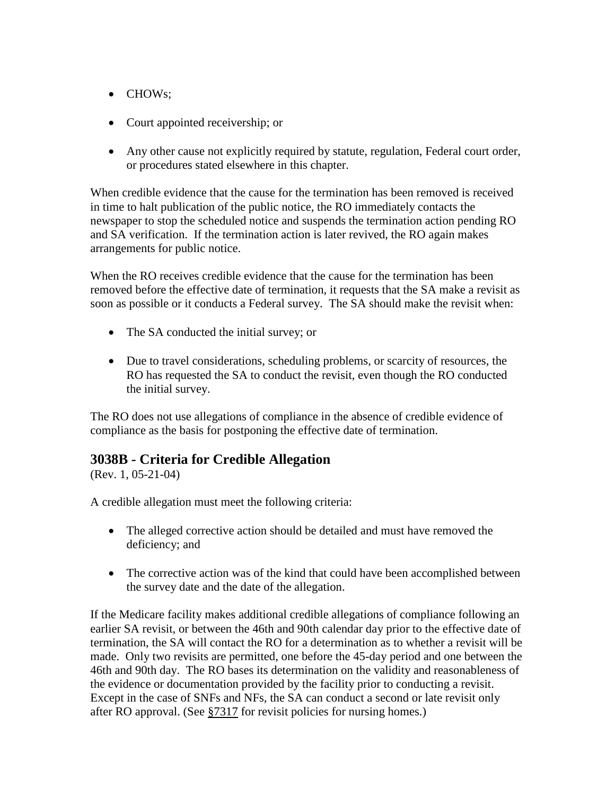- CHOWs;
- Court appointed receivership; or
- Any other cause not explicitly required by statute, regulation, Federal court order, or procedures stated elsewhere in this chapter.

When credible evidence that the cause for the termination has been removed is received in time to halt publication of the public notice, the RO immediately contacts the newspaper to stop the scheduled notice and suspends the termination action pending RO and SA verification. If the termination action is later revived, the RO again makes arrangements for public notice.

When the RO receives credible evidence that the cause for the termination has been removed before the effective date of termination, it requests that the SA make a revisit as soon as possible or it conducts a Federal survey. The SA should make the revisit when:

- The SA conducted the initial survey; or
- Due to travel considerations, scheduling problems, or scarcity of resources, the RO has requested the SA to conduct the revisit, even though the RO conducted the initial survey.

The RO does not use allegations of compliance in the absence of credible evidence of compliance as the basis for postponing the effective date of termination.

### <span id="page-56-0"></span>**3038B - Criteria for Credible Allegation**

(Rev. 1, 05-21-04)

A credible allegation must meet the following criteria:

- The alleged corrective action should be detailed and must have removed the deficiency; and
- The corrective action was of the kind that could have been accomplished between the survey date and the date of the allegation.

If the Medicare facility makes additional credible allegations of compliance following an earlier SA revisit, or between the 46th and 90th calendar day prior to the effective date of termination, the SA will contact the RO for a determination as to whether a revisit will be made. Only two revisits are permitted, one before the 45-day period and one between the 46th and 90th day. The RO bases its determination on the validity and reasonableness of the evidence or documentation provided by the facility prior to conducting a revisit. Except in the case of SNFs and NFs, the SA can conduct a second or late revisit only after RO approval. (See [§7317](http://www.cms.hhs.gov/manuals/107_som/som107c07.pdf) for revisit policies for nursing homes.)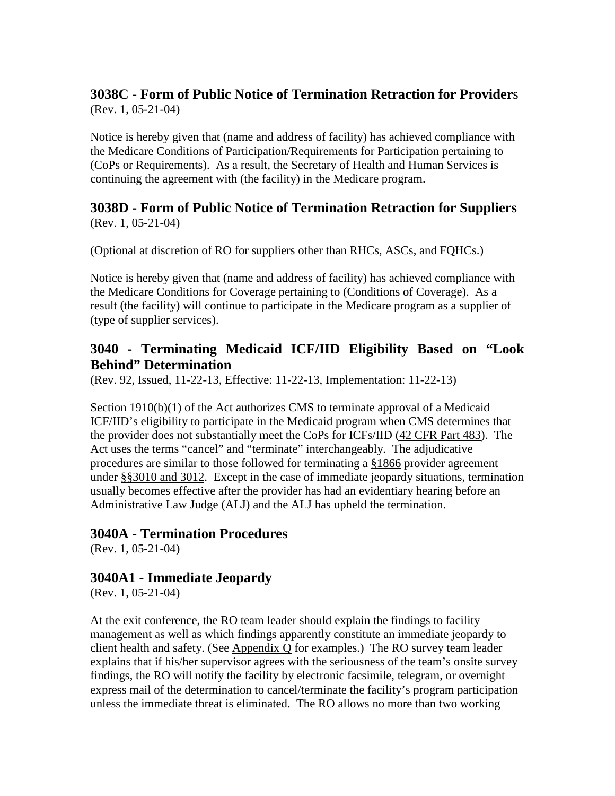#### **3038C - Form of Public Notice of Termination Retraction for Provider**s (Rev. 1, 05-21-04)

Notice is hereby given that (name and address of facility) has achieved compliance with the Medicare Conditions of Participation/Requirements for Participation pertaining to (CoPs or Requirements). As a result, the Secretary of Health and Human Services is continuing the agreement with (the facility) in the Medicare program.

#### **3038D - Form of Public Notice of Termination Retraction for Suppliers** (Rev. 1, 05-21-04)

(Optional at discretion of RO for suppliers other than RHCs, ASCs, and FQHCs.)

Notice is hereby given that (name and address of facility) has achieved compliance with the Medicare Conditions for Coverage pertaining to (Conditions of Coverage). As a result (the facility) will continue to participate in the Medicare program as a supplier of (type of supplier services).

### **3040 - Terminating Medicaid ICF/IID Eligibility Based on "Look Behind" Determination**

(Rev. 92, Issued, 11-22-13, Effective: 11-22-13, Implementation: 11-22-13)

Section [1910\(b\)\(1\)](http://www.cms.hhs.gov/regulations/) of the Act authorizes CMS to terminate approval of a Medicaid ICF/IID's eligibility to participate in the Medicaid program when CMS determines that the provider does not substantially meet the CoPs for ICFs/IID [\(42 CFR Part 483\)](http://www.cms.hhs.gov/regulations/). The Act uses the terms "cancel" and "terminate" interchangeably. The adjudicative procedures are similar to those followed for terminating a [§1866](http://www.cms.hhs.gov/regulations/) provider agreement under [§§3010 and 3012.](http://www.cms.hhs.gov/manuals/107_som/som107c03.pdf) Except in the case of immediate jeopardy situations, termination usually becomes effective after the provider has had an evidentiary hearing before an Administrative Law Judge (ALJ) and the ALJ has upheld the termination.

### **3040A - Termination Procedures**

(Rev. 1, 05-21-04)

### **3040A1 - Immediate Jeopardy**

(Rev. 1, 05-21-04)

At the exit conference, the RO team leader should explain the findings to facility management as well as which findings apparently constitute an immediate jeopardy to client health and safety. (See [Appendix Q](http://www.cms.hhs.gov/manuals/107_som/som107_appendixtoc.asp) for examples.) The RO survey team leader explains that if his/her supervisor agrees with the seriousness of the team's onsite survey findings, the RO will notify the facility by electronic facsimile, telegram, or overnight express mail of the determination to cancel/terminate the facility's program participation unless the immediate threat is eliminated. The RO allows no more than two working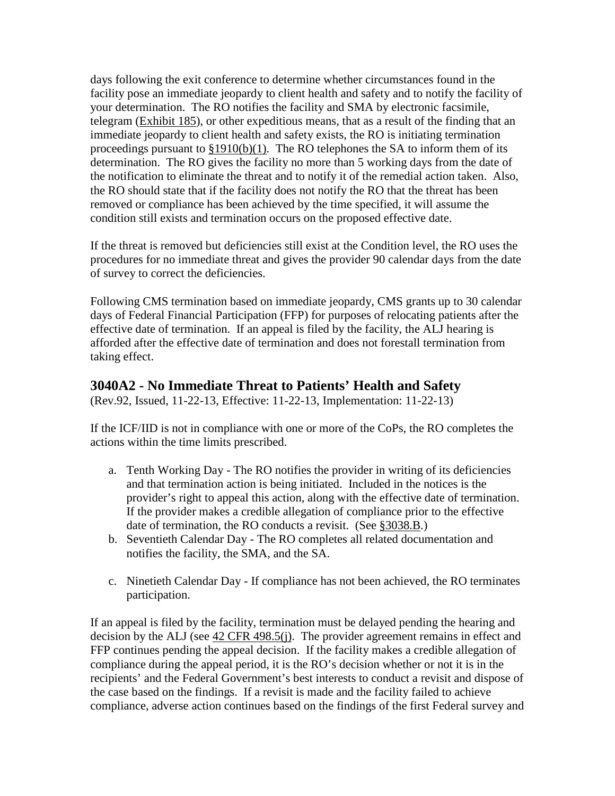days following the exit conference to determine whether circumstances found in the facility pose an immediate jeopardy to client health and safety and to notify the facility of your determination. The RO notifies the facility and SMA by electronic facsimile, telegram [\(Exhibit 185\)](http://www.cms.hhs.gov/manuals/107_som/som107c09_exhibitstoc.asp), or other expeditious means, that as a result of the finding that an immediate jeopardy to client health and safety exists, the RO is initiating termination proceedings pursuant to  $$1910(b)(1)$ . The RO telephones the SA to inform them of its determination. The RO gives the facility no more than 5 working days from the date of the notification to eliminate the threat and to notify it of the remedial action taken. Also, the RO should state that if the facility does not notify the RO that the threat has been removed or compliance has been achieved by the time specified, it will assume the condition still exists and termination occurs on the proposed effective date.

If the threat is removed but deficiencies still exist at the Condition level, the RO uses the procedures for no immediate threat and gives the provider 90 calendar days from the date of survey to correct the deficiencies.

Following CMS termination based on immediate jeopardy, CMS grants up to 30 calendar days of Federal Financial Participation (FFP) for purposes of relocating patients after the effective date of termination. If an appeal is filed by the facility, the ALJ hearing is afforded after the effective date of termination and does not forestall termination from taking effect.

### **3040A2 - No Immediate Threat to Patients' Health and Safety**

(Rev.92, Issued, 11-22-13, Effective: 11-22-13, Implementation: 11-22-13)

If the ICF/IID is not in compliance with one or more of the CoPs, the RO completes the actions within the time limits prescribed.

- a. Tenth Working Day The RO notifies the provider in writing of its deficiencies and that termination action is being initiated. Included in the notices is the provider's right to appeal this action, along with the effective date of termination. If the provider makes a credible allegation of compliance prior to the effective date of termination, the RO conducts a revisit. (See [§3038.B.](#page-56-0))
- b. Seventieth Calendar Day The RO completes all related documentation and notifies the facility, the SMA, and the SA.
- c. Ninetieth Calendar Day If compliance has not been achieved, the RO terminates participation.

If an appeal is filed by the facility, termination must be delayed pending the hearing and decision by the ALJ (see [42 CFR 498.5\(j\).](http://www.cms.hhs.gov/regulations/) The provider agreement remains in effect and FFP continues pending the appeal decision. If the facility makes a credible allegation of compliance during the appeal period, it is the RO's decision whether or not it is in the recipients' and the Federal Government's best interests to conduct a revisit and dispose of the case based on the findings. If a revisit is made and the facility failed to achieve compliance, adverse action continues based on the findings of the first Federal survey and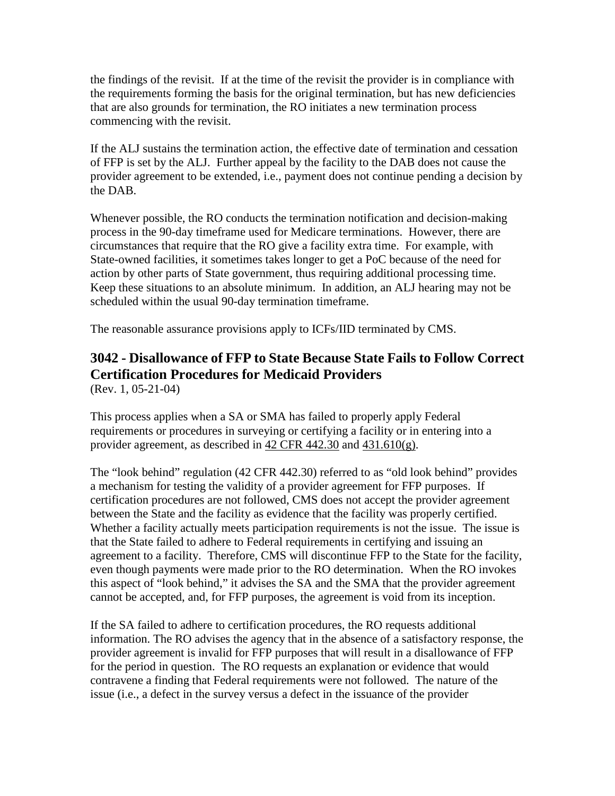the findings of the revisit. If at the time of the revisit the provider is in compliance with the requirements forming the basis for the original termination, but has new deficiencies that are also grounds for termination, the RO initiates a new termination process commencing with the revisit.

If the ALJ sustains the termination action, the effective date of termination and cessation of FFP is set by the ALJ. Further appeal by the facility to the DAB does not cause the provider agreement to be extended, i.e., payment does not continue pending a decision by the DAB.

Whenever possible, the RO conducts the termination notification and decision-making process in the 90-day timeframe used for Medicare terminations. However, there are circumstances that require that the RO give a facility extra time. For example, with State-owned facilities, it sometimes takes longer to get a PoC because of the need for action by other parts of State government, thus requiring additional processing time. Keep these situations to an absolute minimum. In addition, an ALJ hearing may not be scheduled within the usual 90-day termination timeframe.

The reasonable assurance provisions apply to ICFs/IID terminated by CMS.

# **3042 - Disallowance of FFP to State Because State Fails to Follow Correct Certification Procedures for Medicaid Providers**

(Rev. 1, 05-21-04)

This process applies when a SA or SMA has failed to properly apply Federal requirements or procedures in surveying or certifying a facility or in entering into a provider agreement, as described in [42 CFR 442.30](http://www.cms.hhs.gov/regulations/) and [431.610\(g\).](http://www.cms.hhs.gov/regulations/)

The "look behind" regulation (42 CFR 442.30) referred to as "old look behind" provides a mechanism for testing the validity of a provider agreement for FFP purposes. If certification procedures are not followed, CMS does not accept the provider agreement between the State and the facility as evidence that the facility was properly certified. Whether a facility actually meets participation requirements is not the issue. The issue is that the State failed to adhere to Federal requirements in certifying and issuing an agreement to a facility. Therefore, CMS will discontinue FFP to the State for the facility, even though payments were made prior to the RO determination. When the RO invokes this aspect of "look behind," it advises the SA and the SMA that the provider agreement cannot be accepted, and, for FFP purposes, the agreement is void from its inception.

If the SA failed to adhere to certification procedures, the RO requests additional information. The RO advises the agency that in the absence of a satisfactory response, the provider agreement is invalid for FFP purposes that will result in a disallowance of FFP for the period in question. The RO requests an explanation or evidence that would contravene a finding that Federal requirements were not followed. The nature of the issue (i.e., a defect in the survey versus a defect in the issuance of the provider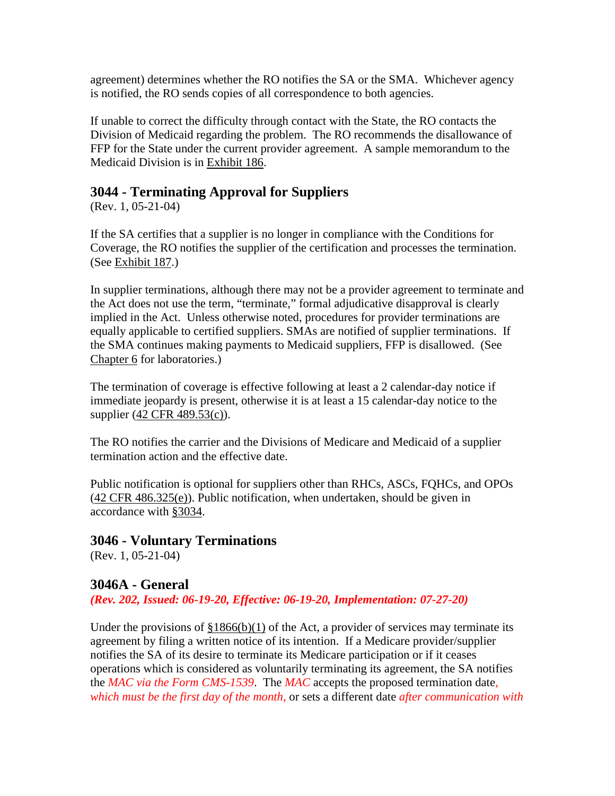agreement) determines whether the RO notifies the SA or the SMA. Whichever agency is notified, the RO sends copies of all correspondence to both agencies.

If unable to correct the difficulty through contact with the State, the RO contacts the Division of Medicaid regarding the problem. The RO recommends the disallowance of FFP for the State under the current provider agreement. A sample memorandum to the Medicaid Division is in [Exhibit 186.](http://www.cms.hhs.gov/manuals/107_som/som107c09_exhibitstoc.asp)

### **3044 - Terminating Approval for Suppliers**

(Rev. 1, 05-21-04)

If the SA certifies that a supplier is no longer in compliance with the Conditions for Coverage, the RO notifies the supplier of the certification and processes the termination. (See [Exhibit 187.](http://www.cms.hhs.gov/manuals/107_som/som107c09_exhibitstoc.asp))

In supplier terminations, although there may not be a provider agreement to terminate and the Act does not use the term, "terminate," formal adjudicative disapproval is clearly implied in the Act. Unless otherwise noted, procedures for provider terminations are equally applicable to certified suppliers. SMAs are notified of supplier terminations. If the SMA continues making payments to Medicaid suppliers, FFP is disallowed. (See [Chapter 6](http://www.cms.hhs.gov/manuals/107_som/som107c06.pdf) for laboratories.)

The termination of coverage is effective following at least a 2 calendar-day notice if immediate jeopardy is present, otherwise it is at least a 15 calendar-day notice to the supplier (42 CFR [489.53\(c\)\)](http://www.cms.hhs.gov/regulations/).

The RO notifies the carrier and the Divisions of Medicare and Medicaid of a supplier termination action and the effective date.

Public notification is optional for suppliers other than RHCs, ASCs, FQHCs, and OPOs (42 CFR [486.325\(e\)\)](http://www.cms.hhs.gov/regulations/). Public notification, when undertaken, should be given in accordance with [§3034.](#page-53-0)

### **3046 - Voluntary Terminations**

(Rev. 1, 05-21-04)

### **3046A - General**

*(Rev. 202, Issued: 06-19-20, Effective: 06-19-20, Implementation: 07-27-20)*

Under the provisions of  $\S 1866(b)(1)$  of the Act, a provider of services may terminate its agreement by filing a written notice of its intention. If a Medicare provider/supplier notifies the SA of its desire to terminate its Medicare participation or if it ceases operations which is considered as voluntarily terminating its agreement, the SA notifies the *MAC via the Form CMS-1539*. The *MAC* accepts the proposed termination date*, which must be the first day of the month,* or sets a different date *after communication with*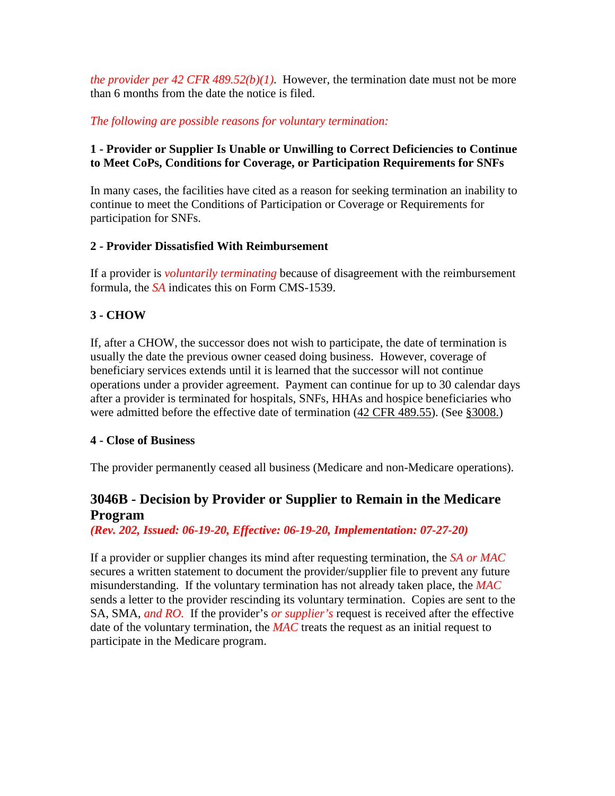*the provider per 42 CFR 489.52(b)(1).* However, the termination date must not be more than 6 months from the date the notice is filed.

*The following are possible reasons for voluntary termination:*

#### **1 - Provider or Supplier Is Unable or Unwilling to Correct Deficiencies to Continue to Meet CoPs, Conditions for Coverage, or Participation Requirements for SNFs**

In many cases, the facilities have cited as a reason for seeking termination an inability to continue to meet the Conditions of Participation or Coverage or Requirements for participation for SNFs.

#### **2 - Provider Dissatisfied With Reimbursement**

If a provider is *voluntarily terminating* because of disagreement with the reimbursement formula, the *SA* indicates this on Form CMS-1539.

### **3 - CHOW**

If, after a CHOW, the successor does not wish to participate, the date of termination is usually the date the previous owner ceased doing business. However, coverage of beneficiary services extends until it is learned that the successor will not continue operations under a provider agreement. Payment can continue for up to 30 calendar days after a provider is terminated for hospitals, SNFs, HHAs and hospice beneficiaries who were admitted before the effective date of termination [\(42 CFR 489.55\)](http://www.cms.hhs.gov/regulations/). (See [§3008.\)](#page-27-0)

#### **4 - Close of Business**

The provider permanently ceased all business (Medicare and non-Medicare operations).

### **3046B - Decision by Provider or Supplier to Remain in the Medicare Program**

#### *(Rev. 202, Issued: 06-19-20, Effective: 06-19-20, Implementation: 07-27-20)*

If a provider or supplier changes its mind after requesting termination, the *SA or MAC*  secures a written statement to document the provider/supplier file to prevent any future misunderstanding. If the voluntary termination has not already taken place, the *MAC*  sends a letter to the provider rescinding its voluntary termination. Copies are sent to the SA, SMA, *and RO.* If the provider's *or supplier's* request is received after the effective date of the voluntary termination, the *MAC* treats the request as an initial request to participate in the Medicare program.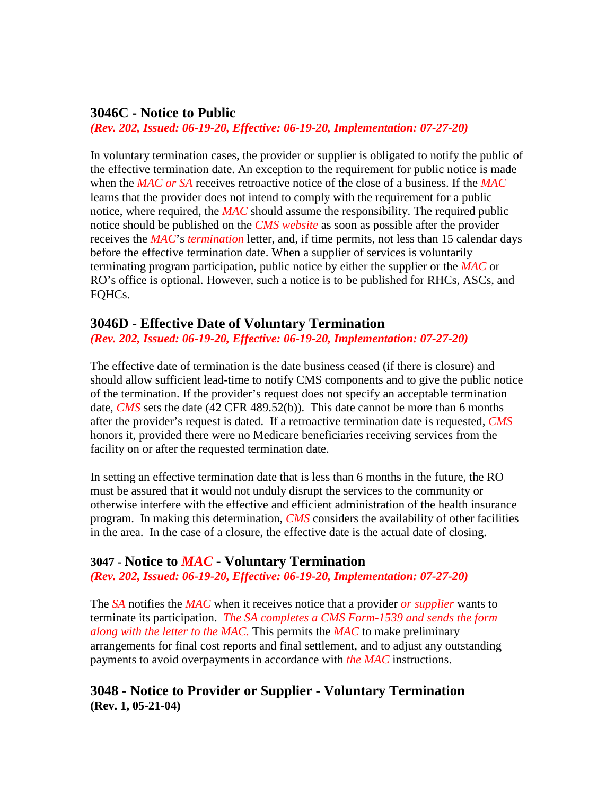#### **3046C - Notice to Public**

*(Rev. 202, Issued: 06-19-20, Effective: 06-19-20, Implementation: 07-27-20)* 

In voluntary termination cases, the provider or supplier is obligated to notify the public of the effective termination date. An exception to the requirement for public notice is made when the *MAC or SA* receives retroactive notice of the close of a business. If the *MAC* learns that the provider does not intend to comply with the requirement for a public notice, where required, the *MAC* should assume the responsibility. The required public notice should be published on the *CMS website* as soon as possible after the provider receives the *MAC*'s *termination* letter, and, if time permits, not less than 15 calendar days before the effective termination date. When a supplier of services is voluntarily terminating program participation, public notice by either the supplier or the *MAC* or RO's office is optional. However, such a notice is to be published for RHCs, ASCs, and FQHCs.

#### **3046D - Effective Date of Voluntary Termination**

*(Rev. 202, Issued: 06-19-20, Effective: 06-19-20, Implementation: 07-27-20)*

The effective date of termination is the date business ceased (if there is closure) and should allow sufficient lead-time to notify CMS components and to give the public notice of the termination. If the provider's request does not specify an acceptable termination date, *CMS* sets the date [\(42 CFR 489.52\(b\)\)](http://www.cms.hhs.gov/manuals/107_som/som107c03.pdf). This date cannot be more than 6 months after the provider's request is dated. If a retroactive termination date is requested, *CMS*  honors it, provided there were no Medicare beneficiaries receiving services from the facility on or after the requested termination date.

In setting an effective termination date that is less than 6 months in the future, the RO must be assured that it would not unduly disrupt the services to the community or otherwise interfere with the effective and efficient administration of the health insurance program. In making this determination, *CMS* considers the availability of other facilities in the area. In the case of a closure, the effective date is the actual date of closing.

#### **3047 - Notice to** *MAC* **- Voluntary Termination**

*(Rev. 202, Issued: 06-19-20, Effective: 06-19-20, Implementation: 07-27-20)*

The *SA* notifies the *MAC* when it receives notice that a provider *or supplier* wants to terminate its participation. *The SA completes a CMS Form-1539 and sends the form along with the letter to the MAC.* This permits the *MAC* to make preliminary arrangements for final cost reports and final settlement, and to adjust any outstanding payments to avoid overpayments in accordance with *the MAC* instructions.

#### **3048 - Notice to Provider or Supplier - Voluntary Termination (Rev. 1, 05-21-04)**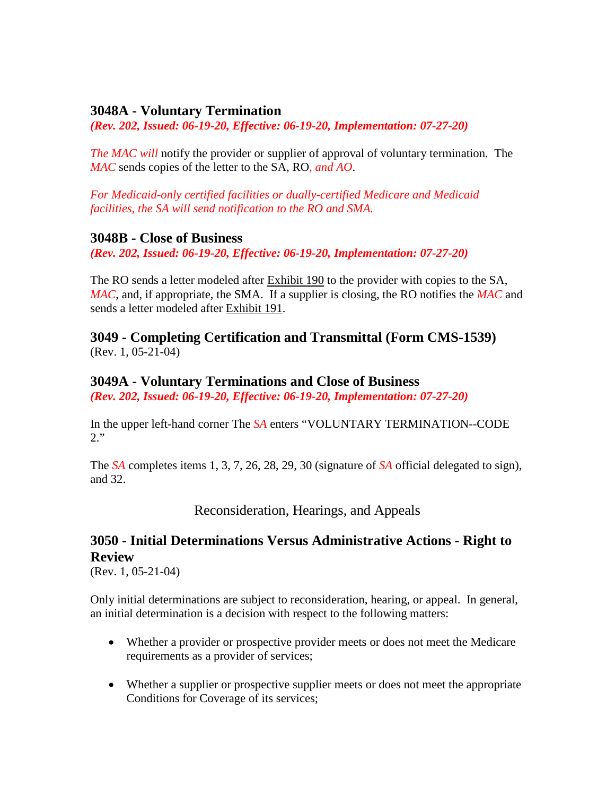#### **3048A - Voluntary Termination**

*(Rev. 202, Issued: 06-19-20, Effective: 06-19-20, Implementation: 07-27-20)*

*The MAC will* notify the provider or supplier of approval of voluntary termination. The *MAC* sends copies of the letter to the SA, RO*, and AO*.

*For Medicaid-only certified facilities or dually-certified Medicare and Medicaid facilities, the SA will send notification to the RO and SMA.* 

#### **3048B - Close of Business**

*(Rev. 202, Issued: 06-19-20, Effective: 06-19-20, Implementation: 07-27-20)*

The RO sends a letter modeled after [Exhibit 190](http://www.cms.hhs.gov/regulations/) to the provider with copies to the SA, *MAC*, and, if appropriate, the SMA. If a supplier is closing, the RO notifies the *MAC* and sends a letter modeled after Exhibit 191.

#### **3049 - Completing Certification and Transmittal (Form CMS-1539)** (Rev. 1, 05-21-04)

#### **3049A - Voluntary Terminations and Close of Business**

*(Rev. 202, Issued: 06-19-20, Effective: 06-19-20, Implementation: 07-27-20)*

In the upper left-hand corner The *SA* enters "VOLUNTARY TERMINATION--CODE 2."

The *SA* completes items 1, 3, 7, 26, 28, 29, 30 (signature of *SA* official delegated to sign), and 32.

Reconsideration, Hearings, and Appeals

### **3050 - Initial Determinations Versus Administrative Actions - Right to Review**

(Rev. 1, 05-21-04)

Only initial determinations are subject to reconsideration, hearing, or appeal. In general, an initial determination is a decision with respect to the following matters:

- Whether a provider or prospective provider meets or does not meet the Medicare requirements as a provider of services;
- Whether a supplier or prospective supplier meets or does not meet the appropriate Conditions for Coverage of its services;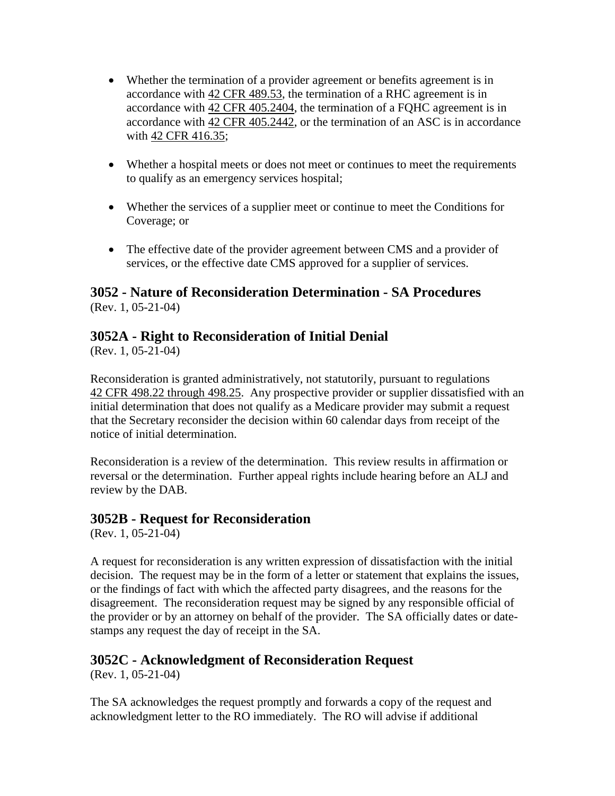- Whether the termination of a provider agreement or benefits agreement is in accordance with [42 CFR 489.53,](http://www.cms.hhs.gov/regulations/) the termination of a RHC agreement is in accordance with [42 CFR 405.2404,](http://www.cms.hhs.gov/regulations/) the termination of a FQHC agreement is in accordance with [42 CFR 405.2442,](http://www.cms.hhs.gov/regulations/) or the termination of an ASC is in accordance with [42 CFR 416.35;](http://www.cms.hhs.gov/regulations/)
- Whether a hospital meets or does not meet or continues to meet the requirements to qualify as an emergency services hospital;
- Whether the services of a supplier meet or continue to meet the Conditions for Coverage; or
- The effective date of the provider agreement between CMS and a provider of services, or the effective date CMS approved for a supplier of services.

#### **3052 - Nature of Reconsideration Determination - SA Procedures** (Rev. 1, 05-21-04)

### **3052A - Right to Reconsideration of Initial Denial**

(Rev. 1, 05-21-04)

Reconsideration is granted administratively, not statutorily, pursuant to regulations 42 CFR [498.22 through 498.25.](http://www.cms.hhs.gov/regulations/) Any prospective provider or supplier dissatisfied with an initial determination that does not qualify as a Medicare provider may submit a request that the Secretary reconsider the decision within 60 calendar days from receipt of the notice of initial determination.

Reconsideration is a review of the determination. This review results in affirmation or reversal or the determination. Further appeal rights include hearing before an ALJ and review by the DAB.

### **3052B - Request for Reconsideration**

(Rev. 1, 05-21-04)

A request for reconsideration is any written expression of dissatisfaction with the initial decision. The request may be in the form of a letter or statement that explains the issues, or the findings of fact with which the affected party disagrees, and the reasons for the disagreement. The reconsideration request may be signed by any responsible official of the provider or by an attorney on behalf of the provider. The SA officially dates or datestamps any request the day of receipt in the SA.

### **3052C - Acknowledgment of Reconsideration Request**

(Rev. 1, 05-21-04)

The SA acknowledges the request promptly and forwards a copy of the request and acknowledgment letter to the RO immediately. The RO will advise if additional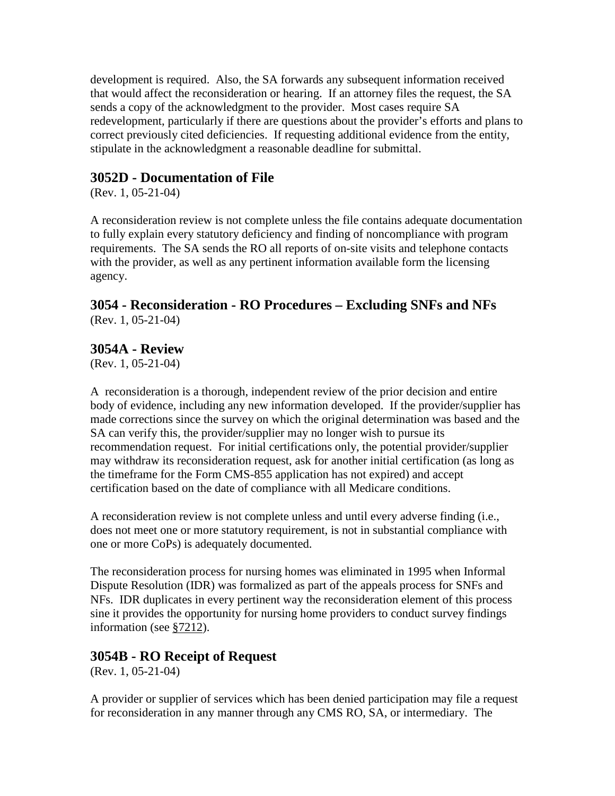development is required. Also, the SA forwards any subsequent information received that would affect the reconsideration or hearing. If an attorney files the request, the SA sends a copy of the acknowledgment to the provider. Most cases require SA redevelopment, particularly if there are questions about the provider's efforts and plans to correct previously cited deficiencies. If requesting additional evidence from the entity, stipulate in the acknowledgment a reasonable deadline for submittal.

### **3052D - Documentation of File**

(Rev. 1, 05-21-04)

A reconsideration review is not complete unless the file contains adequate documentation to fully explain every statutory deficiency and finding of noncompliance with program requirements. The SA sends the RO all reports of on-site visits and telephone contacts with the provider, as well as any pertinent information available form the licensing agency.

#### **3054 - Reconsideration - RO Procedures – Excluding SNFs and NFs** (Rev. 1, 05-21-04)

### **3054A - Review**

(Rev. 1, 05-21-04)

A reconsideration is a thorough, independent review of the prior decision and entire body of evidence, including any new information developed. If the provider/supplier has made corrections since the survey on which the original determination was based and the SA can verify this, the provider/supplier may no longer wish to pursue its recommendation request. For initial certifications only, the potential provider/supplier may withdraw its reconsideration request, ask for another initial certification (as long as the timeframe for the Form CMS-855 application has not expired) and accept certification based on the date of compliance with all Medicare conditions.

A reconsideration review is not complete unless and until every adverse finding (i.e., does not meet one or more statutory requirement, is not in substantial compliance with one or more CoPs) is adequately documented.

The reconsideration process for nursing homes was eliminated in 1995 when Informal Dispute Resolution (IDR) was formalized as part of the appeals process for SNFs and NFs. IDR duplicates in every pertinent way the reconsideration element of this process sine it provides the opportunity for nursing home providers to conduct survey findings information (see [§7212\)](http://www.cms.hhs.gov/manuals/107_som/som107c07.pdf).

### **3054B - RO Receipt of Request**

(Rev. 1, 05-21-04)

A provider or supplier of services which has been denied participation may file a request for reconsideration in any manner through any CMS RO, SA, or intermediary. The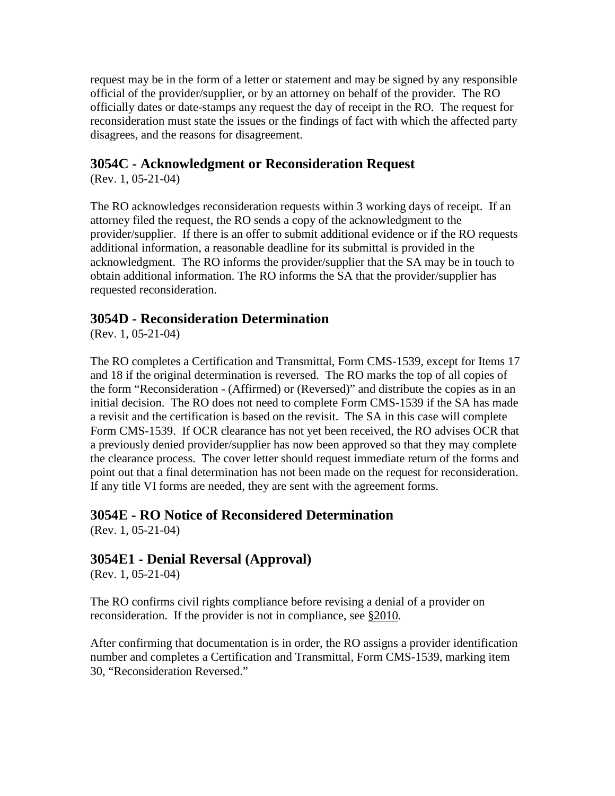request may be in the form of a letter or statement and may be signed by any responsible official of the provider/supplier, or by an attorney on behalf of the provider. The RO officially dates or date-stamps any request the day of receipt in the RO. The request for reconsideration must state the issues or the findings of fact with which the affected party disagrees, and the reasons for disagreement.

### **3054C - Acknowledgment or Reconsideration Request**

(Rev. 1, 05-21-04)

The RO acknowledges reconsideration requests within 3 working days of receipt. If an attorney filed the request, the RO sends a copy of the acknowledgment to the provider/supplier. If there is an offer to submit additional evidence or if the RO requests additional information, a reasonable deadline for its submittal is provided in the acknowledgment. The RO informs the provider/supplier that the SA may be in touch to obtain additional information. The RO informs the SA that the provider/supplier has requested reconsideration.

### **3054D - Reconsideration Determination**

(Rev. 1, 05-21-04)

The RO completes a Certification and Transmittal, Form CMS-1539, except for Items 17 and 18 if the original determination is reversed. The RO marks the top of all copies of the form "Reconsideration - (Affirmed) or (Reversed)" and distribute the copies as in an initial decision. The RO does not need to complete Form CMS-1539 if the SA has made a revisit and the certification is based on the revisit. The SA in this case will complete Form CMS-1539. If OCR clearance has not yet been received, the RO advises OCR that a previously denied provider/supplier has now been approved so that they may complete the clearance process. The cover letter should request immediate return of the forms and point out that a final determination has not been made on the request for reconsideration. If any title VI forms are needed, they are sent with the agreement forms.

# **3054E - RO Notice of Reconsidered Determination**

(Rev. 1, 05-21-04)

### **3054E1 - Denial Reversal (Approval)**

(Rev. 1, 05-21-04)

The RO confirms civil rights compliance before revising a denial of a provider on reconsideration. If the provider is not in compliance, see [§2010.](http://www.cms.hhs.gov/manuals/107_som/som107c02.pdf)

After confirming that documentation is in order, the RO assigns a provider identification number and completes a Certification and Transmittal, Form CMS-1539, marking item 30, "Reconsideration Reversed."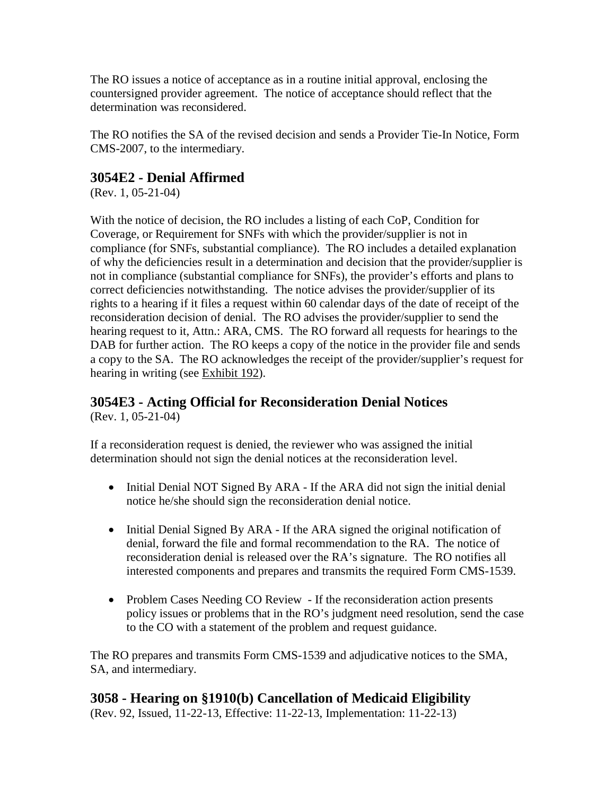The RO issues a notice of acceptance as in a routine initial approval, enclosing the countersigned provider agreement. The notice of acceptance should reflect that the determination was reconsidered.

The RO notifies the SA of the revised decision and sends a Provider Tie-In Notice, Form CMS-2007, to the intermediary.

### **3054E2 - Denial Affirmed**

(Rev. 1, 05-21-04)

With the notice of decision, the RO includes a listing of each CoP, Condition for Coverage, or Requirement for SNFs with which the provider/supplier is not in compliance (for SNFs, substantial compliance). The RO includes a detailed explanation of why the deficiencies result in a determination and decision that the provider/supplier is not in compliance (substantial compliance for SNFs), the provider's efforts and plans to correct deficiencies notwithstanding. The notice advises the provider/supplier of its rights to a hearing if it files a request within 60 calendar days of the date of receipt of the reconsideration decision of denial. The RO advises the provider/supplier to send the hearing request to it, Attn.: ARA, CMS. The RO forward all requests for hearings to the DAB for further action. The RO keeps a copy of the notice in the provider file and sends a copy to the SA. The RO acknowledges the receipt of the provider/supplier's request for hearing in writing (see [Exhibit 192\)](http://www.cms.hhs.gov/manuals/107_som/som107c09_exhibitstoc.asp).

# **3054E3 - Acting Official for Reconsideration Denial Notices**

(Rev. 1, 05-21-04)

If a reconsideration request is denied, the reviewer who was assigned the initial determination should not sign the denial notices at the reconsideration level.

- Initial Denial NOT Signed By ARA If the ARA did not sign the initial denial notice he/she should sign the reconsideration denial notice.
- Initial Denial Signed By ARA If the ARA signed the original notification of denial, forward the file and formal recommendation to the RA. The notice of reconsideration denial is released over the RA's signature. The RO notifies all interested components and prepares and transmits the required Form CMS-1539.
- Problem Cases Needing CO Review If the reconsideration action presents policy issues or problems that in the RO's judgment need resolution, send the case to the CO with a statement of the problem and request guidance.

The RO prepares and transmits Form CMS-1539 and adjudicative notices to the SMA, SA, and intermediary.

### **3058 - Hearing on §1910(b) Cancellation of Medicaid Eligibility** (Rev. 92, Issued, 11-22-13, Effective: 11-22-13, Implementation: 11-22-13)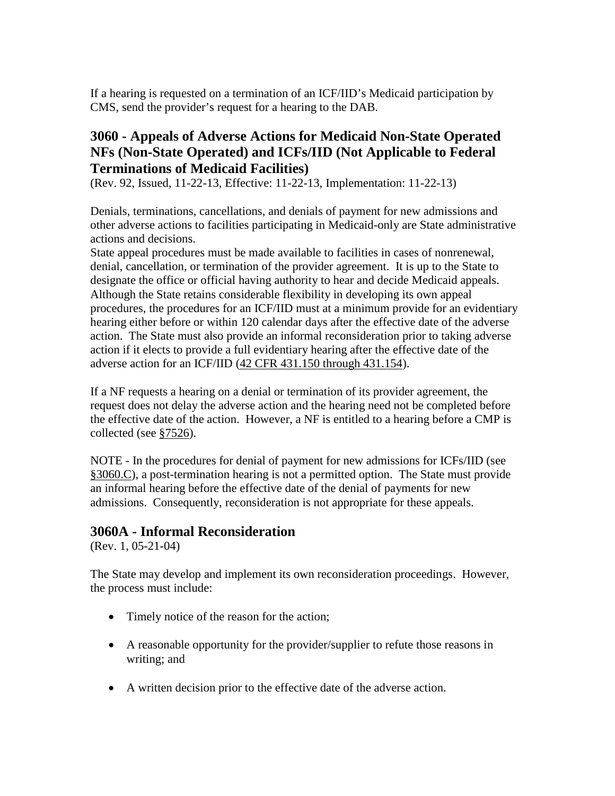If a hearing is requested on a termination of an ICF/IID's Medicaid participation by CMS, send the provider's request for a hearing to the DAB.

### **3060 - Appeals of Adverse Actions for Medicaid Non-State Operated NFs (Non-State Operated) and ICFs/IID (Not Applicable to Federal Terminations of Medicaid Facilities)**

(Rev. 92, Issued, 11-22-13, Effective: 11-22-13, Implementation: 11-22-13)

Denials, terminations, cancellations, and denials of payment for new admissions and other adverse actions to facilities participating in Medicaid-only are State administrative actions and decisions.

State appeal procedures must be made available to facilities in cases of nonrenewal, denial, cancellation, or termination of the provider agreement. It is up to the State to designate the office or official having authority to hear and decide Medicaid appeals. Although the State retains considerable flexibility in developing its own appeal procedures, the procedures for an ICF/IID must at a minimum provide for an evidentiary hearing either before or within 120 calendar days after the effective date of the adverse action. The State must also provide an informal reconsideration prior to taking adverse action if it elects to provide a full evidentiary hearing after the effective date of the adverse action for an ICF/IID (42 CFR [431.150 through 431.154\)](http://www.cms.hhs.gov/regulations/).

If a NF requests a hearing on a denial or termination of its provider agreement, the request does not delay the adverse action and the hearing need not be completed before the effective date of the action. However, a NF is entitled to a hearing before a CMP is collected (see [§7526\)](http://www.cms.hhs.gov/manuals/107_som/som107c07.pdf).

NOTE - In the procedures for denial of payment for new admissions for ICFs/IID (see [§3060.C\)](#page-69-0), a post-termination hearing is not a permitted option. The State must provide an informal hearing before the effective date of the denial of payments for new admissions. Consequently, reconsideration is not appropriate for these appeals.

### **3060A - Informal Reconsideration**

(Rev. 1, 05-21-04)

The State may develop and implement its own reconsideration proceedings. However, the process must include:

- Timely notice of the reason for the action;
- A reasonable opportunity for the provider/supplier to refute those reasons in writing; and
- A written decision prior to the effective date of the adverse action.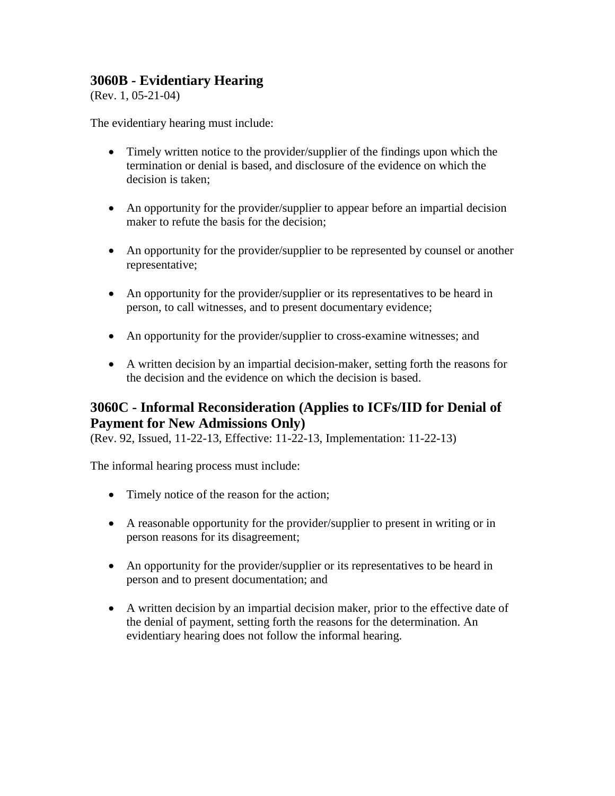### **3060B - Evidentiary Hearing**

(Rev. 1, 05-21-04)

The evidentiary hearing must include:

- Timely written notice to the provider/supplier of the findings upon which the termination or denial is based, and disclosure of the evidence on which the decision is taken;
- An opportunity for the provider/supplier to appear before an impartial decision maker to refute the basis for the decision;
- An opportunity for the provider/supplier to be represented by counsel or another representative;
- An opportunity for the provider/supplier or its representatives to be heard in person, to call witnesses, and to present documentary evidence;
- An opportunity for the provider/supplier to cross-examine witnesses; and
- A written decision by an impartial decision-maker, setting forth the reasons for the decision and the evidence on which the decision is based.

### <span id="page-69-0"></span>**3060C - Informal Reconsideration (Applies to ICFs/IID for Denial of Payment for New Admissions Only)**

(Rev. 92, Issued, 11-22-13, Effective: 11-22-13, Implementation: 11-22-13)

The informal hearing process must include:

- Timely notice of the reason for the action;
- A reasonable opportunity for the provider/supplier to present in writing or in person reasons for its disagreement;
- An opportunity for the provider/supplier or its representatives to be heard in person and to present documentation; and
- A written decision by an impartial decision maker, prior to the effective date of the denial of payment, setting forth the reasons for the determination. An evidentiary hearing does not follow the informal hearing.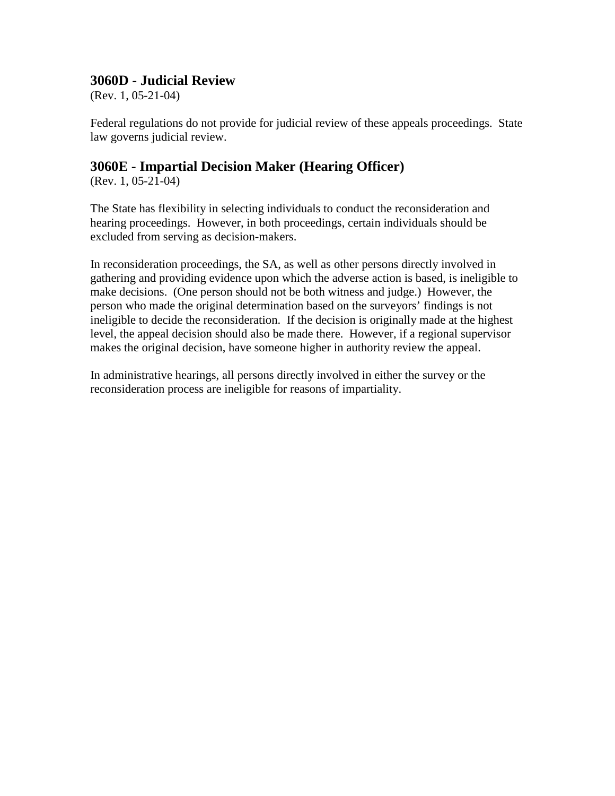### **3060D - Judicial Review**

(Rev. 1, 05-21-04)

Federal regulations do not provide for judicial review of these appeals proceedings. State law governs judicial review.

### **3060E - Impartial Decision Maker (Hearing Officer)**

(Rev. 1, 05-21-04)

The State has flexibility in selecting individuals to conduct the reconsideration and hearing proceedings. However, in both proceedings, certain individuals should be excluded from serving as decision-makers.

In reconsideration proceedings, the SA, as well as other persons directly involved in gathering and providing evidence upon which the adverse action is based, is ineligible to make decisions. (One person should not be both witness and judge.) However, the person who made the original determination based on the surveyors' findings is not ineligible to decide the reconsideration. If the decision is originally made at the highest level, the appeal decision should also be made there. However, if a regional supervisor makes the original decision, have someone higher in authority review the appeal.

In administrative hearings, all persons directly involved in either the survey or the reconsideration process are ineligible for reasons of impartiality.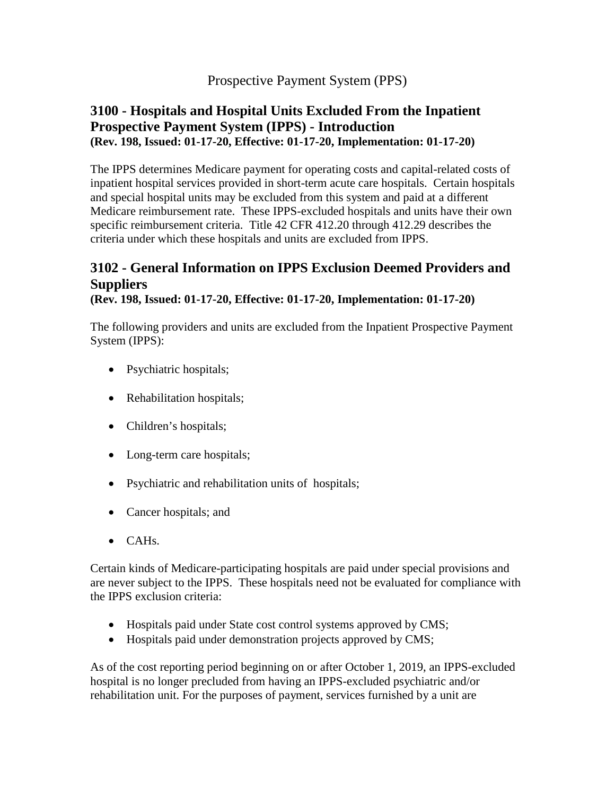### Prospective Payment System (PPS)

### **3100 - Hospitals and Hospital Units Excluded From the Inpatient Prospective Payment System (IPPS) - Introduction (Rev. 198, Issued: 01-17-20, Effective: 01-17-20, Implementation: 01-17-20)**

The IPPS determines Medicare payment for operating costs and capital-related costs of inpatient hospital services provided in short-term acute care hospitals. Certain hospitals and special hospital units may be excluded from this system and paid at a different Medicare reimbursement rate. These IPPS-excluded hospitals and units have their own specific reimbursement criteria. Title 42 CFR 412.20 through 412.29 describes the criteria under which these hospitals and units are excluded from IPPS.

# **3102 - General Information on IPPS Exclusion Deemed Providers and Suppliers**

**(Rev. 198, Issued: 01-17-20, Effective: 01-17-20, Implementation: 01-17-20)**

The following providers and units are excluded from the Inpatient Prospective Payment System (IPPS):

- Psychiatric hospitals;
- Rehabilitation hospitals;
- Children's hospitals;
- Long-term care hospitals;
- Psychiatric and rehabilitation units of hospitals;
- Cancer hospitals; and
- CAHs.

Certain kinds of Medicare-participating hospitals are paid under special provisions and are never subject to the IPPS. These hospitals need not be evaluated for compliance with the IPPS exclusion criteria:

- Hospitals paid under State cost control systems approved by CMS;
- Hospitals paid under demonstration projects approved by CMS;

As of the cost reporting period beginning on or after October 1, 2019, an IPPS-excluded hospital is no longer precluded from having an IPPS-excluded psychiatric and/or rehabilitation unit. For the purposes of payment, services furnished by a unit are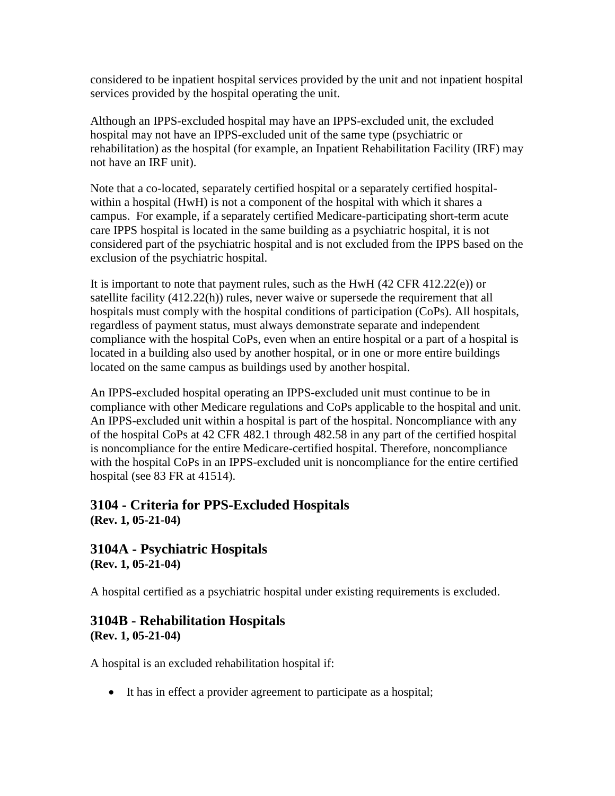considered to be inpatient hospital services provided by the unit and not inpatient hospital services provided by the hospital operating the unit.

Although an IPPS-excluded hospital may have an IPPS-excluded unit, the excluded hospital may not have an IPPS-excluded unit of the same type (psychiatric or rehabilitation) as the hospital (for example, an Inpatient Rehabilitation Facility (IRF) may not have an IRF unit).

Note that a co-located, separately certified hospital or a separately certified hospitalwithin a hospital (HwH) is not a component of the hospital with which it shares a campus. For example, if a separately certified Medicare-participating short-term acute care IPPS hospital is located in the same building as a psychiatric hospital, it is not considered part of the psychiatric hospital and is not excluded from the IPPS based on the exclusion of the psychiatric hospital.

It is important to note that payment rules, such as the HwH  $(42$  CFR  $412.22(e)$ ) or satellite facility (412.22(h)) rules, never waive or supersede the requirement that all hospitals must comply with the hospital conditions of participation (CoPs). All hospitals, regardless of payment status, must always demonstrate separate and independent compliance with the hospital CoPs, even when an entire hospital or a part of a hospital is located in a building also used by another hospital, or in one or more entire buildings located on the same campus as buildings used by another hospital.

An IPPS-excluded hospital operating an IPPS-excluded unit must continue to be in compliance with other Medicare regulations and CoPs applicable to the hospital and unit. An IPPS-excluded unit within a hospital is part of the hospital. Noncompliance with any of the hospital CoPs at 42 CFR 482.1 through 482.58 in any part of the certified hospital is noncompliance for the entire Medicare-certified hospital. Therefore, noncompliance with the hospital CoPs in an IPPS-excluded unit is noncompliance for the entire certified hospital (see 83 FR at 41514).

## <span id="page-72-1"></span>**3104 - Criteria for PPS-Excluded Hospitals (Rev. 1, 05-21-04)**

#### **3104A - Psychiatric Hospitals (Rev. 1, 05-21-04)**

A hospital certified as a psychiatric hospital under existing requirements is excluded.

#### <span id="page-72-0"></span>**3104B - Rehabilitation Hospitals (Rev. 1, 05-21-04)**

A hospital is an excluded rehabilitation hospital if:

• It has in effect a provider agreement to participate as a hospital;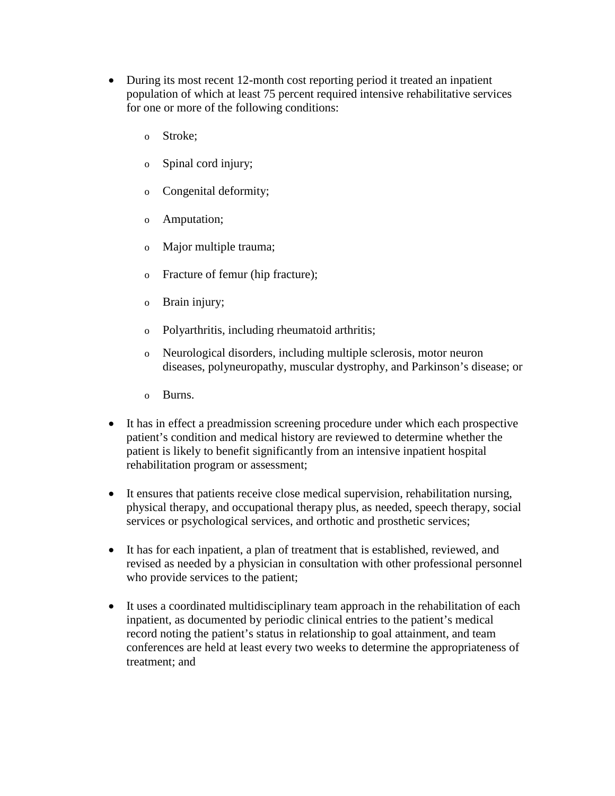- During its most recent 12-month cost reporting period it treated an inpatient population of which at least 75 percent required intensive rehabilitative services for one or more of the following conditions:
	- o Stroke;
	- o Spinal cord injury;
	- o Congenital deformity;
	- o Amputation;
	- o Major multiple trauma;
	- o Fracture of femur (hip fracture);
	- o Brain injury;
	- o Polyarthritis, including rheumatoid arthritis;
	- o Neurological disorders, including multiple sclerosis, motor neuron diseases, polyneuropathy, muscular dystrophy, and Parkinson's disease; or
	- o Burns.
- It has in effect a preadmission screening procedure under which each prospective patient's condition and medical history are reviewed to determine whether the patient is likely to benefit significantly from an intensive inpatient hospital rehabilitation program or assessment;
- It ensures that patients receive close medical supervision, rehabilitation nursing, physical therapy, and occupational therapy plus, as needed, speech therapy, social services or psychological services, and orthotic and prosthetic services;
- It has for each inpatient, a plan of treatment that is established, reviewed, and revised as needed by a physician in consultation with other professional personnel who provide services to the patient;
- It uses a coordinated multidisciplinary team approach in the rehabilitation of each inpatient, as documented by periodic clinical entries to the patient's medical record noting the patient's status in relationship to goal attainment, and team conferences are held at least every two weeks to determine the appropriateness of treatment; and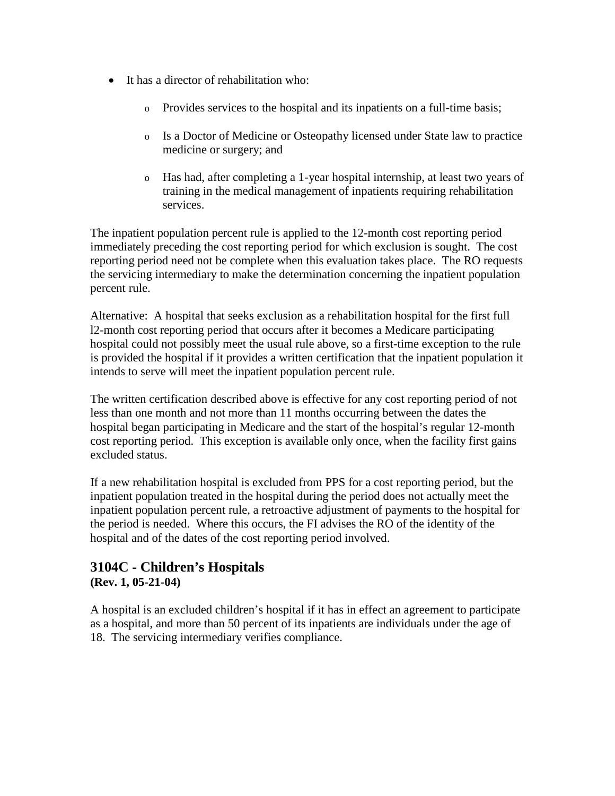- It has a director of rehabilitation who:
	- o Provides services to the hospital and its inpatients on a full-time basis;
	- o Is a Doctor of Medicine or Osteopathy licensed under State law to practice medicine or surgery; and
	- o Has had, after completing a 1-year hospital internship, at least two years of training in the medical management of inpatients requiring rehabilitation services.

The inpatient population percent rule is applied to the 12-month cost reporting period immediately preceding the cost reporting period for which exclusion is sought. The cost reporting period need not be complete when this evaluation takes place. The RO requests the servicing intermediary to make the determination concerning the inpatient population percent rule.

Alternative: A hospital that seeks exclusion as a rehabilitation hospital for the first full l2-month cost reporting period that occurs after it becomes a Medicare participating hospital could not possibly meet the usual rule above, so a first-time exception to the rule is provided the hospital if it provides a written certification that the inpatient population it intends to serve will meet the inpatient population percent rule.

The written certification described above is effective for any cost reporting period of not less than one month and not more than 11 months occurring between the dates the hospital began participating in Medicare and the start of the hospital's regular 12-month cost reporting period. This exception is available only once, when the facility first gains excluded status.

If a new rehabilitation hospital is excluded from PPS for a cost reporting period, but the inpatient population treated in the hospital during the period does not actually meet the inpatient population percent rule, a retroactive adjustment of payments to the hospital for the period is needed. Where this occurs, the FI advises the RO of the identity of the hospital and of the dates of the cost reporting period involved.

#### **3104C - Children's Hospitals (Rev. 1, 05-21-04)**

<span id="page-74-0"></span>A hospital is an excluded children's hospital if it has in effect an agreement to participate as a hospital, and more than 50 percent of its inpatients are individuals under the age of 18. The servicing intermediary verifies compliance.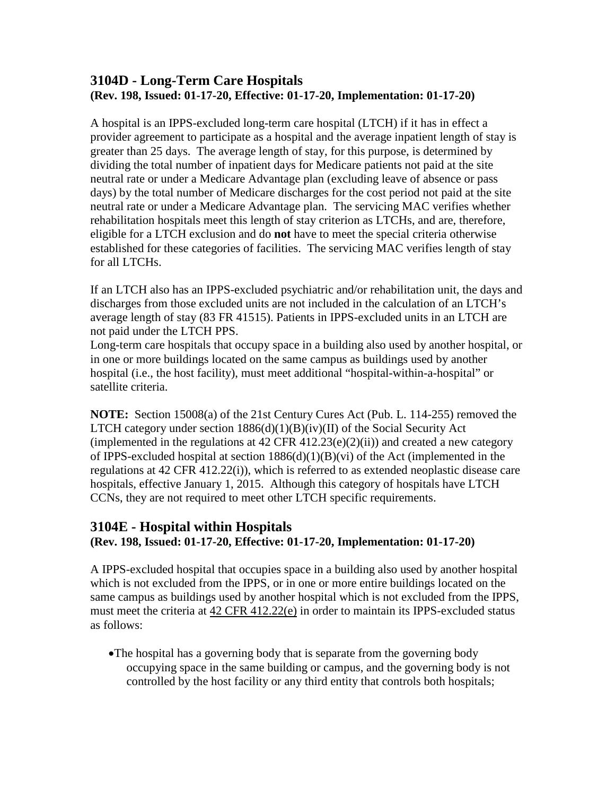#### **3104D - Long-Term Care Hospitals (Rev. 198, Issued: 01-17-20, Effective: 01-17-20, Implementation: 01-17-20)**

A hospital is an IPPS-excluded long-term care hospital (LTCH) if it has in effect a provider agreement to participate as a hospital and the average inpatient length of stay is greater than 25 days. The average length of stay, for this purpose, is determined by dividing the total number of inpatient days for Medicare patients not paid at the site neutral rate or under a Medicare Advantage plan (excluding leave of absence or pass days) by the total number of Medicare discharges for the cost period not paid at the site neutral rate or under a Medicare Advantage plan. The servicing MAC verifies whether rehabilitation hospitals meet this length of stay criterion as LTCHs, and are, therefore, eligible for a LTCH exclusion and do **not** have to meet the special criteria otherwise established for these categories of facilities. The servicing MAC verifies length of stay for all LTCHs.

If an LTCH also has an IPPS-excluded psychiatric and/or rehabilitation unit, the days and discharges from those excluded units are not included in the calculation of an LTCH's average length of stay (83 FR 41515). Patients in IPPS-excluded units in an LTCH are not paid under the LTCH PPS.

Long-term care hospitals that occupy space in a building also used by another hospital, or in one or more buildings located on the same campus as buildings used by another hospital (i.e., the host facility), must meet additional "hospital-within-a-hospital" or satellite criteria.

**NOTE:** Section 15008(a) of the 21st Century Cures Act (Pub. L. 114-255) removed the LTCH category under section  $1886(d)(1)(B)(iv)(II)$  of the Social Security Act (implemented in the regulations at  $42$  CFR  $412.23(e)(2)(ii)$ ) and created a new category of IPPS-excluded hospital at section 1886(d)(1)(B)(vi) of the Act (implemented in the regulations at 42 CFR 412.22(i)), which is referred to as extended neoplastic disease care hospitals, effective January 1, 2015. Although this category of hospitals have LTCH CCNs, they are not required to meet other LTCH specific requirements.

# **3104E - Hospital within Hospitals**

#### **(Rev. 198, Issued: 01-17-20, Effective: 01-17-20, Implementation: 01-17-20)**

A IPPS-excluded hospital that occupies space in a building also used by another hospital which is not excluded from the IPPS, or in one or more entire buildings located on the same campus as buildings used by another hospital which is not excluded from the IPPS, must meet the criteria at [42 CFR 412.22\(e\)](http://www.cms.hhs.gov/regulations/) in order to maintain its IPPS-excluded status as follows:

•The hospital has a governing body that is separate from the governing body occupying space in the same building or campus, and the governing body is not controlled by the host facility or any third entity that controls both hospitals;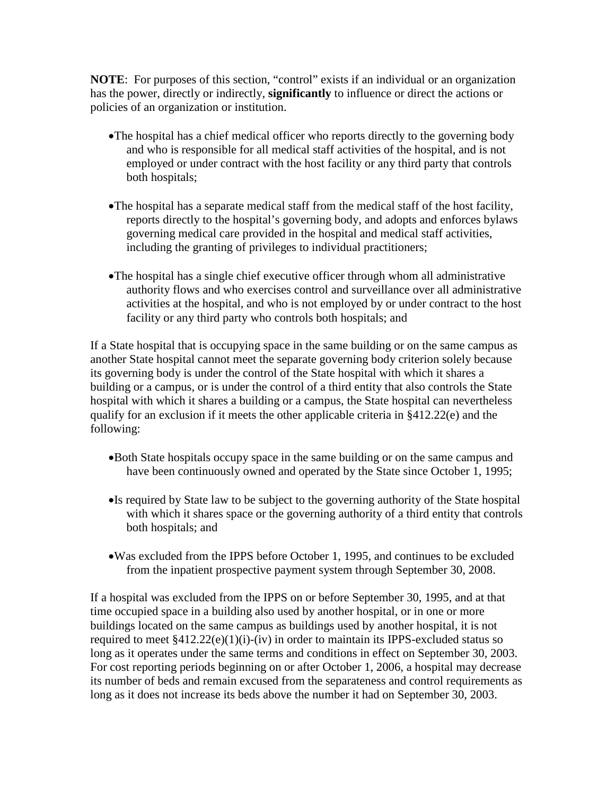**NOTE:** For purposes of this section, "control" exists if an individual or an organization has the power, directly or indirectly, **significantly** to influence or direct the actions or policies of an organization or institution.

- •The hospital has a chief medical officer who reports directly to the governing body and who is responsible for all medical staff activities of the hospital, and is not employed or under contract with the host facility or any third party that controls both hospitals;
- •The hospital has a separate medical staff from the medical staff of the host facility, reports directly to the hospital's governing body, and adopts and enforces bylaws governing medical care provided in the hospital and medical staff activities, including the granting of privileges to individual practitioners;
- •The hospital has a single chief executive officer through whom all administrative authority flows and who exercises control and surveillance over all administrative activities at the hospital, and who is not employed by or under contract to the host facility or any third party who controls both hospitals; and

If a State hospital that is occupying space in the same building or on the same campus as another State hospital cannot meet the separate governing body criterion solely because its governing body is under the control of the State hospital with which it shares a building or a campus, or is under the control of a third entity that also controls the State hospital with which it shares a building or a campus, the State hospital can nevertheless qualify for an exclusion if it meets the other applicable criteria in §412.22(e) and the following:

- •Both State hospitals occupy space in the same building or on the same campus and have been continuously owned and operated by the State since October 1, 1995;
- •Is required by State law to be subject to the governing authority of the State hospital with which it shares space or the governing authority of a third entity that controls both hospitals; and
- •Was excluded from the IPPS before October 1, 1995, and continues to be excluded from the inpatient prospective payment system through September 30, 2008.

If a hospital was excluded from the IPPS on or before September 30, 1995, and at that time occupied space in a building also used by another hospital, or in one or more buildings located on the same campus as buildings used by another hospital, it is not required to meet  $§412.22(e)(1)(i)-(iv)$  in order to maintain its IPPS-excluded status so long as it operates under the same terms and conditions in effect on September 30, 2003. For cost reporting periods beginning on or after October 1, 2006, a hospital may decrease its number of beds and remain excused from the separateness and control requirements as long as it does not increase its beds above the number it had on September 30, 2003.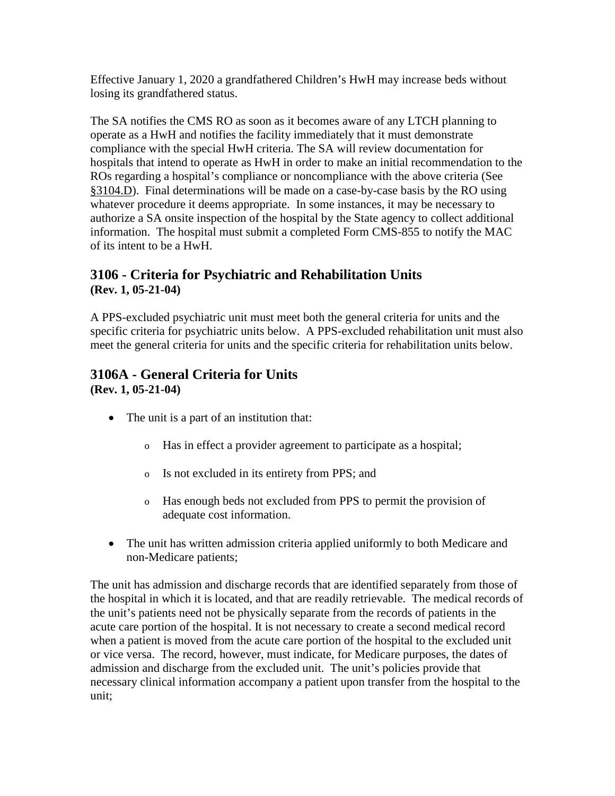Effective January 1, 2020 a grandfathered Children's HwH may increase beds without losing its grandfathered status.

The SA notifies the CMS RO as soon as it becomes aware of any LTCH planning to operate as a HwH and notifies the facility immediately that it must demonstrate compliance with the special HwH criteria. The SA will review documentation for hospitals that intend to operate as HwH in order to make an initial recommendation to the ROs regarding a hospital's compliance or noncompliance with the above criteria (See [§3104.D\)](#page-74-0). Final determinations will be made on a case-by-case basis by the RO using whatever procedure it deems appropriate. In some instances, it may be necessary to authorize a SA onsite inspection of the hospital by the State agency to collect additional information. The hospital must submit a completed Form CMS-855 to notify the MAC of its intent to be a HwH.

### <span id="page-77-1"></span>**3106 - Criteria for Psychiatric and Rehabilitation Units (Rev. 1, 05-21-04)**

A PPS-excluded psychiatric unit must meet both the general criteria for units and the specific criteria for psychiatric units below. A PPS-excluded rehabilitation unit must also meet the general criteria for units and the specific criteria for rehabilitation units below.

#### <span id="page-77-0"></span>**3106A - General Criteria for Units (Rev. 1, 05-21-04)**

- The unit is a part of an institution that:
	- o Has in effect a provider agreement to participate as a hospital;
	- o Is not excluded in its entirety from PPS; and
	- o Has enough beds not excluded from PPS to permit the provision of adequate cost information.
- The unit has written admission criteria applied uniformly to both Medicare and non-Medicare patients;

The unit has admission and discharge records that are identified separately from those of the hospital in which it is located, and that are readily retrievable. The medical records of the unit's patients need not be physically separate from the records of patients in the acute care portion of the hospital. It is not necessary to create a second medical record when a patient is moved from the acute care portion of the hospital to the excluded unit or vice versa. The record, however, must indicate, for Medicare purposes, the dates of admission and discharge from the excluded unit. The unit's policies provide that necessary clinical information accompany a patient upon transfer from the hospital to the unit;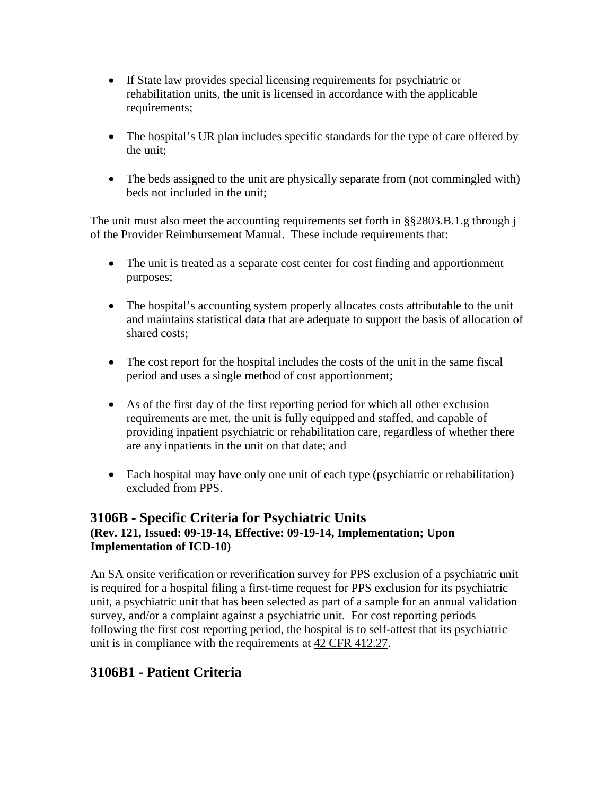- If State law provides special licensing requirements for psychiatric or rehabilitation units, the unit is licensed in accordance with the applicable requirements;
- The hospital's UR plan includes specific standards for the type of care offered by the unit;
- The beds assigned to the unit are physically separate from (not commingled with) beds not included in the unit;

The unit must also meet the accounting requirements set forth in §§2803.B.1.g through j of the [Provider Reimbursement Manual.](http://www.cms.hhs.gov/manuals/cmsindex.asp) These include requirements that:

- The unit is treated as a separate cost center for cost finding and apportionment purposes;
- The hospital's accounting system properly allocates costs attributable to the unit and maintains statistical data that are adequate to support the basis of allocation of shared costs;
- The cost report for the hospital includes the costs of the unit in the same fiscal period and uses a single method of cost apportionment;
- As of the first day of the first reporting period for which all other exclusion requirements are met, the unit is fully equipped and staffed, and capable of providing inpatient psychiatric or rehabilitation care, regardless of whether there are any inpatients in the unit on that date; and
- Each hospital may have only one unit of each type (psychiatric or rehabilitation) excluded from PPS.

#### **3106B - Specific Criteria for Psychiatric Units (Rev. 121, Issued: 09-19-14, Effective: 09-19-14, Implementation; Upon Implementation of ICD-10)**

An SA onsite verification or reverification survey for PPS exclusion of a psychiatric unit is required for a hospital filing a first-time request for PPS exclusion for its psychiatric unit, a psychiatric unit that has been selected as part of a sample for an annual validation survey, and/or a complaint against a psychiatric unit. For cost reporting periods following the first cost reporting period, the hospital is to self-attest that its psychiatric unit is in compliance with the requirements at [42 CFR 412.27.](http://www.cms.hhs.gov/regulations/)

# **3106B1 - Patient Criteria**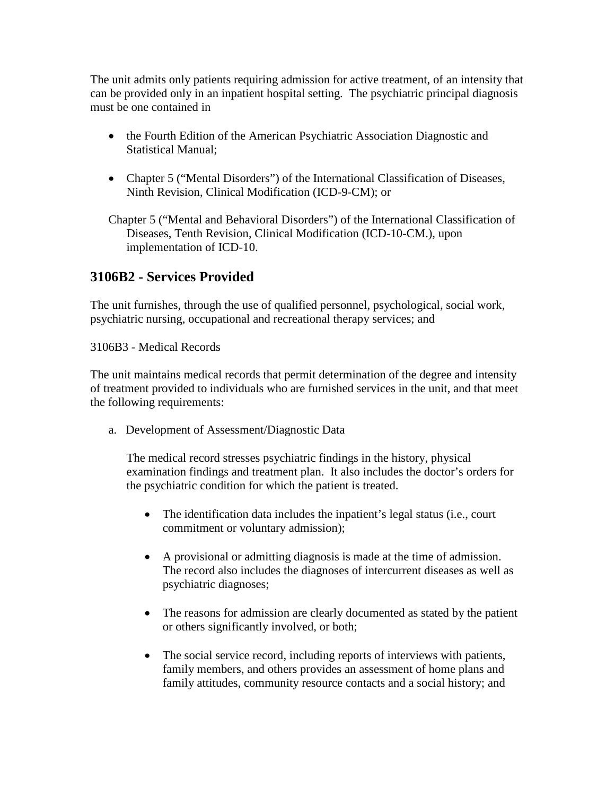The unit admits only patients requiring admission for active treatment, of an intensity that can be provided only in an inpatient hospital setting. The psychiatric principal diagnosis must be one contained in

- the Fourth Edition of the American Psychiatric Association Diagnostic and Statistical Manual;
- Chapter 5 ("Mental Disorders") of the International Classification of Diseases, Ninth Revision, Clinical Modification (ICD-9-CM); or

Chapter 5 ("Mental and Behavioral Disorders") of the International Classification of Diseases, Tenth Revision, Clinical Modification (ICD-10-CM.), upon implementation of ICD-10.

## **3106B2 - Services Provided**

The unit furnishes, through the use of qualified personnel, psychological, social work, psychiatric nursing, occupational and recreational therapy services; and

3106B3 - Medical Records

The unit maintains medical records that permit determination of the degree and intensity of treatment provided to individuals who are furnished services in the unit, and that meet the following requirements:

a. Development of Assessment/Diagnostic Data

The medical record stresses psychiatric findings in the history, physical examination findings and treatment plan. It also includes the doctor's orders for the psychiatric condition for which the patient is treated.

- The identification data includes the inpatient's legal status (i.e., court commitment or voluntary admission);
- A provisional or admitting diagnosis is made at the time of admission. The record also includes the diagnoses of intercurrent diseases as well as psychiatric diagnoses;
- The reasons for admission are clearly documented as stated by the patient or others significantly involved, or both;
- The social service record, including reports of interviews with patients, family members, and others provides an assessment of home plans and family attitudes, community resource contacts and a social history; and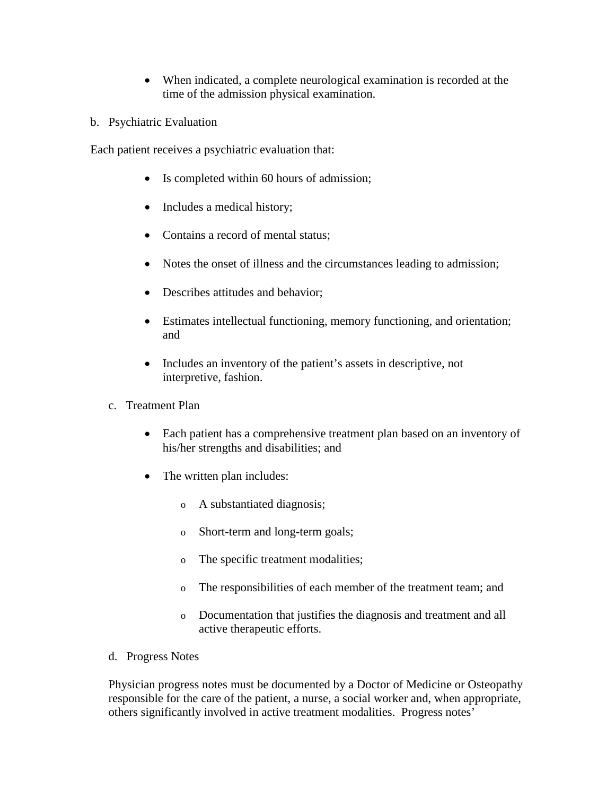- When indicated, a complete neurological examination is recorded at the time of the admission physical examination.
- b. Psychiatric Evaluation

Each patient receives a psychiatric evaluation that:

- Is completed within 60 hours of admission;
- Includes a medical history;
- Contains a record of mental status;
- Notes the onset of illness and the circumstances leading to admission;
- Describes attitudes and behavior;
- Estimates intellectual functioning, memory functioning, and orientation; and
- Includes an inventory of the patient's assets in descriptive, not interpretive, fashion.
- c. Treatment Plan
	- Each patient has a comprehensive treatment plan based on an inventory of his/her strengths and disabilities; and
	- The written plan includes:
		- o A substantiated diagnosis;
		- o Short-term and long-term goals;
		- o The specific treatment modalities;
		- o The responsibilities of each member of the treatment team; and
		- o Documentation that justifies the diagnosis and treatment and all active therapeutic efforts.
- d. Progress Notes

Physician progress notes must be documented by a Doctor of Medicine or Osteopathy responsible for the care of the patient, a nurse, a social worker and, when appropriate, others significantly involved in active treatment modalities. Progress notes'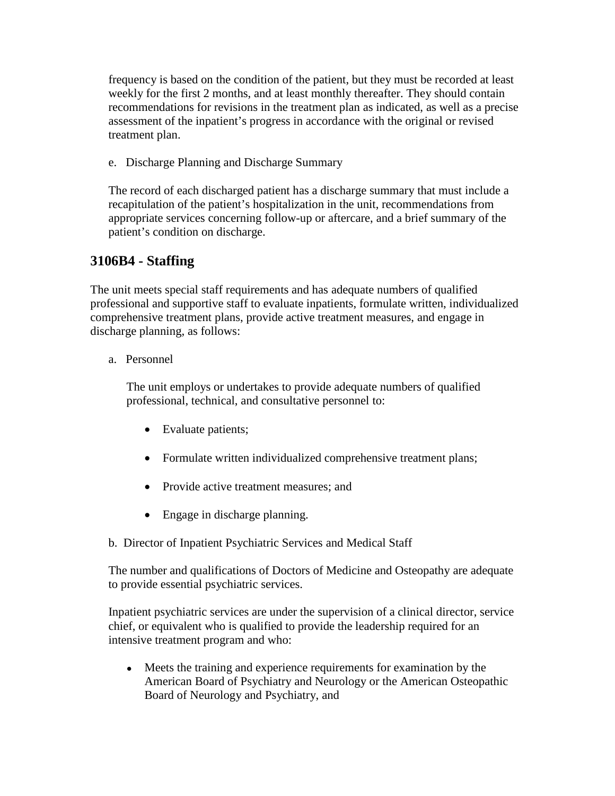frequency is based on the condition of the patient, but they must be recorded at least weekly for the first 2 months, and at least monthly thereafter. They should contain recommendations for revisions in the treatment plan as indicated, as well as a precise assessment of the inpatient's progress in accordance with the original or revised treatment plan.

e. Discharge Planning and Discharge Summary

The record of each discharged patient has a discharge summary that must include a recapitulation of the patient's hospitalization in the unit, recommendations from appropriate services concerning follow-up or aftercare, and a brief summary of the patient's condition on discharge.

# **3106B4 - Staffing**

The unit meets special staff requirements and has adequate numbers of qualified professional and supportive staff to evaluate inpatients, formulate written, individualized comprehensive treatment plans, provide active treatment measures, and engage in discharge planning, as follows:

#### a. Personnel

The unit employs or undertakes to provide adequate numbers of qualified professional, technical, and consultative personnel to:

- Evaluate patients;
- Formulate written individualized comprehensive treatment plans;
- Provide active treatment measures; and
- Engage in discharge planning.
- b. Director of Inpatient Psychiatric Services and Medical Staff

The number and qualifications of Doctors of Medicine and Osteopathy are adequate to provide essential psychiatric services.

Inpatient psychiatric services are under the supervision of a clinical director, service chief, or equivalent who is qualified to provide the leadership required for an intensive treatment program and who:

• Meets the training and experience requirements for examination by the American Board of Psychiatry and Neurology or the American Osteopathic Board of Neurology and Psychiatry, and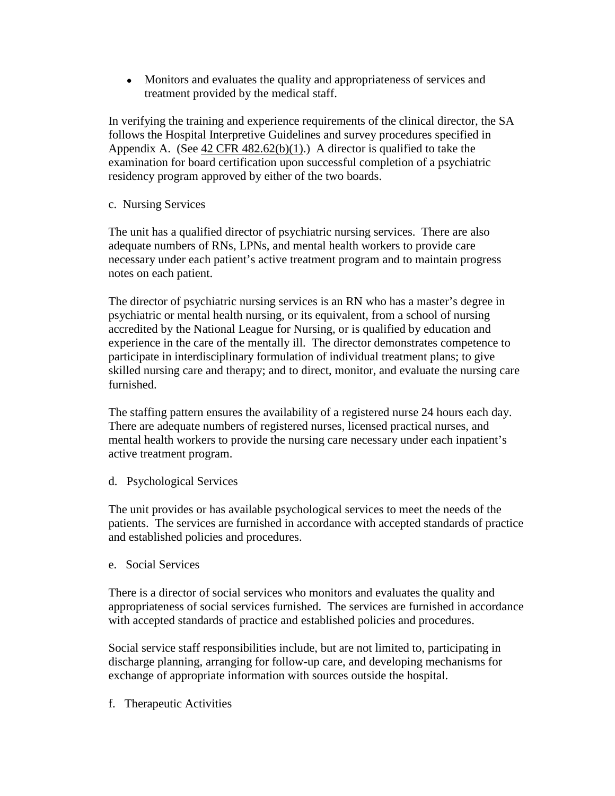• Monitors and evaluates the quality and appropriateness of services and treatment provided by the medical staff.

In verifying the training and experience requirements of the clinical director, the SA follows the Hospital Interpretive Guidelines and survey procedures specified in Appendix A. (See  $42 \text{ CFR } 482.62(b)(1)$ .) A director is qualified to take the examination for board certification upon successful completion of a psychiatric residency program approved by either of the two boards.

c. Nursing Services

The unit has a qualified director of psychiatric nursing services. There are also adequate numbers of RNs, LPNs, and mental health workers to provide care necessary under each patient's active treatment program and to maintain progress notes on each patient.

The director of psychiatric nursing services is an RN who has a master's degree in psychiatric or mental health nursing, or its equivalent, from a school of nursing accredited by the National League for Nursing, or is qualified by education and experience in the care of the mentally ill. The director demonstrates competence to participate in interdisciplinary formulation of individual treatment plans; to give skilled nursing care and therapy; and to direct, monitor, and evaluate the nursing care furnished.

The staffing pattern ensures the availability of a registered nurse 24 hours each day. There are adequate numbers of registered nurses, licensed practical nurses, and mental health workers to provide the nursing care necessary under each inpatient's active treatment program.

d. Psychological Services

The unit provides or has available psychological services to meet the needs of the patients. The services are furnished in accordance with accepted standards of practice and established policies and procedures.

e. Social Services

There is a director of social services who monitors and evaluates the quality and appropriateness of social services furnished. The services are furnished in accordance with accepted standards of practice and established policies and procedures.

Social service staff responsibilities include, but are not limited to, participating in discharge planning, arranging for follow-up care, and developing mechanisms for exchange of appropriate information with sources outside the hospital.

f. Therapeutic Activities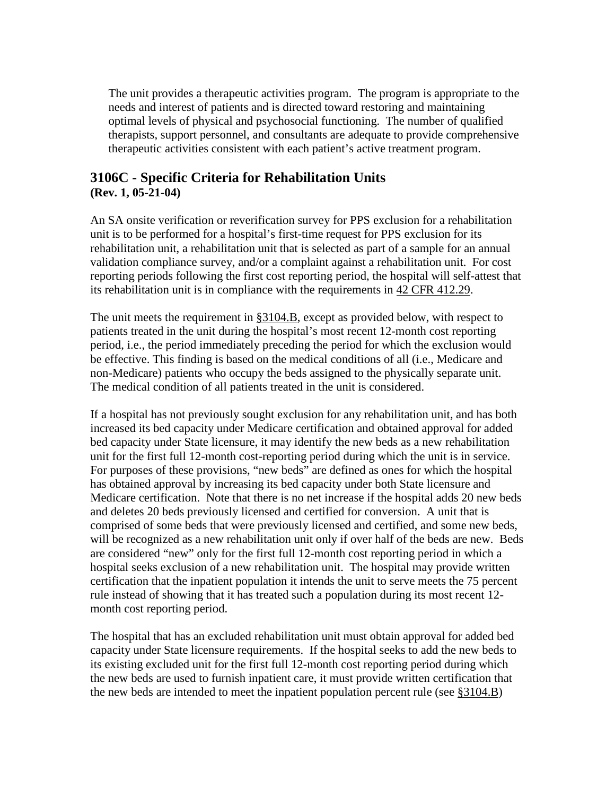The unit provides a therapeutic activities program. The program is appropriate to the needs and interest of patients and is directed toward restoring and maintaining optimal levels of physical and psychosocial functioning. The number of qualified therapists, support personnel, and consultants are adequate to provide comprehensive therapeutic activities consistent with each patient's active treatment program.

#### <span id="page-83-0"></span>**3106C - Specific Criteria for Rehabilitation Units (Rev. 1, 05-21-04)**

An SA onsite verification or reverification survey for PPS exclusion for a rehabilitation unit is to be performed for a hospital's first-time request for PPS exclusion for its rehabilitation unit, a rehabilitation unit that is selected as part of a sample for an annual validation compliance survey, and/or a complaint against a rehabilitation unit. For cost reporting periods following the first cost reporting period, the hospital will self-attest that its rehabilitation unit is in compliance with the requirements in [42 CFR 412.29.](http://www.cms.hhs.gov/regulations/)

The unit meets the requirement in [§3104.B,](#page-72-0) except as provided below, with respect to patients treated in the unit during the hospital's most recent 12-month cost reporting period, i.e., the period immediately preceding the period for which the exclusion would be effective. This finding is based on the medical conditions of all (i.e., Medicare and non-Medicare) patients who occupy the beds assigned to the physically separate unit. The medical condition of all patients treated in the unit is considered.

If a hospital has not previously sought exclusion for any rehabilitation unit, and has both increased its bed capacity under Medicare certification and obtained approval for added bed capacity under State licensure, it may identify the new beds as a new rehabilitation unit for the first full 12-month cost-reporting period during which the unit is in service. For purposes of these provisions, "new beds" are defined as ones for which the hospital has obtained approval by increasing its bed capacity under both State licensure and Medicare certification. Note that there is no net increase if the hospital adds 20 new beds and deletes 20 beds previously licensed and certified for conversion. A unit that is comprised of some beds that were previously licensed and certified, and some new beds, will be recognized as a new rehabilitation unit only if over half of the beds are new. Beds are considered "new" only for the first full 12-month cost reporting period in which a hospital seeks exclusion of a new rehabilitation unit. The hospital may provide written certification that the inpatient population it intends the unit to serve meets the 75 percent rule instead of showing that it has treated such a population during its most recent 12 month cost reporting period.

The hospital that has an excluded rehabilitation unit must obtain approval for added bed capacity under State licensure requirements. If the hospital seeks to add the new beds to its existing excluded unit for the first full 12-month cost reporting period during which the new beds are used to furnish inpatient care, it must provide written certification that the new beds are intended to meet the inpatient population percent rule (see [§3104.B\)](#page-72-0)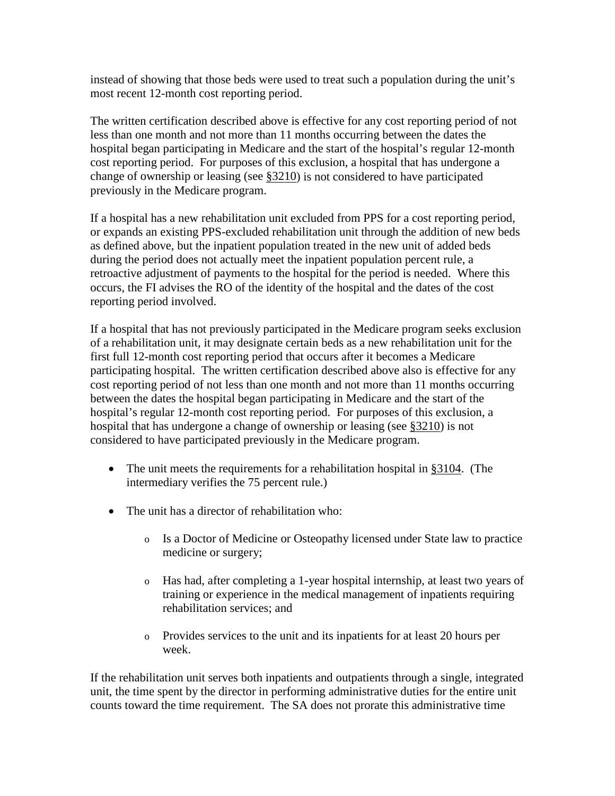instead of showing that those beds were used to treat such a population during the unit's most recent 12-month cost reporting period.

The written certification described above is effective for any cost reporting period of not less than one month and not more than 11 months occurring between the dates the hospital began participating in Medicare and the start of the hospital's regular 12-month cost reporting period. For purposes of this exclusion, a hospital that has undergone a change of ownership or leasing (see [§3210\)](http://www.cms.hhs.gov/manuals/107_som/som107c03.pdf) is not considered to have participated previously in the Medicare program.

If a hospital has a new rehabilitation unit excluded from PPS for a cost reporting period, or expands an existing PPS-excluded rehabilitation unit through the addition of new beds as defined above, but the inpatient population treated in the new unit of added beds during the period does not actually meet the inpatient population percent rule, a retroactive adjustment of payments to the hospital for the period is needed. Where this occurs, the FI advises the RO of the identity of the hospital and the dates of the cost reporting period involved.

If a hospital that has not previously participated in the Medicare program seeks exclusion of a rehabilitation unit, it may designate certain beds as a new rehabilitation unit for the first full 12-month cost reporting period that occurs after it becomes a Medicare participating hospital. The written certification described above also is effective for any cost reporting period of not less than one month and not more than 11 months occurring between the dates the hospital began participating in Medicare and the start of the hospital's regular 12-month cost reporting period. For purposes of this exclusion, a hospital that has undergone a change of ownership or leasing (see [§3210\)](http://www.cms.hhs.gov/manuals/107_som/som107c03.pdf) is not considered to have participated previously in the Medicare program.

- The unit meets the requirements for a rehabilitation hospital in [§3104.](#page-72-1) (The intermediary verifies the 75 percent rule.)
- The unit has a director of rehabilitation who:
	- o Is a Doctor of Medicine or Osteopathy licensed under State law to practice medicine or surgery;
	- o Has had, after completing a 1-year hospital internship, at least two years of training or experience in the medical management of inpatients requiring rehabilitation services; and
	- o Provides services to the unit and its inpatients for at least 20 hours per week.

If the rehabilitation unit serves both inpatients and outpatients through a single, integrated unit, the time spent by the director in performing administrative duties for the entire unit counts toward the time requirement. The SA does not prorate this administrative time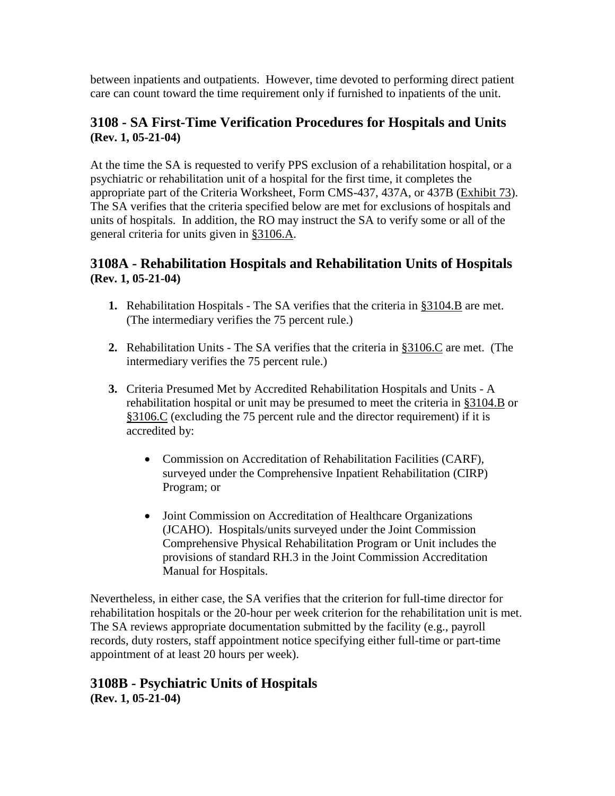between inpatients and outpatients. However, time devoted to performing direct patient care can count toward the time requirement only if furnished to inpatients of the unit.

### <span id="page-85-0"></span>**3108 - SA First-Time Verification Procedures for Hospitals and Units (Rev. 1, 05-21-04)**

At the time the SA is requested to verify PPS exclusion of a rehabilitation hospital, or a psychiatric or rehabilitation unit of a hospital for the first time, it completes the appropriate part of the Criteria Worksheet, Form CMS-437, 437A, or 437B [\(Exhibit 73\)](http://www.cms.hhs.gov/manuals/107_som/som107c09_exhibitstoc.asp). The SA verifies that the criteria specified below are met for exclusions of hospitals and units of hospitals. In addition, the RO may instruct the SA to verify some or all of the general criteria for units given in [§3106.A.](#page-77-0)

### **3108A - Rehabilitation Hospitals and Rehabilitation Units of Hospitals (Rev. 1, 05-21-04)**

- **1.** Rehabilitation Hospitals The SA verifies that the criteria in  $\S3104.B$  are met. (The intermediary verifies the 75 percent rule.)
- **2.** Rehabilitation Units The SA verifies that the criteria in [§3106.C](#page-83-0) are met. (The intermediary verifies the 75 percent rule.)
- **3.** Criteria Presumed Met by Accredited Rehabilitation Hospitals and Units A rehabilitation hospital or unit may be presumed to meet the criteria in [§3104.B](#page-72-0) or [§3106.C](#page-83-0) (excluding the 75 percent rule and the director requirement) if it is accredited by:
	- Commission on Accreditation of Rehabilitation Facilities (CARF), surveyed under the Comprehensive Inpatient Rehabilitation (CIRP) Program; or
	- Joint Commission on Accreditation of Healthcare Organizations (JCAHO). Hospitals/units surveyed under the Joint Commission Comprehensive Physical Rehabilitation Program or Unit includes the provisions of standard RH.3 in the Joint Commission Accreditation Manual for Hospitals.

Nevertheless, in either case, the SA verifies that the criterion for full-time director for rehabilitation hospitals or the 20-hour per week criterion for the rehabilitation unit is met. The SA reviews appropriate documentation submitted by the facility (e.g., payroll records, duty rosters, staff appointment notice specifying either full-time or part-time appointment of at least 20 hours per week).

# **3108B - Psychiatric Units of Hospitals**

**(Rev. 1, 05-21-04)**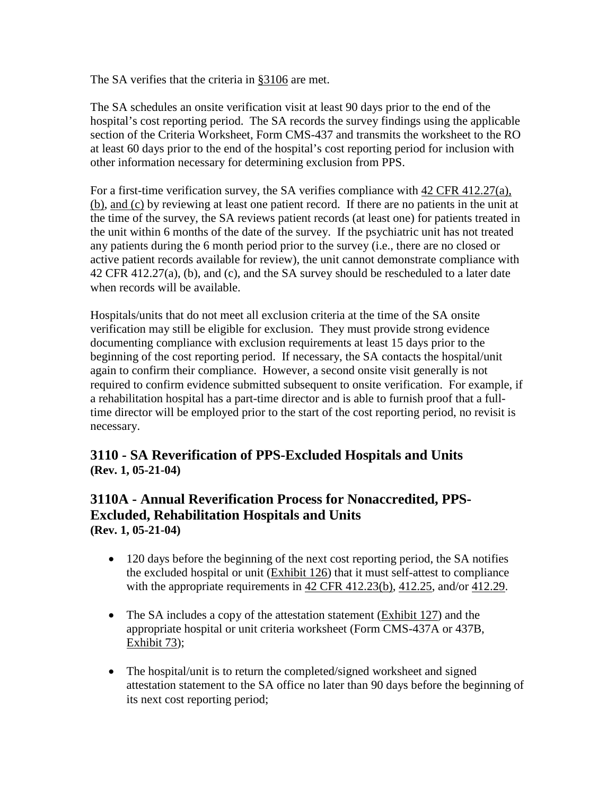The SA verifies that the criteria in [§3106](#page-77-1) are met.

The SA schedules an onsite verification visit at least 90 days prior to the end of the hospital's cost reporting period. The SA records the survey findings using the applicable section of the Criteria Worksheet, Form CMS-437 and transmits the worksheet to the RO at least 60 days prior to the end of the hospital's cost reporting period for inclusion with other information necessary for determining exclusion from PPS.

For a first-time verification survey, the SA verifies compliance with [42 CFR 412.27\(a\),](http://www.cms.hhs.gov/regulations/)  [\(b\), and \(c\)](http://www.cms.hhs.gov/regulations/) by reviewing at least one patient record. If there are no patients in the unit at the time of the survey, the SA reviews patient records (at least one) for patients treated in the unit within 6 months of the date of the survey. If the psychiatric unit has not treated any patients during the 6 month period prior to the survey (i.e., there are no closed or active patient records available for review), the unit cannot demonstrate compliance with 42 CFR 412.27(a), (b), and (c), and the SA survey should be rescheduled to a later date when records will be available.

Hospitals/units that do not meet all exclusion criteria at the time of the SA onsite verification may still be eligible for exclusion. They must provide strong evidence documenting compliance with exclusion requirements at least 15 days prior to the beginning of the cost reporting period. If necessary, the SA contacts the hospital/unit again to confirm their compliance. However, a second onsite visit generally is not required to confirm evidence submitted subsequent to onsite verification. For example, if a rehabilitation hospital has a part-time director and is able to furnish proof that a fulltime director will be employed prior to the start of the cost reporting period, no revisit is necessary.

## **3110 - SA Reverification of PPS-Excluded Hospitals and Units (Rev. 1, 05-21-04)**

## **3110A - Annual Reverification Process for Nonaccredited, PPS-Excluded, Rehabilitation Hospitals and Units (Rev. 1, 05-21-04)**

- 120 days before the beginning of the next cost reporting period, the SA notifies the excluded hospital or unit [\(Exhibit 126\)](http://www.cms.hhs.gov/manuals/107_som/som107c09_exhibitstoc.asp) that it must self-attest to compliance with the appropriate requirements in [42 CFR 412.23\(b\), 412.25,](http://www.cms.hhs.gov/regulations/) and/or [412.29.](http://www.cms.hhs.gov/regulations/)
- The SA includes a copy of the attestation statement [\(Exhibit 127\)](http://www.cms.hhs.gov/manuals/107_som/som107c09_exhibitstoc.asp) and the appropriate hospital or unit criteria worksheet (Form CMS-437A or 437B, [Exhibit](http://www.cms.hhs.gov/manuals/107_som/som107c09_exhibitstoc.asp) 73);
- The hospital/unit is to return the completed/signed worksheet and signed attestation statement to the SA office no later than 90 days before the beginning of its next cost reporting period;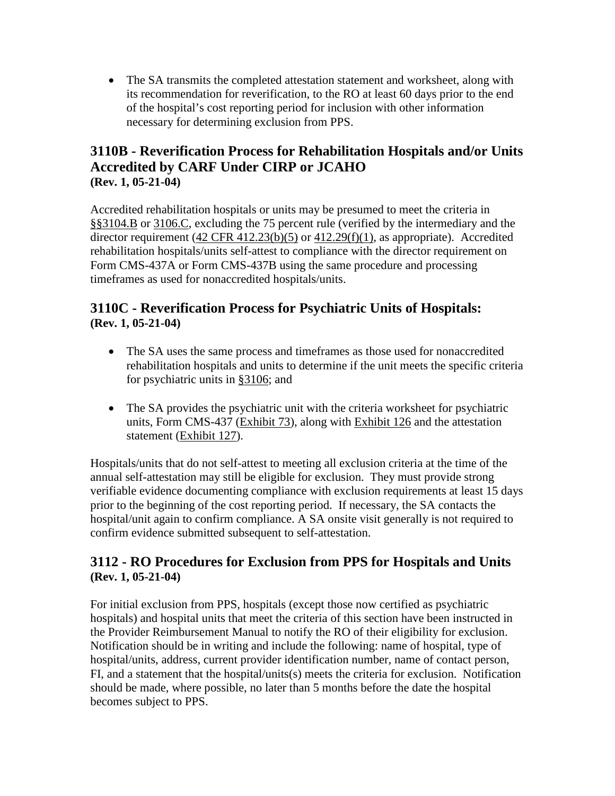• The SA transmits the completed attestation statement and worksheet, along with its recommendation for reverification, to the RO at least 60 days prior to the end of the hospital's cost reporting period for inclusion with other information necessary for determining exclusion from PPS.

## **3110B - Reverification Process for Rehabilitation Hospitals and/or Units Accredited by CARF Under CIRP or JCAHO (Rev. 1, 05-21-04)**

Accredited rehabilitation hospitals or units may be presumed to meet the criteria in [§§3104.B](#page-72-0) or [3106.C,](#page-83-0) excluding the 75 percent rule (verified by the intermediary and the director requirement (42 CFR [412.23\(b\)\(5\)](http://www.cms.hhs.gov/regulations/) or [412.29\(f\)\(1\),](http://www.cms.hhs.gov/regulations/) as appropriate). Accredited rehabilitation hospitals/units self-attest to compliance with the director requirement on Form CMS-437A or Form CMS-437B using the same procedure and processing timeframes as used for nonaccredited hospitals/units.

## **3110C - Reverification Process for Psychiatric Units of Hospitals: (Rev. 1, 05-21-04)**

- The SA uses the same process and timeframes as those used for nonaccredited rehabilitation hospitals and units to determine if the unit meets the specific criteria for psychiatric units in [§3106;](#page-77-1) and
- The SA provides the psychiatric unit with the criteria worksheet for psychiatric units, Form CMS-437 [\(Exhibit 73\)](http://www.cms.hhs.gov/manuals/107_som/som107c09_exhibitstoc.asp), along with [Exhibit 126](http://www.cms.hhs.gov/manuals/107_som/som107c09_exhibitstoc.asp) and the attestation statement [\(Exhibit 127\)](http://www.cms.hhs.gov/manuals/107_som/som107c09_exhibitstoc.asp).

Hospitals/units that do not self-attest to meeting all exclusion criteria at the time of the annual self-attestation may still be eligible for exclusion. They must provide strong verifiable evidence documenting compliance with exclusion requirements at least 15 days prior to the beginning of the cost reporting period. If necessary, the SA contacts the hospital/unit again to confirm compliance. A SA onsite visit generally is not required to confirm evidence submitted subsequent to self-attestation.

## **3112 - RO Procedures for Exclusion from PPS for Hospitals and Units (Rev. 1, 05-21-04)**

For initial exclusion from PPS, hospitals (except those now certified as psychiatric hospitals) and hospital units that meet the criteria of this section have been instructed in the Provider Reimbursement Manual to notify the RO of their eligibility for exclusion. Notification should be in writing and include the following: name of hospital, type of hospital/units, address, current provider identification number, name of contact person, FI, and a statement that the hospital/units(s) meets the criteria for exclusion. Notification should be made, where possible, no later than 5 months before the date the hospital becomes subject to PPS.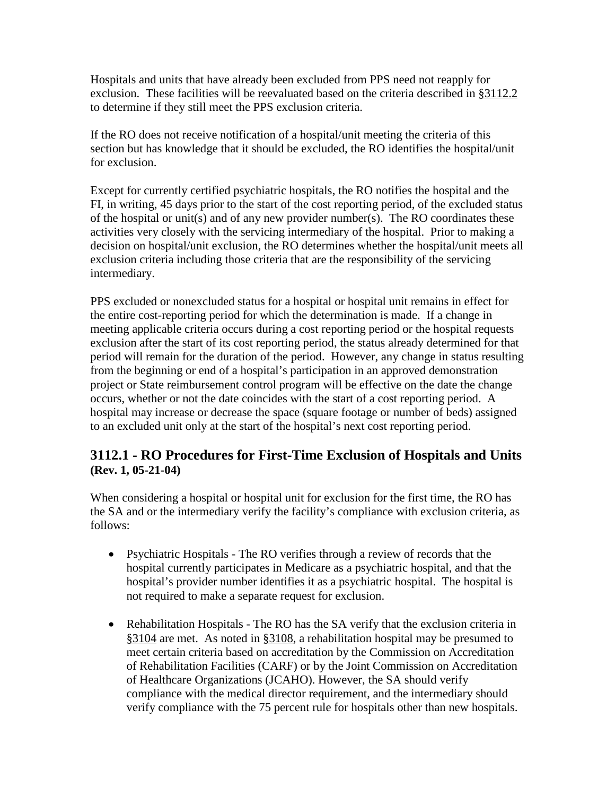Hospitals and units that have already been excluded from PPS need not reapply for exclusion. These facilities will be reevaluated based on the criteria described in [§3112.2](#page-89-0) to determine if they still meet the PPS exclusion criteria.

If the RO does not receive notification of a hospital/unit meeting the criteria of this section but has knowledge that it should be excluded, the RO identifies the hospital/unit for exclusion.

Except for currently certified psychiatric hospitals, the RO notifies the hospital and the FI, in writing, 45 days prior to the start of the cost reporting period, of the excluded status of the hospital or unit(s) and of any new provider number(s). The RO coordinates these activities very closely with the servicing intermediary of the hospital. Prior to making a decision on hospital/unit exclusion, the RO determines whether the hospital/unit meets all exclusion criteria including those criteria that are the responsibility of the servicing intermediary.

PPS excluded or nonexcluded status for a hospital or hospital unit remains in effect for the entire cost-reporting period for which the determination is made. If a change in meeting applicable criteria occurs during a cost reporting period or the hospital requests exclusion after the start of its cost reporting period, the status already determined for that period will remain for the duration of the period. However, any change in status resulting from the beginning or end of a hospital's participation in an approved demonstration project or State reimbursement control program will be effective on the date the change occurs, whether or not the date coincides with the start of a cost reporting period. A hospital may increase or decrease the space (square footage or number of beds) assigned to an excluded unit only at the start of the hospital's next cost reporting period.

### <span id="page-88-0"></span>**3112.1 - RO Procedures for First-Time Exclusion of Hospitals and Units (Rev. 1, 05-21-04)**

When considering a hospital or hospital unit for exclusion for the first time, the RO has the SA and or the intermediary verify the facility's compliance with exclusion criteria, as follows:

- Psychiatric Hospitals The RO verifies through a review of records that the hospital currently participates in Medicare as a psychiatric hospital, and that the hospital's provider number identifies it as a psychiatric hospital. The hospital is not required to make a separate request for exclusion.
- Rehabilitation Hospitals The RO has the SA verify that the exclusion criteria in [§3104](#page-72-1) are met. As noted in [§3108,](#page-85-0) a rehabilitation hospital may be presumed to meet certain criteria based on accreditation by the Commission on Accreditation of Rehabilitation Facilities (CARF) or by the Joint Commission on Accreditation of Healthcare Organizations (JCAHO). However, the SA should verify compliance with the medical director requirement, and the intermediary should verify compliance with the 75 percent rule for hospitals other than new hospitals.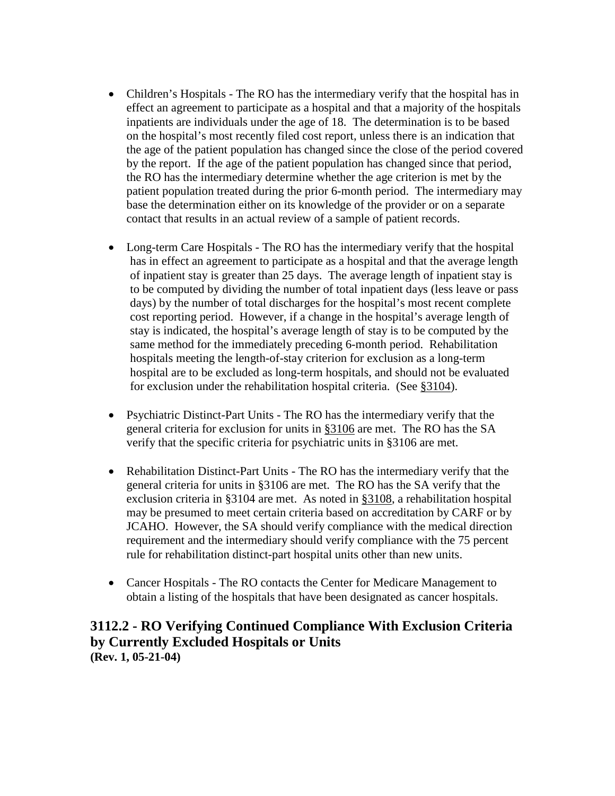- Children's Hospitals The RO has the intermediary verify that the hospital has in effect an agreement to participate as a hospital and that a majority of the hospitals inpatients are individuals under the age of 18. The determination is to be based on the hospital's most recently filed cost report, unless there is an indication that the age of the patient population has changed since the close of the period covered by the report. If the age of the patient population has changed since that period, the RO has the intermediary determine whether the age criterion is met by the patient population treated during the prior 6-month period. The intermediary may base the determination either on its knowledge of the provider or on a separate contact that results in an actual review of a sample of patient records.
- Long-term Care Hospitals The RO has the intermediary verify that the hospital has in effect an agreement to participate as a hospital and that the average length of inpatient stay is greater than 25 days. The average length of inpatient stay is to be computed by dividing the number of total inpatient days (less leave or pass days) by the number of total discharges for the hospital's most recent complete cost reporting period. However, if a change in the hospital's average length of stay is indicated, the hospital's average length of stay is to be computed by the same method for the immediately preceding 6-month period. Rehabilitation hospitals meeting the length-of-stay criterion for exclusion as a long-term hospital are to be excluded as long-term hospitals, and should not be evaluated for exclusion under the rehabilitation hospital criteria. (See [§3104\)](#page-72-1).
- Psychiatric Distinct-Part Units The RO has the intermediary verify that the general criteria for exclusion for units in [§3106](#page-77-1) are met. The RO has the SA verify that the specific criteria for psychiatric units in §3106 are met.
- Rehabilitation Distinct-Part Units The RO has the intermediary verify that the general criteria for units in §3106 are met. The RO has the SA verify that the exclusion criteria in §3104 are met. As noted in [§3108,](#page-85-0) a rehabilitation hospital may be presumed to meet certain criteria based on accreditation by CARF or by JCAHO. However, the SA should verify compliance with the medical direction requirement and the intermediary should verify compliance with the 75 percent rule for rehabilitation distinct-part hospital units other than new units.
- Cancer Hospitals The RO contacts the Center for Medicare Management to obtain a listing of the hospitals that have been designated as cancer hospitals.

#### <span id="page-89-0"></span>**3112.2 - RO Verifying Continued Compliance With Exclusion Criteria by Currently Excluded Hospitals or Units (Rev. 1, 05-21-04)**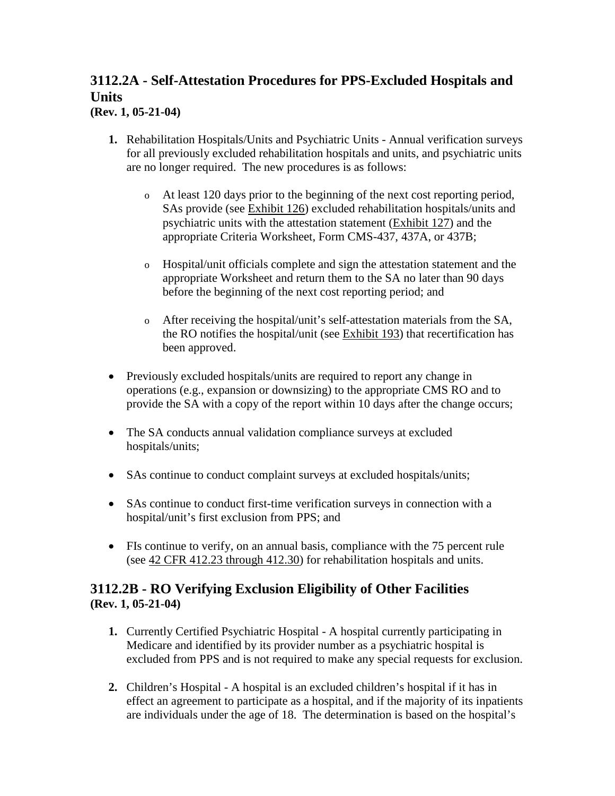# **3112.2A - Self-Attestation Procedures for PPS-Excluded Hospitals and Units**

**(Rev. 1, 05-21-04)**

- **1.** Rehabilitation Hospitals/Units and Psychiatric Units Annual verification surveys for all previously excluded rehabilitation hospitals and units, and psychiatric units are no longer required. The new procedures is as follows:
	- o At least 120 days prior to the beginning of the next cost reporting period, SAs provide (see [Exhibit 126\)](http://www.cms.hhs.gov/manuals/107_som/som107c09_exhibitstoc.asp) excluded rehabilitation hospitals/units and psychiatric units with the attestation statement [\(Exhibit 127\)](http://www.cms.hhs.gov/manuals/107_som/som107c09_exhibitstoc.asp) and the appropriate Criteria Worksheet, Form CMS-437, 437A, or 437B;
	- o Hospital/unit officials complete and sign the attestation statement and the appropriate Worksheet and return them to the SA no later than 90 days before the beginning of the next cost reporting period; and
	- o After receiving the hospital/unit's self-attestation materials from the SA, the RO notifies the hospital/unit (see [Exhibit 193\)](http://www.cms.hhs.gov/manuals/107_som/som107c09_exhibitstoc.asp) that recertification has been approved.
- Previously excluded hospitals/units are required to report any change in operations (e.g., expansion or downsizing) to the appropriate CMS RO and to provide the SA with a copy of the report within 10 days after the change occurs;
- The SA conducts annual validation compliance surveys at excluded hospitals/units;
- SAs continue to conduct complaint surveys at excluded hospitals/units;
- SAs continue to conduct first-time verification surveys in connection with a hospital/unit's first exclusion from PPS; and
- FIs continue to verify, on an annual basis, compliance with the 75 percent rule (see  $42$  CFR 412.23 through 412.30) for rehabilitation hospitals and units.

### **3112.2B - RO Verifying Exclusion Eligibility of Other Facilities (Rev. 1, 05-21-04)**

- **1.** Currently Certified Psychiatric Hospital A hospital currently participating in Medicare and identified by its provider number as a psychiatric hospital is excluded from PPS and is not required to make any special requests for exclusion.
- **2.** Children's Hospital A hospital is an excluded children's hospital if it has in effect an agreement to participate as a hospital, and if the majority of its inpatients are individuals under the age of 18. The determination is based on the hospital's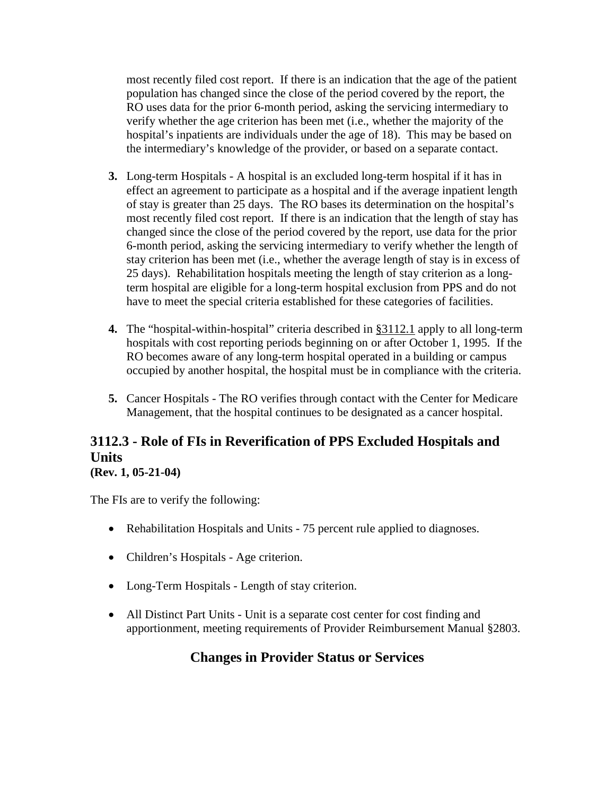most recently filed cost report. If there is an indication that the age of the patient population has changed since the close of the period covered by the report, the RO uses data for the prior 6-month period, asking the servicing intermediary to verify whether the age criterion has been met (i.e., whether the majority of the hospital's inpatients are individuals under the age of 18). This may be based on the intermediary's knowledge of the provider, or based on a separate contact.

- **3.** Long-term Hospitals A hospital is an excluded long-term hospital if it has in effect an agreement to participate as a hospital and if the average inpatient length of stay is greater than 25 days. The RO bases its determination on the hospital's most recently filed cost report. If there is an indication that the length of stay has changed since the close of the period covered by the report, use data for the prior 6-month period, asking the servicing intermediary to verify whether the length of stay criterion has been met (i.e., whether the average length of stay is in excess of 25 days). Rehabilitation hospitals meeting the length of stay criterion as a longterm hospital are eligible for a long-term hospital exclusion from PPS and do not have to meet the special criteria established for these categories of facilities.
- **4.** The "hospital-within-hospital" criteria described in [§3112.1](#page-88-0) apply to all long-term hospitals with cost reporting periods beginning on or after October 1, 1995. If the RO becomes aware of any long-term hospital operated in a building or campus occupied by another hospital, the hospital must be in compliance with the criteria.
- **5.** Cancer Hospitals The RO verifies through contact with the Center for Medicare Management, that the hospital continues to be designated as a cancer hospital.

# **3112.3 - Role of FIs in Reverification of PPS Excluded Hospitals and Units**

## **(Rev. 1, 05-21-04)**

The FIs are to verify the following:

- Rehabilitation Hospitals and Units 75 percent rule applied to diagnoses.
- Children's Hospitals Age criterion.
- Long-Term Hospitals Length of stay criterion.
- All Distinct Part Units Unit is a separate cost center for cost finding and apportionment, meeting requirements of Provider Reimbursement Manual §2803.

# **Changes in Provider Status or Services**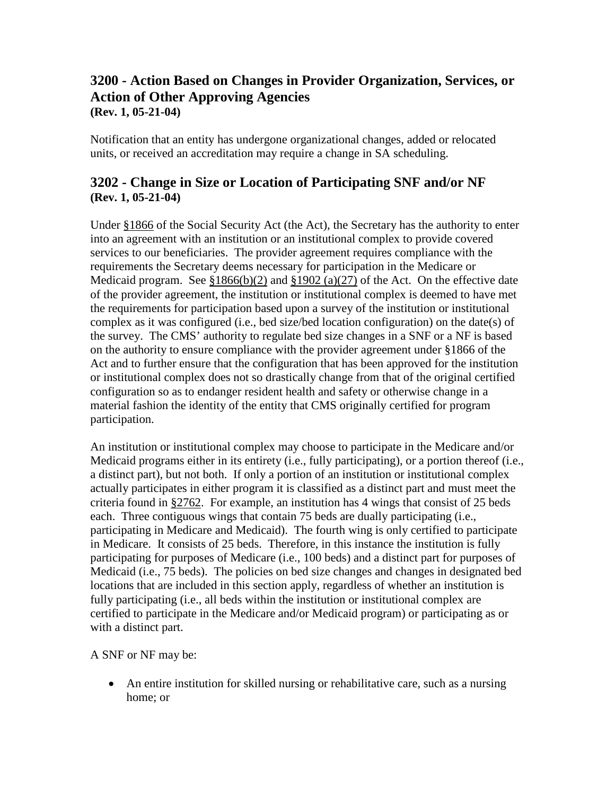#### **3200 - Action Based on Changes in Provider Organization, Services, or Action of Other Approving Agencies (Rev. 1, 05-21-04)**

Notification that an entity has undergone organizational changes, added or relocated units, or received an accreditation may require a change in SA scheduling.

## **3202 - Change in Size or Location of Participating SNF and/or NF (Rev. 1, 05-21-04)**

Under [§1866](http://www.cms.hhs.gov/regulations/) of the Social Security Act (the Act), the Secretary has the authority to enter into an agreement with an institution or an institutional complex to provide covered services to our beneficiaries. The provider agreement requires compliance with the requirements the Secretary deems necessary for participation in the Medicare or Medicaid program. See  $$1866(b)(2)$  and  $$1902(a)(27)$  of the Act. On the effective date of the provider agreement, the institution or institutional complex is deemed to have met the requirements for participation based upon a survey of the institution or institutional complex as it was configured (i.e., bed size/bed location configuration) on the date(s) of the survey. The CMS' authority to regulate bed size changes in a SNF or a NF is based on the authority to ensure compliance with the provider agreement under §1866 of the Act and to further ensure that the configuration that has been approved for the institution or institutional complex does not so drastically change from that of the original certified configuration so as to endanger resident health and safety or otherwise change in a material fashion the identity of the entity that CMS originally certified for program participation.

An institution or institutional complex may choose to participate in the Medicare and/or Medicaid programs either in its entirety (i.e., fully participating), or a portion thereof (i.e., a distinct part), but not both. If only a portion of an institution or institutional complex actually participates in either program it is classified as a distinct part and must meet the criteria found in [§2762.](http://www.cms.hhs.gov/manuals/107_som/som107c02.pdf) For example, an institution has 4 wings that consist of 25 beds each. Three contiguous wings that contain 75 beds are dually participating (i.e., participating in Medicare and Medicaid). The fourth wing is only certified to participate in Medicare. It consists of 25 beds. Therefore, in this instance the institution is fully participating for purposes of Medicare (i.e., 100 beds) and a distinct part for purposes of Medicaid (i.e., 75 beds). The policies on bed size changes and changes in designated bed locations that are included in this section apply, regardless of whether an institution is fully participating (i.e., all beds within the institution or institutional complex are certified to participate in the Medicare and/or Medicaid program) or participating as or with a distinct part.

A SNF or NF may be:

• An entire institution for skilled nursing or rehabilitative care, such as a nursing home; or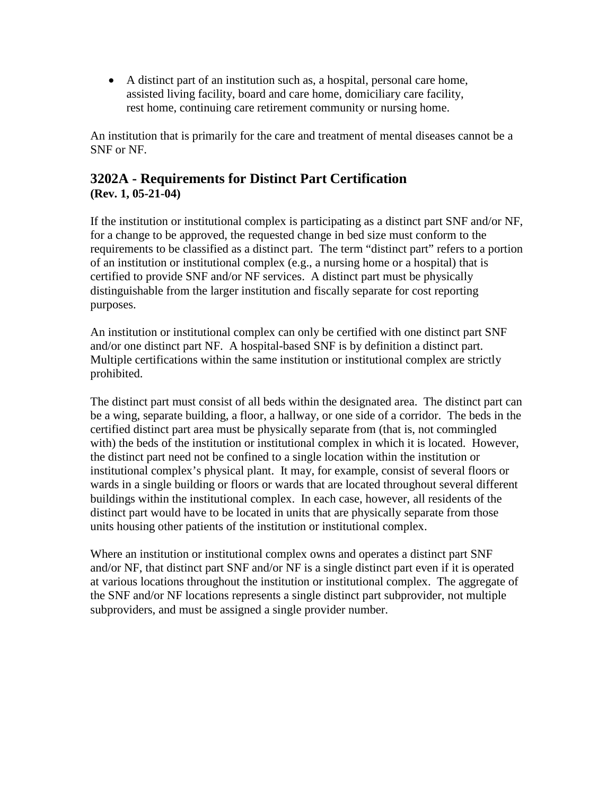• A distinct part of an institution such as, a hospital, personal care home, assisted living facility, board and care home, domiciliary care facility, rest home, continuing care retirement community or nursing home.

An institution that is primarily for the care and treatment of mental diseases cannot be a SNF or NF.

## **3202A - Requirements for Distinct Part Certification (Rev. 1, 05-21-04)**

If the institution or institutional complex is participating as a distinct part SNF and/or NF, for a change to be approved, the requested change in bed size must conform to the requirements to be classified as a distinct part. The term "distinct part" refers to a portion of an institution or institutional complex (e.g., a nursing home or a hospital) that is certified to provide SNF and/or NF services. A distinct part must be physically distinguishable from the larger institution and fiscally separate for cost reporting purposes.

An institution or institutional complex can only be certified with one distinct part SNF and/or one distinct part NF. A hospital-based SNF is by definition a distinct part. Multiple certifications within the same institution or institutional complex are strictly prohibited.

The distinct part must consist of all beds within the designated area. The distinct part can be a wing, separate building, a floor, a hallway, or one side of a corridor. The beds in the certified distinct part area must be physically separate from (that is, not commingled with) the beds of the institution or institutional complex in which it is located. However, the distinct part need not be confined to a single location within the institution or institutional complex's physical plant. It may, for example, consist of several floors or wards in a single building or floors or wards that are located throughout several different buildings within the institutional complex. In each case, however, all residents of the distinct part would have to be located in units that are physically separate from those units housing other patients of the institution or institutional complex.

Where an institution or institutional complex owns and operates a distinct part SNF and/or NF, that distinct part SNF and/or NF is a single distinct part even if it is operated at various locations throughout the institution or institutional complex. The aggregate of the SNF and/or NF locations represents a single distinct part subprovider, not multiple subproviders, and must be assigned a single provider number.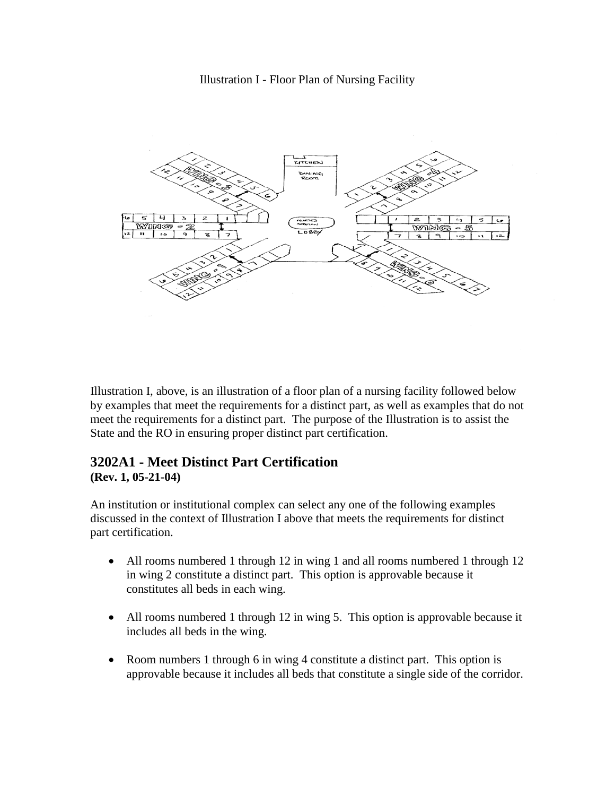Illustration I - Floor Plan of Nursing Facility



Illustration I, above, is an illustration of a floor plan of a nursing facility followed below by examples that meet the requirements for a distinct part, as well as examples that do not meet the requirements for a distinct part. The purpose of the Illustration is to assist the State and the RO in ensuring proper distinct part certification.

# **3202A1 - Meet Distinct Part Certification**

#### **(Rev. 1, 05-21-04)**

An institution or institutional complex can select any one of the following examples discussed in the context of Illustration I above that meets the requirements for distinct part certification.

- All rooms numbered 1 through 12 in wing 1 and all rooms numbered 1 through 12 in wing 2 constitute a distinct part. This option is approvable because it constitutes all beds in each wing.
- All rooms numbered 1 through 12 in wing 5. This option is approvable because it includes all beds in the wing.
- Room numbers 1 through 6 in wing 4 constitute a distinct part. This option is approvable because it includes all beds that constitute a single side of the corridor.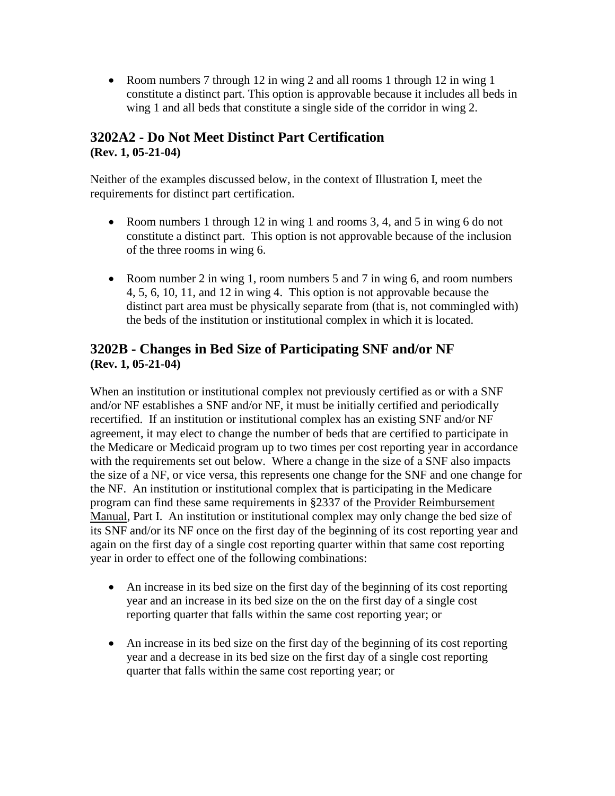• Room numbers 7 through 12 in wing 2 and all rooms 1 through 12 in wing 1 constitute a distinct part. This option is approvable because it includes all beds in wing 1 and all beds that constitute a single side of the corridor in wing 2.

### **3202A2 - Do Not Meet Distinct Part Certification (Rev. 1, 05-21-04)**

Neither of the examples discussed below, in the context of Illustration I, meet the requirements for distinct part certification.

- Room numbers 1 through 12 in wing 1 and rooms 3, 4, and 5 in wing 6 do not constitute a distinct part. This option is not approvable because of the inclusion of the three rooms in wing 6.
- Room number 2 in wing 1, room numbers 5 and 7 in wing 6, and room numbers 4, 5, 6, 10, 11, and 12 in wing 4. This option is not approvable because the distinct part area must be physically separate from (that is, not commingled with) the beds of the institution or institutional complex in which it is located.

### **3202B - Changes in Bed Size of Participating SNF and/or NF (Rev. 1, 05-21-04)**

When an institution or institutional complex not previously certified as or with a SNF and/or NF establishes a SNF and/or NF, it must be initially certified and periodically recertified. If an institution or institutional complex has an existing SNF and/or NF agreement, it may elect to change the number of beds that are certified to participate in the Medicare or Medicaid program up to two times per cost reporting year in accordance with the requirements set out below. Where a change in the size of a SNF also impacts the size of a NF, or vice versa, this represents one change for the SNF and one change for the NF. An institution or institutional complex that is participating in the Medicare program can find these same requirements in §2337 of the [Provider Reimbursement](http://www.cms.hhs.gov/manuals/cmsindex.asp)  [Manual,](http://www.cms.hhs.gov/manuals/cmsindex.asp) Part I. An institution or institutional complex may only change the bed size of its SNF and/or its NF once on the first day of the beginning of its cost reporting year and again on the first day of a single cost reporting quarter within that same cost reporting year in order to effect one of the following combinations:

- An increase in its bed size on the first day of the beginning of its cost reporting year and an increase in its bed size on the on the first day of a single cost reporting quarter that falls within the same cost reporting year; or
- An increase in its bed size on the first day of the beginning of its cost reporting year and a decrease in its bed size on the first day of a single cost reporting quarter that falls within the same cost reporting year; or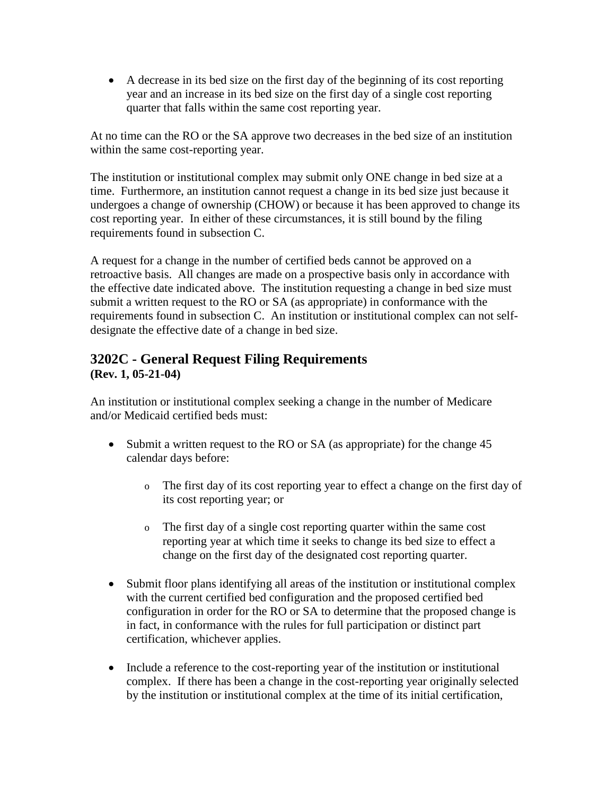• A decrease in its bed size on the first day of the beginning of its cost reporting year and an increase in its bed size on the first day of a single cost reporting quarter that falls within the same cost reporting year.

At no time can the RO or the SA approve two decreases in the bed size of an institution within the same cost-reporting year.

The institution or institutional complex may submit only ONE change in bed size at a time. Furthermore, an institution cannot request a change in its bed size just because it undergoes a change of ownership (CHOW) or because it has been approved to change its cost reporting year. In either of these circumstances, it is still bound by the filing requirements found in subsection C.

A request for a change in the number of certified beds cannot be approved on a retroactive basis. All changes are made on a prospective basis only in accordance with the effective date indicated above. The institution requesting a change in bed size must submit a written request to the RO or SA (as appropriate) in conformance with the requirements found in subsection C. An institution or institutional complex can not selfdesignate the effective date of a change in bed size.

## **3202C - General Request Filing Requirements (Rev. 1, 05-21-04)**

An institution or institutional complex seeking a change in the number of Medicare and/or Medicaid certified beds must:

- Submit a written request to the RO or SA (as appropriate) for the change 45 calendar days before:
	- o The first day of its cost reporting year to effect a change on the first day of its cost reporting year; or
	- o The first day of a single cost reporting quarter within the same cost reporting year at which time it seeks to change its bed size to effect a change on the first day of the designated cost reporting quarter.
- Submit floor plans identifying all areas of the institution or institutional complex with the current certified bed configuration and the proposed certified bed configuration in order for the RO or SA to determine that the proposed change is in fact, in conformance with the rules for full participation or distinct part certification, whichever applies.
- Include a reference to the cost-reporting year of the institution or institutional complex. If there has been a change in the cost-reporting year originally selected by the institution or institutional complex at the time of its initial certification,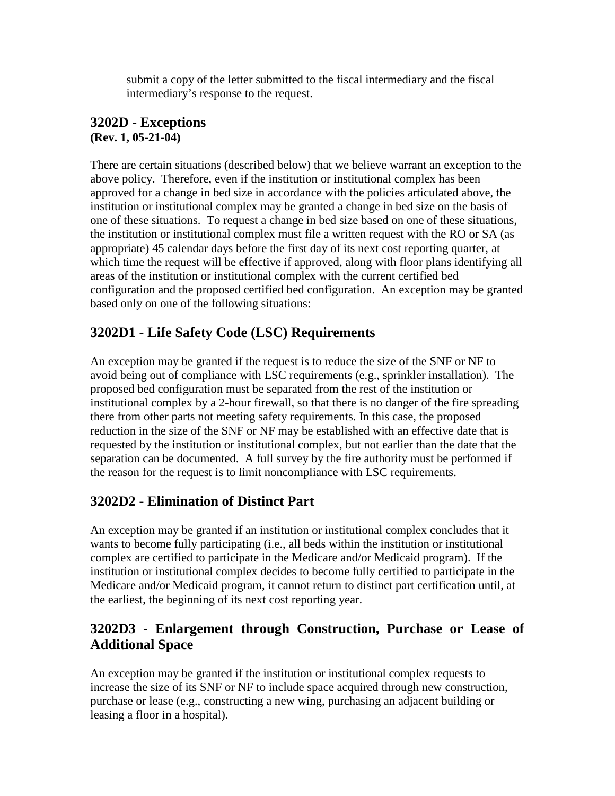submit a copy of the letter submitted to the fiscal intermediary and the fiscal intermediary's response to the request.

#### **3202D - Exceptions (Rev. 1, 05-21-04)**

There are certain situations (described below) that we believe warrant an exception to the above policy. Therefore, even if the institution or institutional complex has been approved for a change in bed size in accordance with the policies articulated above, the institution or institutional complex may be granted a change in bed size on the basis of one of these situations. To request a change in bed size based on one of these situations, the institution or institutional complex must file a written request with the RO or SA (as appropriate) 45 calendar days before the first day of its next cost reporting quarter, at which time the request will be effective if approved, along with floor plans identifying all areas of the institution or institutional complex with the current certified bed configuration and the proposed certified bed configuration. An exception may be granted based only on one of the following situations:

# **3202D1 - Life Safety Code (LSC) Requirements**

An exception may be granted if the request is to reduce the size of the SNF or NF to avoid being out of compliance with LSC requirements (e.g., sprinkler installation). The proposed bed configuration must be separated from the rest of the institution or institutional complex by a 2-hour firewall, so that there is no danger of the fire spreading there from other parts not meeting safety requirements. In this case, the proposed reduction in the size of the SNF or NF may be established with an effective date that is requested by the institution or institutional complex, but not earlier than the date that the separation can be documented. A full survey by the fire authority must be performed if the reason for the request is to limit noncompliance with LSC requirements.

# **3202D2 - Elimination of Distinct Part**

An exception may be granted if an institution or institutional complex concludes that it wants to become fully participating (i.e., all beds within the institution or institutional complex are certified to participate in the Medicare and/or Medicaid program). If the institution or institutional complex decides to become fully certified to participate in the Medicare and/or Medicaid program, it cannot return to distinct part certification until, at the earliest, the beginning of its next cost reporting year.

## **3202D3 - Enlargement through Construction, Purchase or Lease of Additional Space**

An exception may be granted if the institution or institutional complex requests to increase the size of its SNF or NF to include space acquired through new construction, purchase or lease (e.g., constructing a new wing, purchasing an adjacent building or leasing a floor in a hospital).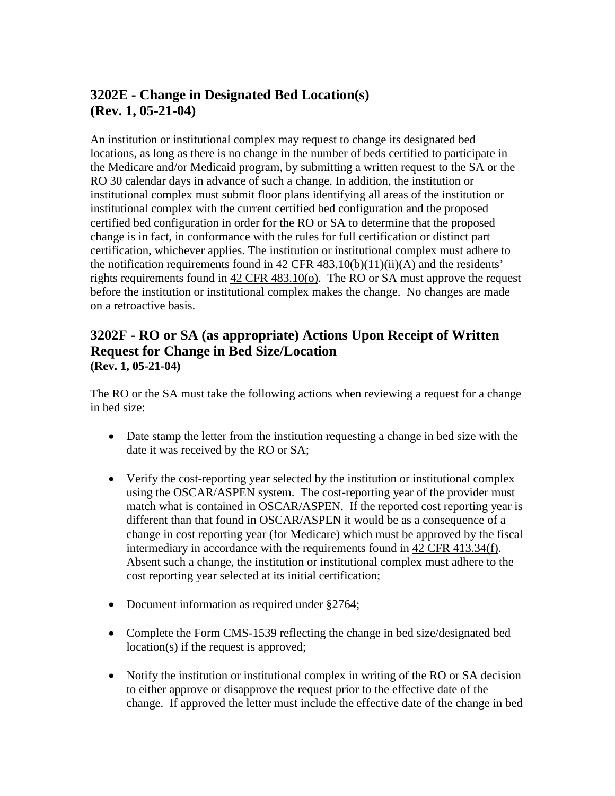# **3202E - Change in Designated Bed Location(s) (Rev. 1, 05-21-04)**

An institution or institutional complex may request to change its designated bed locations, as long as there is no change in the number of beds certified to participate in the Medicare and/or Medicaid program, by submitting a written request to the SA or the RO 30 calendar days in advance of such a change. In addition, the institution or institutional complex must submit floor plans identifying all areas of the institution or institutional complex with the current certified bed configuration and the proposed certified bed configuration in order for the RO or SA to determine that the proposed change is in fact, in conformance with the rules for full certification or distinct part certification, whichever applies. The institution or institutional complex must adhere to the notification requirements found in  $42 \text{ CFR } 483.10(b)(11)(ii)(A)$  $42 \text{ CFR } 483.10(b)(11)(ii)(A)$  and the residents' rights requirements found in [42 CFR 483.10\(o\).](http://www.cms.hhs.gov/regulations/) The RO or SA must approve the request before the institution or institutional complex makes the change. No changes are made on a retroactive basis.

### **3202F - RO or SA (as appropriate) Actions Upon Receipt of Written Request for Change in Bed Size/Location (Rev. 1, 05-21-04)**

The RO or the SA must take the following actions when reviewing a request for a change in bed size:

- Date stamp the letter from the institution requesting a change in bed size with the date it was received by the RO or SA;
- Verify the cost-reporting year selected by the institution or institutional complex using the OSCAR/ASPEN system. The cost-reporting year of the provider must match what is contained in OSCAR/ASPEN. If the reported cost reporting year is different than that found in OSCAR/ASPEN it would be as a consequence of a change in cost reporting year (for Medicare) which must be approved by the fiscal intermediary in accordance with the requirements found in [42 CFR 413.34\(f\).](http://www.cms.hhs.gov/regulations/) Absent such a change, the institution or institutional complex must adhere to the cost reporting year selected at its initial certification;
- Document information as required under [§2764;](http://www.cms.hhs.gov/manuals/107_som/som107c02.pdf)
- Complete the Form CMS-1539 reflecting the change in bed size/designated bed location(s) if the request is approved;
- Notify the institution or institutional complex in writing of the RO or SA decision to either approve or disapprove the request prior to the effective date of the change. If approved the letter must include the effective date of the change in bed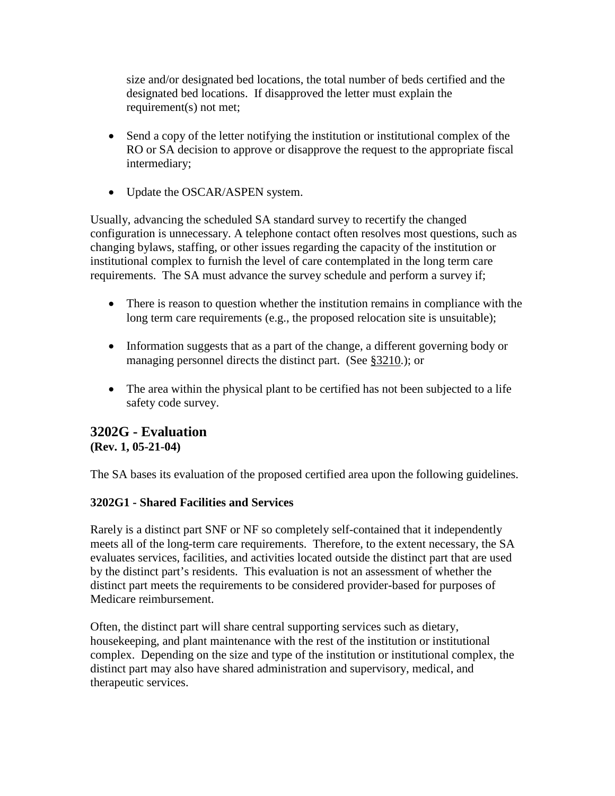size and/or designated bed locations, the total number of beds certified and the designated bed locations. If disapproved the letter must explain the requirement(s) not met;

- Send a copy of the letter notifying the institution or institutional complex of the RO or SA decision to approve or disapprove the request to the appropriate fiscal intermediary;
- Update the OSCAR/ASPEN system.

Usually, advancing the scheduled SA standard survey to recertify the changed configuration is unnecessary. A telephone contact often resolves most questions, such as changing bylaws, staffing, or other issues regarding the capacity of the institution or institutional complex to furnish the level of care contemplated in the long term care requirements. The SA must advance the survey schedule and perform a survey if;

- There is reason to question whether the institution remains in compliance with the long term care requirements (e.g., the proposed relocation site is unsuitable);
- Information suggests that as a part of the change, a different governing body or managing personnel directs the distinct part. (See [§3210.](#page-101-0)); or
- The area within the physical plant to be certified has not been subjected to a life safety code survey.

#### **3202G - Evaluation (Rev. 1, 05-21-04)**

The SA bases its evaluation of the proposed certified area upon the following guidelines.

#### **3202G1 - Shared Facilities and Services**

Rarely is a distinct part SNF or NF so completely self-contained that it independently meets all of the long-term care requirements. Therefore, to the extent necessary, the SA evaluates services, facilities, and activities located outside the distinct part that are used by the distinct part's residents. This evaluation is not an assessment of whether the distinct part meets the requirements to be considered provider-based for purposes of Medicare reimbursement.

Often, the distinct part will share central supporting services such as dietary, housekeeping, and plant maintenance with the rest of the institution or institutional complex. Depending on the size and type of the institution or institutional complex, the distinct part may also have shared administration and supervisory, medical, and therapeutic services.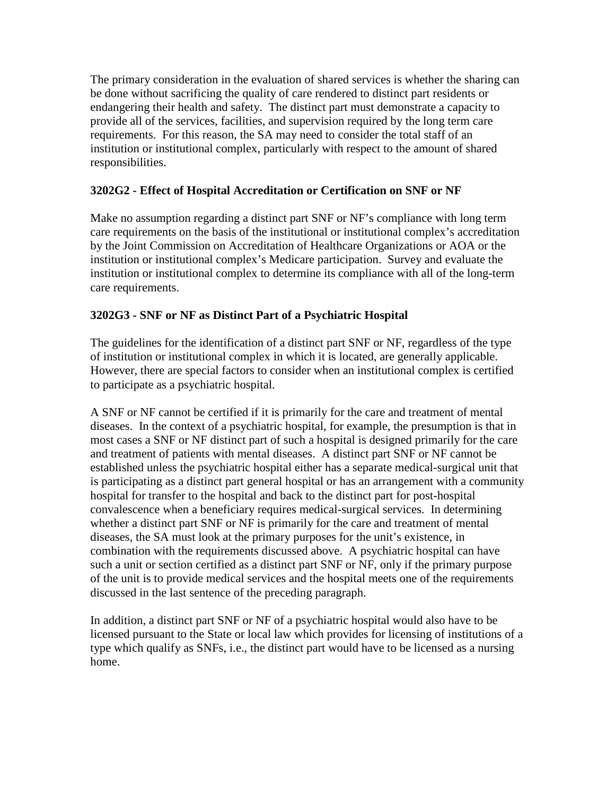The primary consideration in the evaluation of shared services is whether the sharing can be done without sacrificing the quality of care rendered to distinct part residents or endangering their health and safety. The distinct part must demonstrate a capacity to provide all of the services, facilities, and supervision required by the long term care requirements. For this reason, the SA may need to consider the total staff of an institution or institutional complex, particularly with respect to the amount of shared responsibilities.

#### **3202G2 - Effect of Hospital Accreditation or Certification on SNF or NF**

Make no assumption regarding a distinct part SNF or NF's compliance with long term care requirements on the basis of the institutional or institutional complex's accreditation by the Joint Commission on Accreditation of Healthcare Organizations or AOA or the institution or institutional complex's Medicare participation. Survey and evaluate the institution or institutional complex to determine its compliance with all of the long-term care requirements.

#### **3202G3 - SNF or NF as Distinct Part of a Psychiatric Hospital**

The guidelines for the identification of a distinct part SNF or NF, regardless of the type of institution or institutional complex in which it is located, are generally applicable. However, there are special factors to consider when an institutional complex is certified to participate as a psychiatric hospital.

A SNF or NF cannot be certified if it is primarily for the care and treatment of mental diseases. In the context of a psychiatric hospital, for example, the presumption is that in most cases a SNF or NF distinct part of such a hospital is designed primarily for the care and treatment of patients with mental diseases. A distinct part SNF or NF cannot be established unless the psychiatric hospital either has a separate medical-surgical unit that is participating as a distinct part general hospital or has an arrangement with a community hospital for transfer to the hospital and back to the distinct part for post-hospital convalescence when a beneficiary requires medical-surgical services. In determining whether a distinct part SNF or NF is primarily for the care and treatment of mental diseases, the SA must look at the primary purposes for the unit's existence, in combination with the requirements discussed above. A psychiatric hospital can have such a unit or section certified as a distinct part SNF or NF, only if the primary purpose of the unit is to provide medical services and the hospital meets one of the requirements discussed in the last sentence of the preceding paragraph.

In addition, a distinct part SNF or NF of a psychiatric hospital would also have to be licensed pursuant to the State or local law which provides for licensing of institutions of a type which qualify as SNFs, i.e., the distinct part would have to be licensed as a nursing home.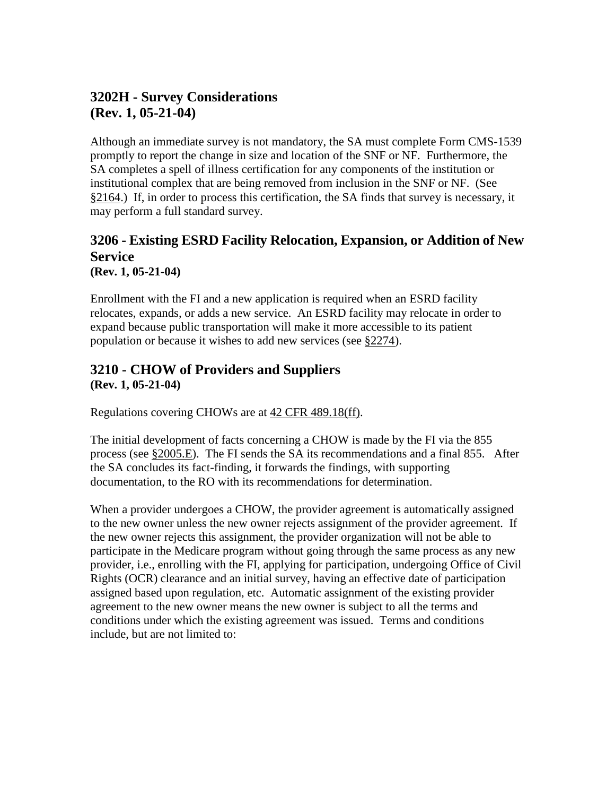# **3202H - Survey Considerations (Rev. 1, 05-21-04)**

Although an immediate survey is not mandatory, the SA must complete Form CMS-1539 promptly to report the change in size and location of the SNF or NF. Furthermore, the SA completes a spell of illness certification for any components of the institution or institutional complex that are being removed from inclusion in the SNF or NF. (See [§2164.](http://www.cms.hhs.gov/manuals/107_som/som107c02.pdf)) If, in order to process this certification, the SA finds that survey is necessary, it may perform a full standard survey.

# **3206 - Existing ESRD Facility Relocation, Expansion, or Addition of New Service**

**(Rev. 1, 05-21-04)**

Enrollment with the FI and a new application is required when an ESRD facility relocates, expands, or adds a new service. An ESRD facility may relocate in order to expand because public transportation will make it more accessible to its patient population or because it wishes to add new services (see [§2274\)](http://www.cms.hhs.gov/manuals/107_som/som107c02.pdf).

#### <span id="page-101-0"></span>**3210 - CHOW of Providers and Suppliers (Rev. 1, 05-21-04)**

Regulations covering CHOWs are at [42 CFR 489.18\(ff\).](http://www/cms.hhs.gov/regulations/)

The initial development of facts concerning a CHOW is made by the FI via the 855 process (see [§2005.E\)](http://www.cms.hhs.gov/manuals/107_som/som107c02.pdf). The FI sends the SA its recommendations and a final 855. After the SA concludes its fact-finding, it forwards the findings, with supporting documentation, to the RO with its recommendations for determination.

When a provider undergoes a CHOW, the provider agreement is automatically assigned to the new owner unless the new owner rejects assignment of the provider agreement. If the new owner rejects this assignment, the provider organization will not be able to participate in the Medicare program without going through the same process as any new provider, i.e., enrolling with the FI, applying for participation, undergoing Office of Civil Rights (OCR) clearance and an initial survey, having an effective date of participation assigned based upon regulation, etc. Automatic assignment of the existing provider agreement to the new owner means the new owner is subject to all the terms and conditions under which the existing agreement was issued. Terms and conditions include, but are not limited to: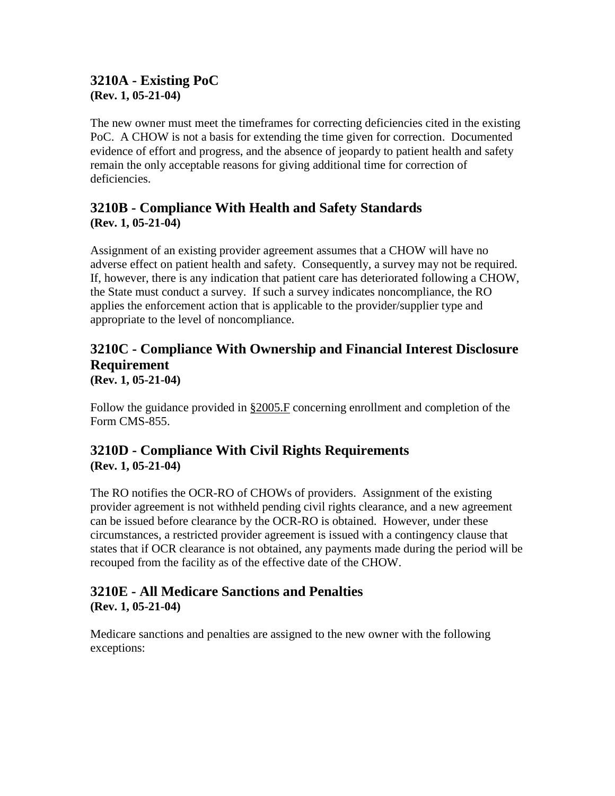#### **3210A - Existing PoC (Rev. 1, 05-21-04)**

The new owner must meet the timeframes for correcting deficiencies cited in the existing PoC. A CHOW is not a basis for extending the time given for correction. Documented evidence of effort and progress, and the absence of jeopardy to patient health and safety remain the only acceptable reasons for giving additional time for correction of deficiencies.

## **3210B - Compliance With Health and Safety Standards (Rev. 1, 05-21-04)**

Assignment of an existing provider agreement assumes that a CHOW will have no adverse effect on patient health and safety. Consequently, a survey may not be required. If, however, there is any indication that patient care has deteriorated following a CHOW, the State must conduct a survey. If such a survey indicates noncompliance, the RO applies the enforcement action that is applicable to the provider/supplier type and appropriate to the level of noncompliance.

# **3210C - Compliance With Ownership and Financial Interest Disclosure Requirement**

**(Rev. 1, 05-21-04)**

Follow the guidance provided in  $\S 2005$ . F concerning enrollment and completion of the Form CMS-855.

### **3210D - Compliance With Civil Rights Requirements (Rev. 1, 05-21-04)**

The RO notifies the OCR-RO of CHOWs of providers. Assignment of the existing provider agreement is not withheld pending civil rights clearance, and a new agreement can be issued before clearance by the OCR-RO is obtained. However, under these circumstances, a restricted provider agreement is issued with a contingency clause that states that if OCR clearance is not obtained, any payments made during the period will be recouped from the facility as of the effective date of the CHOW.

#### **3210E - All Medicare Sanctions and Penalties (Rev. 1, 05-21-04)**

Medicare sanctions and penalties are assigned to the new owner with the following exceptions: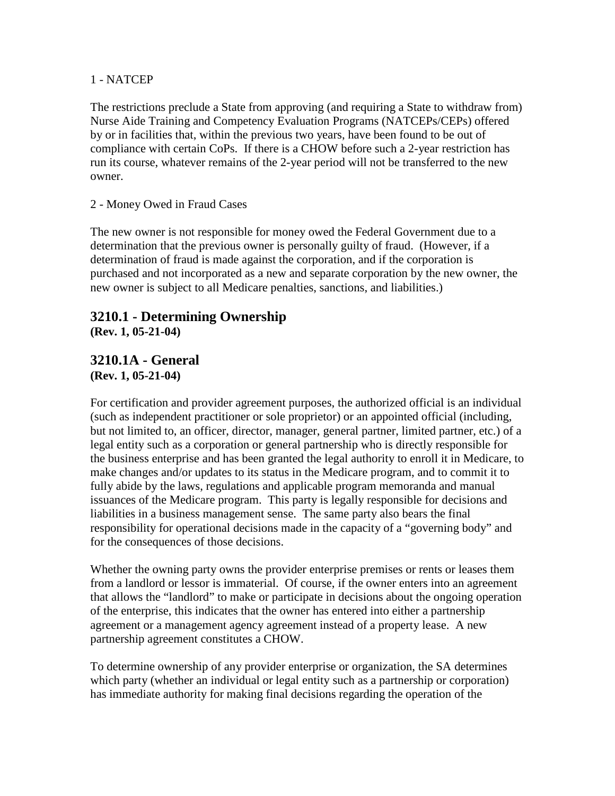#### 1 - NATCEP

The restrictions preclude a State from approving (and requiring a State to withdraw from) Nurse Aide Training and Competency Evaluation Programs (NATCEPs/CEPs) offered by or in facilities that, within the previous two years, have been found to be out of compliance with certain CoPs. If there is a CHOW before such a 2-year restriction has run its course, whatever remains of the 2-year period will not be transferred to the new owner.

#### 2 - Money Owed in Fraud Cases

The new owner is not responsible for money owed the Federal Government due to a determination that the previous owner is personally guilty of fraud. (However, if a determination of fraud is made against the corporation, and if the corporation is purchased and not incorporated as a new and separate corporation by the new owner, the new owner is subject to all Medicare penalties, sanctions, and liabilities.)

#### **3210.1 - Determining Ownership (Rev. 1, 05-21-04)**

#### **3210.1A - General (Rev. 1, 05-21-04)**

For certification and provider agreement purposes, the authorized official is an individual (such as independent practitioner or sole proprietor) or an appointed official (including, but not limited to, an officer, director, manager, general partner, limited partner, etc.) of a legal entity such as a corporation or general partnership who is directly responsible for the business enterprise and has been granted the legal authority to enroll it in Medicare, to make changes and/or updates to its status in the Medicare program, and to commit it to fully abide by the laws, regulations and applicable program memoranda and manual issuances of the Medicare program. This party is legally responsible for decisions and liabilities in a business management sense. The same party also bears the final responsibility for operational decisions made in the capacity of a "governing body" and for the consequences of those decisions.

Whether the owning party owns the provider enterprise premises or rents or leases them from a landlord or lessor is immaterial. Of course, if the owner enters into an agreement that allows the "landlord" to make or participate in decisions about the ongoing operation of the enterprise, this indicates that the owner has entered into either a partnership agreement or a management agency agreement instead of a property lease. A new partnership agreement constitutes a CHOW.

To determine ownership of any provider enterprise or organization, the SA determines which party (whether an individual or legal entity such as a partnership or corporation) has immediate authority for making final decisions regarding the operation of the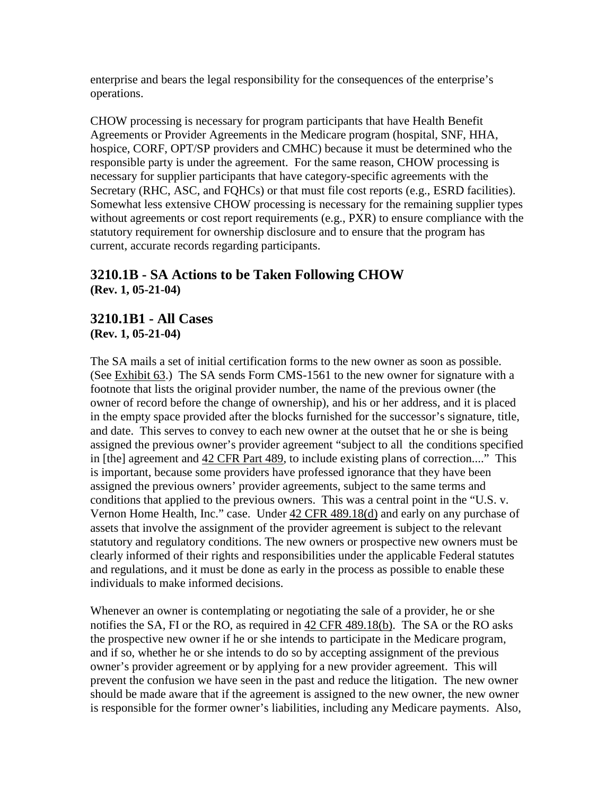enterprise and bears the legal responsibility for the consequences of the enterprise's operations.

CHOW processing is necessary for program participants that have Health Benefit Agreements or Provider Agreements in the Medicare program (hospital, SNF, HHA, hospice, CORF, OPT/SP providers and CMHC) because it must be determined who the responsible party is under the agreement. For the same reason, CHOW processing is necessary for supplier participants that have category-specific agreements with the Secretary (RHC, ASC, and FQHCs) or that must file cost reports (e.g., ESRD facilities). Somewhat less extensive CHOW processing is necessary for the remaining supplier types without agreements or cost report requirements (e.g., PXR) to ensure compliance with the statutory requirement for ownership disclosure and to ensure that the program has current, accurate records regarding participants.

#### **3210.1B - SA Actions to be Taken Following CHOW (Rev. 1, 05-21-04)**

**3210.1B1 - All Cases (Rev. 1, 05-21-04)**

The SA mails a set of initial certification forms to the new owner as soon as possible. (See [Exhibit 63.](http://www.cms.hhs.gov/manuals/107_som/som107c09_exhibitstoc.asp)) The SA sends Form CMS-1561 to the new owner for signature with a footnote that lists the original provider number, the name of the previous owner (the owner of record before the change of ownership), and his or her address, and it is placed in the empty space provided after the blocks furnished for the successor's signature, title, and date. This serves to convey to each new owner at the outset that he or she is being assigned the previous owner's provider agreement "subject to all the conditions specified in [the] agreement and 42 [CFR](http://www.cms.hhs.gov/regulations/) Part 489, to include existing plans of correction...." This is important, because some providers have professed ignorance that they have been assigned the previous owners' provider agreements, subject to the same terms and conditions that applied to the previous owners. This was a central point in the "U.S. v. Vernon Home Health, Inc." case. Under 42 CFR [489.18\(d\)](http://www.cms.hhs.gov/regulations/) and early on any purchase of assets that involve the assignment of the provider agreement is subject to the relevant statutory and regulatory conditions. The new owners or prospective new owners must be clearly informed of their rights and responsibilities under the applicable Federal statutes and regulations, and it must be done as early in the process as possible to enable these individuals to make informed decisions.

Whenever an owner is contemplating or negotiating the sale of a provider, he or she notifies the SA, FI or the RO, as required in [42 CFR 489.18\(b\).](http://www.cms.hhs.gov/regulations/) The SA or the RO asks the prospective new owner if he or she intends to participate in the Medicare program, and if so, whether he or she intends to do so by accepting assignment of the previous owner's provider agreement or by applying for a new provider agreement. This will prevent the confusion we have seen in the past and reduce the litigation. The new owner should be made aware that if the agreement is assigned to the new owner, the new owner is responsible for the former owner's liabilities, including any Medicare payments. Also,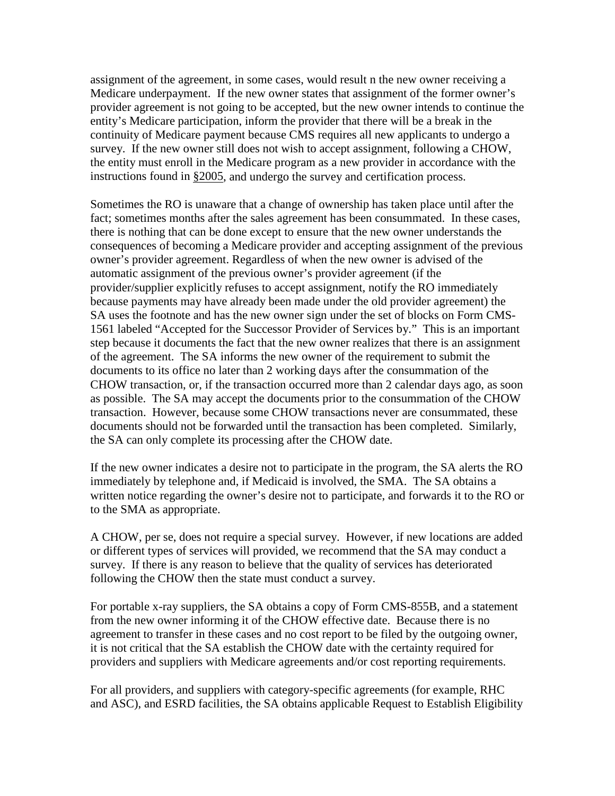assignment of the agreement, in some cases, would result n the new owner receiving a Medicare underpayment. If the new owner states that assignment of the former owner's provider agreement is not going to be accepted, but the new owner intends to continue the entity's Medicare participation, inform the provider that there will be a break in the continuity of Medicare payment because CMS requires all new applicants to undergo a survey. If the new owner still does not wish to accept assignment, following a CHOW, the entity must enroll in the Medicare program as a new provider in accordance with the instructions found in [§2005,](http://www.cms.hhs.gov/manuals/107_som/som107c02.pdf) and undergo the survey and certification process.

Sometimes the RO is unaware that a change of ownership has taken place until after the fact; sometimes months after the sales agreement has been consummated. In these cases, there is nothing that can be done except to ensure that the new owner understands the consequences of becoming a Medicare provider and accepting assignment of the previous owner's provider agreement. Regardless of when the new owner is advised of the automatic assignment of the previous owner's provider agreement (if the provider/supplier explicitly refuses to accept assignment, notify the RO immediately because payments may have already been made under the old provider agreement) the SA uses the footnote and has the new owner sign under the set of blocks on Form CMS-1561 labeled "Accepted for the Successor Provider of Services by." This is an important step because it documents the fact that the new owner realizes that there is an assignment of the agreement. The SA informs the new owner of the requirement to submit the documents to its office no later than 2 working days after the consummation of the CHOW transaction, or, if the transaction occurred more than 2 calendar days ago, as soon as possible. The SA may accept the documents prior to the consummation of the CHOW transaction. However, because some CHOW transactions never are consummated, these documents should not be forwarded until the transaction has been completed. Similarly, the SA can only complete its processing after the CHOW date.

If the new owner indicates a desire not to participate in the program, the SA alerts the RO immediately by telephone and, if Medicaid is involved, the SMA. The SA obtains a written notice regarding the owner's desire not to participate, and forwards it to the RO or to the SMA as appropriate.

A CHOW, per se, does not require a special survey. However, if new locations are added or different types of services will provided, we recommend that the SA may conduct a survey. If there is any reason to believe that the quality of services has deteriorated following the CHOW then the state must conduct a survey.

For portable x-ray suppliers, the SA obtains a copy of Form CMS-855B, and a statement from the new owner informing it of the CHOW effective date. Because there is no agreement to transfer in these cases and no cost report to be filed by the outgoing owner, it is not critical that the SA establish the CHOW date with the certainty required for providers and suppliers with Medicare agreements and/or cost reporting requirements.

For all providers, and suppliers with category-specific agreements (for example, RHC and ASC), and ESRD facilities, the SA obtains applicable Request to Establish Eligibility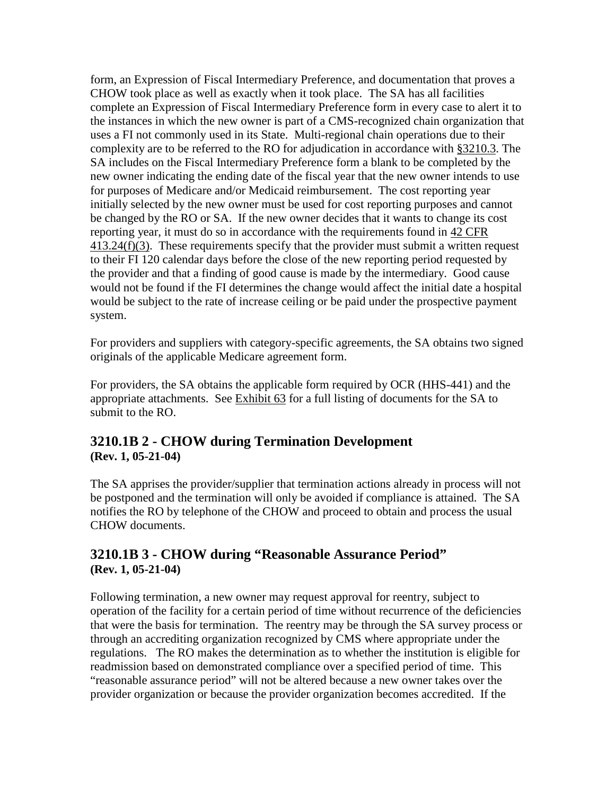form, an Expression of Fiscal Intermediary Preference, and documentation that proves a CHOW took place as well as exactly when it took place. The SA has all facilities complete an Expression of Fiscal Intermediary Preference form in every case to alert it to the instances in which the new owner is part of a CMS-recognized chain organization that uses a FI not commonly used in its State. Multi-regional chain operations due to their complexity are to be referred to the RO for adjudication in accordance with [§3210.3.](#page-112-0) The SA includes on the Fiscal Intermediary Preference form a blank to be completed by the new owner indicating the ending date of the fiscal year that the new owner intends to use for purposes of Medicare and/or Medicaid reimbursement. The cost reporting year initially selected by the new owner must be used for cost reporting purposes and cannot be changed by the RO or SA. If the new owner decides that it wants to change its cost reporting year, it must do so in accordance with the requirements found in 42 CFR [413.24\(f\)\(3\).](http://www/cms.hhs.gov/regulations/) These requirements specify that the provider must submit a written request to their FI 120 calendar days before the close of the new reporting period requested by the provider and that a finding of good cause is made by the intermediary. Good cause would not be found if the FI determines the change would affect the initial date a hospital would be subject to the rate of increase ceiling or be paid under the prospective payment system.

For providers and suppliers with category-specific agreements, the SA obtains two signed originals of the applicable Medicare agreement form.

For providers, the SA obtains the applicable form required by OCR (HHS-441) and the appropriate attachments. See [Exhibit 63](http://www.cms.hhs.gov/manuals/107_som/som107c09_exhibitstoc.asp) for a full listing of documents for the SA to submit to the RO.

### **3210.1B 2 - CHOW during Termination Development (Rev. 1, 05-21-04)**

The SA apprises the provider/supplier that termination actions already in process will not be postponed and the termination will only be avoided if compliance is attained. The SA notifies the RO by telephone of the CHOW and proceed to obtain and process the usual CHOW documents.

#### **3210.1B 3 - CHOW during "Reasonable Assurance Period" (Rev. 1, 05-21-04)**

Following termination, a new owner may request approval for reentry, subject to operation of the facility for a certain period of time without recurrence of the deficiencies that were the basis for termination. The reentry may be through the SA survey process or through an accrediting organization recognized by CMS where appropriate under the regulations. The RO makes the determination as to whether the institution is eligible for readmission based on demonstrated compliance over a specified period of time. This "reasonable assurance period" will not be altered because a new owner takes over the provider organization or because the provider organization becomes accredited. If the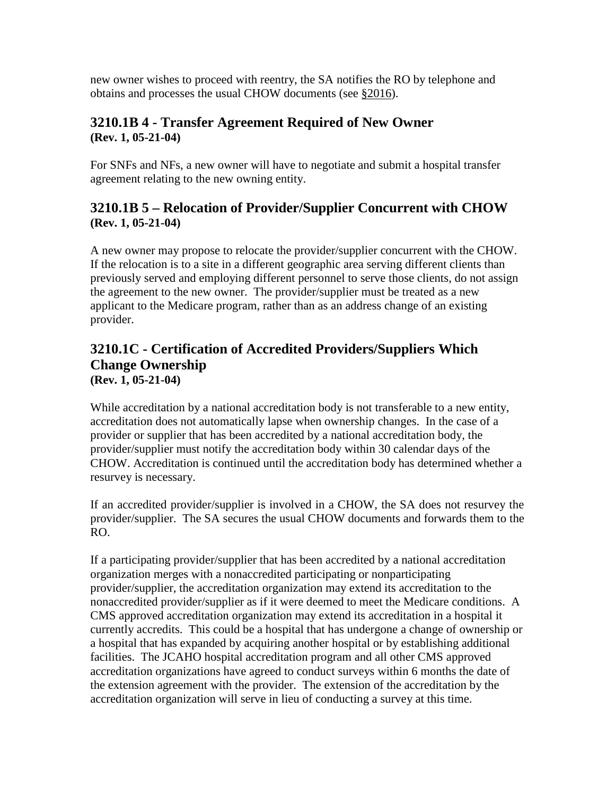new owner wishes to proceed with reentry, the SA notifies the RO by telephone and obtains and processes the usual CHOW documents (see [§2016\)](http://www.cms.hhs.gov/manuals/107_som/som107c02.pdf).

## **3210.1B 4 - Transfer Agreement Required of New Owner (Rev. 1, 05-21-04)**

For SNFs and NFs, a new owner will have to negotiate and submit a hospital transfer agreement relating to the new owning entity.

## **3210.1B 5 – Relocation of Provider/Supplier Concurrent with CHOW (Rev. 1, 05-21-04)**

A new owner may propose to relocate the provider/supplier concurrent with the CHOW. If the relocation is to a site in a different geographic area serving different clients than previously served and employing different personnel to serve those clients, do not assign the agreement to the new owner. The provider/supplier must be treated as a new applicant to the Medicare program, rather than as an address change of an existing provider.

#### **3210.1C - Certification of Accredited Providers/Suppliers Which Change Ownership (Rev. 1, 05-21-04)**

While accreditation by a national accreditation body is not transferable to a new entity, accreditation does not automatically lapse when ownership changes. In the case of a provider or supplier that has been accredited by a national accreditation body, the provider/supplier must notify the accreditation body within 30 calendar days of the CHOW. Accreditation is continued until the accreditation body has determined whether a resurvey is necessary.

If an accredited provider/supplier is involved in a CHOW, the SA does not resurvey the provider/supplier. The SA secures the usual CHOW documents and forwards them to the RO.

If a participating provider/supplier that has been accredited by a national accreditation organization merges with a nonaccredited participating or nonparticipating provider/supplier, the accreditation organization may extend its accreditation to the nonaccredited provider/supplier as if it were deemed to meet the Medicare conditions. A CMS approved accreditation organization may extend its accreditation in a hospital it currently accredits. This could be a hospital that has undergone a change of ownership or a hospital that has expanded by acquiring another hospital or by establishing additional facilities. The JCAHO hospital accreditation program and all other CMS approved accreditation organizations have agreed to conduct surveys within 6 months the date of the extension agreement with the provider. The extension of the accreditation by the accreditation organization will serve in lieu of conducting a survey at this time.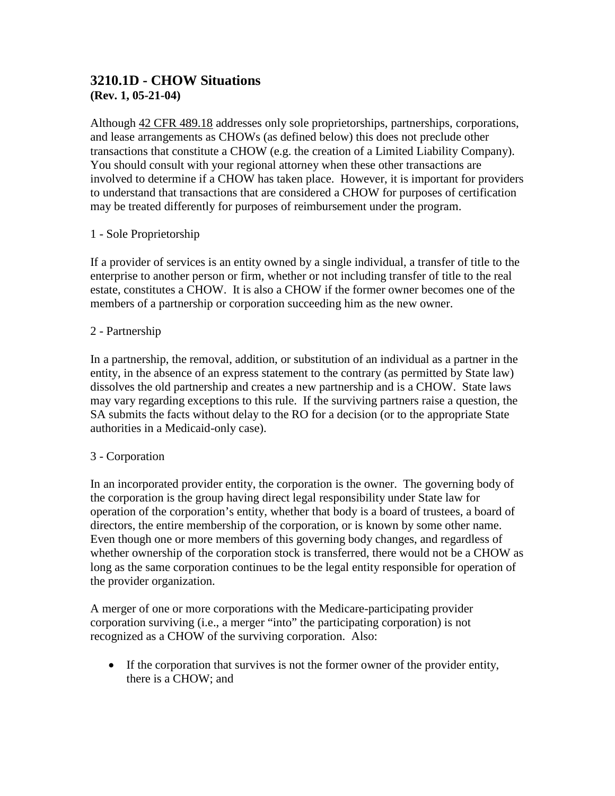### **3210.1D - CHOW Situations (Rev. 1, 05-21-04)**

Although 42 [CFR 489.18](http://www/cms.hhs.gov/regulations/) addresses only sole proprietorships, partnerships, corporations, and lease arrangements as CHOWs (as defined below) this does not preclude other transactions that constitute a CHOW (e.g. the creation of a Limited Liability Company). You should consult with your regional attorney when these other transactions are involved to determine if a CHOW has taken place. However, it is important for providers to understand that transactions that are considered a CHOW for purposes of certification may be treated differently for purposes of reimbursement under the program.

### 1 - Sole Proprietorship

If a provider of services is an entity owned by a single individual, a transfer of title to the enterprise to another person or firm, whether or not including transfer of title to the real estate, constitutes a CHOW. It is also a CHOW if the former owner becomes one of the members of a partnership or corporation succeeding him as the new owner.

### 2 - Partnership

In a partnership, the removal, addition, or substitution of an individual as a partner in the entity, in the absence of an express statement to the contrary (as permitted by State law) dissolves the old partnership and creates a new partnership and is a CHOW. State laws may vary regarding exceptions to this rule. If the surviving partners raise a question, the SA submits the facts without delay to the RO for a decision (or to the appropriate State authorities in a Medicaid-only case).

### 3 - Corporation

In an incorporated provider entity, the corporation is the owner. The governing body of the corporation is the group having direct legal responsibility under State law for operation of the corporation's entity, whether that body is a board of trustees, a board of directors, the entire membership of the corporation, or is known by some other name. Even though one or more members of this governing body changes, and regardless of whether ownership of the corporation stock is transferred, there would not be a CHOW as long as the same corporation continues to be the legal entity responsible for operation of the provider organization.

A merger of one or more corporations with the Medicare-participating provider corporation surviving (i.e., a merger "into" the participating corporation) is not recognized as a CHOW of the surviving corporation. Also:

• If the corporation that survives is not the former owner of the provider entity, there is a CHOW; and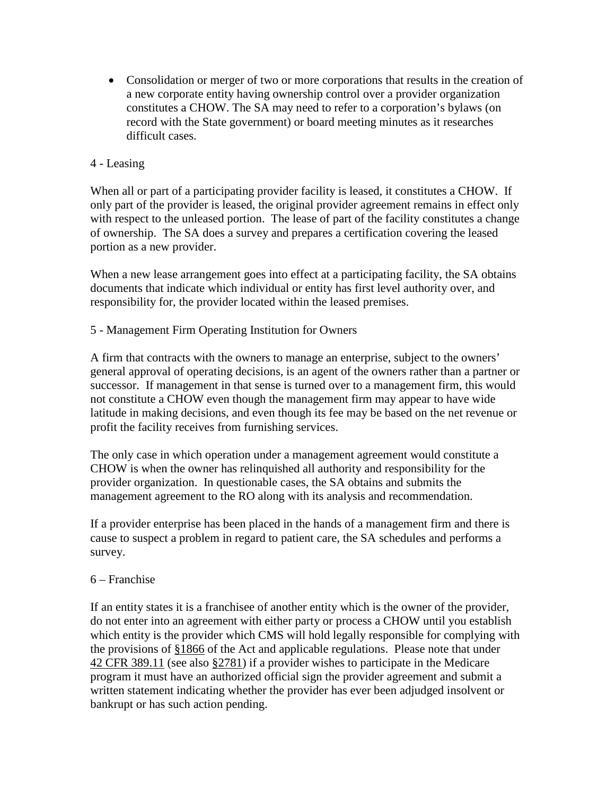• Consolidation or merger of two or more corporations that results in the creation of a new corporate entity having ownership control over a provider organization constitutes a CHOW. The SA may need to refer to a corporation's bylaws (on record with the State government) or board meeting minutes as it researches difficult cases.

### 4 - Leasing

When all or part of a participating provider facility is leased, it constitutes a CHOW. If only part of the provider is leased, the original provider agreement remains in effect only with respect to the unleased portion. The lease of part of the facility constitutes a change of ownership. The SA does a survey and prepares a certification covering the leased portion as a new provider.

When a new lease arrangement goes into effect at a participating facility, the SA obtains documents that indicate which individual or entity has first level authority over, and responsibility for, the provider located within the leased premises.

5 - Management Firm Operating Institution for Owners

A firm that contracts with the owners to manage an enterprise, subject to the owners' general approval of operating decisions, is an agent of the owners rather than a partner or successor. If management in that sense is turned over to a management firm, this would not constitute a CHOW even though the management firm may appear to have wide latitude in making decisions, and even though its fee may be based on the net revenue or profit the facility receives from furnishing services.

The only case in which operation under a management agreement would constitute a CHOW is when the owner has relinquished all authority and responsibility for the provider organization. In questionable cases, the SA obtains and submits the management agreement to the RO along with its analysis and recommendation.

If a provider enterprise has been placed in the hands of a management firm and there is cause to suspect a problem in regard to patient care, the SA schedules and performs a survey.

### 6 – Franchise

If an entity states it is a franchisee of another entity which is the owner of the provider, do not enter into an agreement with either party or process a CHOW until you establish which entity is the provider which CMS will hold legally responsible for complying with the provisions of [§1866](http://www.cms.hhs.gov/regulations/) of the Act and applicable regulations. Please note that under 42 CFR [389.11](http://www.cms.hhs.gov/regulations/) (see also [§2781\)](http://www.cms.hhs.gov/regulations/) if a provider wishes to participate in the Medicare program it must have an authorized official sign the provider agreement and submit a written statement indicating whether the provider has ever been adjudged insolvent or bankrupt or has such action pending.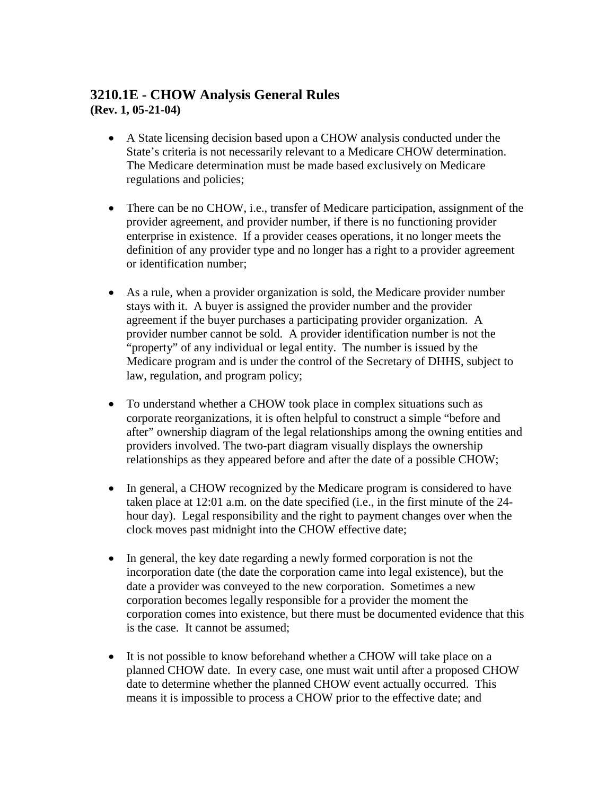### **3210.1E - CHOW Analysis General Rules (Rev. 1, 05-21-04)**

- A State licensing decision based upon a CHOW analysis conducted under the State's criteria is not necessarily relevant to a Medicare CHOW determination. The Medicare determination must be made based exclusively on Medicare regulations and policies;
- There can be no CHOW, i.e., transfer of Medicare participation, assignment of the provider agreement, and provider number, if there is no functioning provider enterprise in existence. If a provider ceases operations, it no longer meets the definition of any provider type and no longer has a right to a provider agreement or identification number;
- As a rule, when a provider organization is sold, the Medicare provider number stays with it. A buyer is assigned the provider number and the provider agreement if the buyer purchases a participating provider organization. A provider number cannot be sold. A provider identification number is not the "property" of any individual or legal entity. The number is issued by the Medicare program and is under the control of the Secretary of DHHS, subject to law, regulation, and program policy;
- To understand whether a CHOW took place in complex situations such as corporate reorganizations, it is often helpful to construct a simple "before and after" ownership diagram of the legal relationships among the owning entities and providers involved. The two-part diagram visually displays the ownership relationships as they appeared before and after the date of a possible CHOW;
- In general, a CHOW recognized by the Medicare program is considered to have taken place at 12:01 a.m. on the date specified (i.e., in the first minute of the 24 hour day). Legal responsibility and the right to payment changes over when the clock moves past midnight into the CHOW effective date;
- In general, the key date regarding a newly formed corporation is not the incorporation date (the date the corporation came into legal existence), but the date a provider was conveyed to the new corporation. Sometimes a new corporation becomes legally responsible for a provider the moment the corporation comes into existence, but there must be documented evidence that this is the case. It cannot be assumed;
- It is not possible to know beforehand whether a CHOW will take place on a planned CHOW date. In every case, one must wait until after a proposed CHOW date to determine whether the planned CHOW event actually occurred. This means it is impossible to process a CHOW prior to the effective date; and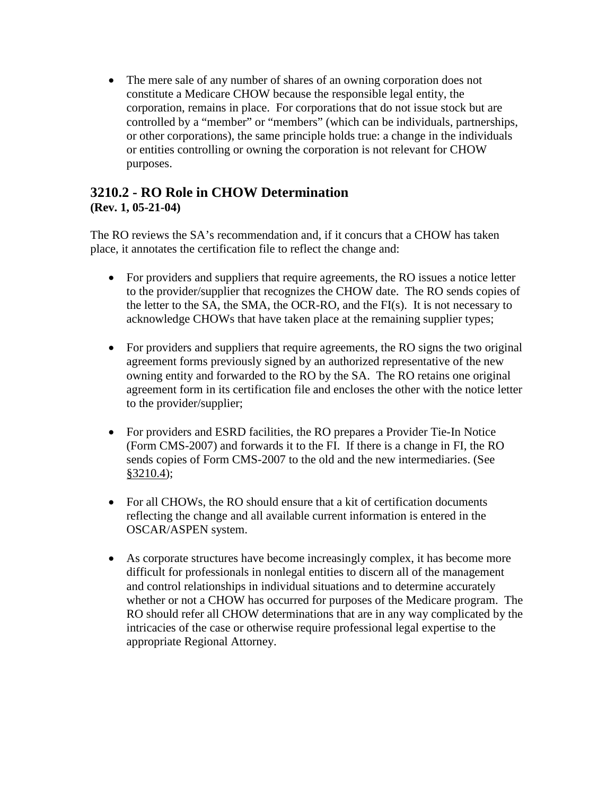• The mere sale of any number of shares of an owning corporation does not constitute a Medicare CHOW because the responsible legal entity, the corporation, remains in place. For corporations that do not issue stock but are controlled by a "member" or "members" (which can be individuals, partnerships, or other corporations), the same principle holds true: a change in the individuals or entities controlling or owning the corporation is not relevant for CHOW purposes.

### **3210.2 - RO Role in CHOW Determination (Rev. 1, 05-21-04)**

The RO reviews the SA's recommendation and, if it concurs that a CHOW has taken place, it annotates the certification file to reflect the change and:

- For providers and suppliers that require agreements, the RO issues a notice letter to the provider/supplier that recognizes the CHOW date. The RO sends copies of the letter to the SA, the SMA, the OCR-RO, and the FI(s). It is not necessary to acknowledge CHOWs that have taken place at the remaining supplier types;
- For providers and suppliers that require agreements, the RO signs the two original agreement forms previously signed by an authorized representative of the new owning entity and forwarded to the RO by the SA. The RO retains one original agreement form in its certification file and encloses the other with the notice letter to the provider/supplier;
- For providers and ESRD facilities, the RO prepares a Provider Tie-In Notice (Form CMS-2007) and forwards it to the FI. If there is a change in FI, the RO sends copies of Form CMS-2007 to the old and the new intermediaries. (See [§3210.4\)](#page-112-0);
- For all CHOWs, the RO should ensure that a kit of certification documents reflecting the change and all available current information is entered in the OSCAR/ASPEN system.
- As corporate structures have become increasingly complex, it has become more difficult for professionals in nonlegal entities to discern all of the management and control relationships in individual situations and to determine accurately whether or not a CHOW has occurred for purposes of the Medicare program. The RO should refer all CHOW determinations that are in any way complicated by the intricacies of the case or otherwise require professional legal expertise to the appropriate Regional Attorney.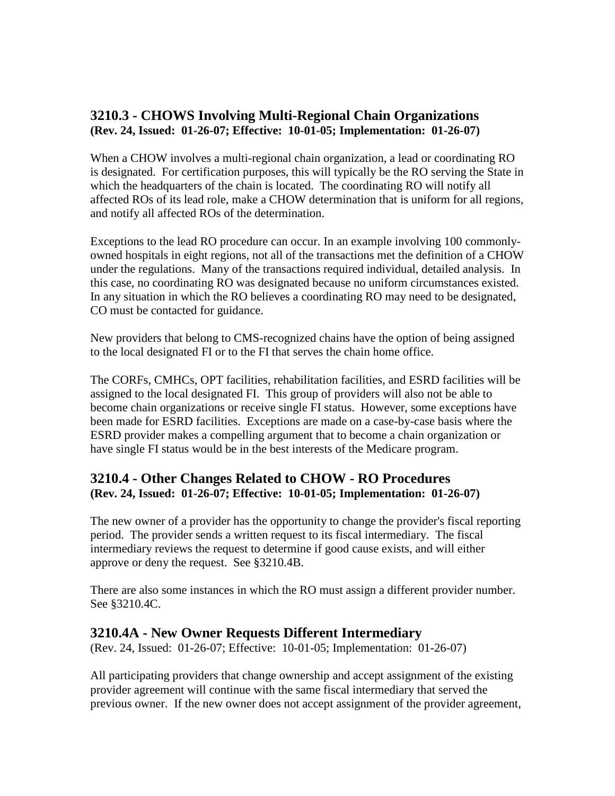### **3210.3 - CHOWS Involving Multi-Regional Chain Organizations (Rev. 24, Issued: 01-26-07; Effective: 10-01-05; Implementation: 01-26-07)**

When a CHOW involves a multi-regional chain organization, a lead or coordinating RO is designated. For certification purposes, this will typically be the RO serving the State in which the headquarters of the chain is located. The coordinating RO will notify all affected ROs of its lead role, make a CHOW determination that is uniform for all regions, and notify all affected ROs of the determination.

Exceptions to the lead RO procedure can occur. In an example involving 100 commonlyowned hospitals in eight regions, not all of the transactions met the definition of a CHOW under the regulations. Many of the transactions required individual, detailed analysis. In this case, no coordinating RO was designated because no uniform circumstances existed. In any situation in which the RO believes a coordinating RO may need to be designated, CO must be contacted for guidance.

New providers that belong to CMS-recognized chains have the option of being assigned to the local designated FI or to the FI that serves the chain home office.

The CORFs, CMHCs, OPT facilities, rehabilitation facilities, and ESRD facilities will be assigned to the local designated FI. This group of providers will also not be able to become chain organizations or receive single FI status. However, some exceptions have been made for ESRD facilities. Exceptions are made on a case-by-case basis where the ESRD provider makes a compelling argument that to become a chain organization or have single FI status would be in the best interests of the Medicare program.

### <span id="page-112-0"></span>**3210.4 - Other Changes Related to CHOW - RO Procedures (Rev. 24, Issued: 01-26-07; Effective: 10-01-05; Implementation: 01-26-07)**

The new owner of a provider has the opportunity to change the provider's fiscal reporting period. The provider sends a written request to its fiscal intermediary. The fiscal intermediary reviews the request to determine if good cause exists, and will either approve or deny the request. See §3210.4B.

There are also some instances in which the RO must assign a different provider number. See §3210.4C.

### **3210.4A - New Owner Requests Different Intermediary**

(Rev. 24, Issued: 01-26-07; Effective: 10-01-05; Implementation: 01-26-07)

All participating providers that change ownership and accept assignment of the existing provider agreement will continue with the same fiscal intermediary that served the previous owner. If the new owner does not accept assignment of the provider agreement,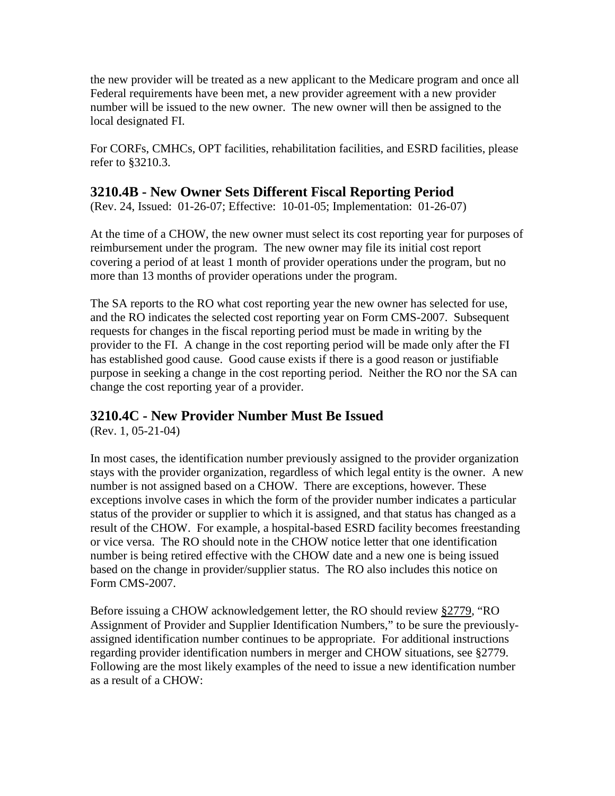the new provider will be treated as a new applicant to the Medicare program and once all Federal requirements have been met, a new provider agreement with a new provider number will be issued to the new owner. The new owner will then be assigned to the local designated FI.

For CORFs, CMHCs, OPT facilities, rehabilitation facilities, and ESRD facilities, please refer to §3210.3.

### **3210.4B - New Owner Sets Different Fiscal Reporting Period**

(Rev. 24, Issued: 01-26-07; Effective: 10-01-05; Implementation: 01-26-07)

At the time of a CHOW, the new owner must select its cost reporting year for purposes of reimbursement under the program. The new owner may file its initial cost report covering a period of at least 1 month of provider operations under the program, but no more than 13 months of provider operations under the program.

The SA reports to the RO what cost reporting year the new owner has selected for use, and the RO indicates the selected cost reporting year on Form CMS-2007. Subsequent requests for changes in the fiscal reporting period must be made in writing by the provider to the FI. A change in the cost reporting period will be made only after the FI has established good cause. Good cause exists if there is a good reason or justifiable purpose in seeking a change in the cost reporting period. Neither the RO nor the SA can change the cost reporting year of a provider.

### **3210.4C - New Provider Number Must Be Issued**

(Rev. 1, 05-21-04)

In most cases, the identification number previously assigned to the provider organization stays with the provider organization, regardless of which legal entity is the owner. A new number is not assigned based on a CHOW. There are exceptions, however. These exceptions involve cases in which the form of the provider number indicates a particular status of the provider or supplier to which it is assigned, and that status has changed as a result of the CHOW. For example, a hospital-based ESRD facility becomes freestanding or vice versa. The RO should note in the CHOW notice letter that one identification number is being retired effective with the CHOW date and a new one is being issued based on the change in provider/supplier status. The RO also includes this notice on Form CMS-2007.

Before issuing a CHOW acknowledgement letter, the RO should review [§2779,](http://www.cms.hhs.gov/manuals/107_som/som107c02.pdf) "RO Assignment of Provider and Supplier Identification Numbers," to be sure the previouslyassigned identification number continues to be appropriate. For additional instructions regarding provider identification numbers in merger and CHOW situations, see §2779. Following are the most likely examples of the need to issue a new identification number as a result of a CHOW: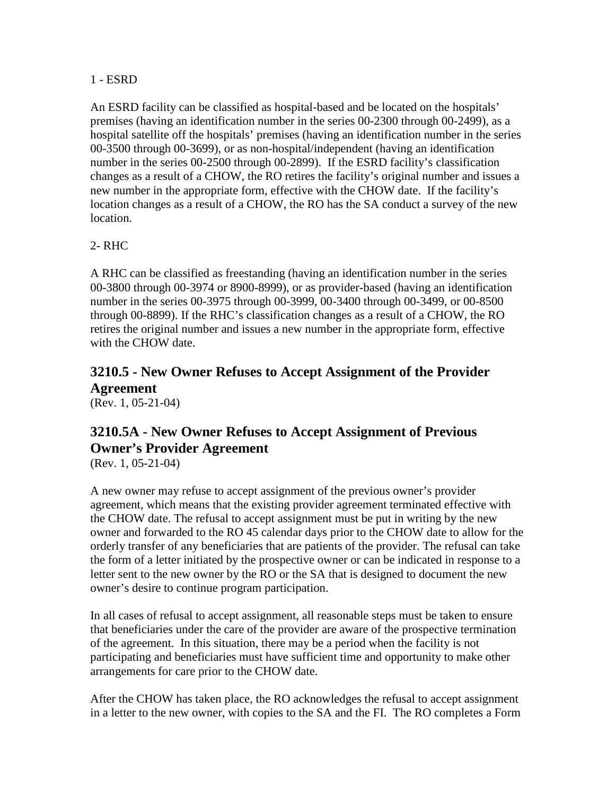#### 1 - ESRD

An ESRD facility can be classified as hospital-based and be located on the hospitals' premises (having an identification number in the series 00-2300 through 00-2499), as a hospital satellite off the hospitals' premises (having an identification number in the series 00-3500 through 00-3699), or as non-hospital/independent (having an identification number in the series 00-2500 through 00-2899). If the ESRD facility's classification changes as a result of a CHOW, the RO retires the facility's original number and issues a new number in the appropriate form, effective with the CHOW date. If the facility's location changes as a result of a CHOW, the RO has the SA conduct a survey of the new location.

### 2- RHC

A RHC can be classified as freestanding (having an identification number in the series 00-3800 through 00-3974 or 8900-8999), or as provider-based (having an identification number in the series 00-3975 through 00-3999, 00-3400 through 00-3499, or 00-8500 through 00-8899). If the RHC's classification changes as a result of a CHOW, the RO retires the original number and issues a new number in the appropriate form, effective with the CHOW date.

# <span id="page-114-0"></span>**3210.5 - New Owner Refuses to Accept Assignment of the Provider Agreement**

(Rev. 1, 05-21-04)

# **3210.5A - New Owner Refuses to Accept Assignment of Previous Owner's Provider Agreement**

(Rev. 1, 05-21-04)

A new owner may refuse to accept assignment of the previous owner's provider agreement, which means that the existing provider agreement terminated effective with the CHOW date. The refusal to accept assignment must be put in writing by the new owner and forwarded to the RO 45 calendar days prior to the CHOW date to allow for the orderly transfer of any beneficiaries that are patients of the provider. The refusal can take the form of a letter initiated by the prospective owner or can be indicated in response to a letter sent to the new owner by the RO or the SA that is designed to document the new owner's desire to continue program participation.

In all cases of refusal to accept assignment, all reasonable steps must be taken to ensure that beneficiaries under the care of the provider are aware of the prospective termination of the agreement. In this situation, there may be a period when the facility is not participating and beneficiaries must have sufficient time and opportunity to make other arrangements for care prior to the CHOW date.

After the CHOW has taken place, the RO acknowledges the refusal to accept assignment in a letter to the new owner, with copies to the SA and the FI. The RO completes a Form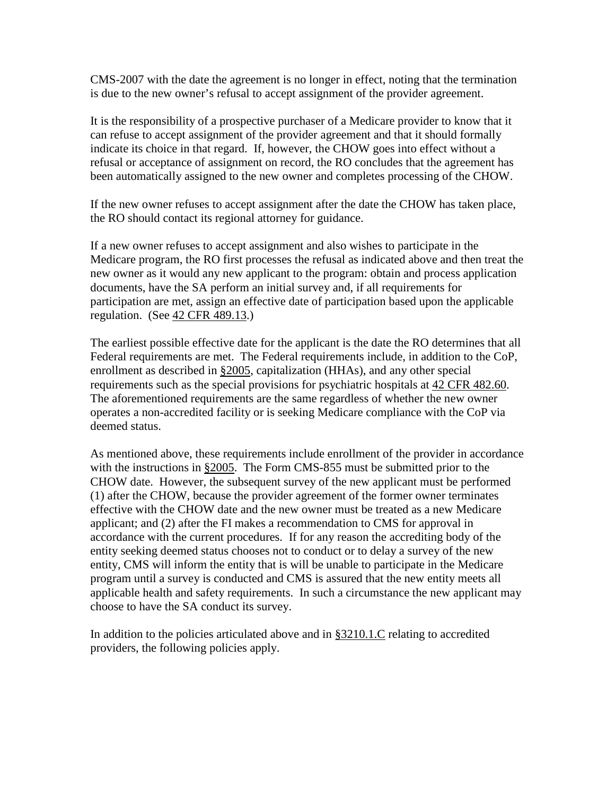CMS-2007 with the date the agreement is no longer in effect, noting that the termination is due to the new owner's refusal to accept assignment of the provider agreement.

It is the responsibility of a prospective purchaser of a Medicare provider to know that it can refuse to accept assignment of the provider agreement and that it should formally indicate its choice in that regard. If, however, the CHOW goes into effect without a refusal or acceptance of assignment on record, the RO concludes that the agreement has been automatically assigned to the new owner and completes processing of the CHOW.

If the new owner refuses to accept assignment after the date the CHOW has taken place, the RO should contact its regional attorney for guidance.

If a new owner refuses to accept assignment and also wishes to participate in the Medicare program, the RO first processes the refusal as indicated above and then treat the new owner as it would any new applicant to the program: obtain and process application documents, have the SA perform an initial survey and, if all requirements for participation are met, assign an effective date of participation based upon the applicable regulation. (See 42 CFR [489.13.](http://www.cms.hhs.gov/regulations/))

The earliest possible effective date for the applicant is the date the RO determines that all Federal requirements are met. The Federal requirements include, in addition to the CoP, enrollment as described in [§2005,](http://www.cms.hhs.gov/manuals/107_som/som107c02.pdf) capitalization (HHAs), and any other special requirements such as the special provisions for psychiatric hospitals at 42 CFR [482.60.](http://www.cms.hhs.gov/regulations/) The aforementioned requirements are the same regardless of whether the new owner operates a non-accredited facility or is seeking Medicare compliance with the CoP via deemed status.

As mentioned above, these requirements include enrollment of the provider in accordance with the instructions in [§2005.](http://www.cms.hhs.gov/manuals/107_som/som107c02.pdf) The Form CMS-855 must be submitted prior to the CHOW date. However, the subsequent survey of the new applicant must be performed (1) after the CHOW, because the provider agreement of the former owner terminates effective with the CHOW date and the new owner must be treated as a new Medicare applicant; and (2) after the FI makes a recommendation to CMS for approval in accordance with the current procedures. If for any reason the accrediting body of the entity seeking deemed status chooses not to conduct or to delay a survey of the new entity, CMS will inform the entity that is will be unable to participate in the Medicare program until a survey is conducted and CMS is assured that the new entity meets all applicable health and safety requirements. In such a circumstance the new applicant may choose to have the SA conduct its survey.

In addition to the policies articulated above and in  $\S 3210.1$ . C relating to accredited providers, the following policies apply.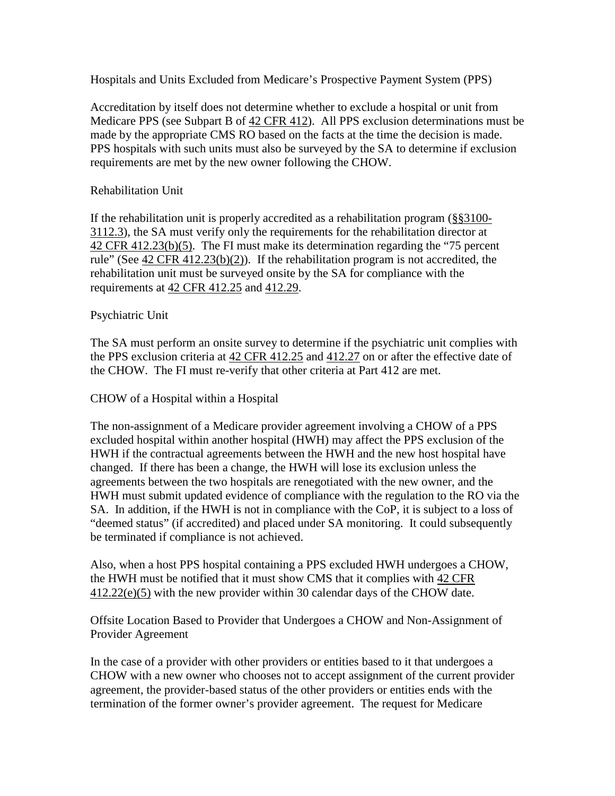Hospitals and Units Excluded from Medicare's Prospective Payment System (PPS)

Accreditation by itself does not determine whether to exclude a hospital or unit from Medicare PPS (see Subpart B of  $42$  CFR 412). All PPS exclusion determinations must be made by the appropriate CMS RO based on the facts at the time the decision is made. PPS hospitals with such units must also be surveyed by the SA to determine if exclusion requirements are met by the new owner following the CHOW.

#### Rehabilitation Unit

If the rehabilitation unit is properly accredited as a rehabilitation program [\(§§3100-](#page-71-0) [3112.3\)](#page-71-0), the SA must verify only the requirements for the rehabilitation director at 42 CFR [412.23\(b\)\(5\).](http://www.cms.hhs.gov/regulations/) The FI must make its determination regarding the "75 percent rule" (See  $42$  CFR  $412.23(b)(2)$ ). If the rehabilitation program is not accredited, the rehabilitation unit must be surveyed onsite by the SA for compliance with the requirements at [42 CFR 412.25](http://www.cms.hhs.gov/regulations/) and [412.29.](http://www.cms.hhs.gov/regulations/)

#### Psychiatric Unit

The SA must perform an onsite survey to determine if the psychiatric unit complies with the PPS exclusion criteria at [42 CFR 412.25](http://www.cms.hhs.gov/regulations/) and [412.27](http://www.cms.hhs.gov/regulations/) on or after the effective date of the CHOW. The FI must re-verify that other criteria at Part 412 are met.

#### CHOW of a Hospital within a Hospital

The non-assignment of a Medicare provider agreement involving a CHOW of a PPS excluded hospital within another hospital (HWH) may affect the PPS exclusion of the HWH if the contractual agreements between the HWH and the new host hospital have changed. If there has been a change, the HWH will lose its exclusion unless the agreements between the two hospitals are renegotiated with the new owner, and the HWH must submit updated evidence of compliance with the regulation to the RO via the SA. In addition, if the HWH is not in compliance with the CoP, it is subject to a loss of "deemed status" (if accredited) and placed under SA monitoring. It could subsequently be terminated if compliance is not achieved.

Also, when a host PPS hospital containing a PPS excluded HWH undergoes a CHOW, the HWH must be notified that it must show CMS that it complies with  $42 \text{ CFR}$ [412.22\(e\)\(5\)](http://www.cms.hhs.gov/regulations/) with the new provider within 30 calendar days of the CHOW date.

Offsite Location Based to Provider that Undergoes a CHOW and Non-Assignment of Provider Agreement

In the case of a provider with other providers or entities based to it that undergoes a CHOW with a new owner who chooses not to accept assignment of the current provider agreement, the provider-based status of the other providers or entities ends with the termination of the former owner's provider agreement. The request for Medicare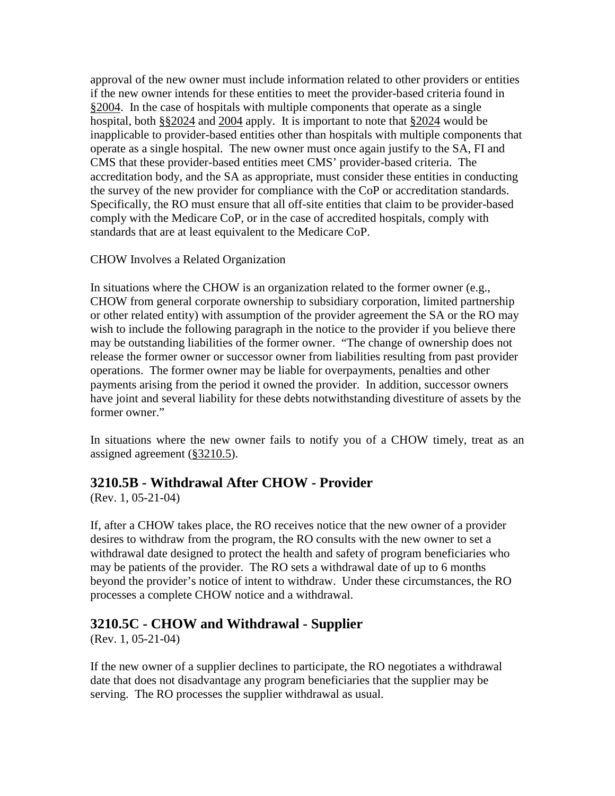approval of the new owner must include information related to other providers or entities if the new owner intends for these entities to meet the provider-based criteria found in [§2004.](http://www.cms.hhs.gov/manuals/107_som/som107c02.pdf) In the case of hospitals with multiple components that operate as a single hospital, both [§§2024](http://www.cms.hhs.gov/manuals/107_som/som107c02.pdf) and [2004](http://www.cms.hhs.gov/manuals/107_som/som107c02.pdf) apply. It is important to note that [§2024](http://www.cms.hhs.gov/manuals/107_som/som107c02.pdf) would be inapplicable to provider-based entities other than hospitals with multiple components that operate as a single hospital. The new owner must once again justify to the SA, FI and CMS that these provider-based entities meet CMS' provider-based criteria. The accreditation body, and the SA as appropriate, must consider these entities in conducting the survey of the new provider for compliance with the CoP or accreditation standards. Specifically, the RO must ensure that all off-site entities that claim to be provider-based comply with the Medicare CoP, or in the case of accredited hospitals, comply with standards that are at least equivalent to the Medicare CoP.

### CHOW Involves a Related Organization

In situations where the CHOW is an organization related to the former owner (e.g., CHOW from general corporate ownership to subsidiary corporation, limited partnership or other related entity) with assumption of the provider agreement the SA or the RO may wish to include the following paragraph in the notice to the provider if you believe there may be outstanding liabilities of the former owner. "The change of ownership does not release the former owner or successor owner from liabilities resulting from past provider operations. The former owner may be liable for overpayments, penalties and other payments arising from the period it owned the provider. In addition, successor owners have joint and several liability for these debts notwithstanding divestiture of assets by the former owner."

In situations where the new owner fails to notify you of a CHOW timely, treat as an assigned agreement [\(§3210.5\)](#page-114-0).

### **3210.5B - Withdrawal After CHOW - Provider**

(Rev. 1, 05-21-04)

If, after a CHOW takes place, the RO receives notice that the new owner of a provider desires to withdraw from the program, the RO consults with the new owner to set a withdrawal date designed to protect the health and safety of program beneficiaries who may be patients of the provider. The RO sets a withdrawal date of up to 6 months beyond the provider's notice of intent to withdraw. Under these circumstances, the RO processes a complete CHOW notice and a withdrawal.

### **3210.5C - CHOW and Withdrawal - Supplier**

(Rev. 1, 05-21-04)

If the new owner of a supplier declines to participate, the RO negotiates a withdrawal date that does not disadvantage any program beneficiaries that the supplier may be serving. The RO processes the supplier withdrawal as usual.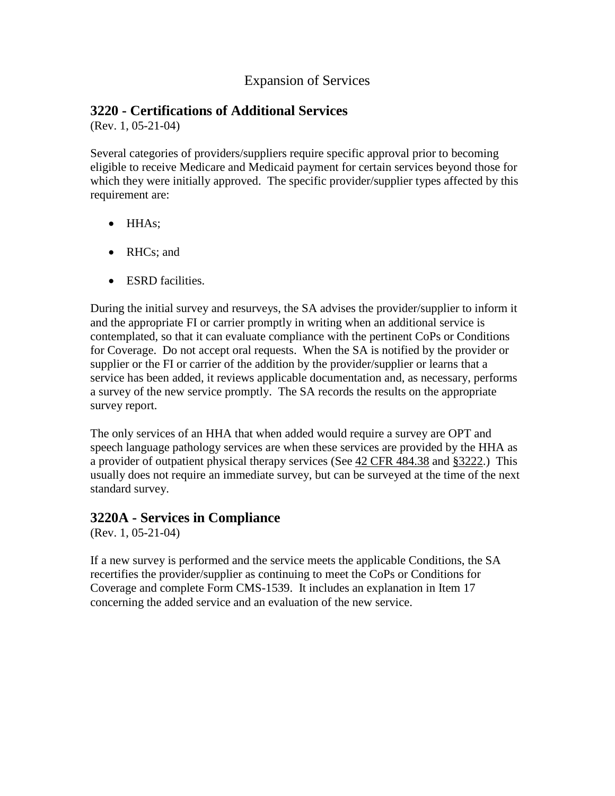### Expansion of Services

### **3220 - Certifications of Additional Services**

(Rev. 1, 05-21-04)

Several categories of providers/suppliers require specific approval prior to becoming eligible to receive Medicare and Medicaid payment for certain services beyond those for which they were initially approved. The specific provider/supplier types affected by this requirement are:

- HHAs;
- RHCs; and
- ESRD facilities.

During the initial survey and resurveys, the SA advises the provider/supplier to inform it and the appropriate FI or carrier promptly in writing when an additional service is contemplated, so that it can evaluate compliance with the pertinent CoPs or Conditions for Coverage. Do not accept oral requests. When the SA is notified by the provider or supplier or the FI or carrier of the addition by the provider/supplier or learns that a service has been added, it reviews applicable documentation and, as necessary, performs a survey of the new service promptly. The SA records the results on the appropriate survey report.

The only services of an HHA that when added would require a survey are OPT and speech language pathology services are when these services are provided by the HHA as a provider of outpatient physical therapy services (See [42 CFR 484.38](http://www.cms.hhs.gov/regulations/) and [§3222.](#page-119-0)) This usually does not require an immediate survey, but can be surveyed at the time of the next standard survey.

### **3220A - Services in Compliance**

(Rev. 1, 05-21-04)

If a new survey is performed and the service meets the applicable Conditions, the SA recertifies the provider/supplier as continuing to meet the CoPs or Conditions for Coverage and complete Form CMS-1539. It includes an explanation in Item 17 concerning the added service and an evaluation of the new service.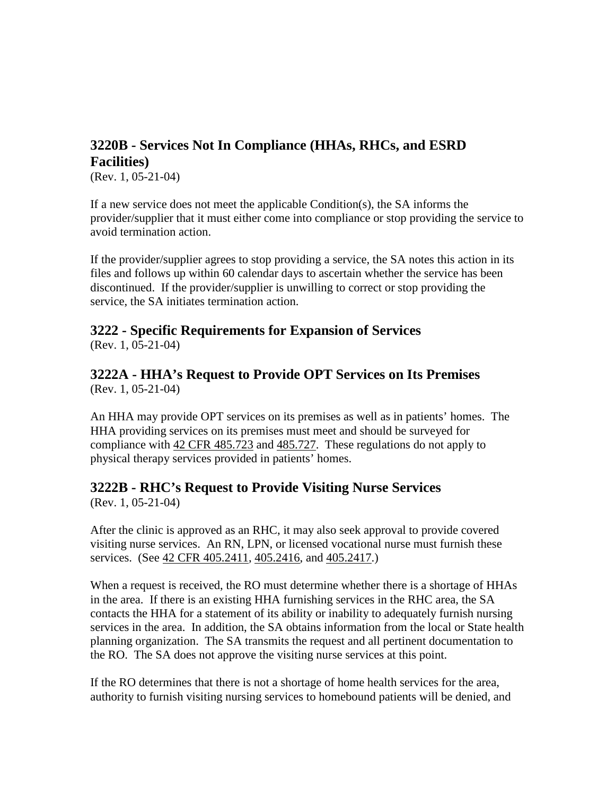# **3220B - Services Not In Compliance (HHAs, RHCs, and ESRD Facilities)**

(Rev. 1, 05-21-04)

If a new service does not meet the applicable Condition(s), the SA informs the provider/supplier that it must either come into compliance or stop providing the service to avoid termination action.

If the provider/supplier agrees to stop providing a service, the SA notes this action in its files and follows up within 60 calendar days to ascertain whether the service has been discontinued. If the provider/supplier is unwilling to correct or stop providing the service, the SA initiates termination action.

# <span id="page-119-0"></span>**3222 - Specific Requirements for Expansion of Services**

(Rev. 1, 05-21-04)

#### **3222A - HHA's Request to Provide OPT Services on Its Premises** (Rev. 1, 05-21-04)

An HHA may provide OPT services on its premises as well as in patients' homes. The HHA providing services on its premises must meet and should be surveyed for compliance with 42 CFR [485.723](http://www.cms.hhs.gov/regulations/) and [485.727.](http://www.cms.hhs.gov/regulations/) These regulations do not apply to physical therapy services provided in patients' homes.

# **3222B - RHC's Request to Provide Visiting Nurse Services**

(Rev. 1, 05-21-04)

After the clinic is approved as an RHC, it may also seek approval to provide covered visiting nurse services. An RN, LPN, or licensed vocational nurse must furnish these services. (See [42 CFR 405.2411, 405.2416,](http://www.cms.hhs.gov/regulations/) and [405.2417.](http://www.cms.hhs.gov/regulations/))

When a request is received, the RO must determine whether there is a shortage of HHAs in the area. If there is an existing HHA furnishing services in the RHC area, the SA contacts the HHA for a statement of its ability or inability to adequately furnish nursing services in the area. In addition, the SA obtains information from the local or State health planning organization. The SA transmits the request and all pertinent documentation to the RO. The SA does not approve the visiting nurse services at this point.

If the RO determines that there is not a shortage of home health services for the area, authority to furnish visiting nursing services to homebound patients will be denied, and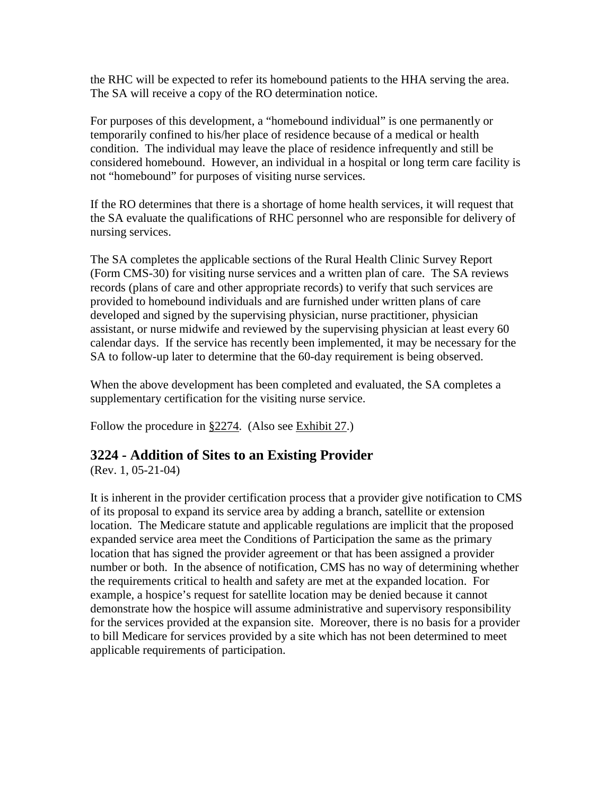the RHC will be expected to refer its homebound patients to the HHA serving the area. The SA will receive a copy of the RO determination notice.

For purposes of this development, a "homebound individual" is one permanently or temporarily confined to his/her place of residence because of a medical or health condition. The individual may leave the place of residence infrequently and still be considered homebound. However, an individual in a hospital or long term care facility is not "homebound" for purposes of visiting nurse services.

If the RO determines that there is a shortage of home health services, it will request that the SA evaluate the qualifications of RHC personnel who are responsible for delivery of nursing services.

The SA completes the applicable sections of the Rural Health Clinic Survey Report (Form CMS-30) for visiting nurse services and a written plan of care. The SA reviews records (plans of care and other appropriate records) to verify that such services are provided to homebound individuals and are furnished under written plans of care developed and signed by the supervising physician, nurse practitioner, physician assistant, or nurse midwife and reviewed by the supervising physician at least every 60 calendar days. If the service has recently been implemented, it may be necessary for the SA to follow-up later to determine that the 60-day requirement is being observed.

When the above development has been completed and evaluated, the SA completes a supplementary certification for the visiting nurse service.

Follow the procedure in [§2274.](http://www.cms.hhs.gov/manuals/107_som/som107c02.pdf) (Also see [Exhibit 27.](http://www.cms.hhs.gov/manuals/107_som/som107c09_exhibitstoc.asp))

# **3224 - Addition of Sites to an Existing Provider**

(Rev. 1, 05-21-04)

It is inherent in the provider certification process that a provider give notification to CMS of its proposal to expand its service area by adding a branch, satellite or extension location. The Medicare statute and applicable regulations are implicit that the proposed expanded service area meet the Conditions of Participation the same as the primary location that has signed the provider agreement or that has been assigned a provider number or both. In the absence of notification, CMS has no way of determining whether the requirements critical to health and safety are met at the expanded location. For example, a hospice's request for satellite location may be denied because it cannot demonstrate how the hospice will assume administrative and supervisory responsibility for the services provided at the expansion site. Moreover, there is no basis for a provider to bill Medicare for services provided by a site which has not been determined to meet applicable requirements of participation.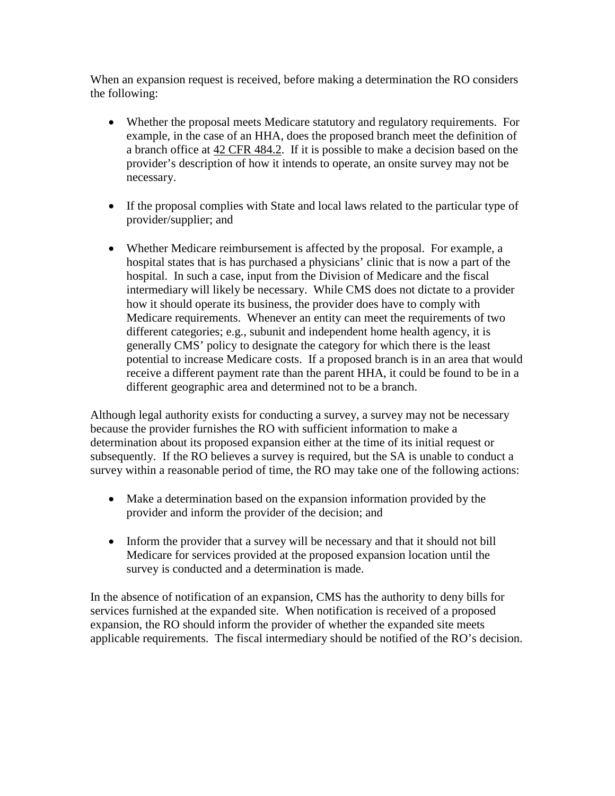When an expansion request is received, before making a determination the RO considers the following:

- Whether the proposal meets Medicare statutory and regulatory requirements. For example, in the case of an HHA, does the proposed branch meet the definition of a branch office at [42 CFR 484.2.](http://www.cms.hhs.gov/regulations/) If it is possible to make a decision based on the provider's description of how it intends to operate, an onsite survey may not be necessary.
- If the proposal complies with State and local laws related to the particular type of provider/supplier; and
- Whether Medicare reimbursement is affected by the proposal. For example, a hospital states that is has purchased a physicians' clinic that is now a part of the hospital. In such a case, input from the Division of Medicare and the fiscal intermediary will likely be necessary. While CMS does not dictate to a provider how it should operate its business, the provider does have to comply with Medicare requirements. Whenever an entity can meet the requirements of two different categories; e.g., subunit and independent home health agency, it is generally CMS' policy to designate the category for which there is the least potential to increase Medicare costs. If a proposed branch is in an area that would receive a different payment rate than the parent HHA, it could be found to be in a different geographic area and determined not to be a branch.

Although legal authority exists for conducting a survey, a survey may not be necessary because the provider furnishes the RO with sufficient information to make a determination about its proposed expansion either at the time of its initial request or subsequently. If the RO believes a survey is required, but the SA is unable to conduct a survey within a reasonable period of time, the RO may take one of the following actions:

- Make a determination based on the expansion information provided by the provider and inform the provider of the decision; and
- Inform the provider that a survey will be necessary and that it should not bill Medicare for services provided at the proposed expansion location until the survey is conducted and a determination is made.

In the absence of notification of an expansion, CMS has the authority to deny bills for services furnished at the expanded site. When notification is received of a proposed expansion, the RO should inform the provider of whether the expanded site meets applicable requirements. The fiscal intermediary should be notified of the RO's decision.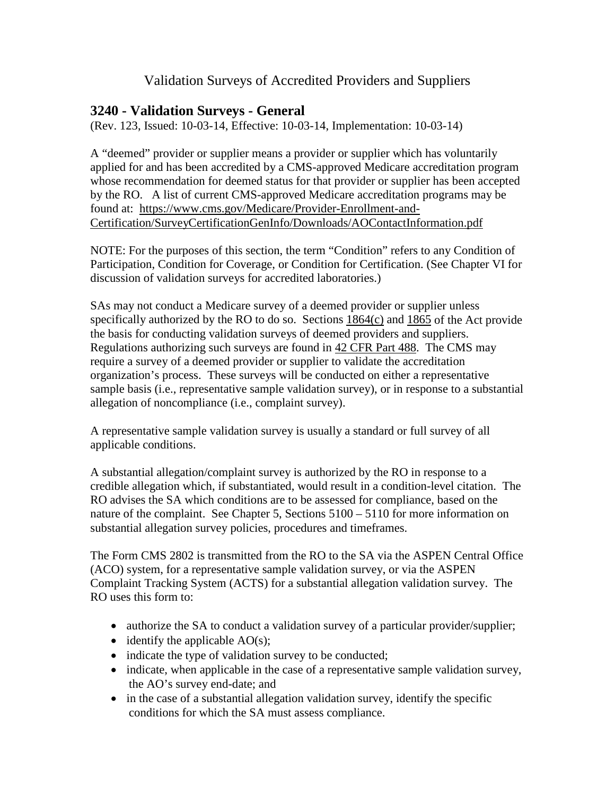### Validation Surveys of Accredited Providers and Suppliers

### **3240 - Validation Surveys - General**

(Rev. 123, Issued: 10-03-14, Effective: 10-03-14, Implementation: 10-03-14)

A "deemed" provider or supplier means a provider or supplier which has voluntarily applied for and has been accredited by a CMS-approved Medicare accreditation program whose recommendation for deemed status for that provider or supplier has been accepted by the RO. A list of current CMS-approved Medicare accreditation programs may be found at: [https://www.cms.gov/Medicare/Provider-Enrollment-and-](https://www.cms.gov/Medicare/Provider-Enrollment-and-Certification/SurveyCertificationGenInfo/Downloads/AOContactInformation.pdf)[Certification/SurveyCertificationGenInfo/Downloads/AOContactInformation.pdf](https://www.cms.gov/Medicare/Provider-Enrollment-and-Certification/SurveyCertificationGenInfo/Downloads/AOContactInformation.pdf)

NOTE: For the purposes of this section, the term "Condition" refers to any Condition of Participation, Condition for Coverage, or Condition for Certification. (See Chapter VI for discussion of validation surveys for accredited laboratories.)

SAs may not conduct a Medicare survey of a deemed provider or supplier unless specifically authorized by the RO to do so. Sections [1864\(c\)](http://www.cms.hhs.gov/regulations/) and [1865](http://www.cms.hhs.gov/regulations/) of the Act provide the basis for conducting validation surveys of deemed providers and suppliers. Regulations authorizing such surveys are found in [42 CFR Part 488.](http://www.cms.hhs.gov/regulations/) The CMS may require a survey of a deemed provider or supplier to validate the accreditation organization's process. These surveys will be conducted on either a representative sample basis (i.e., representative sample validation survey), or in response to a substantial allegation of noncompliance (i.e., complaint survey).

A representative sample validation survey is usually a standard or full survey of all applicable conditions.

A substantial allegation/complaint survey is authorized by the RO in response to a credible allegation which, if substantiated, would result in a condition-level citation. The RO advises the SA which conditions are to be assessed for compliance, based on the nature of the complaint. See Chapter 5, Sections 5100 – 5110 for more information on substantial allegation survey policies, procedures and timeframes.

The Form CMS 2802 is transmitted from the RO to the SA via the ASPEN Central Office (ACO) system, for a representative sample validation survey, or via the ASPEN Complaint Tracking System (ACTS) for a substantial allegation validation survey. The RO uses this form to:

- authorize the SA to conduct a validation survey of a particular provider/supplier;
- identify the applicable  $AO(s)$ ;
- indicate the type of validation survey to be conducted;
- indicate, when applicable in the case of a representative sample validation survey, the AO's survey end-date; and
- in the case of a substantial allegation validation survey, identify the specific conditions for which the SA must assess compliance.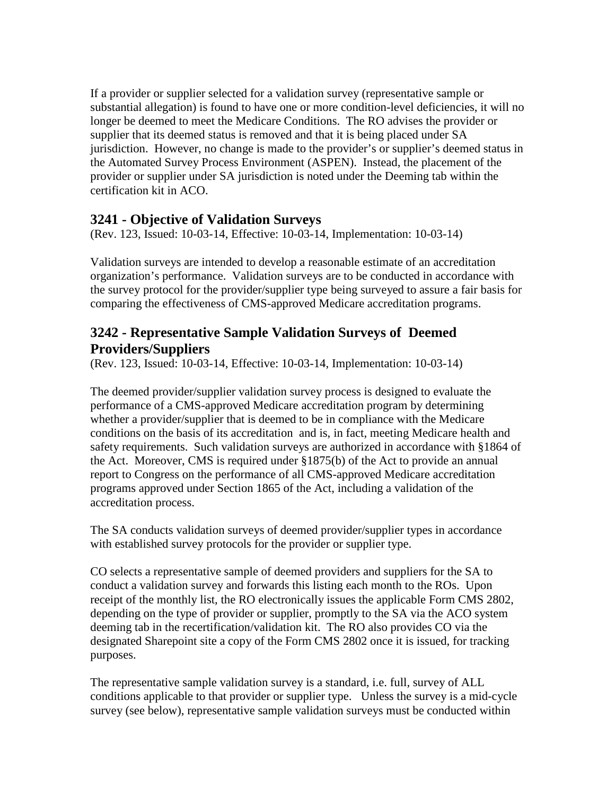If a provider or supplier selected for a validation survey (representative sample or substantial allegation) is found to have one or more condition-level deficiencies, it will no longer be deemed to meet the Medicare Conditions. The RO advises the provider or supplier that its deemed status is removed and that it is being placed under SA jurisdiction. However, no change is made to the provider's or supplier's deemed status in the Automated Survey Process Environment (ASPEN). Instead, the placement of the provider or supplier under SA jurisdiction is noted under the Deeming tab within the certification kit in ACO.

### **3241 - Objective of Validation Surveys**

(Rev. 123, Issued: 10-03-14, Effective: 10-03-14, Implementation: 10-03-14)

Validation surveys are intended to develop a reasonable estimate of an accreditation organization's performance. Validation surveys are to be conducted in accordance with the survey protocol for the provider/supplier type being surveyed to assure a fair basis for comparing the effectiveness of CMS-approved Medicare accreditation programs.

# **3242 - Representative Sample Validation Surveys of Deemed Providers/Suppliers**

(Rev. 123, Issued: 10-03-14, Effective: 10-03-14, Implementation: 10-03-14)

The deemed provider/supplier validation survey process is designed to evaluate the performance of a CMS-approved Medicare accreditation program by determining whether a provider/supplier that is deemed to be in compliance with the Medicare conditions on the basis of its accreditation and is, in fact, meeting Medicare health and safety requirements. Such validation surveys are authorized in accordance with §1864 of the Act. Moreover, CMS is required under §1875(b) of the Act to provide an annual report to Congress on the performance of all CMS-approved Medicare accreditation programs approved under Section 1865 of the Act, including a validation of the accreditation process.

The SA conducts validation surveys of deemed provider/supplier types in accordance with established survey protocols for the provider or supplier type.

CO selects a representative sample of deemed providers and suppliers for the SA to conduct a validation survey and forwards this listing each month to the ROs. Upon receipt of the monthly list, the RO electronically issues the applicable Form CMS 2802, depending on the type of provider or supplier, promptly to the SA via the ACO system deeming tab in the recertification/validation kit. The RO also provides CO via the designated Sharepoint site a copy of the Form CMS 2802 once it is issued, for tracking purposes.

The representative sample validation survey is a standard, i.e. full, survey of ALL conditions applicable to that provider or supplier type. Unless the survey is a mid-cycle survey (see below), representative sample validation surveys must be conducted within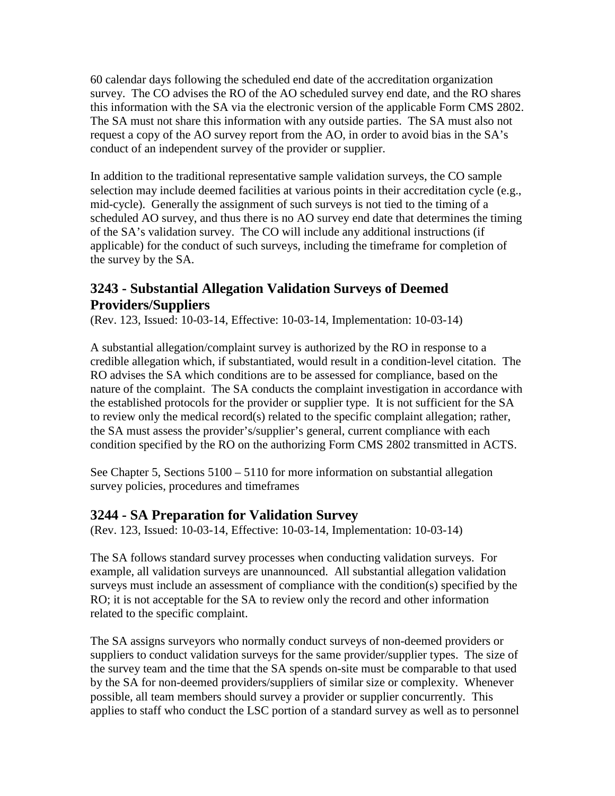60 calendar days following the scheduled end date of the accreditation organization survey. The CO advises the RO of the AO scheduled survey end date, and the RO shares this information with the SA via the electronic version of the applicable Form CMS 2802. The SA must not share this information with any outside parties. The SA must also not request a copy of the AO survey report from the AO, in order to avoid bias in the SA's conduct of an independent survey of the provider or supplier.

In addition to the traditional representative sample validation surveys, the CO sample selection may include deemed facilities at various points in their accreditation cycle (e.g., mid-cycle). Generally the assignment of such surveys is not tied to the timing of a scheduled AO survey, and thus there is no AO survey end date that determines the timing of the SA's validation survey. The CO will include any additional instructions (if applicable) for the conduct of such surveys, including the timeframe for completion of the survey by the SA.

# **3243 - Substantial Allegation Validation Surveys of Deemed Providers/Suppliers**

(Rev. 123, Issued: 10-03-14, Effective: 10-03-14, Implementation: 10-03-14)

A substantial allegation/complaint survey is authorized by the RO in response to a credible allegation which, if substantiated, would result in a condition-level citation. The RO advises the SA which conditions are to be assessed for compliance, based on the nature of the complaint. The SA conducts the complaint investigation in accordance with the established protocols for the provider or supplier type. It is not sufficient for the SA to review only the medical record(s) related to the specific complaint allegation; rather, the SA must assess the provider's/supplier's general, current compliance with each condition specified by the RO on the authorizing Form CMS 2802 transmitted in ACTS.

See Chapter 5, Sections 5100 – 5110 for more information on substantial allegation survey policies, procedures and timeframes

### **3244 - SA Preparation for Validation Survey**

(Rev. 123, Issued: 10-03-14, Effective: 10-03-14, Implementation: 10-03-14)

The SA follows standard survey processes when conducting validation surveys. For example, all validation surveys are unannounced. All substantial allegation validation surveys must include an assessment of compliance with the condition(s) specified by the RO; it is not acceptable for the SA to review only the record and other information related to the specific complaint.

The SA assigns surveyors who normally conduct surveys of non-deemed providers or suppliers to conduct validation surveys for the same provider/supplier types. The size of the survey team and the time that the SA spends on-site must be comparable to that used by the SA for non-deemed providers/suppliers of similar size or complexity. Whenever possible, all team members should survey a provider or supplier concurrently. This applies to staff who conduct the LSC portion of a standard survey as well as to personnel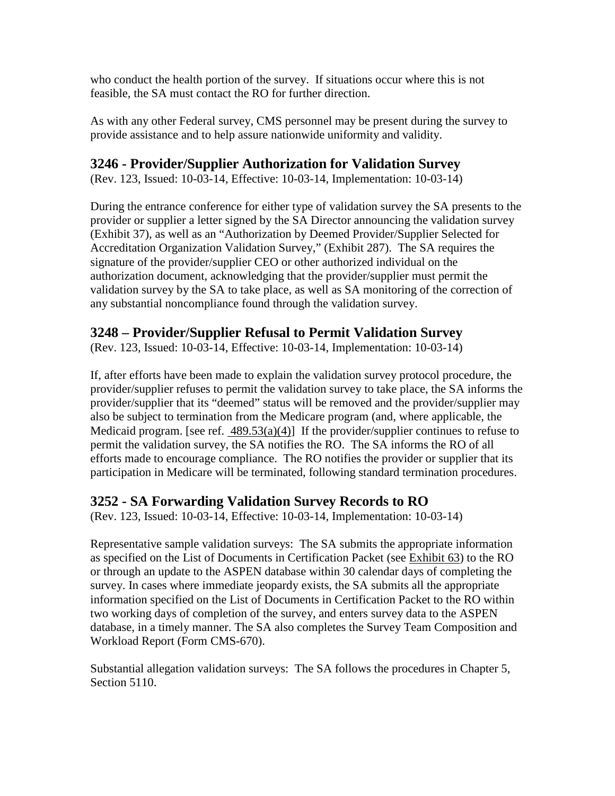who conduct the health portion of the survey. If situations occur where this is not feasible, the SA must contact the RO for further direction.

As with any other Federal survey, CMS personnel may be present during the survey to provide assistance and to help assure nationwide uniformity and validity.

### **3246 - Provider/Supplier Authorization for Validation Survey**

(Rev. 123, Issued: 10-03-14, Effective: 10-03-14, Implementation: 10-03-14)

During the entrance conference for either type of validation survey the SA presents to the provider or supplier a letter signed by the SA Director announcing the validation survey (Exhibit 37), as well as an "Authorization by Deemed Provider/Supplier Selected for Accreditation Organization Validation Survey," (Exhibit 287). The SA requires the signature of the provider/supplier CEO or other authorized individual on the authorization document, acknowledging that the provider/supplier must permit the validation survey by the SA to take place, as well as SA monitoring of the correction of any substantial noncompliance found through the validation survey.

### **3248 – Provider/Supplier Refusal to Permit Validation Survey**

(Rev. 123, Issued: 10-03-14, Effective: 10-03-14, Implementation: 10-03-14)

If, after efforts have been made to explain the validation survey protocol procedure, the provider/supplier refuses to permit the validation survey to take place, the SA informs the provider/supplier that its "deemed" status will be removed and the provider/supplier may also be subject to termination from the Medicare program (and, where applicable, the Medicaid program. [see ref.  $489.53(a)(4)$ ] If the provider/supplier continues to refuse to permit the validation survey, the SA notifies the RO. The SA informs the RO of all efforts made to encourage compliance. The RO notifies the provider or supplier that its participation in Medicare will be terminated, following standard termination procedures.

### **3252 - SA Forwarding Validation Survey Records to RO**

(Rev. 123, Issued: 10-03-14, Effective: 10-03-14, Implementation: 10-03-14)

Representative sample validation surveys: The SA submits the appropriate information as specified on the List of Documents in Certification Packet (see [Exhibit 63\)](http://www.cms.hhs.gov/manuals/107_som/som107c09_exhibitstoc.asp) to the RO or through an update to the ASPEN database within 30 calendar days of completing the survey. In cases where immediate jeopardy exists, the SA submits all the appropriate information specified on the List of Documents in Certification Packet to the RO within two working days of completion of the survey, and enters survey data to the ASPEN database, in a timely manner. The SA also completes the Survey Team Composition and Workload Report (Form CMS-670).

Substantial allegation validation surveys: The SA follows the procedures in Chapter 5, Section 5110.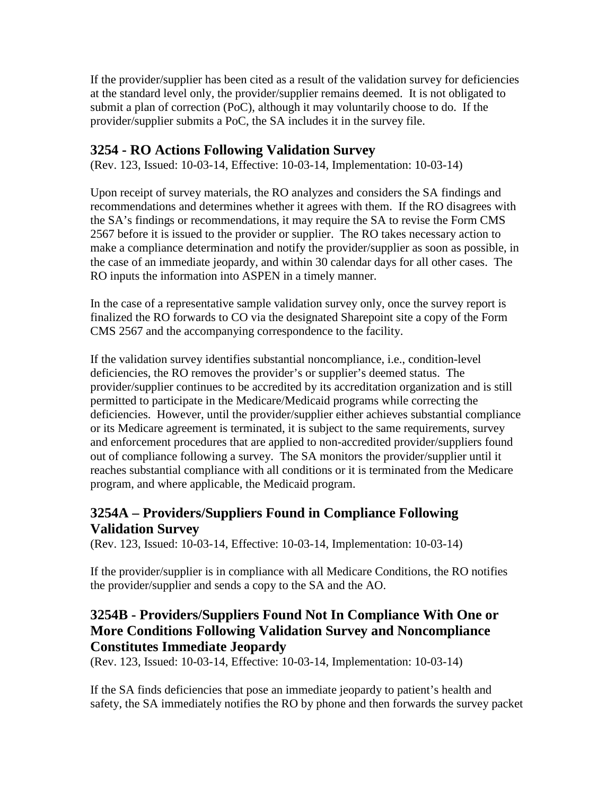If the provider/supplier has been cited as a result of the validation survey for deficiencies at the standard level only, the provider/supplier remains deemed. It is not obligated to submit a plan of correction (PoC), although it may voluntarily choose to do. If the provider/supplier submits a PoC, the SA includes it in the survey file.

### **3254 - RO Actions Following Validation Survey**

(Rev. 123, Issued: 10-03-14, Effective: 10-03-14, Implementation: 10-03-14)

Upon receipt of survey materials, the RO analyzes and considers the SA findings and recommendations and determines whether it agrees with them. If the RO disagrees with the SA's findings or recommendations, it may require the SA to revise the Form CMS 2567 before it is issued to the provider or supplier. The RO takes necessary action to make a compliance determination and notify the provider/supplier as soon as possible, in the case of an immediate jeopardy, and within 30 calendar days for all other cases. The RO inputs the information into ASPEN in a timely manner.

In the case of a representative sample validation survey only, once the survey report is finalized the RO forwards to CO via the designated Sharepoint site a copy of the Form CMS 2567 and the accompanying correspondence to the facility.

If the validation survey identifies substantial noncompliance, i.e., condition-level deficiencies, the RO removes the provider's or supplier's deemed status. The provider/supplier continues to be accredited by its accreditation organization and is still permitted to participate in the Medicare/Medicaid programs while correcting the deficiencies. However, until the provider/supplier either achieves substantial compliance or its Medicare agreement is terminated, it is subject to the same requirements, survey and enforcement procedures that are applied to non-accredited provider/suppliers found out of compliance following a survey. The SA monitors the provider/supplier until it reaches substantial compliance with all conditions or it is terminated from the Medicare program, and where applicable, the Medicaid program.

# **3254A – Providers/Suppliers Found in Compliance Following Validation Survey**

(Rev. 123, Issued: 10-03-14, Effective: 10-03-14, Implementation: 10-03-14)

If the provider/supplier is in compliance with all Medicare Conditions, the RO notifies the provider/supplier and sends a copy to the SA and the AO.

### **3254B - Providers/Suppliers Found Not In Compliance With One or More Conditions Following Validation Survey and Noncompliance Constitutes Immediate Jeopardy**

(Rev. 123, Issued: 10-03-14, Effective: 10-03-14, Implementation: 10-03-14)

If the SA finds deficiencies that pose an immediate jeopardy to patient's health and safety, the SA immediately notifies the RO by phone and then forwards the survey packet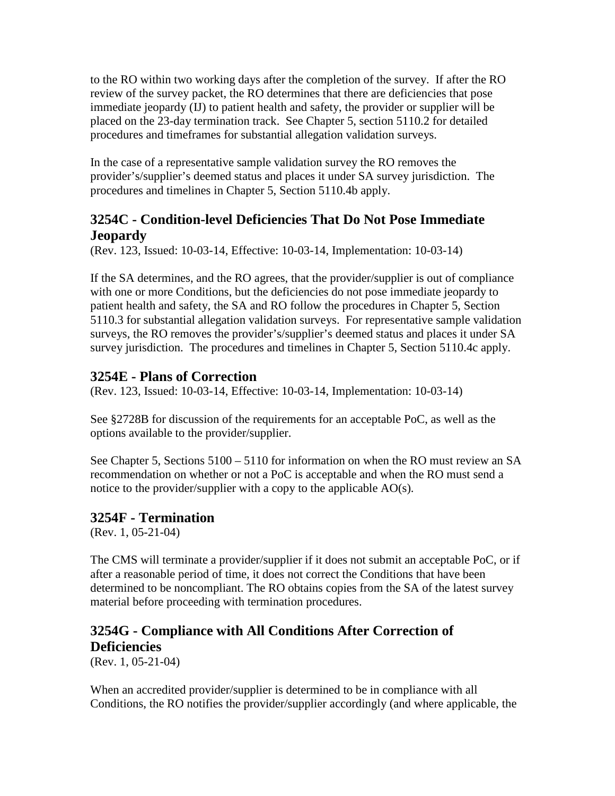to the RO within two working days after the completion of the survey. If after the RO review of the survey packet, the RO determines that there are deficiencies that pose immediate jeopardy (IJ) to patient health and safety, the provider or supplier will be placed on the 23-day termination track. See Chapter 5, section 5110.2 for detailed procedures and timeframes for substantial allegation validation surveys.

In the case of a representative sample validation survey the RO removes the provider's/supplier's deemed status and places it under SA survey jurisdiction. The procedures and timelines in Chapter 5, Section 5110.4b apply.

# **3254C - Condition-level Deficiencies That Do Not Pose Immediate Jeopardy**

(Rev. 123, Issued: 10-03-14, Effective: 10-03-14, Implementation: 10-03-14)

If the SA determines, and the RO agrees, that the provider/supplier is out of compliance with one or more Conditions, but the deficiencies do not pose immediate jeopardy to patient health and safety, the SA and RO follow the procedures in Chapter 5, Section 5110.3 for substantial allegation validation surveys. For representative sample validation surveys, the RO removes the provider's/supplier's deemed status and places it under SA survey jurisdiction. The procedures and timelines in Chapter 5, Section 5110.4c apply.

# **3254E - Plans of Correction**

(Rev. 123, Issued: 10-03-14, Effective: 10-03-14, Implementation: 10-03-14)

See §2728B for discussion of the requirements for an acceptable PoC, as well as the options available to the provider/supplier.

See Chapter 5, Sections 5100 – 5110 for information on when the RO must review an SA recommendation on whether or not a PoC is acceptable and when the RO must send a notice to the provider/supplier with a copy to the applicable AO(s).

### **3254F - Termination**

(Rev. 1, 05-21-04)

The CMS will terminate a provider/supplier if it does not submit an acceptable PoC, or if after a reasonable period of time, it does not correct the Conditions that have been determined to be noncompliant. The RO obtains copies from the SA of the latest survey material before proceeding with termination procedures.

# **3254G - Compliance with All Conditions After Correction of Deficiencies**

(Rev. 1, 05-21-04)

When an accredited provider/supplier is determined to be in compliance with all Conditions, the RO notifies the provider/supplier accordingly (and where applicable, the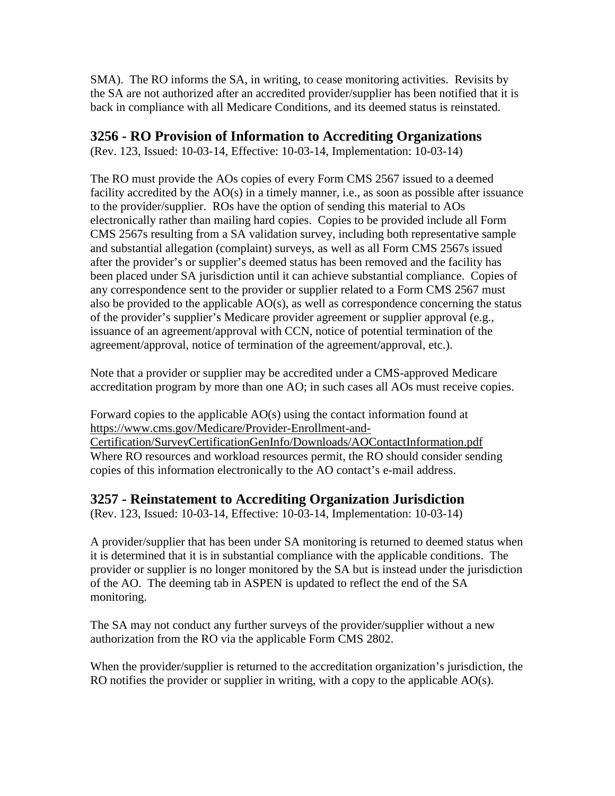SMA). The RO informs the SA, in writing, to cease monitoring activities. Revisits by the SA are not authorized after an accredited provider/supplier has been notified that it is back in compliance with all Medicare Conditions, and its deemed status is reinstated.

### **3256 - RO Provision of Information to Accrediting Organizations**

(Rev. 123, Issued: 10-03-14, Effective: 10-03-14, Implementation: 10-03-14)

The RO must provide the AOs copies of every Form CMS 2567 issued to a deemed facility accredited by the AO(s) in a timely manner, i.e., as soon as possible after issuance to the provider/supplier. ROs have the option of sending this material to AOs electronically rather than mailing hard copies. Copies to be provided include all Form CMS 2567s resulting from a SA validation survey, including both representative sample and substantial allegation (complaint) surveys, as well as all Form CMS 2567s issued after the provider's or supplier's deemed status has been removed and the facility has been placed under SA jurisdiction until it can achieve substantial compliance. Copies of any correspondence sent to the provider or supplier related to a Form CMS 2567 must also be provided to the applicable AO(s), as well as correspondence concerning the status of the provider's supplier's Medicare provider agreement or supplier approval (e.g., issuance of an agreement/approval with CCN, notice of potential termination of the agreement/approval, notice of termination of the agreement/approval, etc.).

Note that a provider or supplier may be accredited under a CMS-approved Medicare accreditation program by more than one AO; in such cases all AOs must receive copies.

Forward copies to the applicable AO(s) using the contact information found at [https://www.cms.gov/Medicare/Provider-Enrollment-and-](https://www.cms.gov/Medicare/Provider-Enrollment-and-Certification/SurveyCertificationGenInfo/Downloads/AOContactInformation.pdf)[Certification/SurveyCertificationGenInfo/Downloads/AOContactInformation.pdf](https://www.cms.gov/Medicare/Provider-Enrollment-and-Certification/SurveyCertificationGenInfo/Downloads/AOContactInformation.pdf)  Where RO resources and workload resources permit, the RO should consider sending copies of this information electronically to the AO contact's e-mail address.

### **3257 - Reinstatement to Accrediting Organization Jurisdiction**

(Rev. 123, Issued: 10-03-14, Effective: 10-03-14, Implementation: 10-03-14)

A provider/supplier that has been under SA monitoring is returned to deemed status when it is determined that it is in substantial compliance with the applicable conditions. The provider or supplier is no longer monitored by the SA but is instead under the jurisdiction of the AO. The deeming tab in ASPEN is updated to reflect the end of the SA monitoring.

The SA may not conduct any further surveys of the provider/supplier without a new authorization from the RO via the applicable Form CMS 2802.

When the provider/supplier is returned to the accreditation organization's jurisdiction, the RO notifies the provider or supplier in writing, with a copy to the applicable AO(s).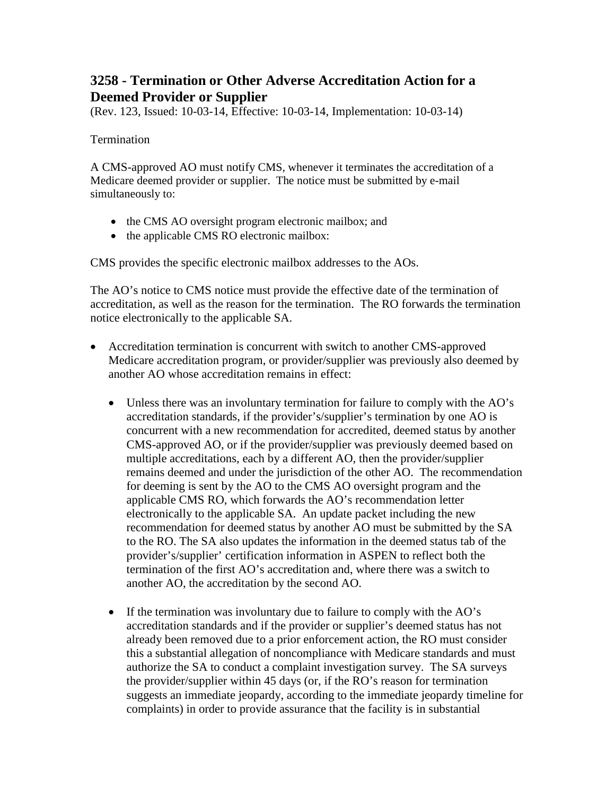# **3258 - Termination or Other Adverse Accreditation Action for a Deemed Provider or Supplier**

(Rev. 123, Issued: 10-03-14, Effective: 10-03-14, Implementation: 10-03-14)

#### Termination

A CMS-approved AO must notify CMS, whenever it terminates the accreditation of a Medicare deemed provider or supplier. The notice must be submitted by e-mail simultaneously to:

- the CMS AO oversight program electronic mailbox; and
- the applicable CMS RO electronic mailbox:

CMS provides the specific electronic mailbox addresses to the AOs.

The AO's notice to CMS notice must provide the effective date of the termination of accreditation, as well as the reason for the termination. The RO forwards the termination notice electronically to the applicable SA.

- Accreditation termination is concurrent with switch to another CMS-approved Medicare accreditation program, or provider/supplier was previously also deemed by another AO whose accreditation remains in effect:
	- Unless there was an involuntary termination for failure to comply with the AO's accreditation standards, if the provider's/supplier's termination by one AO is concurrent with a new recommendation for accredited, deemed status by another CMS-approved AO, or if the provider/supplier was previously deemed based on multiple accreditations, each by a different AO, then the provider/supplier remains deemed and under the jurisdiction of the other AO. The recommendation for deeming is sent by the AO to the CMS AO oversight program and the applicable CMS RO, which forwards the AO's recommendation letter electronically to the applicable SA. An update packet including the new recommendation for deemed status by another AO must be submitted by the SA to the RO. The SA also updates the information in the deemed status tab of the provider's/supplier' certification information in ASPEN to reflect both the termination of the first AO's accreditation and, where there was a switch to another AO, the accreditation by the second AO.
	- If the termination was involuntary due to failure to comply with the AO's accreditation standards and if the provider or supplier's deemed status has not already been removed due to a prior enforcement action, the RO must consider this a substantial allegation of noncompliance with Medicare standards and must authorize the SA to conduct a complaint investigation survey. The SA surveys the provider/supplier within 45 days (or, if the RO's reason for termination suggests an immediate jeopardy, according to the immediate jeopardy timeline for complaints) in order to provide assurance that the facility is in substantial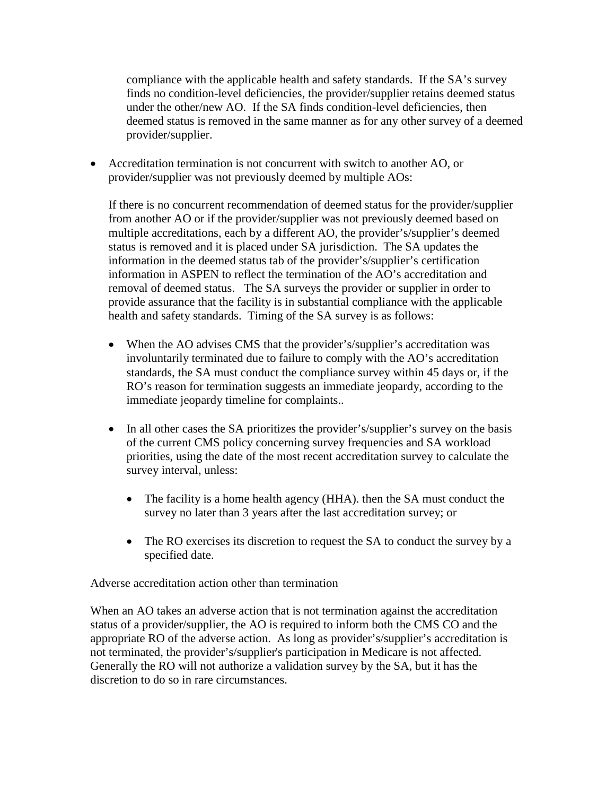compliance with the applicable health and safety standards. If the SA's survey finds no condition-level deficiencies, the provider/supplier retains deemed status under the other/new AO. If the SA finds condition-level deficiencies, then deemed status is removed in the same manner as for any other survey of a deemed provider/supplier.

• Accreditation termination is not concurrent with switch to another AO, or provider/supplier was not previously deemed by multiple AOs:

If there is no concurrent recommendation of deemed status for the provider/supplier from another AO or if the provider/supplier was not previously deemed based on multiple accreditations, each by a different AO, the provider's/supplier's deemed status is removed and it is placed under SA jurisdiction. The SA updates the information in the deemed status tab of the provider's/supplier's certification information in ASPEN to reflect the termination of the AO's accreditation and removal of deemed status. The SA surveys the provider or supplier in order to provide assurance that the facility is in substantial compliance with the applicable health and safety standards. Timing of the SA survey is as follows:

- When the AO advises CMS that the provider's/supplier's accreditation was involuntarily terminated due to failure to comply with the AO's accreditation standards, the SA must conduct the compliance survey within 45 days or, if the RO's reason for termination suggests an immediate jeopardy, according to the immediate jeopardy timeline for complaints..
- In all other cases the SA prioritizes the provider's/supplier's survey on the basis of the current CMS policy concerning survey frequencies and SA workload priorities, using the date of the most recent accreditation survey to calculate the survey interval, unless:
	- The facility is a home health agency (HHA). then the SA must conduct the survey no later than 3 years after the last accreditation survey; or
	- The RO exercises its discretion to request the SA to conduct the survey by a specified date.

Adverse accreditation action other than termination

When an AO takes an adverse action that is not termination against the accreditation status of a provider/supplier, the AO is required to inform both the CMS CO and the appropriate RO of the adverse action. As long as provider's/supplier's accreditation is not terminated, the provider's/supplier's participation in Medicare is not affected. Generally the RO will not authorize a validation survey by the SA, but it has the discretion to do so in rare circumstances.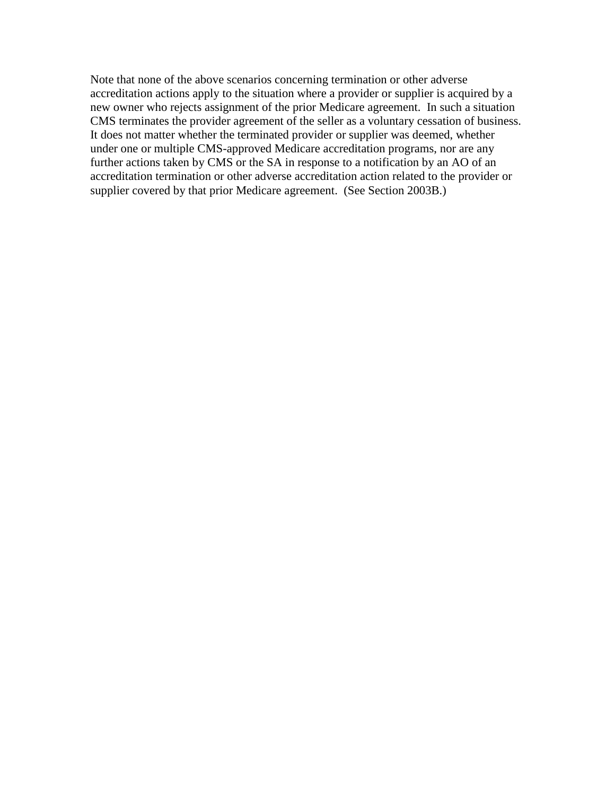Note that none of the above scenarios concerning termination or other adverse accreditation actions apply to the situation where a provider or supplier is acquired by a new owner who rejects assignment of the prior Medicare agreement. In such a situation CMS terminates the provider agreement of the seller as a voluntary cessation of business. It does not matter whether the terminated provider or supplier was deemed, whether under one or multiple CMS-approved Medicare accreditation programs, nor are any further actions taken by CMS or the SA in response to a notification by an AO of an accreditation termination or other adverse accreditation action related to the provider or supplier covered by that prior Medicare agreement. (See Section 2003B.)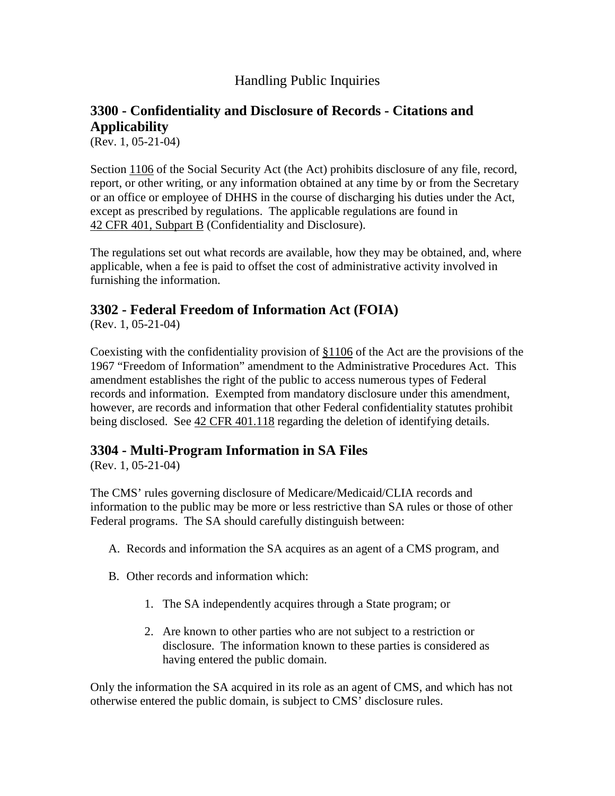### Handling Public Inquiries

# <span id="page-132-0"></span>**3300 - Confidentiality and Disclosure of Records - Citations and Applicability**

(Rev. 1, 05-21-04)

Section [1106](http://www.cms.hhs.gov/manuals/) of the Social Security Act (the Act) prohibits disclosure of any file, record, report, or other writing, or any information obtained at any time by or from the Secretary or an office or employee of DHHS in the course of discharging his duties under the Act, except as prescribed by regulations. The applicable regulations are found in 42 CFR 401, [Subpart](http://www.cms.hhs.gov/manuals/) B (Confidentiality and Disclosure).

The regulations set out what records are available, how they may be obtained, and, where applicable, when a fee is paid to offset the cost of administrative activity involved in furnishing the information.

### **3302 - Federal Freedom of Information Act (FOIA)**

(Rev. 1, 05-21-04)

Coexisting with the confidentiality provision of [§1106](http://www.cms.hhs.gov/manuals/) of the Act are the provisions of the 1967 "Freedom of Information" amendment to the Administrative Procedures Act. This amendment establishes the right of the public to access numerous types of Federal records and information. Exempted from mandatory disclosure under this amendment, however, are records and information that other Federal confidentiality statutes prohibit being disclosed. See 42 CFR [401.118](http://www.cms.hhs.gov/manuals/) regarding the deletion of identifying details.

### **3304 - Multi-Program Information in SA Files**

(Rev. 1, 05-21-04)

The CMS' rules governing disclosure of Medicare/Medicaid/CLIA records and information to the public may be more or less restrictive than SA rules or those of other Federal programs. The SA should carefully distinguish between:

- A. Records and information the SA acquires as an agent of a CMS program, and
- B. Other records and information which:
	- 1. The SA independently acquires through a State program; or
	- 2. Are known to other parties who are not subject to a restriction or disclosure. The information known to these parties is considered as having entered the public domain.

Only the information the SA acquired in its role as an agent of CMS, and which has not otherwise entered the public domain, is subject to CMS' disclosure rules.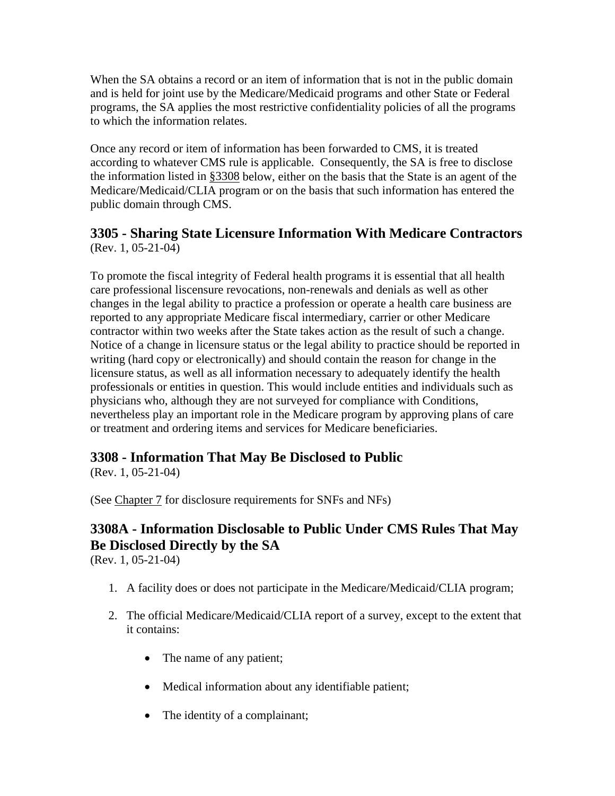When the SA obtains a record or an item of information that is not in the public domain and is held for joint use by the Medicare/Medicaid programs and other State or Federal programs, the SA applies the most restrictive confidentiality policies of all the programs to which the information relates.

Once any record or item of information has been forwarded to CMS, it is treated according to whatever CMS rule is applicable. Consequently, the SA is free to disclose the information listed in [§3308](#page-133-0) below, either on the basis that the State is an agent of the Medicare/Medicaid/CLIA program or on the basis that such information has entered the public domain through CMS.

### **3305 - Sharing State Licensure Information With Medicare Contractors** (Rev. 1, 05-21-04)

To promote the fiscal integrity of Federal health programs it is essential that all health care professional liscensure revocations, non-renewals and denials as well as other changes in the legal ability to practice a profession or operate a health care business are reported to any appropriate Medicare fiscal intermediary, carrier or other Medicare contractor within two weeks after the State takes action as the result of such a change. Notice of a change in licensure status or the legal ability to practice should be reported in writing (hard copy or electronically) and should contain the reason for change in the licensure status, as well as all information necessary to adequately identify the health professionals or entities in question. This would include entities and individuals such as physicians who, although they are not surveyed for compliance with Conditions, nevertheless play an important role in the Medicare program by approving plans of care or treatment and ordering items and services for Medicare beneficiaries.

# <span id="page-133-0"></span>**3308 - Information That May Be Disclosed to Public**

(Rev. 1, 05-21-04)

(See [Chapter 7](http://www.cms.hhs.gov/manuals/107_som/som107c07.pdf) for disclosure requirements for SNFs and NFs)

# **3308A - Information Disclosable to Public Under CMS Rules That May Be Disclosed Directly by the SA**

(Rev. 1, 05-21-04)

- 1. A facility does or does not participate in the Medicare/Medicaid/CLIA program;
- 2. The official Medicare/Medicaid/CLIA report of a survey, except to the extent that it contains:
	- The name of any patient;
	- Medical information about any identifiable patient;
	- The identity of a complainant;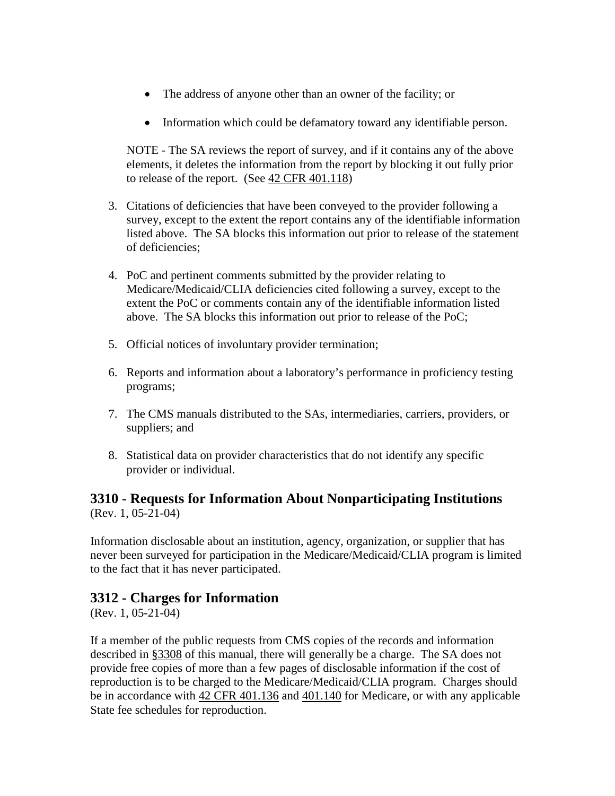- The address of anyone other than an owner of the facility; or
- Information which could be defamatory toward any identifiable person.

NOTE - The SA reviews the report of survey, and if it contains any of the above elements, it deletes the information from the report by blocking it out fully prior to release of the report. (See [42 CFR 401.118\)](http://www.cms.hhs.gov/manuals/)

- 3. Citations of deficiencies that have been conveyed to the provider following a survey, except to the extent the report contains any of the identifiable information listed above. The SA blocks this information out prior to release of the statement of deficiencies;
- 4. PoC and pertinent comments submitted by the provider relating to Medicare/Medicaid/CLIA deficiencies cited following a survey, except to the extent the PoC or comments contain any of the identifiable information listed above. The SA blocks this information out prior to release of the PoC;
- 5. Official notices of involuntary provider termination;
- 6. Reports and information about a laboratory's performance in proficiency testing programs;
- 7. The CMS manuals distributed to the SAs, intermediaries, carriers, providers, or suppliers; and
- 8. Statistical data on provider characteristics that do not identify any specific provider or individual.

### **3310 - Requests for Information About Nonparticipating Institutions** (Rev. 1, 05-21-04)

Information disclosable about an institution, agency, organization, or supplier that has never been surveyed for participation in the Medicare/Medicaid/CLIA program is limited to the fact that it has never participated.

### **3312 - Charges for Information**

(Rev. 1, 05-21-04)

If a member of the public requests from CMS copies of the records and information described in [§3308](#page-133-0) of this manual, there will generally be a charge. The SA does not provide free copies of more than a few pages of disclosable information if the cost of reproduction is to be charged to the Medicare/Medicaid/CLIA program. Charges should be in accordance with [42 CFR 401.136](http://www.cms.hhs.gov/manuals/) and [401.140](http://www.cms.hhs.gov/manuals/) for Medicare, or with any applicable State fee schedules for reproduction.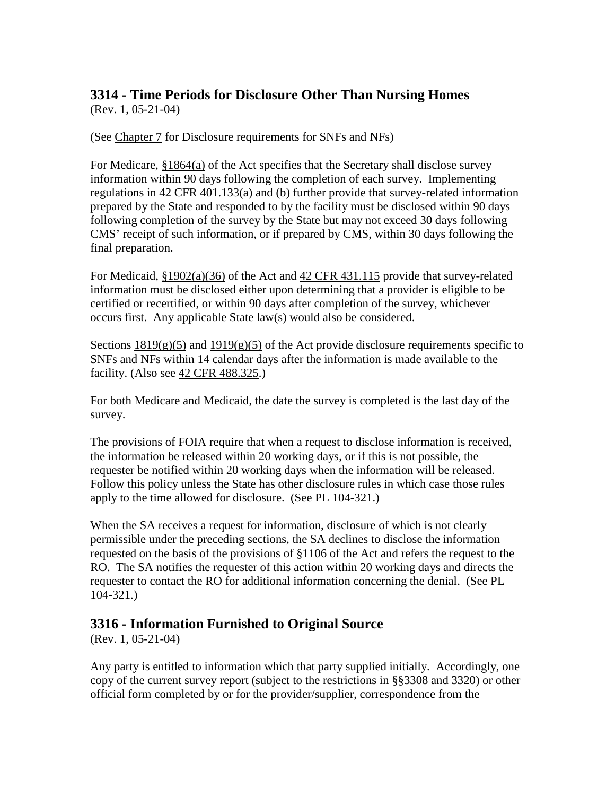# **3314 - Time Periods for Disclosure Other Than Nursing Homes**

(Rev. 1, 05-21-04)

(See [Chapter 7](http://www.cms.hhs.gov/manuals/107_som/som107c07.pdf) for Disclosure requirements for SNFs and NFs)

For Medicare,  $§1864(a)$  of the Act specifies that the Secretary shall disclose survey information within 90 days following the completion of each survey. Implementing regulations in [42 CFR 401.133\(a\) and \(b\)](http://www.cms.hhs.gov/manuals/) further provide that survey-related information prepared by the State and responded to by the facility must be disclosed within 90 days following completion of the survey by the State but may not exceed 30 days following CMS' receipt of such information, or if prepared by CMS, within 30 days following the final preparation.

For Medicaid, [§1902\(a\)\(36\)](http://www.cms.hhs.gov/manuals/) of the Act and [42 CFR 431.115](http://www.cms.hhs.gov/manuals/) provide that survey-related information must be disclosed either upon determining that a provider is eligible to be certified or recertified, or within 90 days after completion of the survey, whichever occurs first. Any applicable State law(s) would also be considered.

Sections  $1819(g)(5)$  and  $1919(g)(5)$  of the Act provide disclosure requirements specific to SNFs and NFs within 14 calendar days after the information is made available to the facility. (Also see [42 CFR 488.325.](http://www.cms.hhs.gov/manuals/))

For both Medicare and Medicaid, the date the survey is completed is the last day of the survey.

The provisions of FOIA require that when a request to disclose information is received, the information be released within 20 working days, or if this is not possible, the requester be notified within 20 working days when the information will be released. Follow this policy unless the State has other disclosure rules in which case those rules apply to the time allowed for disclosure. (See PL 104-321.)

When the SA receives a request for information, disclosure of which is not clearly permissible under the preceding sections, the SA declines to disclose the information requested on the basis of the provisions of [§1106](http://www.cms.hhs.gov/manuals/) of the Act and refers the request to the RO. The SA notifies the requester of this action within 20 working days and directs the requester to contact the RO for additional information concerning the denial. (See PL 104-321.)

# **3316 - Information Furnished to Original Source**

(Rev. 1, 05-21-04)

Any party is entitled to information which that party supplied initially. Accordingly, one copy of the current survey report (subject to the restrictions in [§§3308](#page-133-0) and [3320\)](#page-139-0) or other official form completed by or for the provider/supplier, correspondence from the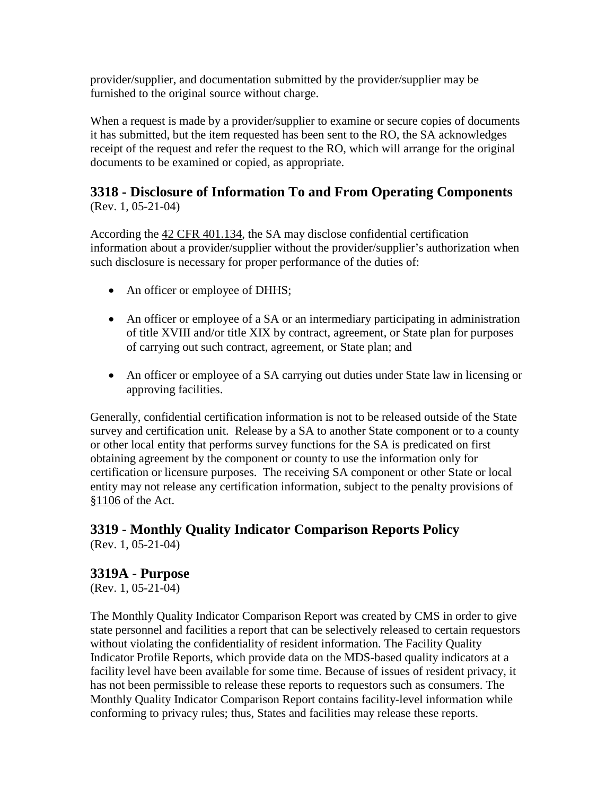provider/supplier, and documentation submitted by the provider/supplier may be furnished to the original source without charge.

When a request is made by a provider/supplier to examine or secure copies of documents it has submitted, but the item requested has been sent to the RO, the SA acknowledges receipt of the request and refer the request to the RO, which will arrange for the original documents to be examined or copied, as appropriate.

### **3318 - Disclosure of Information To and From Operating Components** (Rev. 1, 05-21-04)

According the [42 CFR 401.134,](http://www.cms.hhs.gov/manuals/) the SA may disclose confidential certification information about a provider/supplier without the provider/supplier's authorization when such disclosure is necessary for proper performance of the duties of:

- An officer or employee of DHHS;
- An officer or employee of a SA or an intermediary participating in administration of title XVIII and/or title XIX by contract, agreement, or State plan for purposes of carrying out such contract, agreement, or State plan; and
- An officer or employee of a SA carrying out duties under State law in licensing or approving facilities.

Generally, confidential certification information is not to be released outside of the State survey and certification unit. Release by a SA to another State component or to a county or other local entity that performs survey functions for the SA is predicated on first obtaining agreement by the component or county to use the information only for certification or licensure purposes. The receiving SA component or other State or local entity may not release any certification information, subject to the penalty provisions of [§1106](http://www.cms.hhs.gov/manuals/) of the Act.

### **3319 - Monthly Quality Indicator Comparison Reports Policy** (Rev. 1, 05-21-04)

### **3319A - Purpose**

(Rev. 1, 05-21-04)

The Monthly Quality Indicator Comparison Report was created by CMS in order to give state personnel and facilities a report that can be selectively released to certain requestors without violating the confidentiality of resident information. The Facility Quality Indicator Profile Reports, which provide data on the MDS-based quality indicators at a facility level have been available for some time. Because of issues of resident privacy, it has not been permissible to release these reports to requestors such as consumers. The Monthly Quality Indicator Comparison Report contains facility-level information while conforming to privacy rules; thus, States and facilities may release these reports.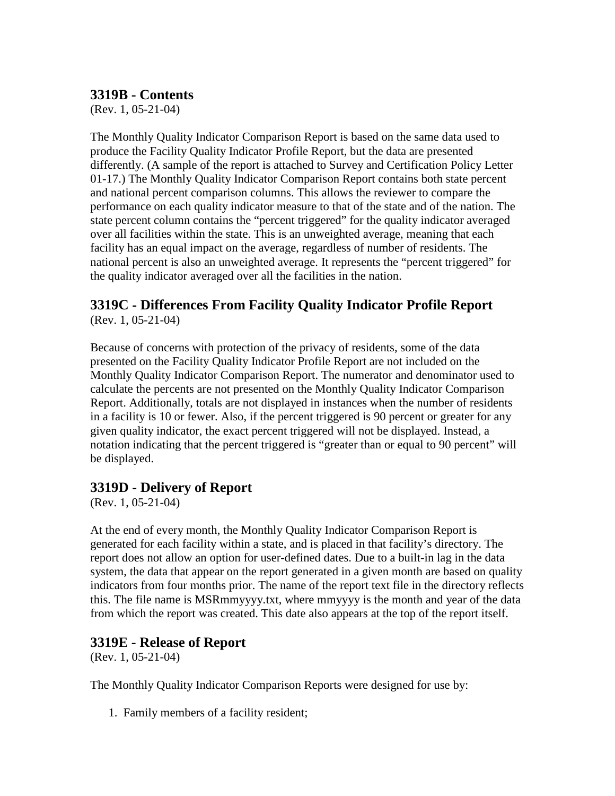### **3319B - Contents**

(Rev. 1, 05-21-04)

The Monthly Quality Indicator Comparison Report is based on the same data used to produce the Facility Quality Indicator Profile Report, but the data are presented differently. (A sample of the report is attached to Survey and Certification Policy Letter 01-17.) The Monthly Quality Indicator Comparison Report contains both state percent and national percent comparison columns. This allows the reviewer to compare the performance on each quality indicator measure to that of the state and of the nation. The state percent column contains the "percent triggered" for the quality indicator averaged over all facilities within the state. This is an unweighted average, meaning that each facility has an equal impact on the average, regardless of number of residents. The national percent is also an unweighted average. It represents the "percent triggered" for the quality indicator averaged over all the facilities in the nation.

#### **3319C - Differences From Facility Quality Indicator Profile Report** (Rev. 1, 05-21-04)

Because of concerns with protection of the privacy of residents, some of the data presented on the Facility Quality Indicator Profile Report are not included on the Monthly Quality Indicator Comparison Report. The numerator and denominator used to calculate the percents are not presented on the Monthly Quality Indicator Comparison Report. Additionally, totals are not displayed in instances when the number of residents in a facility is 10 or fewer. Also, if the percent triggered is 90 percent or greater for any given quality indicator, the exact percent triggered will not be displayed. Instead, a notation indicating that the percent triggered is "greater than or equal to 90 percent" will be displayed.

### **3319D - Delivery of Report**

(Rev. 1, 05-21-04)

At the end of every month, the Monthly Quality Indicator Comparison Report is generated for each facility within a state, and is placed in that facility's directory. The report does not allow an option for user-defined dates. Due to a built-in lag in the data system, the data that appear on the report generated in a given month are based on quality indicators from four months prior. The name of the report text file in the directory reflects this. The file name is MSRmmyyyy.txt, where mmyyyy is the month and year of the data from which the report was created. This date also appears at the top of the report itself.

### **3319E - Release of Report**

(Rev. 1, 05-21-04)

The Monthly Quality Indicator Comparison Reports were designed for use by:

1. Family members of a facility resident;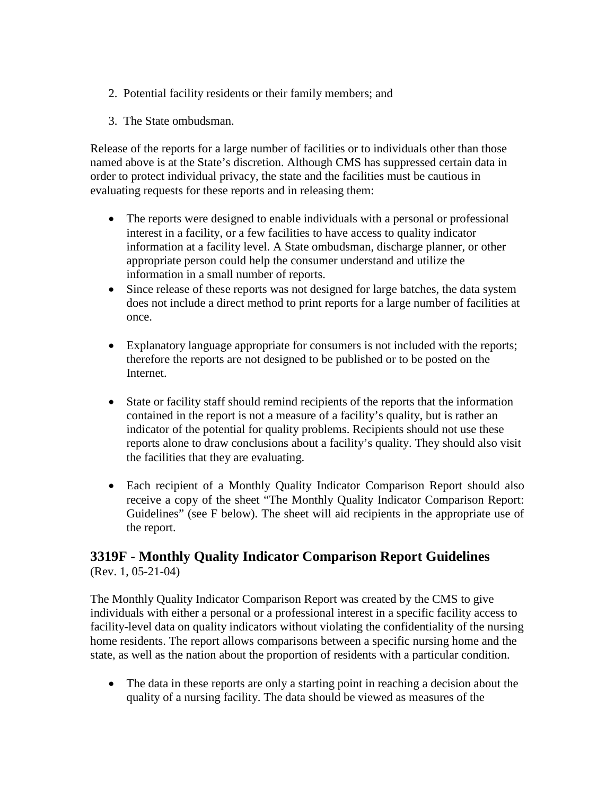- 2. Potential facility residents or their family members; and
- 3. The State ombudsman.

Release of the reports for a large number of facilities or to individuals other than those named above is at the State's discretion. Although CMS has suppressed certain data in order to protect individual privacy, the state and the facilities must be cautious in evaluating requests for these reports and in releasing them:

- The reports were designed to enable individuals with a personal or professional interest in a facility, or a few facilities to have access to quality indicator information at a facility level. A State ombudsman, discharge planner, or other appropriate person could help the consumer understand and utilize the information in a small number of reports.
- Since release of these reports was not designed for large batches, the data system does not include a direct method to print reports for a large number of facilities at once.
- Explanatory language appropriate for consumers is not included with the reports; therefore the reports are not designed to be published or to be posted on the Internet.
- State or facility staff should remind recipients of the reports that the information contained in the report is not a measure of a facility's quality, but is rather an indicator of the potential for quality problems. Recipients should not use these reports alone to draw conclusions about a facility's quality. They should also visit the facilities that they are evaluating.
- Each recipient of a Monthly Quality Indicator Comparison Report should also receive a copy of the sheet "The Monthly Quality Indicator Comparison Report: Guidelines" (see F below). The sheet will aid recipients in the appropriate use of the report.

# **3319F - Monthly Quality Indicator Comparison Report Guidelines**

(Rev. 1, 05-21-04)

The Monthly Quality Indicator Comparison Report was created by the CMS to give individuals with either a personal or a professional interest in a specific facility access to facility-level data on quality indicators without violating the confidentiality of the nursing home residents. The report allows comparisons between a specific nursing home and the state, as well as the nation about the proportion of residents with a particular condition.

• The data in these reports are only a starting point in reaching a decision about the quality of a nursing facility. The data should be viewed as measures of the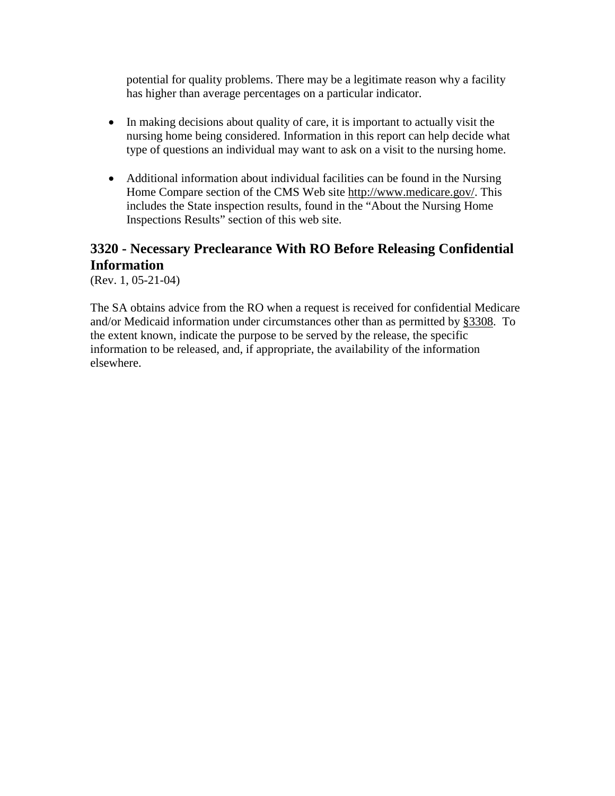potential for quality problems. There may be a legitimate reason why a facility has higher than average percentages on a particular indicator.

- In making decisions about quality of care, it is important to actually visit the nursing home being considered. Information in this report can help decide what type of questions an individual may want to ask on a visit to the nursing home.
- Additional information about individual facilities can be found in the Nursing Home Compare section of the CMS Web site [http://www.medicare.gov/.](http://www.medicare.gov/) This includes the State inspection results, found in the "About the Nursing Home Inspections Results" section of this web site.

# <span id="page-139-0"></span>**3320 - Necessary Preclearance With RO Before Releasing Confidential Information**

(Rev. 1, 05-21-04)

The SA obtains advice from the RO when a request is received for confidential Medicare and/or Medicaid information under circumstances other than as permitted by [§3308.](#page-133-0) To the extent known, indicate the purpose to be served by the release, the specific information to be released, and, if appropriate, the availability of the information elsewhere.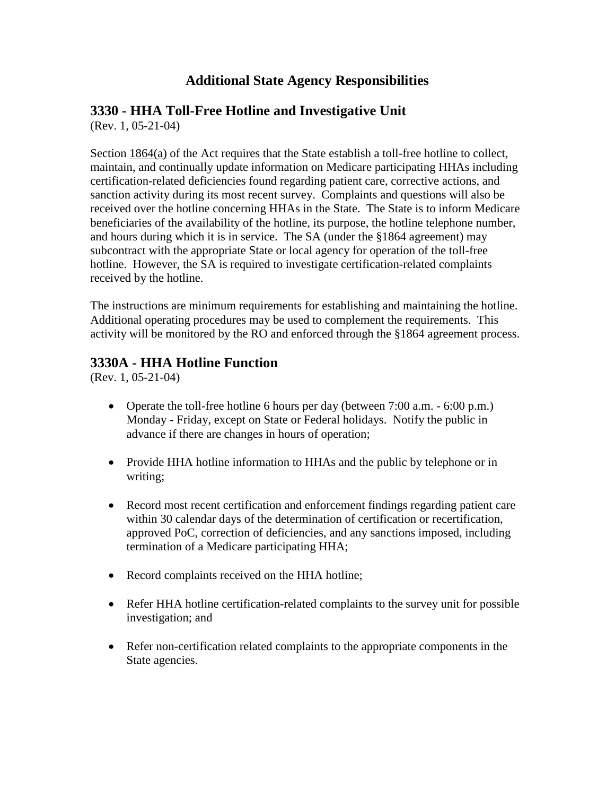# **Additional State Agency Responsibilities**

### **3330 - HHA Toll-Free Hotline and Investigative Unit**

(Rev. 1, 05-21-04)

Section [1864\(a\)](http://www.cms.hhs.gov/manuals/) of the Act requires that the State establish a toll-free hotline to collect, maintain, and continually update information on Medicare participating HHAs including certification-related deficiencies found regarding patient care, corrective actions, and sanction activity during its most recent survey. Complaints and questions will also be received over the hotline concerning HHAs in the State. The State is to inform Medicare beneficiaries of the availability of the hotline, its purpose, the hotline telephone number, and hours during which it is in service. The SA (under the §1864 agreement) may subcontract with the appropriate State or local agency for operation of the toll-free hotline. However, the SA is required to investigate certification-related complaints received by the hotline.

The instructions are minimum requirements for establishing and maintaining the hotline. Additional operating procedures may be used to complement the requirements. This activity will be monitored by the RO and enforced through the §1864 agreement process.

### **3330A - HHA Hotline Function**

(Rev. 1, 05-21-04)

- Operate the toll-free hotline 6 hours per day (between 7:00 a.m. 6:00 p.m.) Monday - Friday, except on State or Federal holidays. Notify the public in advance if there are changes in hours of operation;
- Provide HHA hotline information to HHAs and the public by telephone or in writing;
- Record most recent certification and enforcement findings regarding patient care within 30 calendar days of the determination of certification or recertification, approved PoC, correction of deficiencies, and any sanctions imposed, including termination of a Medicare participating HHA;
- Record complaints received on the HHA hotline;
- Refer HHA hotline certification-related complaints to the survey unit for possible investigation; and
- Refer non-certification related complaints to the appropriate components in the State agencies.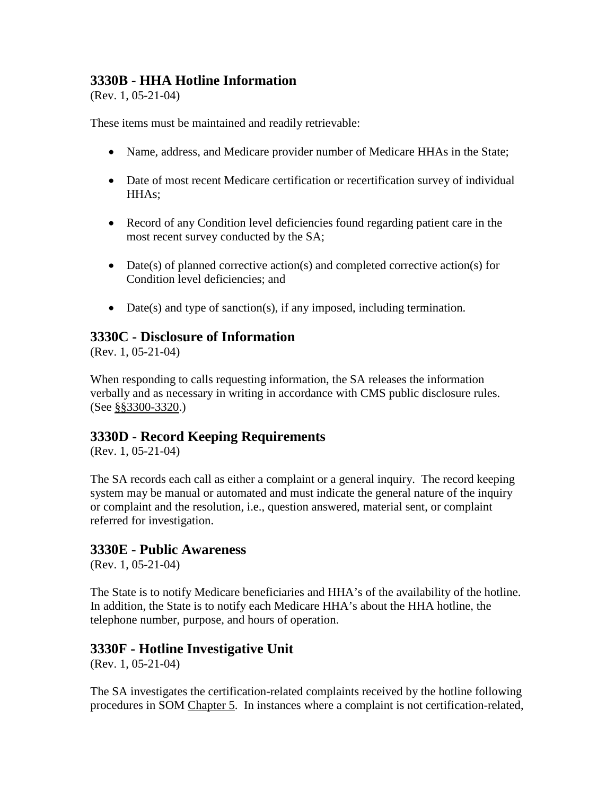### **3330B - HHA Hotline Information**

(Rev. 1, 05-21-04)

These items must be maintained and readily retrievable:

- Name, address, and Medicare provider number of Medicare HHAs in the State;
- Date of most recent Medicare certification or recertification survey of individual HHAs;
- Record of any Condition level deficiencies found regarding patient care in the most recent survey conducted by the SA;
- Date(s) of planned corrective action(s) and completed corrective action(s) for Condition level deficiencies; and
- Date(s) and type of sanction(s), if any imposed, including termination.

### **3330C - Disclosure of Information**

(Rev. 1, 05-21-04)

When responding to calls requesting information, the SA releases the information verbally and as necessary in writing in accordance with CMS public disclosure rules. (See [§§3300-3320.](#page-132-0))

### **3330D - Record Keeping Requirements**

(Rev. 1, 05-21-04)

The SA records each call as either a complaint or a general inquiry. The record keeping system may be manual or automated and must indicate the general nature of the inquiry or complaint and the resolution, i.e., question answered, material sent, or complaint referred for investigation.

### **3330E - Public Awareness**

(Rev. 1, 05-21-04)

The State is to notify Medicare beneficiaries and HHA's of the availability of the hotline. In addition, the State is to notify each Medicare HHA's about the HHA hotline, the telephone number, purpose, and hours of operation.

### **3330F - Hotline Investigative Unit**

(Rev. 1, 05-21-04)

The SA investigates the certification-related complaints received by the hotline following procedures in SOM [Chapter 5.](http://www.cms.hhs.gov/manuals/107_som/som107c05.pdf) In instances where a complaint is not certification-related,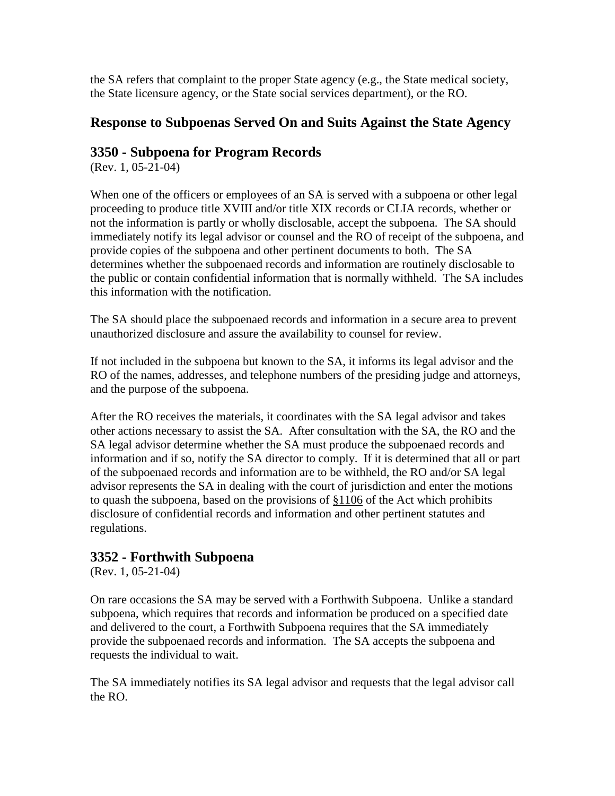the SA refers that complaint to the proper State agency (e.g., the State medical society, the State licensure agency, or the State social services department), or the RO.

### **Response to Subpoenas Served On and Suits Against the State Agency**

### **3350 - Subpoena for Program Records**

(Rev. 1, 05-21-04)

When one of the officers or employees of an SA is served with a subpoena or other legal proceeding to produce title XVIII and/or title XIX records or CLIA records, whether or not the information is partly or wholly disclosable, accept the subpoena. The SA should immediately notify its legal advisor or counsel and the RO of receipt of the subpoena, and provide copies of the subpoena and other pertinent documents to both. The SA determines whether the subpoenaed records and information are routinely disclosable to the public or contain confidential information that is normally withheld. The SA includes this information with the notification.

The SA should place the subpoenaed records and information in a secure area to prevent unauthorized disclosure and assure the availability to counsel for review.

If not included in the subpoena but known to the SA, it informs its legal advisor and the RO of the names, addresses, and telephone numbers of the presiding judge and attorneys, and the purpose of the subpoena.

After the RO receives the materials, it coordinates with the SA legal advisor and takes other actions necessary to assist the SA. After consultation with the SA, the RO and the SA legal advisor determine whether the SA must produce the subpoenaed records and information and if so, notify the SA director to comply. If it is determined that all or part of the subpoenaed records and information are to be withheld, the RO and/or SA legal advisor represents the SA in dealing with the court of jurisdiction and enter the motions to quash the subpoena, based on the provisions of [§1106](http://www.cms.hhs.gov/manuals/) of the Act which prohibits disclosure of confidential records and information and other pertinent statutes and regulations.

### **3352 - Forthwith Subpoena**

(Rev. 1, 05-21-04)

On rare occasions the SA may be served with a Forthwith Subpoena. Unlike a standard subpoena, which requires that records and information be produced on a specified date and delivered to the court, a Forthwith Subpoena requires that the SA immediately provide the subpoenaed records and information. The SA accepts the subpoena and requests the individual to wait.

The SA immediately notifies its SA legal advisor and requests that the legal advisor call the RO.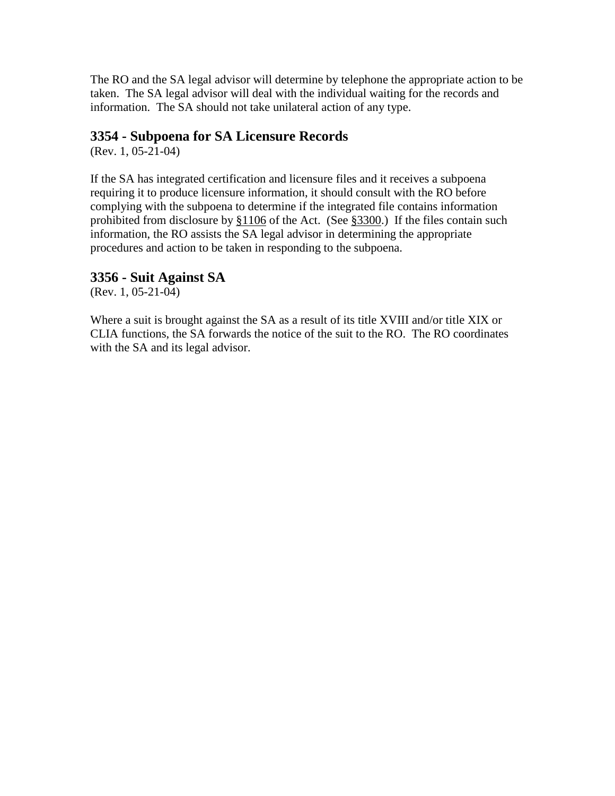The RO and the SA legal advisor will determine by telephone the appropriate action to be taken. The SA legal advisor will deal with the individual waiting for the records and information. The SA should not take unilateral action of any type.

### **3354 - Subpoena for SA Licensure Records**

(Rev. 1, 05-21-04)

If the SA has integrated certification and licensure files and it receives a subpoena requiring it to produce licensure information, it should consult with the RO before complying with the subpoena to determine if the integrated file contains information prohibited from disclosure by  $§1106$  of the Act. (See  $§3300$ .) If the files contain such information, the RO assists the SA legal advisor in determining the appropriate procedures and action to be taken in responding to the subpoena.

### **3356 - Suit Against SA**

(Rev. 1, 05-21-04)

Where a suit is brought against the SA as a result of its title XVIII and/or title XIX or CLIA functions, the SA forwards the notice of the suit to the RO. The RO coordinates with the SA and its legal advisor.